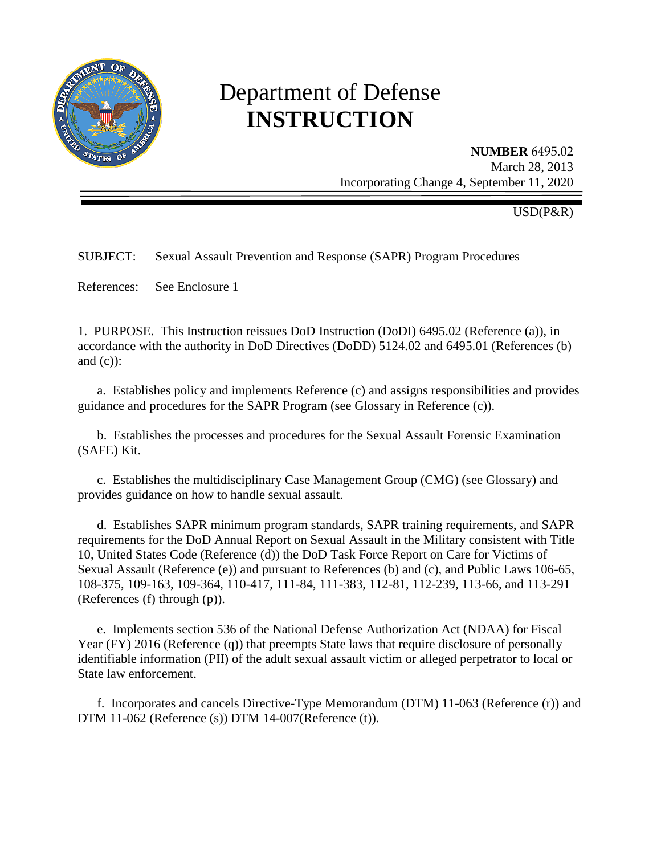

# Department of Defense **INSTRUCTION**

**NUMBER** 6495.02 March 28, 2013 Incorporating Change 4, September 11, 2020

USD(P&R)

# SUBJECT: Sexual Assault Prevention and Response (SAPR) Program Procedures

References: See Enclosure 1

1. PURPOSE. This Instruction reissues DoD Instruction (DoDI) 6495.02 (Reference (a)), in accordance with the authority in DoD Directives (DoDD) 5124.02 and 6495.01 (References (b) and  $(c)$ :

a. Establishes policy and implements Reference (c) and assigns responsibilities and provides guidance and procedures for the SAPR Program (see Glossary in Reference (c)).

b. Establishes the processes and procedures for the Sexual Assault Forensic Examination (SAFE) Kit.

c. Establishes the multidisciplinary Case Management Group (CMG) (see Glossary) and provides guidance on how to handle sexual assault.

d. Establishes SAPR minimum program standards, SAPR training requirements, and SAPR requirements for the DoD Annual Report on Sexual Assault in the Military consistent with Title 10, United States Code (Reference (d)) the DoD Task Force Report on Care for Victims of Sexual Assault (Reference (e)) and pursuant to References (b) and (c), and Public Laws 106-65, 108-375, 109-163, 109-364, 110-417, 111-84, 111-383, 112-81, 112-239, 113-66, and 113-291 (References (f) through (p)).

e. Implements section 536 of the National Defense Authorization Act (NDAA) for Fiscal Year (FY) 2016 (Reference (q)) that preempts State laws that require disclosure of personally identifiable information (PII) of the adult sexual assault victim or alleged perpetrator to local or State law enforcement.

f. Incorporates and cancels Directive-Type Memorandum (DTM) 11-063 (Reference (r)) and DTM 11-062 (Reference (s)) DTM 14-007(Reference (t)).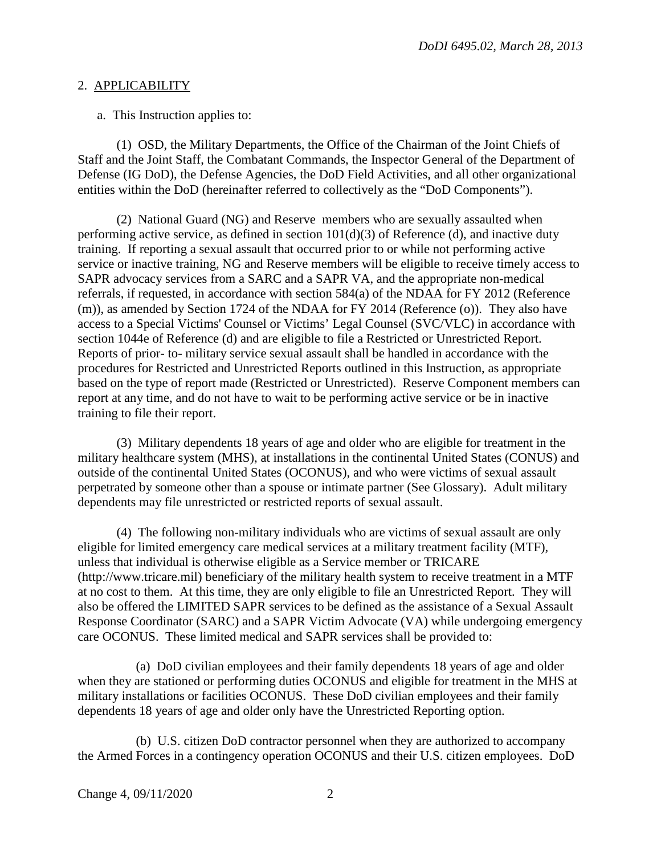#### 2. APPLICABILITY

a. This Instruction applies to:

(1) OSD, the Military Departments, the Office of the Chairman of the Joint Chiefs of Staff and the Joint Staff, the Combatant Commands, the Inspector General of the Department of Defense (IG DoD), the Defense Agencies, the DoD Field Activities, and all other organizational entities within the DoD (hereinafter referred to collectively as the "DoD Components").

(2) National Guard (NG) and Reserve members who are sexually assaulted when performing active service, as defined in section  $101(d)(3)$  of Reference (d), and inactive duty training. If reporting a sexual assault that occurred prior to or while not performing active service or inactive training, NG and Reserve members will be eligible to receive timely access to SAPR advocacy services from a SARC and a SAPR VA, and the appropriate non-medical referrals, if requested, in accordance with section 584(a) of the NDAA for FY 2012 (Reference (m)), as amended by Section 1724 of the NDAA for FY 2014 (Reference (o)). They also have access to a Special Victims' Counsel or Victims' Legal Counsel (SVC/VLC) in accordance with section 1044e of Reference (d) and are eligible to file a Restricted or Unrestricted Report. Reports of prior- to- military service sexual assault shall be handled in accordance with the procedures for Restricted and Unrestricted Reports outlined in this Instruction, as appropriate based on the type of report made (Restricted or Unrestricted). Reserve Component members can report at any time, and do not have to wait to be performing active service or be in inactive training to file their report.

(3) Military dependents 18 years of age and older who are eligible for treatment in the military healthcare system (MHS), at installations in the continental United States (CONUS) and outside of the continental United States (OCONUS), and who were victims of sexual assault perpetrated by someone other than a spouse or intimate partner (See Glossary). Adult military dependents may file unrestricted or restricted reports of sexual assault.

(4) The following non-military individuals who are victims of sexual assault are only eligible for limited emergency care medical services at a military treatment facility (MTF), unless that individual is otherwise eligible as a Service member or TRICARE (http://www.tricare.mil) beneficiary of the military health system to receive treatment in a MTF at no cost to them. At this time, they are only eligible to file an Unrestricted Report. They will also be offered the LIMITED SAPR services to be defined as the assistance of a Sexual Assault Response Coordinator (SARC) and a SAPR Victim Advocate (VA) while undergoing emergency care OCONUS. These limited medical and SAPR services shall be provided to:

(a) DoD civilian employees and their family dependents 18 years of age and older when they are stationed or performing duties OCONUS and eligible for treatment in the MHS at military installations or facilities OCONUS. These DoD civilian employees and their family dependents 18 years of age and older only have the Unrestricted Reporting option.

(b) U.S. citizen DoD contractor personnel when they are authorized to accompany the Armed Forces in a contingency operation OCONUS and their U.S. citizen employees. DoD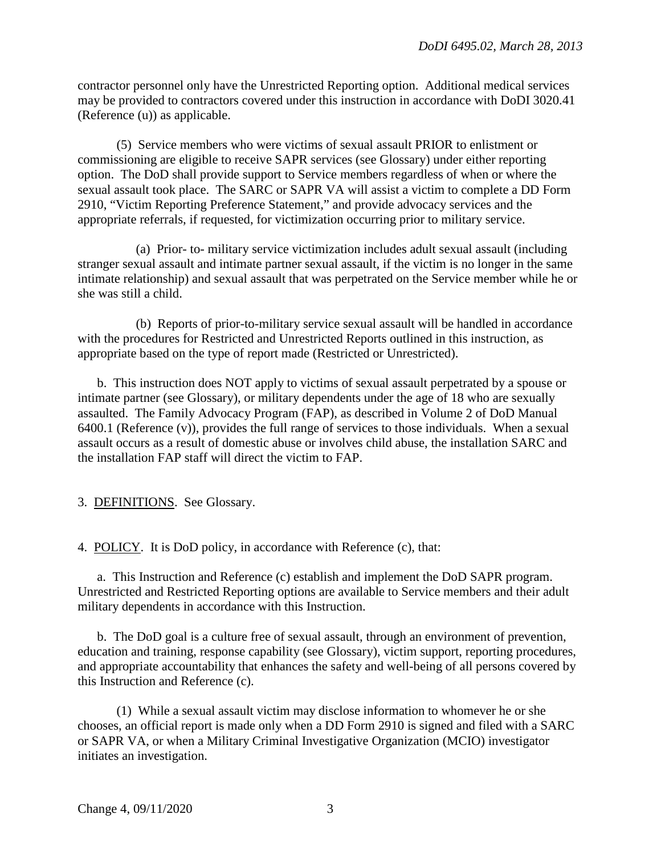contractor personnel only have the Unrestricted Reporting option. Additional medical services may be provided to contractors covered under this instruction in accordance with DoDI 3020.41 (Reference (u)) as applicable.

(5) Service members who were victims of sexual assault PRIOR to enlistment or commissioning are eligible to receive SAPR services (see Glossary) under either reporting option. The DoD shall provide support to Service members regardless of when or where the sexual assault took place. The SARC or SAPR VA will assist a victim to complete a DD Form 2910, "Victim Reporting Preference Statement," and provide advocacy services and the appropriate referrals, if requested, for victimization occurring prior to military service.

(a) Prior- to- military service victimization includes adult sexual assault (including stranger sexual assault and intimate partner sexual assault, if the victim is no longer in the same intimate relationship) and sexual assault that was perpetrated on the Service member while he or she was still a child.

(b) Reports of prior-to-military service sexual assault will be handled in accordance with the procedures for Restricted and Unrestricted Reports outlined in this instruction, as appropriate based on the type of report made (Restricted or Unrestricted).

b. This instruction does NOT apply to victims of sexual assault perpetrated by a spouse or intimate partner (see Glossary), or military dependents under the age of 18 who are sexually assaulted. The Family Advocacy Program (FAP), as described in Volume 2 of DoD Manual 6400.1 (Reference (v)), provides the full range of services to those individuals. When a sexual assault occurs as a result of domestic abuse or involves child abuse, the installation SARC and the installation FAP staff will direct the victim to FAP.

3. DEFINITIONS. See Glossary.

4. POLICY. It is DoD policy, in accordance with Reference (c), that:

a. This Instruction and Reference (c) establish and implement the DoD SAPR program. Unrestricted and Restricted Reporting options are available to Service members and their adult military dependents in accordance with this Instruction.

b. The DoD goal is a culture free of sexual assault, through an environment of prevention, education and training, response capability (see Glossary), victim support, reporting procedures, and appropriate accountability that enhances the safety and well-being of all persons covered by this Instruction and Reference (c).

(1) While a sexual assault victim may disclose information to whomever he or she chooses, an official report is made only when a DD Form 2910 is signed and filed with a SARC or SAPR VA, or when a Military Criminal Investigative Organization (MCIO) investigator initiates an investigation.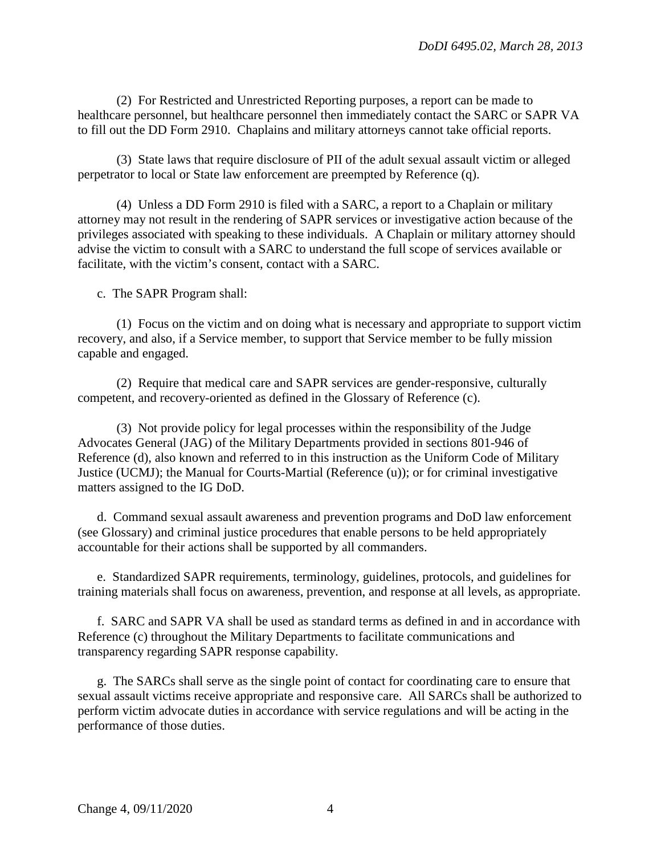(2) For Restricted and Unrestricted Reporting purposes, a report can be made to healthcare personnel, but healthcare personnel then immediately contact the SARC or SAPR VA to fill out the DD Form 2910. Chaplains and military attorneys cannot take official reports.

(3) State laws that require disclosure of PII of the adult sexual assault victim or alleged perpetrator to local or State law enforcement are preempted by Reference (q).

 (4) Unless a DD Form 2910 is filed with a SARC, a report to a Chaplain or military attorney may not result in the rendering of SAPR services or investigative action because of the privileges associated with speaking to these individuals. A Chaplain or military attorney should advise the victim to consult with a SARC to understand the full scope of services available or facilitate, with the victim's consent, contact with a SARC.

c. The SAPR Program shall:

(1) Focus on the victim and on doing what is necessary and appropriate to support victim recovery, and also, if a Service member, to support that Service member to be fully mission capable and engaged.

(2) Require that medical care and SAPR services are gender-responsive, culturally competent, and recovery-oriented as defined in the Glossary of Reference (c).

(3) Not provide policy for legal processes within the responsibility of the Judge Advocates General (JAG) of the Military Departments provided in sections 801-946 of Reference (d), also known and referred to in this instruction as the Uniform Code of Military Justice (UCMJ); the Manual for Courts-Martial (Reference (u)); or for criminal investigative matters assigned to the IG DoD.

d. Command sexual assault awareness and prevention programs and DoD law enforcement (see Glossary) and criminal justice procedures that enable persons to be held appropriately accountable for their actions shall be supported by all commanders.

e. Standardized SAPR requirements, terminology, guidelines, protocols, and guidelines for training materials shall focus on awareness, prevention, and response at all levels, as appropriate.

f. SARC and SAPR VA shall be used as standard terms as defined in and in accordance with Reference (c) throughout the Military Departments to facilitate communications and transparency regarding SAPR response capability.

g. The SARCs shall serve as the single point of contact for coordinating care to ensure that sexual assault victims receive appropriate and responsive care. All SARCs shall be authorized to perform victim advocate duties in accordance with service regulations and will be acting in the performance of those duties.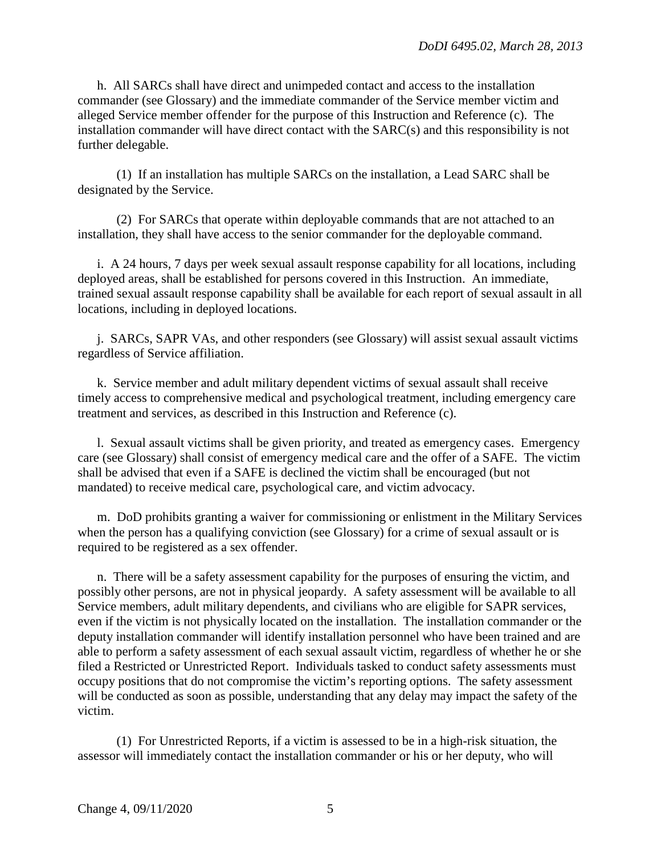h. All SARCs shall have direct and unimpeded contact and access to the installation commander (see Glossary) and the immediate commander of the Service member victim and alleged Service member offender for the purpose of this Instruction and Reference (c). The installation commander will have direct contact with the SARC(s) and this responsibility is not further delegable.

(1) If an installation has multiple SARCs on the installation, a Lead SARC shall be designated by the Service.

(2) For SARCs that operate within deployable commands that are not attached to an installation, they shall have access to the senior commander for the deployable command.

i. A 24 hours, 7 days per week sexual assault response capability for all locations, including deployed areas, shall be established for persons covered in this Instruction. An immediate, trained sexual assault response capability shall be available for each report of sexual assault in all locations, including in deployed locations.

j. SARCs, SAPR VAs, and other responders (see Glossary) will assist sexual assault victims regardless of Service affiliation.

k. Service member and adult military dependent victims of sexual assault shall receive timely access to comprehensive medical and psychological treatment, including emergency care treatment and services, as described in this Instruction and Reference (c).

l. Sexual assault victims shall be given priority, and treated as emergency cases. Emergency care (see Glossary) shall consist of emergency medical care and the offer of a SAFE. The victim shall be advised that even if a SAFE is declined the victim shall be encouraged (but not mandated) to receive medical care, psychological care, and victim advocacy.

m. DoD prohibits granting a waiver for commissioning or enlistment in the Military Services when the person has a qualifying conviction (see Glossary) for a crime of sexual assault or is required to be registered as a sex offender.

n.There will be a safety assessment capability for the purposes of ensuring the victim, and possibly other persons, are not in physical jeopardy. A safety assessment will be available to all Service members, adult military dependents, and civilians who are eligible for SAPR services, even if the victim is not physically located on the installation. The installation commander or the deputy installation commander will identify installation personnel who have been trained and are able to perform a safety assessment of each sexual assault victim, regardless of whether he or she filed a Restricted or Unrestricted Report. Individuals tasked to conduct safety assessments must occupy positions that do not compromise the victim's reporting options. The safety assessment will be conducted as soon as possible, understanding that any delay may impact the safety of the victim.

(1) For Unrestricted Reports, if a victim is assessed to be in a high-risk situation, the assessor will immediately contact the installation commander or his or her deputy, who will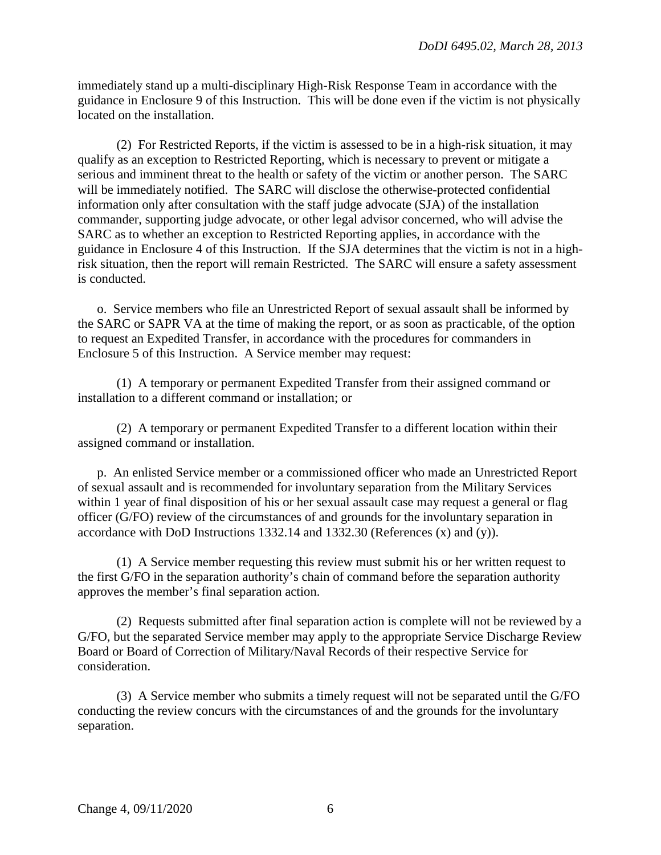immediately stand up a multi-disciplinary High-Risk Response Team in accordance with the guidance in Enclosure 9 of this Instruction. This will be done even if the victim is not physically located on the installation.

(2) For Restricted Reports, if the victim is assessed to be in a high-risk situation, it may qualify as an exception to Restricted Reporting, which is necessary to prevent or mitigate a serious and imminent threat to the health or safety of the victim or another person. The SARC will be immediately notified. The SARC will disclose the otherwise-protected confidential information only after consultation with the staff judge advocate (SJA) of the installation commander, supporting judge advocate, or other legal advisor concerned, who will advise the SARC as to whether an exception to Restricted Reporting applies, in accordance with the guidance in Enclosure 4 of this Instruction. If the SJA determines that the victim is not in a highrisk situation, then the report will remain Restricted. The SARC will ensure a safety assessment is conducted.

o. Service members who file an Unrestricted Report of sexual assault shall be informed by the SARC or SAPR VA at the time of making the report, or as soon as practicable, of the option to request an Expedited Transfer, in accordance with the procedures for commanders in Enclosure 5 of this Instruction. A Service member may request:

(1) A temporary or permanent Expedited Transfer from their assigned command or installation to a different command or installation; or

(2) A temporary or permanent Expedited Transfer to a different location within their assigned command or installation.

p. An enlisted Service member or a commissioned officer who made an Unrestricted Report of sexual assault and is recommended for involuntary separation from the Military Services within 1 year of final disposition of his or her sexual assault case may request a general or flag officer (G/FO) review of the circumstances of and grounds for the involuntary separation in accordance with DoD Instructions 1332.14 and 1332.30 (References (x) and (y)).

(1) A Service member requesting this review must submit his or her written request to the first G/FO in the separation authority's chain of command before the separation authority approves the member's final separation action.

(2) Requests submitted after final separation action is complete will not be reviewed by a G/FO, but the separated Service member may apply to the appropriate Service Discharge Review Board or Board of Correction of Military/Naval Records of their respective Service for consideration.

(3) A Service member who submits a timely request will not be separated until the G/FO conducting the review concurs with the circumstances of and the grounds for the involuntary separation.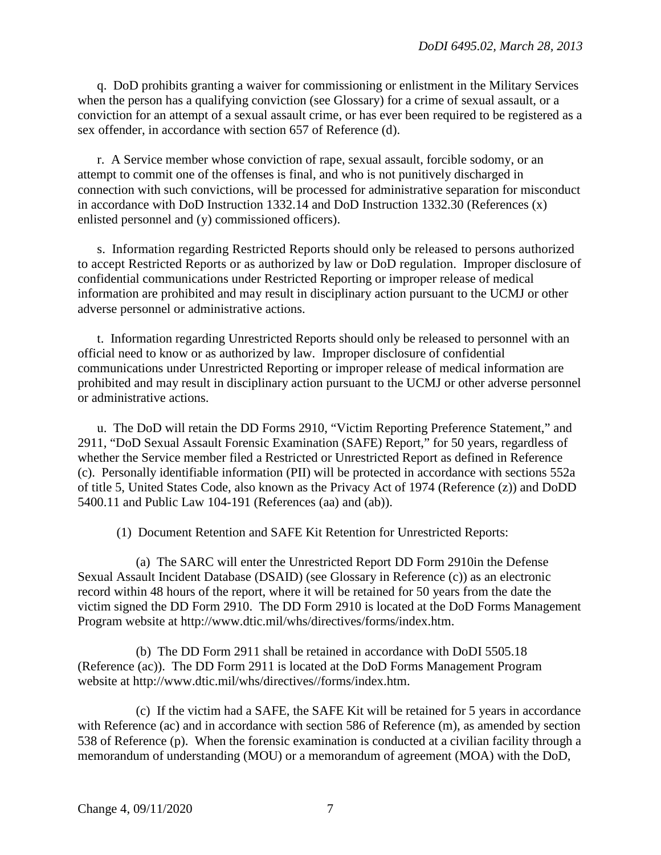q. DoD prohibits granting a waiver for commissioning or enlistment in the Military Services when the person has a qualifying conviction (see Glossary) for a crime of sexual assault, or a conviction for an attempt of a sexual assault crime, or has ever been required to be registered as a sex offender, in accordance with section 657 of Reference (d).

r. A Service member whose conviction of rape, sexual assault, forcible sodomy, or an attempt to commit one of the offenses is final, and who is not punitively discharged in connection with such convictions, will be processed for administrative separation for misconduct in accordance with DoD Instruction 1332.14 and DoD Instruction 1332.30 (References (x) enlisted personnel and (y) commissioned officers).

s. Information regarding Restricted Reports should only be released to persons authorized to accept Restricted Reports or as authorized by law or DoD regulation. Improper disclosure of confidential communications under Restricted Reporting or improper release of medical information are prohibited and may result in disciplinary action pursuant to the UCMJ or other adverse personnel or administrative actions.

t. Information regarding Unrestricted Reports should only be released to personnel with an official need to know or as authorized by law. Improper disclosure of confidential communications under Unrestricted Reporting or improper release of medical information are prohibited and may result in disciplinary action pursuant to the UCMJ or other adverse personnel or administrative actions.

u. The DoD will retain the DD Forms 2910, "Victim Reporting Preference Statement," and 2911, "DoD Sexual Assault Forensic Examination (SAFE) Report," for 50 years, regardless of whether the Service member filed a Restricted or Unrestricted Report as defined in Reference (c). Personally identifiable information (PII) will be protected in accordance with sections 552a of title 5, United States Code, also known as the Privacy Act of 1974 (Reference (z)) and DoDD 5400.11 and Public Law 104-191 (References (aa) and (ab)).

(1) Document Retention and SAFE Kit Retention for Unrestricted Reports:

(a) The SARC will enter the Unrestricted Report DD Form 2910in the Defense Sexual Assault Incident Database (DSAID) (see Glossary in Reference (c)) as an electronic record within 48 hours of the report, where it will be retained for 50 years from the date the victim signed the DD Form 2910. The DD Form 2910 is located at the DoD Forms Management Program website at http://www.dtic.mil/whs/directives/forms/index.htm.

(b) The DD Form 2911 shall be retained in accordance with DoDI 5505.18 (Reference (ac)). The DD Form 2911 is located at the DoD Forms Management Program website at http://www.dtic.mil/whs/directives//forms/index.htm.

(c) If the victim had a SAFE, the SAFE Kit will be retained for 5 years in accordance with Reference (ac) and in accordance with section 586 of Reference (m), as amended by section 538 of Reference (p). When the forensic examination is conducted at a civilian facility through a memorandum of understanding (MOU) or a memorandum of agreement (MOA) with the DoD,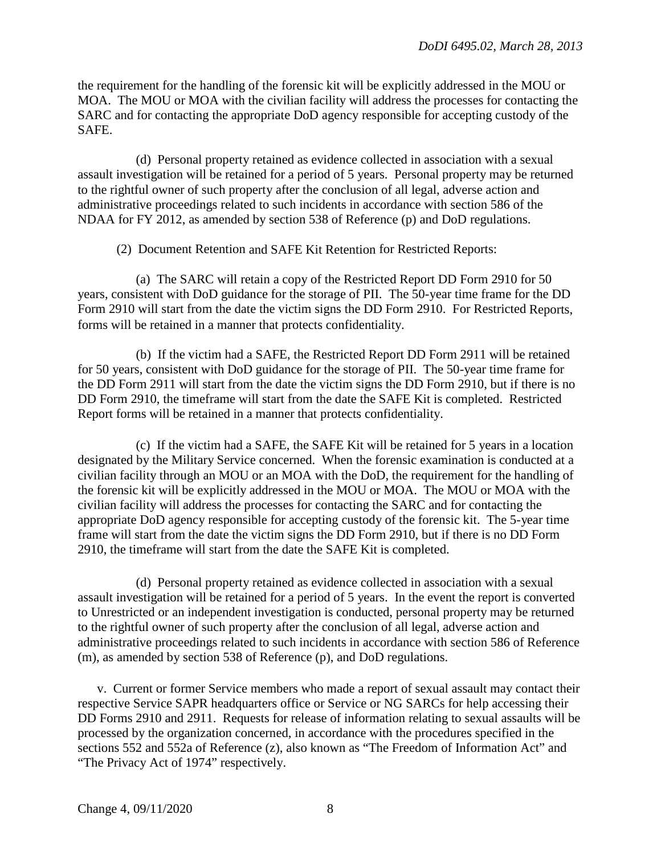the requirement for the handling of the forensic kit will be explicitly addressed in the MOU or MOA. The MOU or MOA with the civilian facility will address the processes for contacting the SARC and for contacting the appropriate DoD agency responsible for accepting custody of the SAFE.

(d) Personal property retained as evidence collected in association with a sexual assault investigation will be retained for a period of 5 years. Personal property may be returned to the rightful owner of such property after the conclusion of all legal, adverse action and administrative proceedings related to such incidents in accordance with section 586 of the NDAA for FY 2012, as amended by section 538 of Reference (p) and DoD regulations.

(2) Document Retention and SAFE Kit Retention for Restricted Reports:

(a) The SARC will retain a copy of the Restricted Report DD Form 2910 for 50 years, consistent with DoD guidance for the storage of PII. The 50-year time frame for the DD Form 2910 will start from the date the victim signs the DD Form 2910. For Restricted Reports, forms will be retained in a manner that protects confidentiality.

(b) If the victim had a SAFE, the Restricted Report DD Form 2911 will be retained for 50 years, consistent with DoD guidance for the storage of PII. The 50-year time frame for the DD Form 2911 will start from the date the victim signs the DD Form 2910, but if there is no DD Form 2910, the timeframe will start from the date the SAFE Kit is completed. Restricted Report forms will be retained in a manner that protects confidentiality.

(c) If the victim had a SAFE, the SAFE Kit will be retained for 5 years in a location designated by the Military Service concerned. When the forensic examination is conducted at a civilian facility through an MOU or an MOA with the DoD, the requirement for the handling of the forensic kit will be explicitly addressed in the MOU or MOA. The MOU or MOA with the civilian facility will address the processes for contacting the SARC and for contacting the appropriate DoD agency responsible for accepting custody of the forensic kit. The 5-year time frame will start from the date the victim signs the DD Form 2910, but if there is no DD Form 2910, the timeframe will start from the date the SAFE Kit is completed.

(d) Personal property retained as evidence collected in association with a sexual assault investigation will be retained for a period of 5 years. In the event the report is converted to Unrestricted or an independent investigation is conducted, personal property may be returned to the rightful owner of such property after the conclusion of all legal, adverse action and administrative proceedings related to such incidents in accordance with section 586 of Reference (m), as amended by section 538 of Reference (p), and DoD regulations.

v. Current or former Service members who made a report of sexual assault may contact their respective Service SAPR headquarters office or Service or NG SARCs for help accessing their DD Forms 2910 and 2911. Requests for release of information relating to sexual assaults will be processed by the organization concerned, in accordance with the procedures specified in the sections 552 and 552a of Reference (z), also known as "The Freedom of Information Act" and "The Privacy Act of 1974" respectively.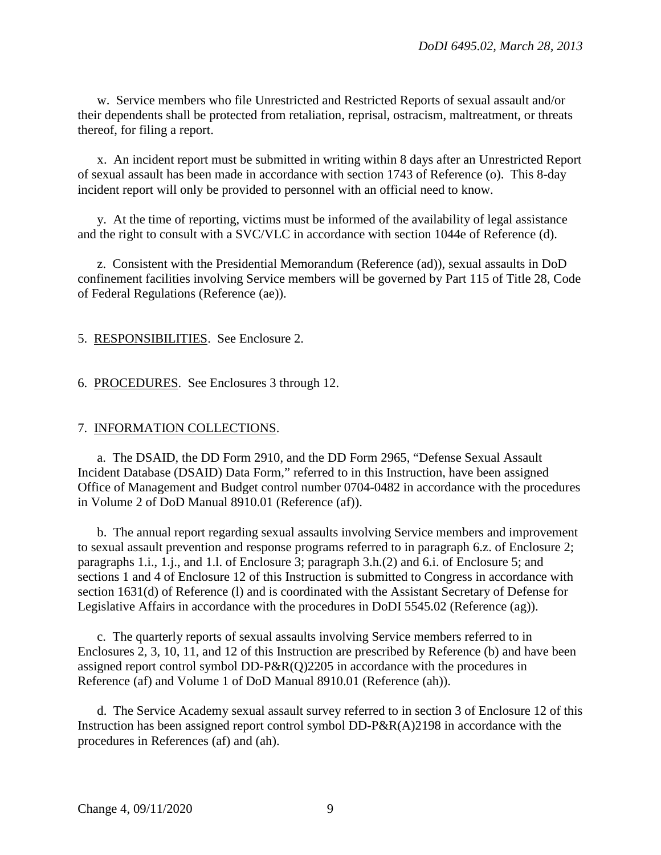w. Service members who file Unrestricted and Restricted Reports of sexual assault and/or their dependents shall be protected from retaliation, reprisal, ostracism, maltreatment, or threats thereof, for filing a report.

x. An incident report must be submitted in writing within 8 days after an Unrestricted Report of sexual assault has been made in accordance with section 1743 of Reference (o). This 8-day incident report will only be provided to personnel with an official need to know.

y. At the time of reporting, victims must be informed of the availability of legal assistance and the right to consult with a SVC/VLC in accordance with section 1044e of Reference (d).

z. Consistent with the Presidential Memorandum (Reference (ad)), sexual assaults in DoD confinement facilities involving Service members will be governed by Part 115 of Title 28, Code of Federal Regulations (Reference (ae)).

5. RESPONSIBILITIES. See Enclosure 2.

6. PROCEDURES. See Enclosures 3 through 12.

#### 7. INFORMATION COLLECTIONS.

a. The DSAID, the DD Form 2910, and the DD Form 2965, "Defense Sexual Assault Incident Database (DSAID) Data Form," referred to in this Instruction, have been assigned Office of Management and Budget control number 0704-0482 in accordance with the procedures in Volume 2 of DoD Manual 8910.01 (Reference (af)).

b. The annual report regarding sexual assaults involving Service members and improvement to sexual assault prevention and response programs referred to in paragraph 6.z. of Enclosure 2; paragraphs 1.i., 1.j., and 1.l. of Enclosure 3; paragraph 3.h.(2) and 6.i. of Enclosure 5; and sections 1 and 4 of Enclosure 12 of this Instruction is submitted to Congress in accordance with section 1631(d) of Reference (l) and is coordinated with the Assistant Secretary of Defense for Legislative Affairs in accordance with the procedures in DoDI 5545.02 (Reference (ag)).

c. The quarterly reports of sexual assaults involving Service members referred to in Enclosures 2, 3, 10, 11, and 12 of this Instruction are prescribed by Reference (b) and have been assigned report control symbol DD-P&R(Q)2205 in accordance with the procedures in Reference (af) and Volume 1 of DoD Manual 8910.01 (Reference (ah)).

d.The Service Academy sexual assault survey referred to in section 3 of Enclosure 12 of this Instruction has been assigned report control symbol DD-P&R(A)2198 in accordance with the procedures in References (af) and (ah).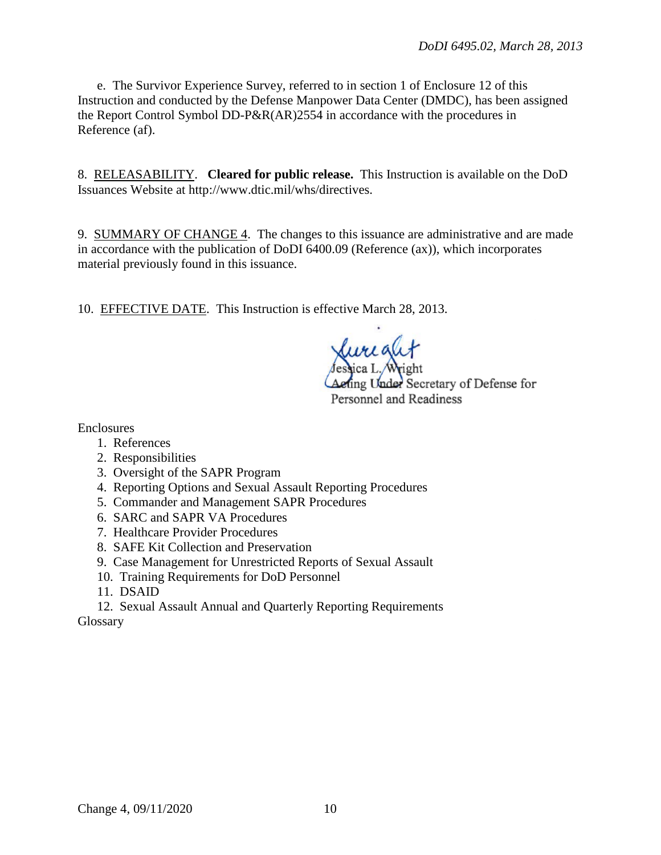e. The Survivor Experience Survey, referred to in section 1 of Enclosure 12 of this Instruction and conducted by the Defense Manpower Data Center (DMDC), has been assigned the Report Control Symbol DD-P&R(AR)2554 in accordance with the procedures in Reference (af).

8. RELEASABILITY. **Cleared for public release.** This Instruction is available on the DoD Issuances Website at http://www.dtic.mil/whs/directives.

9. SUMMARY OF CHANGE 4. The changes to this issuance are administrative and are made in accordance with the publication of DoDI 6400.09 (Reference (ax)), which incorporates material previously found in this issuance.

10. EFFECTIVE DATE. This Instruction is effective March 28, 2013.

fing Under Secretary of Defense for Personnel and Readiness

Enclosures

- 1. References
- 2. Responsibilities
- 3. Oversight of the SAPR Program
- 4. Reporting Options and Sexual Assault Reporting Procedures
- 5. Commander and Management SAPR Procedures
- 6. SARC and SAPR VA Procedures
- 7. Healthcare Provider Procedures
- 8. SAFE Kit Collection and Preservation
- 9. Case Management for Unrestricted Reports of Sexual Assault
- 10. Training Requirements for DoD Personnel
- 11. DSAID

12. Sexual Assault Annual and Quarterly Reporting Requirements Glossary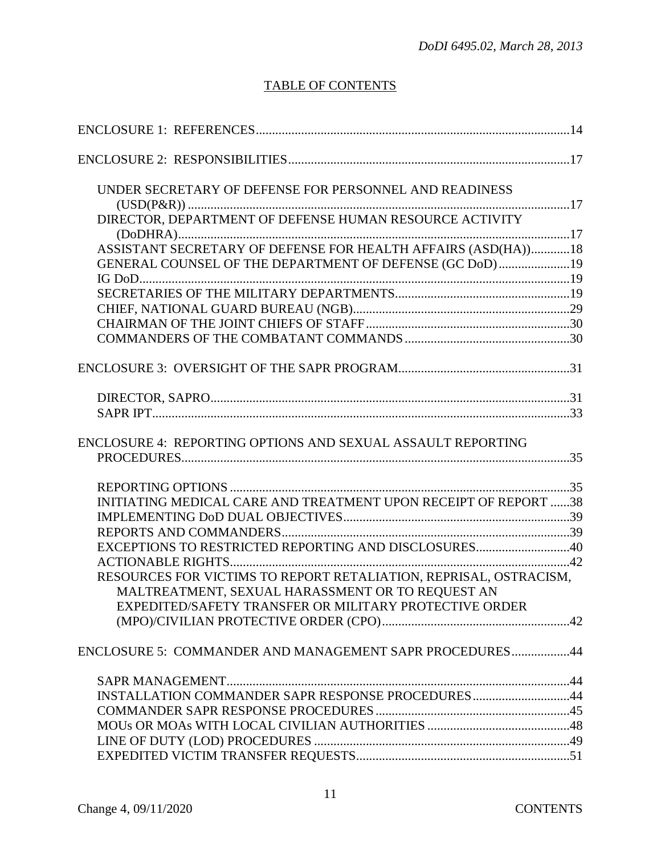# TABLE OF CONTENTS

| UNDER SECRETARY OF DEFENSE FOR PERSONNEL AND READINESS            |  |
|-------------------------------------------------------------------|--|
|                                                                   |  |
| DIRECTOR, DEPARTMENT OF DEFENSE HUMAN RESOURCE ACTIVITY           |  |
| ASSISTANT SECRETARY OF DEFENSE FOR HEALTH AFFAIRS (ASD(HA))18     |  |
| GENERAL COUNSEL OF THE DEPARTMENT OF DEFENSE (GC DoD)19           |  |
|                                                                   |  |
|                                                                   |  |
|                                                                   |  |
|                                                                   |  |
|                                                                   |  |
|                                                                   |  |
|                                                                   |  |
|                                                                   |  |
| ENCLOSURE 4: REPORTING OPTIONS AND SEXUAL ASSAULT REPORTING       |  |
|                                                                   |  |
|                                                                   |  |
|                                                                   |  |
| INITIATING MEDICAL CARE AND TREATMENT UPON RECEIPT OF REPORT 38   |  |
|                                                                   |  |
| EXCEPTIONS TO RESTRICTED REPORTING AND DISCLOSURES40              |  |
|                                                                   |  |
| RESOURCES FOR VICTIMS TO REPORT RETALIATION, REPRISAL, OSTRACISM, |  |
| MALTREATMENT, SEXUAL HARASSMENT OR TO REQUEST AN                  |  |
| EXPEDITED/SAFETY TRANSFER OR MILITARY PROTECTIVE ORDER            |  |
|                                                                   |  |
| ENCLOSURE 5: COMMANDER AND MANAGEMENT SAPR PROCEDURES44           |  |
|                                                                   |  |
| INSTALLATION COMMANDER SAPR RESPONSE PROCEDURES44                 |  |
|                                                                   |  |
|                                                                   |  |
|                                                                   |  |
|                                                                   |  |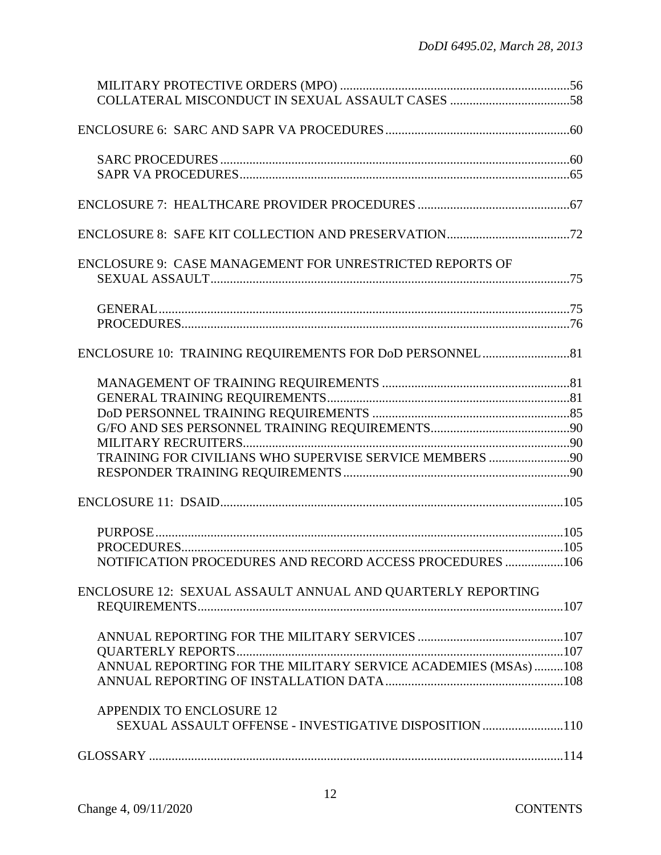| ENCLOSURE 9: CASE MANAGEMENT FOR UNRESTRICTED REPORTS OF       |  |
|----------------------------------------------------------------|--|
|                                                                |  |
|                                                                |  |
|                                                                |  |
|                                                                |  |
|                                                                |  |
|                                                                |  |
|                                                                |  |
|                                                                |  |
| TRAINING FOR CIVILIANS WHO SUPERVISE SERVICE MEMBERS 90        |  |
|                                                                |  |
|                                                                |  |
|                                                                |  |
|                                                                |  |
| NOTIFICATION PROCEDURES AND RECORD ACCESS PROCEDURES 106       |  |
| ENCLOSURE 12: SEXUAL ASSAULT ANNUAL AND QUARTERLY REPORTING    |  |
|                                                                |  |
|                                                                |  |
|                                                                |  |
| ANNUAL REPORTING FOR THE MILITARY SERVICE ACADEMIES (MSAs) 108 |  |
|                                                                |  |
| <b>APPENDIX TO ENCLOSURE 12</b>                                |  |
| SEXUAL ASSAULT OFFENSE - INVESTIGATIVE DISPOSITION 110         |  |
|                                                                |  |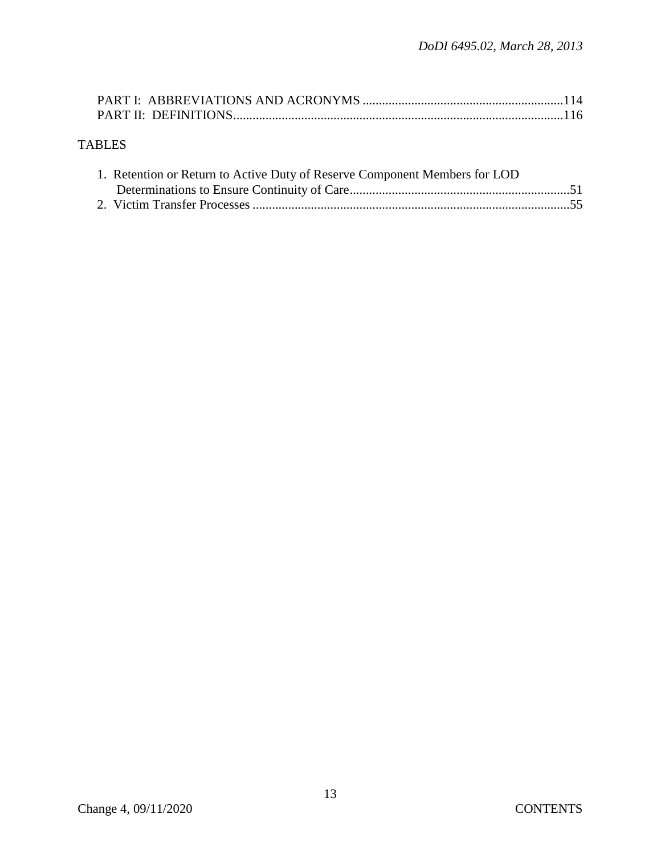# TABLES

| 1. Retention or Return to Active Duty of Reserve Component Members for LOD |  |
|----------------------------------------------------------------------------|--|
|                                                                            |  |
|                                                                            |  |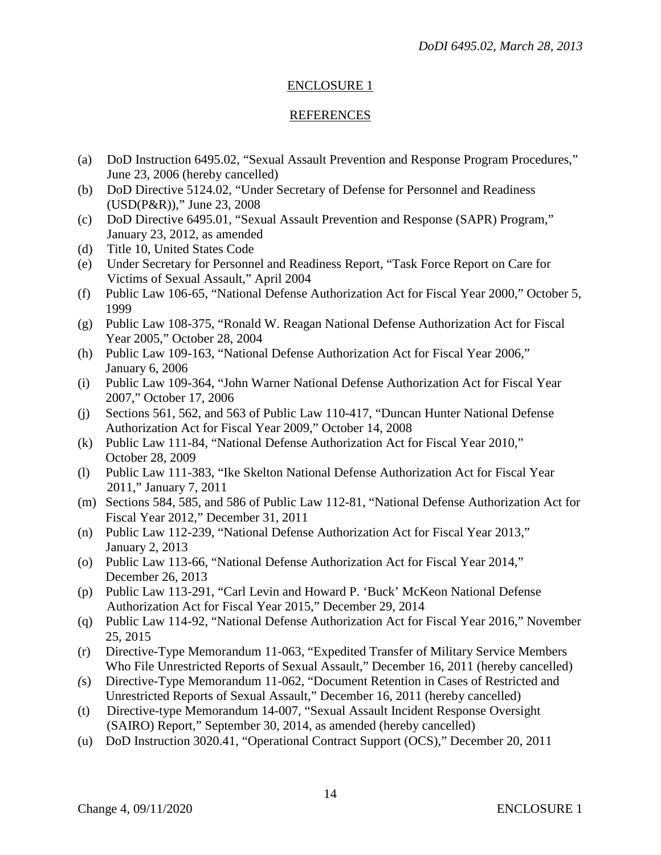# ENCLOSURE 1

#### REFERENCES

- (a) DoD Instruction 6495.02, "Sexual Assault Prevention and Response Program Procedures," June 23, 2006 (hereby cancelled)
- (b) DoD Directive 5124.02, "Under Secretary of Defense for Personnel and Readiness (USD(P&R))," June 23, 2008
- (c) DoD Directive 6495.01, "Sexual Assault Prevention and Response (SAPR) Program," January 23, 2012, as amended
- (d) Title 10, United States Code
- (e) Under Secretary for Personnel and Readiness Report, "Task Force Report on Care for Victims of Sexual Assault," April 2004
- (f) Public Law 106-65, "National Defense Authorization Act for Fiscal Year 2000," October 5, 1999
- (g) Public Law 108-375, "Ronald W. Reagan National Defense Authorization Act for Fiscal Year 2005," October 28, 2004
- (h) Public Law 109-163, "National Defense Authorization Act for Fiscal Year 2006," January 6, 2006
- (i) Public Law 109-364, "John Warner National Defense Authorization Act for Fiscal Year 2007," October 17, 2006
- (j) Sections 561, 562, and 563 of Public Law 110-417, "Duncan Hunter National Defense Authorization Act for Fiscal Year 2009," October 14, 2008
- (k) Public Law 111-84, "National Defense Authorization Act for Fiscal Year 2010," October 28, 2009
- (l) Public Law 111-383, "Ike Skelton National Defense Authorization Act for Fiscal Year 2011," January 7, 2011
- (m) Sections 584, 585, and 586 of Public Law 112-81, "National Defense Authorization Act for Fiscal Year 2012," December 31, 2011
- (n) Public Law 112-239, "National Defense Authorization Act for Fiscal Year 2013," January 2, 2013
- (o) Public Law 113-66, "National Defense Authorization Act for Fiscal Year 2014," December 26, 2013
- (p) Public Law 113-291, "Carl Levin and Howard P. 'Buck' McKeon National Defense Authorization Act for Fiscal Year 2015," December 29, 2014
- (q) Public Law 114-92, "National Defense Authorization Act for Fiscal Year 2016," November 25, 2015
- (r) Directive-Type Memorandum 11-063, "Expedited Transfer of Military Service Members Who File Unrestricted Reports of Sexual Assault," December 16, 2011 (hereby cancelled)
- *(*s) Directive-Type Memorandum 11-062, "Document Retention in Cases of Restricted and Unrestricted Reports of Sexual Assault," December 16, 2011 (hereby cancelled)
- (t) Directive-type Memorandum 14-007, "Sexual Assault Incident Response Oversight (SAIRO) Report," September 30, 2014, as amended (hereby cancelled)
- (u) DoD Instruction 3020.41, "Operational Contract Support (OCS)," December 20, 2011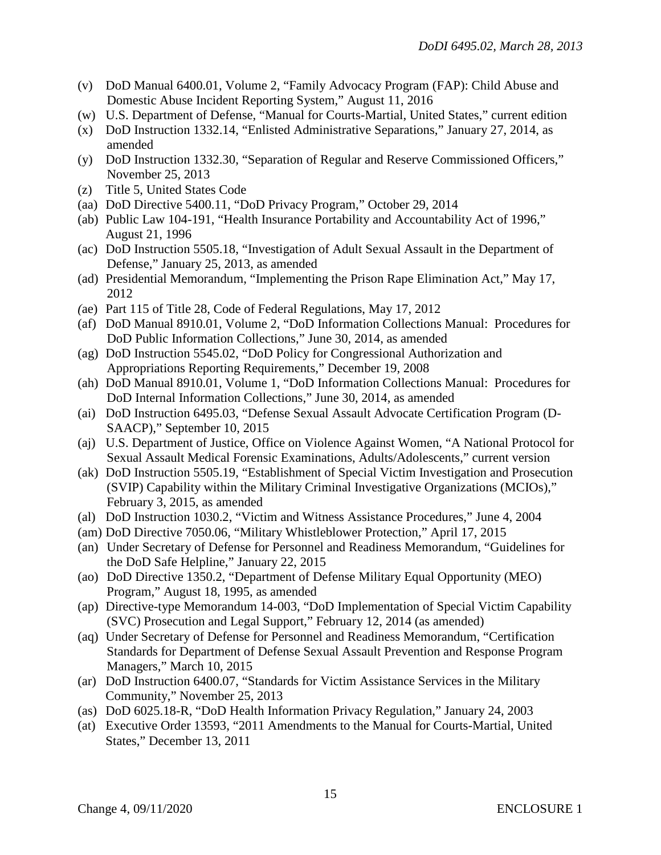- (v) DoD Manual 6400.01, Volume 2, "Family Advocacy Program (FAP): Child Abuse and Domestic Abuse Incident Reporting System," August 11, 2016
- (w) U.S. Department of Defense, "Manual for Courts-Martial, United States," current edition
- (x) DoD Instruction 1332.14, "Enlisted Administrative Separations," January 27, 2014, as amended
- (y) DoD Instruction 1332.30, "Separation of Regular and Reserve Commissioned Officers," November 25, 2013
- (z) Title 5, United States Code
- (aa) DoD Directive 5400.11, "DoD Privacy Program," October 29, 2014
- (ab) Public Law 104-191, "Health Insurance Portability and Accountability Act of 1996," August 21, 1996
- (ac) DoD Instruction 5505.18, "Investigation of Adult Sexual Assault in the Department of Defense," January 25, 2013, as amended
- (ad) Presidential Memorandum, "Implementing the Prison Rape Elimination Act," May 17, 2012
- *(*ae) Part 115 of Title 28, Code of Federal Regulations, May 17, 2012
- (af) DoD Manual 8910.01, Volume 2, "DoD Information Collections Manual: Procedures for DoD Public Information Collections," June 30, 2014, as amended
- (ag) DoD Instruction 5545.02, "DoD Policy for Congressional Authorization and Appropriations Reporting Requirements," December 19, 2008
- (ah) DoD Manual 8910.01, Volume 1, "DoD Information Collections Manual: Procedures for DoD Internal Information Collections," June 30, 2014, as amended
- (ai) DoD Instruction 6495.03, "Defense Sexual Assault Advocate Certification Program (D-SAACP)," September 10, 2015
- (aj) U.S. Department of Justice, Office on Violence Against Women, "A National Protocol for Sexual Assault Medical Forensic Examinations, Adults/Adolescents," current version
- (ak) DoD Instruction 5505.19, "Establishment of Special Victim Investigation and Prosecution (SVIP) Capability within the Military Criminal Investigative Organizations (MCIOs)," February 3, 2015, as amended
- (al) DoD Instruction 1030.2, "Victim and Witness Assistance Procedures," June 4, 2004
- (am) DoD Directive 7050.06, "Military Whistleblower Protection," April 17, 2015
- (an) Under Secretary of Defense for Personnel and Readiness Memorandum, "Guidelines for the DoD Safe Helpline," January 22, 2015
- (ao) DoD Directive 1350.2, "Department of Defense Military Equal Opportunity (MEO) Program," August 18, 1995, as amended
- (ap) Directive-type Memorandum 14-003, "DoD Implementation of Special Victim Capability (SVC) Prosecution and Legal Support," February 12, 2014 (as amended)
- (aq) Under Secretary of Defense for Personnel and Readiness Memorandum, "Certification Standards for Department of Defense Sexual Assault Prevention and Response Program Managers," March 10, 2015
- (ar) DoD Instruction 6400.07, "Standards for Victim Assistance Services in the Military Community," November 25, 2013
- (as) DoD 6025.18-R, "DoD Health Information Privacy Regulation," January 24, 2003
- (at) Executive Order 13593, "2011 Amendments to the Manual for Courts-Martial, United States," December 13, 2011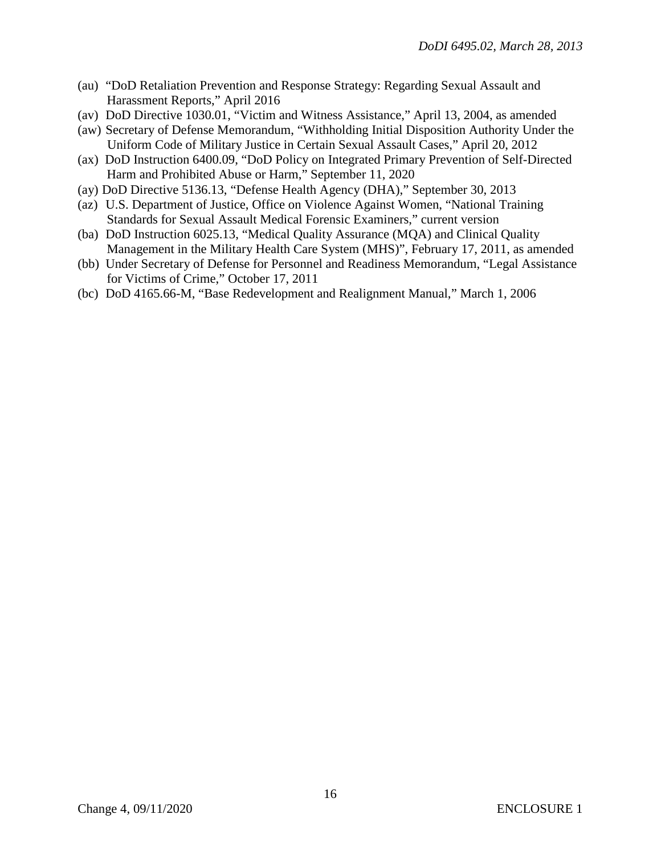- (au) "DoD Retaliation Prevention and Response Strategy: Regarding Sexual Assault and Harassment Reports," April 2016
- (av) DoD Directive 1030.01, "Victim and Witness Assistance," April 13, 2004, as amended
- (aw) Secretary of Defense Memorandum, "Withholding Initial Disposition Authority Under the Uniform Code of Military Justice in Certain Sexual Assault Cases," April 20, 2012
- (ax) DoD Instruction 6400.09, "DoD Policy on Integrated Primary Prevention of Self-Directed Harm and Prohibited Abuse or Harm," September 11, 2020
- (ay) DoD Directive 5136.13, "Defense Health Agency (DHA)," September 30, 2013
- (az) U.S. Department of Justice, Office on Violence Against Women, "National Training Standards for Sexual Assault Medical Forensic Examiners," current version
- (ba) DoD Instruction 6025.13, "Medical Quality Assurance (MQA) and Clinical Quality Management in the Military Health Care System (MHS)", February 17, 2011, as amended
- (bb) Under Secretary of Defense for Personnel and Readiness Memorandum, "Legal Assistance for Victims of Crime," October 17, 2011
- (bc) DoD 4165.66-M, "Base Redevelopment and Realignment Manual," March 1, 2006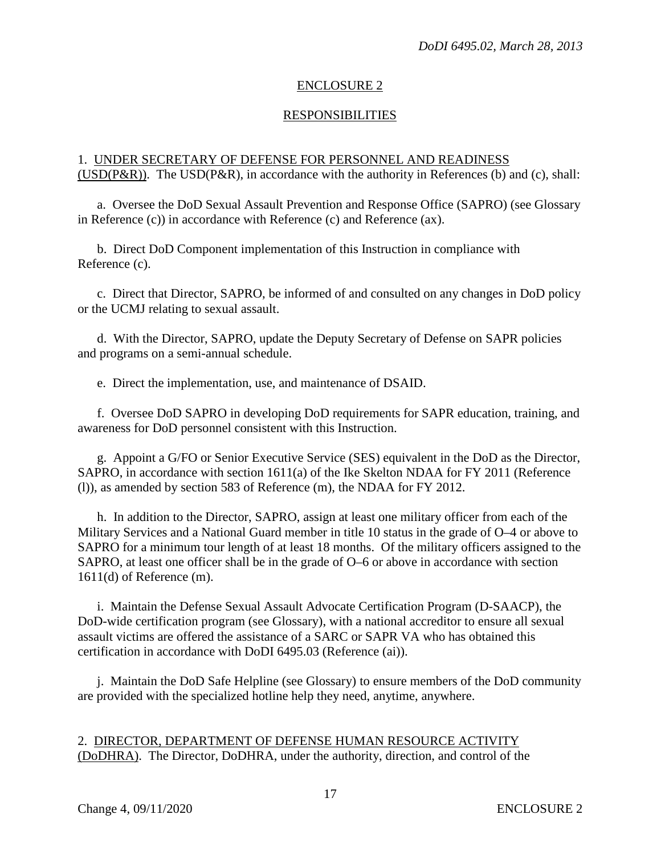# ENCLOSURE 2

# RESPONSIBILITIES

# 1. UNDER SECRETARY OF DEFENSE FOR PERSONNEL AND READINESS (USD(P&R)). The USD(P&R), in accordance with the authority in References (b) and (c), shall:

a. Oversee the DoD Sexual Assault Prevention and Response Office (SAPRO) (see Glossary in Reference (c)) in accordance with Reference (c) and Reference (ax).

b. Direct DoD Component implementation of this Instruction in compliance with Reference (c).

c. Direct that Director, SAPRO, be informed of and consulted on any changes in DoD policy or the UCMJ relating to sexual assault.

d. With the Director, SAPRO, update the Deputy Secretary of Defense on SAPR policies and programs on a semi-annual schedule.

e. Direct the implementation, use, and maintenance of DSAID.

f. Oversee DoD SAPRO in developing DoD requirements for SAPR education, training, and awareness for DoD personnel consistent with this Instruction.

g. Appoint a G/FO or Senior Executive Service (SES) equivalent in the DoD as the Director, SAPRO, in accordance with section 1611(a) of the Ike Skelton NDAA for FY 2011 (Reference (l)), as amended by section 583 of Reference (m), the NDAA for FY 2012.

h. In addition to the Director, SAPRO, assign at least one military officer from each of the Military Services and a National Guard member in title 10 status in the grade of O–4 or above to SAPRO for a minimum tour length of at least 18 months. Of the military officers assigned to the SAPRO, at least one officer shall be in the grade of O–6 or above in accordance with section 1611(d) of Reference (m).

 i. Maintain the Defense Sexual Assault Advocate Certification Program (D-SAACP), the DoD-wide certification program (see Glossary), with a national accreditor to ensure all sexual assault victims are offered the assistance of a SARC or SAPR VA who has obtained this certification in accordance with DoDI 6495.03 (Reference (ai)).

j. Maintain the DoD Safe Helpline (see Glossary) to ensure members of the DoD community are provided with the specialized hotline help they need, anytime, anywhere.

#### 2. DIRECTOR, DEPARTMENT OF DEFENSE HUMAN RESOURCE ACTIVITY (DoDHRA). The Director, DoDHRA, under the authority, direction, and control of the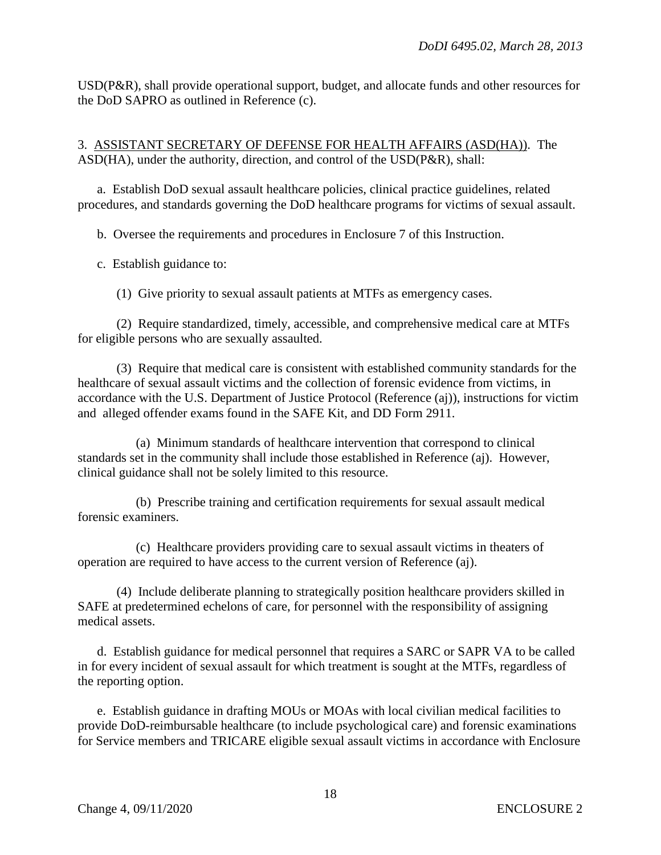USD(P&R), shall provide operational support, budget, and allocate funds and other resources for the DoD SAPRO as outlined in Reference (c).

3. ASSISTANT SECRETARY OF DEFENSE FOR HEALTH AFFAIRS (ASD(HA)). The ASD(HA), under the authority, direction, and control of the USD(P&R), shall:

a. Establish DoD sexual assault healthcare policies, clinical practice guidelines, related procedures, and standards governing the DoD healthcare programs for victims of sexual assault.

b. Oversee the requirements and procedures in Enclosure 7 of this Instruction.

c. Establish guidance to:

(1) Give priority to sexual assault patients at MTFs as emergency cases.

(2) Require standardized, timely, accessible, and comprehensive medical care at MTFs for eligible persons who are sexually assaulted.

(3) Require that medical care is consistent with established community standards for the healthcare of sexual assault victims and the collection of forensic evidence from victims, in accordance with the U.S. Department of Justice Protocol (Reference (aj)), instructions for victim and alleged offender exams found in the SAFE Kit, and DD Form 2911.

(a) Minimum standards of healthcare intervention that correspond to clinical standards set in the community shall include those established in Reference (aj). However, clinical guidance shall not be solely limited to this resource.

(b) Prescribe training and certification requirements for sexual assault medical forensic examiners.

(c) Healthcare providers providing care to sexual assault victims in theaters of operation are required to have access to the current version of Reference (aj).

(4) Include deliberate planning to strategically position healthcare providers skilled in SAFE at predetermined echelons of care, for personnel with the responsibility of assigning medical assets.

d. Establish guidance for medical personnel that requires a SARC or SAPR VA to be called in for every incident of sexual assault for which treatment is sought at the MTFs, regardless of the reporting option.

e. Establish guidance in drafting MOUs or MOAs with local civilian medical facilities to provide DoD-reimbursable healthcare (to include psychological care) and forensic examinations for Service members and TRICARE eligible sexual assault victims in accordance with Enclosure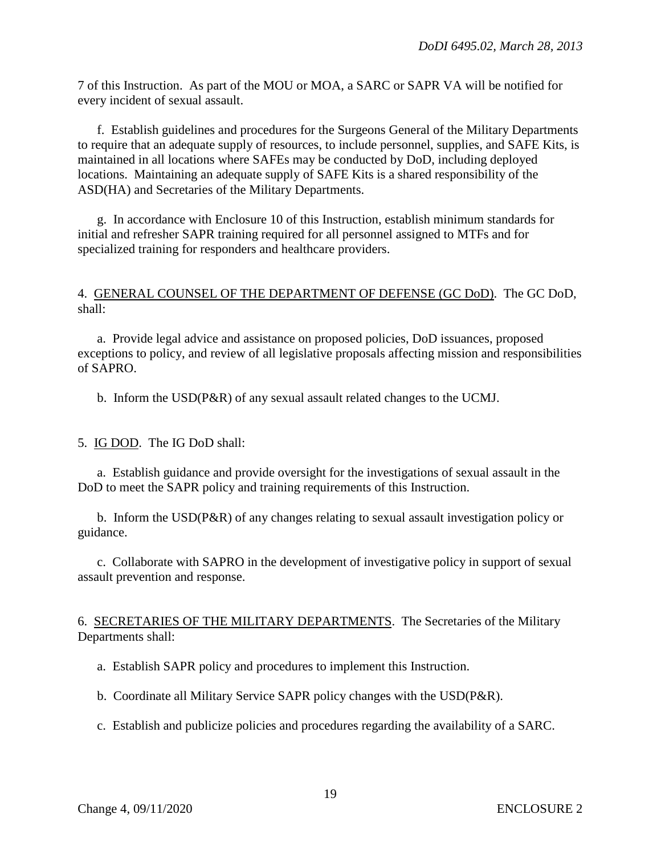7 of this Instruction. As part of the MOU or MOA, a SARC or SAPR VA will be notified for every incident of sexual assault.

f. Establish guidelines and procedures for the Surgeons General of the Military Departments to require that an adequate supply of resources, to include personnel, supplies, and SAFE Kits, is maintained in all locations where SAFEs may be conducted by DoD, including deployed locations. Maintaining an adequate supply of SAFE Kits is a shared responsibility of the ASD(HA) and Secretaries of the Military Departments.

g. In accordance with Enclosure 10 of this Instruction, establish minimum standards for initial and refresher SAPR training required for all personnel assigned to MTFs and for specialized training for responders and healthcare providers.

#### 4. GENERAL COUNSEL OF THE DEPARTMENT OF DEFENSE (GC DoD). The GC DoD, shall:

 a. Provide legal advice and assistance on proposed policies, DoD issuances, proposed exceptions to policy, and review of all legislative proposals affecting mission and responsibilities of SAPRO.

b. Inform the USD(P&R) of any sexual assault related changes to the UCMJ.

5. IG DOD. The IG DoD shall:

a. Establish guidance and provide oversight for the investigations of sexual assault in the DoD to meet the SAPR policy and training requirements of this Instruction.

 b. Inform the USD(P&R) of any changes relating to sexual assault investigation policy or guidance.

c. Collaborate with SAPRO in the development of investigative policy in support of sexual assault prevention and response.

6. SECRETARIES OF THE MILITARY DEPARTMENTS. The Secretaries of the Military Departments shall:

a. Establish SAPR policy and procedures to implement this Instruction.

b. Coordinate all Military Service SAPR policy changes with the USD(P&R).

c. Establish and publicize policies and procedures regarding the availability of a SARC.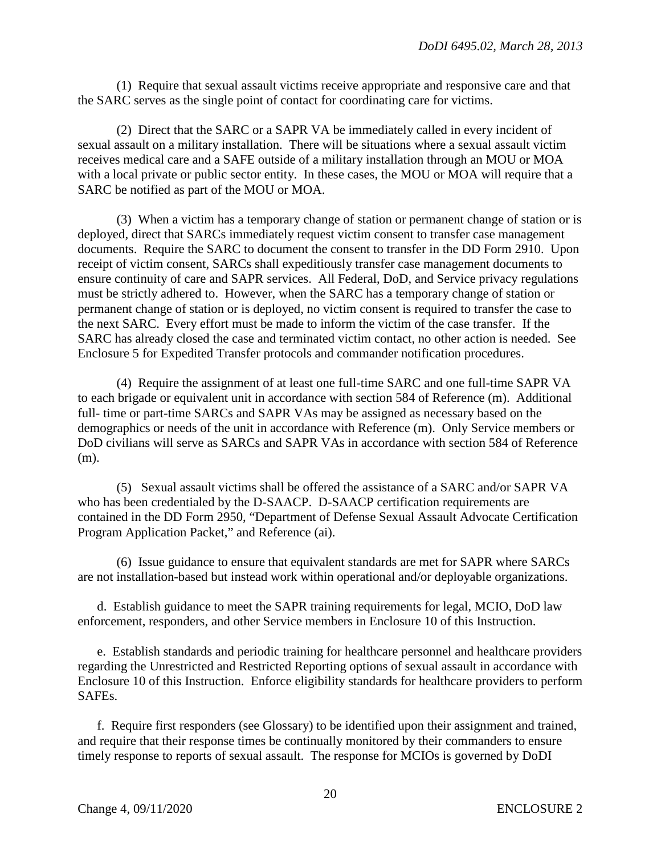(1) Require that sexual assault victims receive appropriate and responsive care and that the SARC serves as the single point of contact for coordinating care for victims.

(2) Direct that the SARC or a SAPR VA be immediately called in every incident of sexual assault on a military installation. There will be situations where a sexual assault victim receives medical care and a SAFE outside of a military installation through an MOU or MOA with a local private or public sector entity. In these cases, the MOU or MOA will require that a SARC be notified as part of the MOU or MOA.

(3) When a victim has a temporary change of station or permanent change of station or is deployed, direct that SARCs immediately request victim consent to transfer case management documents. Require the SARC to document the consent to transfer in the DD Form 2910. Upon receipt of victim consent, SARCs shall expeditiously transfer case management documents to ensure continuity of care and SAPR services. All Federal, DoD, and Service privacy regulations must be strictly adhered to. However, when the SARC has a temporary change of station or permanent change of station or is deployed, no victim consent is required to transfer the case to the next SARC. Every effort must be made to inform the victim of the case transfer. If the SARC has already closed the case and terminated victim contact, no other action is needed. See Enclosure 5 for Expedited Transfer protocols and commander notification procedures.

(4) Require the assignment of at least one full-time SARC and one full-time SAPR VA to each brigade or equivalent unit in accordance with section 584 of Reference (m). Additional full- time or part-time SARCs and SAPR VAs may be assigned as necessary based on the demographics or needs of the unit in accordance with Reference (m). Only Service members or DoD civilians will serve as SARCs and SAPR VAs in accordance with section 584 of Reference (m).

(5) Sexual assault victims shall be offered the assistance of a SARC and/or SAPR VA who has been credentialed by the D-SAACP. D-SAACP certification requirements are contained in the DD Form 2950, "Department of Defense Sexual Assault Advocate Certification Program Application Packet," and Reference (ai).

(6) Issue guidance to ensure that equivalent standards are met for SAPR where SARCs are not installation-based but instead work within operational and/or deployable organizations.

d. Establish guidance to meet the SAPR training requirements for legal, MCIO, DoD law enforcement, responders, and other Service members in Enclosure 10 of this Instruction.

e. Establish standards and periodic training for healthcare personnel and healthcare providers regarding the Unrestricted and Restricted Reporting options of sexual assault in accordance with Enclosure 10 of this Instruction. Enforce eligibility standards for healthcare providers to perform SAFEs.

f. Require first responders (see Glossary) to be identified upon their assignment and trained, and require that their response times be continually monitored by their commanders to ensure timely response to reports of sexual assault. The response for MCIOs is governed by DoDI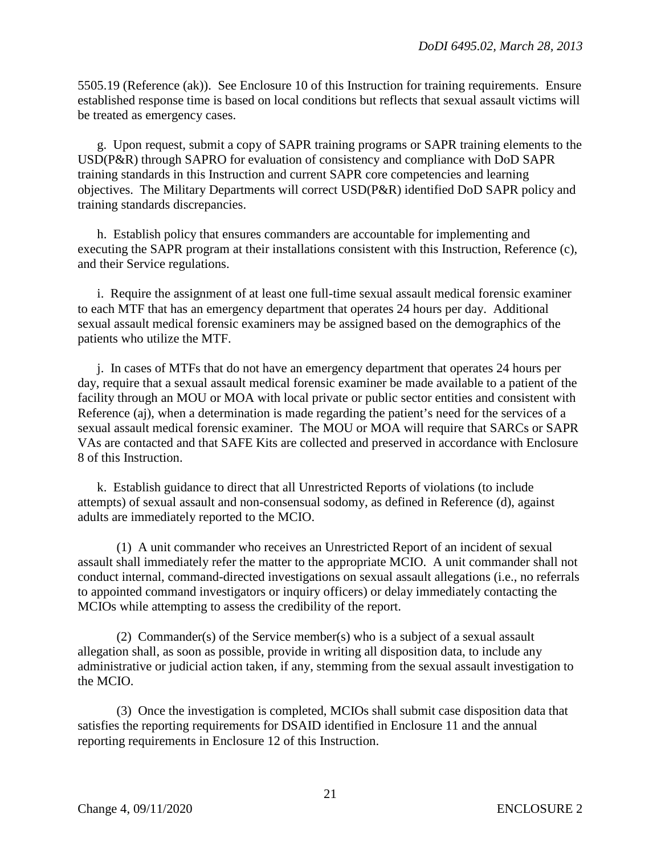5505.19 (Reference (ak)). See Enclosure 10 of this Instruction for training requirements. Ensure established response time is based on local conditions but reflects that sexual assault victims will be treated as emergency cases.

g. Upon request, submit a copy of SAPR training programs or SAPR training elements to the USD(P&R) through SAPRO for evaluation of consistency and compliance with DoD SAPR training standards in this Instruction and current SAPR core competencies and learning objectives. The Military Departments will correct USD(P&R) identified DoD SAPR policy and training standards discrepancies.

h. Establish policy that ensures commanders are accountable for implementing and executing the SAPR program at their installations consistent with this Instruction, Reference (c), and their Service regulations.

i. Require the assignment of at least one full-time sexual assault medical forensic examiner to each MTF that has an emergency department that operates 24 hours per day. Additional sexual assault medical forensic examiners may be assigned based on the demographics of the patients who utilize the MTF.

j. In cases of MTFs that do not have an emergency department that operates 24 hours per day, require that a sexual assault medical forensic examiner be made available to a patient of the facility through an MOU or MOA with local private or public sector entities and consistent with Reference (aj), when a determination is made regarding the patient's need for the services of a sexual assault medical forensic examiner. The MOU or MOA will require that SARCs or SAPR VAs are contacted and that SAFE Kits are collected and preserved in accordance with Enclosure 8 of this Instruction.

k. Establish guidance to direct that all Unrestricted Reports of violations (to include attempts) of sexual assault and non-consensual sodomy, as defined in Reference (d), against adults are immediately reported to the MCIO.

(1) A unit commander who receives an Unrestricted Report of an incident of sexual assault shall immediately refer the matter to the appropriate MCIO. A unit commander shall not conduct internal, command-directed investigations on sexual assault allegations (i.e., no referrals to appointed command investigators or inquiry officers) or delay immediately contacting the MCIOs while attempting to assess the credibility of the report.

(2) Commander(s) of the Service member(s) who is a subject of a sexual assault allegation shall, as soon as possible, provide in writing all disposition data, to include any administrative or judicial action taken, if any, stemming from the sexual assault investigation to the MCIO.

(3) Once the investigation is completed, MCIOs shall submit case disposition data that satisfies the reporting requirements for DSAID identified in Enclosure 11 and the annual reporting requirements in Enclosure 12 of this Instruction.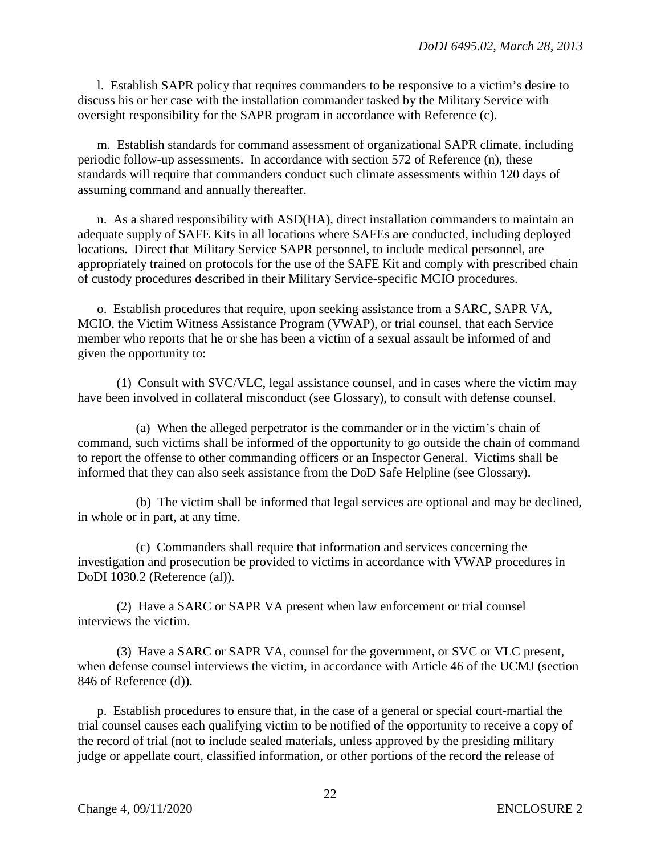l. Establish SAPR policy that requires commanders to be responsive to a victim's desire to discuss his or her case with the installation commander tasked by the Military Service with oversight responsibility for the SAPR program in accordance with Reference (c).

m. Establish standards for command assessment of organizational SAPR climate, including periodic follow-up assessments. In accordance with section 572 of Reference (n), these standards will require that commanders conduct such climate assessments within 120 days of assuming command and annually thereafter.

n. As a shared responsibility with ASD(HA), direct installation commanders to maintain an adequate supply of SAFE Kits in all locations where SAFEs are conducted, including deployed locations. Direct that Military Service SAPR personnel, to include medical personnel, are appropriately trained on protocols for the use of the SAFE Kit and comply with prescribed chain of custody procedures described in their Military Service-specific MCIO procedures.

o. Establish procedures that require, upon seeking assistance from a SARC, SAPR VA, MCIO, the Victim Witness Assistance Program (VWAP), or trial counsel, that each Service member who reports that he or she has been a victim of a sexual assault be informed of and given the opportunity to:

(1) Consult with SVC/VLC, legal assistance counsel, and in cases where the victim may have been involved in collateral misconduct (see Glossary), to consult with defense counsel.

(a) When the alleged perpetrator is the commander or in the victim's chain of command, such victims shall be informed of the opportunity to go outside the chain of command to report the offense to other commanding officers or an Inspector General. Victims shall be informed that they can also seek assistance from the DoD Safe Helpline (see Glossary).

(b) The victim shall be informed that legal services are optional and may be declined, in whole or in part, at any time.

(c) Commanders shall require that information and services concerning the investigation and prosecution be provided to victims in accordance with VWAP procedures in DoDI 1030.2 (Reference (al)).

(2) Have a SARC or SAPR VA present when law enforcement or trial counsel interviews the victim.

(3) Have a SARC or SAPR VA, counsel for the government, or SVC or VLC present, when defense counsel interviews the victim, in accordance with Article 46 of the UCMJ (section 846 of Reference (d)).

p. Establish procedures to ensure that, in the case of a general or special court-martial the trial counsel causes each qualifying victim to be notified of the opportunity to receive a copy of the record of trial (not to include sealed materials, unless approved by the presiding military judge or appellate court, classified information, or other portions of the record the release of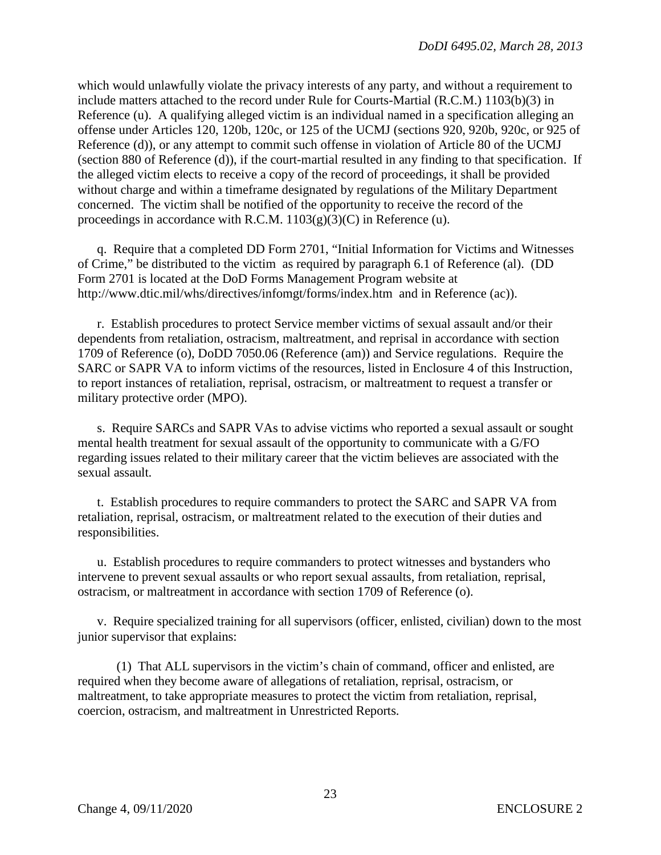which would unlawfully violate the privacy interests of any party, and without a requirement to include matters attached to the record under Rule for Courts-Martial (R.C.M.) 1103(b)(3) in Reference (u). A qualifying alleged victim is an individual named in a specification alleging an offense under Articles 120, 120b, 120c, or 125 of the UCMJ (sections 920, 920b, 920c, or 925 of Reference (d)), or any attempt to commit such offense in violation of Article 80 of the UCMJ (section 880 of Reference (d)), if the court-martial resulted in any finding to that specification. If the alleged victim elects to receive a copy of the record of proceedings, it shall be provided without charge and within a timeframe designated by regulations of the Military Department concerned. The victim shall be notified of the opportunity to receive the record of the proceedings in accordance with R.C.M.  $1103(g)(3)(C)$  in Reference (u).

q. Require that a completed DD Form 2701, "Initial Information for Victims and Witnesses of Crime," be distributed to the victim as required by paragraph 6.1 of Reference (al). (DD Form 2701 is located at the DoD Forms Management Program website at http://www.dtic.mil/whs/directives/infomgt/forms/index.htm and in Reference (ac)).

r. Establish procedures to protect Service member victims of sexual assault and/or their dependents from retaliation, ostracism, maltreatment, and reprisal in accordance with section 1709 of Reference (o), DoDD 7050.06 (Reference (am)) and Service regulations. Require the SARC or SAPR VA to inform victims of the resources, listed in Enclosure 4 of this Instruction, to report instances of retaliation, reprisal, ostracism, or maltreatment to request a transfer or military protective order (MPO).

s. Require SARCs and SAPR VAs to advise victims who reported a sexual assault or sought mental health treatment for sexual assault of the opportunity to communicate with a G/FO regarding issues related to their military career that the victim believes are associated with the sexual assault.

t. Establish procedures to require commanders to protect the SARC and SAPR VA from retaliation, reprisal, ostracism, or maltreatment related to the execution of their duties and responsibilities.

u. Establish procedures to require commanders to protect witnesses and bystanders who intervene to prevent sexual assaults or who report sexual assaults, from retaliation, reprisal, ostracism, or maltreatment in accordance with section 1709 of Reference (o).

v. Require specialized training for all supervisors (officer, enlisted, civilian) down to the most junior supervisor that explains:

(1) That ALL supervisors in the victim's chain of command, officer and enlisted, are required when they become aware of allegations of retaliation, reprisal, ostracism, or maltreatment, to take appropriate measures to protect the victim from retaliation, reprisal, coercion, ostracism, and maltreatment in Unrestricted Reports.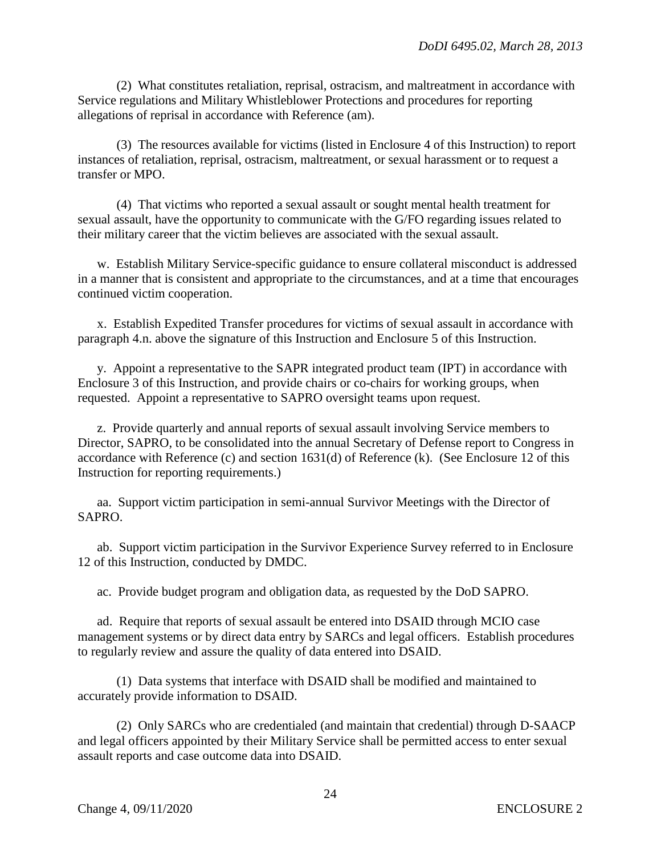(2) What constitutes retaliation, reprisal, ostracism, and maltreatment in accordance with Service regulations and Military Whistleblower Protections and procedures for reporting allegations of reprisal in accordance with Reference (am).

(3) The resources available for victims (listed in Enclosure 4 of this Instruction) to report instances of retaliation, reprisal, ostracism, maltreatment, or sexual harassment or to request a transfer or MPO.

(4) That victims who reported a sexual assault or sought mental health treatment for sexual assault, have the opportunity to communicate with the G/FO regarding issues related to their military career that the victim believes are associated with the sexual assault.

w. Establish Military Service-specific guidance to ensure collateral misconduct is addressed in a manner that is consistent and appropriate to the circumstances, and at a time that encourages continued victim cooperation.

x. Establish Expedited Transfer procedures for victims of sexual assault in accordance with paragraph 4.n. above the signature of this Instruction and Enclosure 5 of this Instruction.

y. Appoint a representative to the SAPR integrated product team (IPT) in accordance with Enclosure 3 of this Instruction, and provide chairs or co-chairs for working groups, when requested. Appoint a representative to SAPRO oversight teams upon request.

z. Provide quarterly and annual reports of sexual assault involving Service members to Director, SAPRO, to be consolidated into the annual Secretary of Defense report to Congress in accordance with Reference (c) and section 1631(d) of Reference (k). (See Enclosure 12 of this Instruction for reporting requirements.)

aa. Support victim participation in semi-annual Survivor Meetings with the Director of SAPRO.

ab. Support victim participation in the Survivor Experience Survey referred to in Enclosure 12 of this Instruction, conducted by DMDC.

ac. Provide budget program and obligation data, as requested by the DoD SAPRO.

ad. Require that reports of sexual assault be entered into DSAID through MCIO case management systems or by direct data entry by SARCs and legal officers. Establish procedures to regularly review and assure the quality of data entered into DSAID.

(1) Data systems that interface with DSAID shall be modified and maintained to accurately provide information to DSAID.

(2) Only SARCs who are credentialed (and maintain that credential) through D-SAACP and legal officers appointed by their Military Service shall be permitted access to enter sexual assault reports and case outcome data into DSAID.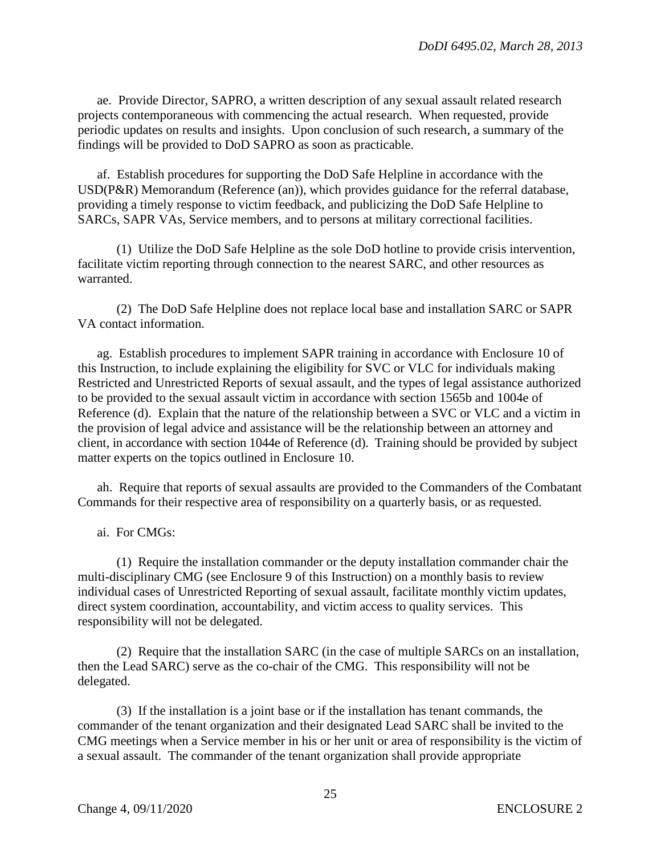ae. Provide Director, SAPRO, a written description of any sexual assault related research projects contemporaneous with commencing the actual research. When requested, provide periodic updates on results and insights. Upon conclusion of such research, a summary of the findings will be provided to DoD SAPRO as soon as practicable.

af. Establish procedures for supporting the DoD Safe Helpline in accordance with the USD(P&R) Memorandum (Reference (an)), which provides guidance for the referral database, providing a timely response to victim feedback, and publicizing the DoD Safe Helpline to SARCs, SAPR VAs, Service members, and to persons at military correctional facilities.

(1) Utilize the DoD Safe Helpline as the sole DoD hotline to provide crisis intervention, facilitate victim reporting through connection to the nearest SARC, and other resources as warranted.

 (2) The DoD Safe Helpline does not replace local base and installation SARC or SAPR VA contact information.

ag. Establish procedures to implement SAPR training in accordance with Enclosure 10 of this Instruction, to include explaining the eligibility for SVC or VLC for individuals making Restricted and Unrestricted Reports of sexual assault, and the types of legal assistance authorized to be provided to the sexual assault victim in accordance with section 1565b and 1004e of Reference (d). Explain that the nature of the relationship between a SVC or VLC and a victim in the provision of legal advice and assistance will be the relationship between an attorney and client, in accordance with section 1044e of Reference (d). Training should be provided by subject matter experts on the topics outlined in Enclosure 10.

ah. Require that reports of sexual assaults are provided to the Commanders of the Combatant Commands for their respective area of responsibility on a quarterly basis, or as requested.

ai. For CMGs:

(1) Require the installation commander or the deputy installation commander chair the multi-disciplinary CMG (see Enclosure 9 of this Instruction) on a monthly basis to review individual cases of Unrestricted Reporting of sexual assault, facilitate monthly victim updates, direct system coordination, accountability, and victim access to quality services. This responsibility will not be delegated.

(2) Require that the installation SARC (in the case of multiple SARCs on an installation, then the Lead SARC) serve as the co-chair of the CMG. This responsibility will not be delegated.

 (3) If the installation is a joint base or if the installation has tenant commands, the commander of the tenant organization and their designated Lead SARC shall be invited to the CMG meetings when a Service member in his or her unit or area of responsibility is the victim of a sexual assault. The commander of the tenant organization shall provide appropriate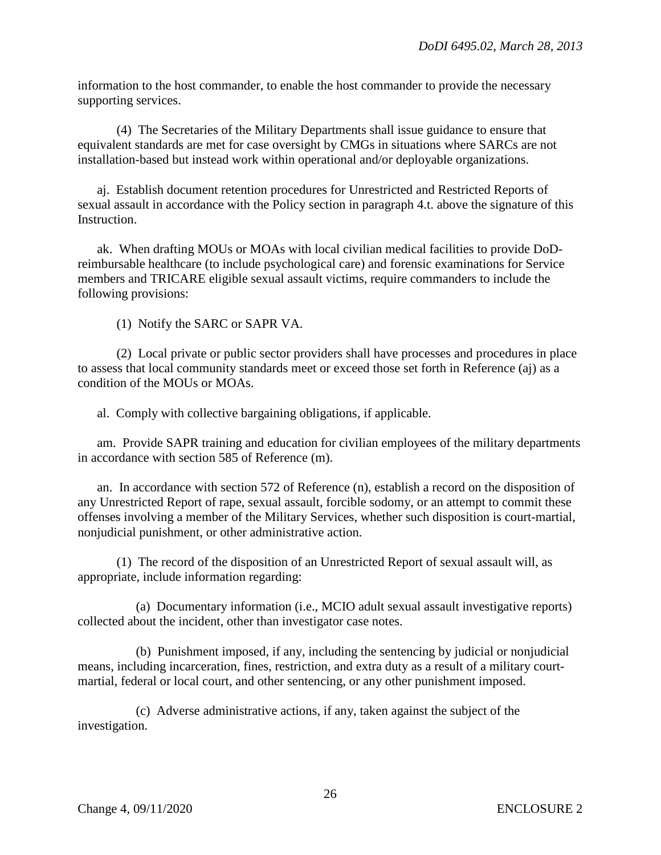information to the host commander, to enable the host commander to provide the necessary supporting services.

 (4) The Secretaries of the Military Departments shall issue guidance to ensure that equivalent standards are met for case oversight by CMGs in situations where SARCs are not installation-based but instead work within operational and/or deployable organizations.

aj. Establish document retention procedures for Unrestricted and Restricted Reports of sexual assault in accordance with the Policy section in paragraph 4.t. above the signature of this Instruction.

ak. When drafting MOUs or MOAs with local civilian medical facilities to provide DoDreimbursable healthcare (to include psychological care) and forensic examinations for Service members and TRICARE eligible sexual assault victims, require commanders to include the following provisions:

(1) Notify the SARC or SAPR VA.

 (2) Local private or public sector providers shall have processes and procedures in place to assess that local community standards meet or exceed those set forth in Reference (aj) as a condition of the MOUs or MOAs.

al. Comply with collective bargaining obligations, if applicable.

am. Provide SAPR training and education for civilian employees of the military departments in accordance with section 585 of Reference (m).

 an. In accordance with section 572 of Reference (n), establish a record on the disposition of any Unrestricted Report of rape, sexual assault, forcible sodomy, or an attempt to commit these offenses involving a member of the Military Services, whether such disposition is court-martial, nonjudicial punishment, or other administrative action.

 (1) The record of the disposition of an Unrestricted Report of sexual assault will, as appropriate, include information regarding:

 (a) Documentary information (i.e., MCIO adult sexual assault investigative reports) collected about the incident, other than investigator case notes.

 (b) Punishment imposed, if any, including the sentencing by judicial or nonjudicial means, including incarceration, fines, restriction, and extra duty as a result of a military courtmartial, federal or local court, and other sentencing, or any other punishment imposed.

 (c) Adverse administrative actions, if any, taken against the subject of the investigation.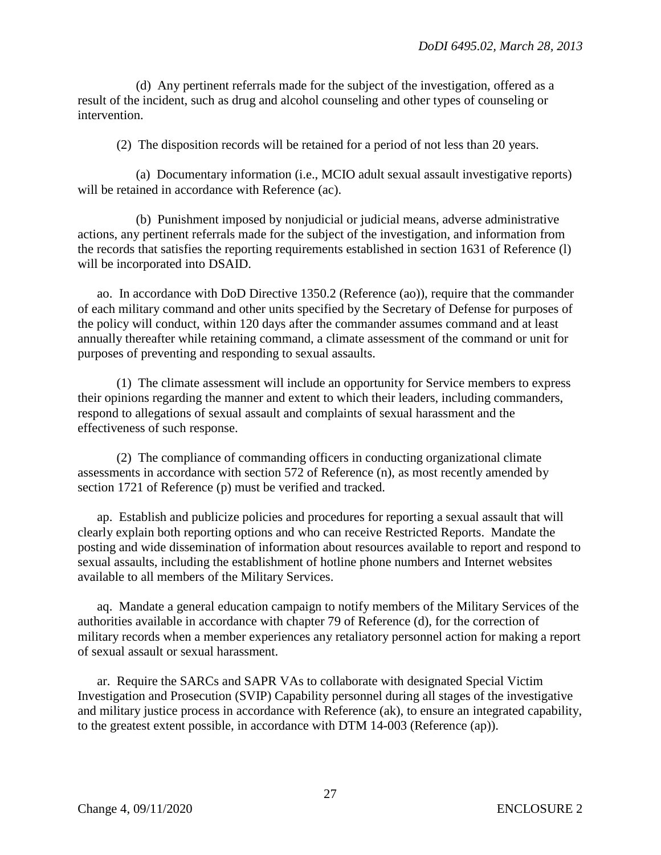(d) Any pertinent referrals made for the subject of the investigation, offered as a result of the incident, such as drug and alcohol counseling and other types of counseling or intervention.

(2) The disposition records will be retained for a period of not less than 20 years.

 (a) Documentary information (i.e., MCIO adult sexual assault investigative reports) will be retained in accordance with Reference (ac).

 (b) Punishment imposed by nonjudicial or judicial means, adverse administrative actions, any pertinent referrals made for the subject of the investigation, and information from the records that satisfies the reporting requirements established in section 1631 of Reference (l) will be incorporated into DSAID.

 ao. In accordance with DoD Directive 1350.2 (Reference (ao)), require that the commander of each military command and other units specified by the Secretary of Defense for purposes of the policy will conduct, within 120 days after the commander assumes command and at least annually thereafter while retaining command, a climate assessment of the command or unit for purposes of preventing and responding to sexual assaults.

(1) The climate assessment will include an opportunity for Service members to express their opinions regarding the manner and extent to which their leaders, including commanders, respond to allegations of sexual assault and complaints of sexual harassment and the effectiveness of such response.

(2) The compliance of commanding officers in conducting organizational climate assessments in accordance with section 572 of Reference (n), as most recently amended by section 1721 of Reference (p) must be verified and tracked.

 ap. Establish and publicize policies and procedures for reporting a sexual assault that will clearly explain both reporting options and who can receive Restricted Reports. Mandate the posting and wide dissemination of information about resources available to report and respond to sexual assaults, including the establishment of hotline phone numbers and Internet websites available to all members of the Military Services.

 aq. Mandate a general education campaign to notify members of the Military Services of the authorities available in accordance with chapter 79 of Reference (d), for the correction of military records when a member experiences any retaliatory personnel action for making a report of sexual assault or sexual harassment.

ar. Require the SARCs and SAPR VAs to collaborate with designated Special Victim Investigation and Prosecution (SVIP) Capability personnel during all stages of the investigative and military justice process in accordance with Reference (ak), to ensure an integrated capability, to the greatest extent possible, in accordance with DTM 14-003 (Reference (ap)).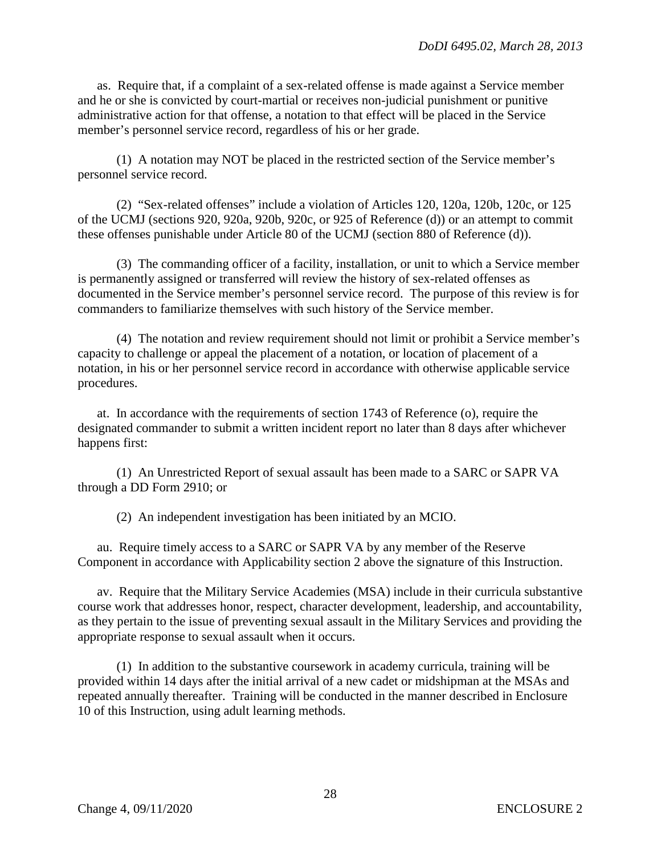as. Require that, if a complaint of a sex-related offense is made against a Service member and he or she is convicted by court-martial or receives non-judicial punishment or punitive administrative action for that offense, a notation to that effect will be placed in the Service member's personnel service record, regardless of his or her grade.

(1) A notation may NOT be placed in the restricted section of the Service member's personnel service record.

(2) "Sex-related offenses" include a violation of Articles 120, 120a, 120b, 120c, or 125 of the UCMJ (sections 920, 920a, 920b, 920c, or 925 of Reference (d)) or an attempt to commit these offenses punishable under Article 80 of the UCMJ (section 880 of Reference (d)).

(3) The commanding officer of a facility, installation, or unit to which a Service member is permanently assigned or transferred will review the history of sex-related offenses as documented in the Service member's personnel service record. The purpose of this review is for commanders to familiarize themselves with such history of the Service member.

(4) The notation and review requirement should not limit or prohibit a Service member's capacity to challenge or appeal the placement of a notation, or location of placement of a notation, in his or her personnel service record in accordance with otherwise applicable service procedures.

at. In accordance with the requirements of section 1743 of Reference (o), require the designated commander to submit a written incident report no later than 8 days after whichever happens first:

(1) An Unrestricted Report of sexual assault has been made to a SARC or SAPR VA through a DD Form 2910; or

(2) An independent investigation has been initiated by an MCIO.

au. Require timely access to a SARC or SAPR VA by any member of the Reserve Component in accordance with Applicability section 2 above the signature of this Instruction.

av. Require that the Military Service Academies (MSA) include in their curricula substantive course work that addresses honor, respect, character development, leadership, and accountability, as they pertain to the issue of preventing sexual assault in the Military Services and providing the appropriate response to sexual assault when it occurs.

(1) In addition to the substantive coursework in academy curricula, training will be provided within 14 days after the initial arrival of a new cadet or midshipman at the MSAs and repeated annually thereafter. Training will be conducted in the manner described in Enclosure 10 of this Instruction, using adult learning methods.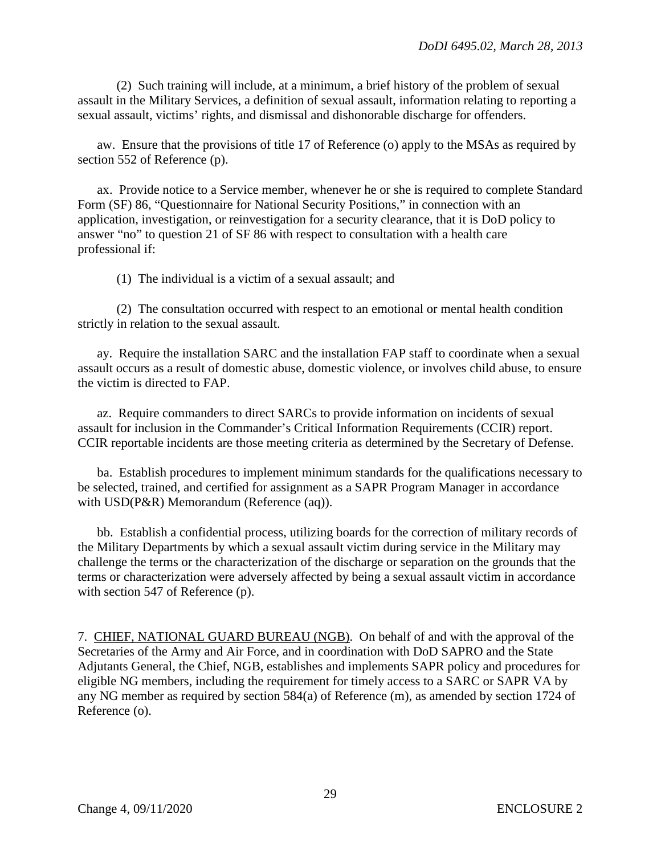(2) Such training will include, at a minimum, a brief history of the problem of sexual assault in the Military Services, a definition of sexual assault, information relating to reporting a sexual assault, victims' rights, and dismissal and dishonorable discharge for offenders.

aw. Ensure that the provisions of title 17 of Reference (o) apply to the MSAs as required by section 552 of Reference (p).

ax. Provide notice to a Service member, whenever he or she is required to complete Standard Form (SF) 86, "Questionnaire for National Security Positions," in connection with an application, investigation, or reinvestigation for a security clearance, that it is DoD policy to answer "no" to question 21 of SF 86 with respect to consultation with a health care professional if:

(1) The individual is a victim of a sexual assault; and

(2) The consultation occurred with respect to an emotional or mental health condition strictly in relation to the sexual assault.

ay. Require the installation SARC and the installation FAP staff to coordinate when a sexual assault occurs as a result of domestic abuse, domestic violence, or involves child abuse, to ensure the victim is directed to FAP.

 az. Require commanders to direct SARCs to provide information on incidents of sexual assault for inclusion in the Commander's Critical Information Requirements (CCIR) report. CCIR reportable incidents are those meeting criteria as determined by the Secretary of Defense.

ba. Establish procedures to implement minimum standards for the qualifications necessary to be selected, trained, and certified for assignment as a SAPR Program Manager in accordance with USD(P&R) Memorandum (Reference (aq)).

bb. Establish a confidential process, utilizing boards for the correction of military records of the Military Departments by which a sexual assault victim during service in the Military may challenge the terms or the characterization of the discharge or separation on the grounds that the terms or characterization were adversely affected by being a sexual assault victim in accordance with section 547 of Reference (p).

7. CHIEF, NATIONAL GUARD BUREAU (NGB). On behalf of and with the approval of the Secretaries of the Army and Air Force, and in coordination with DoD SAPRO and the State Adjutants General, the Chief, NGB, establishes and implements SAPR policy and procedures for eligible NG members, including the requirement for timely access to a SARC or SAPR VA by any NG member as required by section 584(a) of Reference (m), as amended by section 1724 of Reference (o).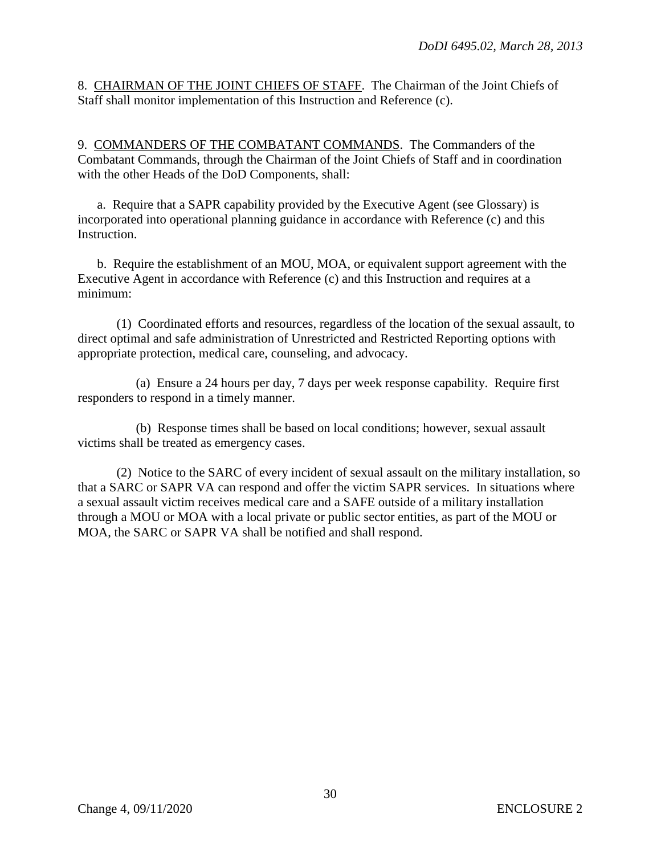8. CHAIRMAN OF THE JOINT CHIEFS OF STAFF. The Chairman of the Joint Chiefs of Staff shall monitor implementation of this Instruction and Reference (c).

9. COMMANDERS OF THE COMBATANT COMMANDS. The Commanders of the Combatant Commands, through the Chairman of the Joint Chiefs of Staff and in coordination with the other Heads of the DoD Components, shall:

a. Require that a SAPR capability provided by the Executive Agent (see Glossary) is incorporated into operational planning guidance in accordance with Reference (c) and this Instruction.

 b. Require the establishment of an MOU, MOA, or equivalent support agreement with the Executive Agent in accordance with Reference (c) and this Instruction and requires at a minimum:

(1) Coordinated efforts and resources, regardless of the location of the sexual assault, to direct optimal and safe administration of Unrestricted and Restricted Reporting options with appropriate protection, medical care, counseling, and advocacy.

(a) Ensure a 24 hours per day, 7 days per week response capability. Require first responders to respond in a timely manner.

(b) Response times shall be based on local conditions; however, sexual assault victims shall be treated as emergency cases.

 (2) Notice to the SARC of every incident of sexual assault on the military installation, so that a SARC or SAPR VA can respond and offer the victim SAPR services. In situations where a sexual assault victim receives medical care and a SAFE outside of a military installation through a MOU or MOA with a local private or public sector entities, as part of the MOU or MOA, the SARC or SAPR VA shall be notified and shall respond.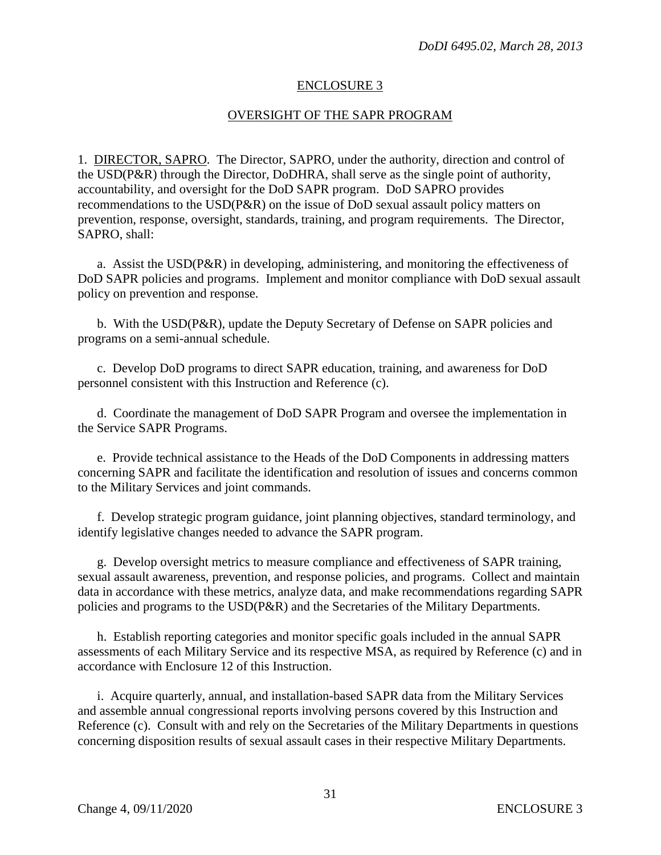# ENCLOSURE 3

# OVERSIGHT OF THE SAPR PROGRAM

1. DIRECTOR, SAPRO. The Director, SAPRO, under the authority, direction and control of the USD(P&R) through the Director, DoDHRA, shall serve as the single point of authority, accountability, and oversight for the DoD SAPR program. DoD SAPRO provides recommendations to the USD(P&R) on the issue of DoD sexual assault policy matters on prevention, response, oversight, standards, training, and program requirements. The Director, SAPRO, shall:

a. Assist the USD(P&R) in developing, administering, and monitoring the effectiveness of DoD SAPR policies and programs. Implement and monitor compliance with DoD sexual assault policy on prevention and response.

b. With the USD(P&R), update the Deputy Secretary of Defense on SAPR policies and programs on a semi-annual schedule.

c. Develop DoD programs to direct SAPR education, training, and awareness for DoD personnel consistent with this Instruction and Reference (c).

d. Coordinate the management of DoD SAPR Program and oversee the implementation in the Service SAPR Programs.

e. Provide technical assistance to the Heads of the DoD Components in addressing matters concerning SAPR and facilitate the identification and resolution of issues and concerns common to the Military Services and joint commands.

f. Develop strategic program guidance, joint planning objectives, standard terminology, and identify legislative changes needed to advance the SAPR program.

g. Develop oversight metrics to measure compliance and effectiveness of SAPR training, sexual assault awareness, prevention, and response policies, and programs. Collect and maintain data in accordance with these metrics, analyze data, and make recommendations regarding SAPR policies and programs to the USD(P&R) and the Secretaries of the Military Departments.

h. Establish reporting categories and monitor specific goals included in the annual SAPR assessments of each Military Service and its respective MSA, as required by Reference (c) and in accordance with Enclosure 12 of this Instruction.

i. Acquire quarterly, annual, and installation-based SAPR data from the Military Services and assemble annual congressional reports involving persons covered by this Instruction and Reference (c). Consult with and rely on the Secretaries of the Military Departments in questions concerning disposition results of sexual assault cases in their respective Military Departments.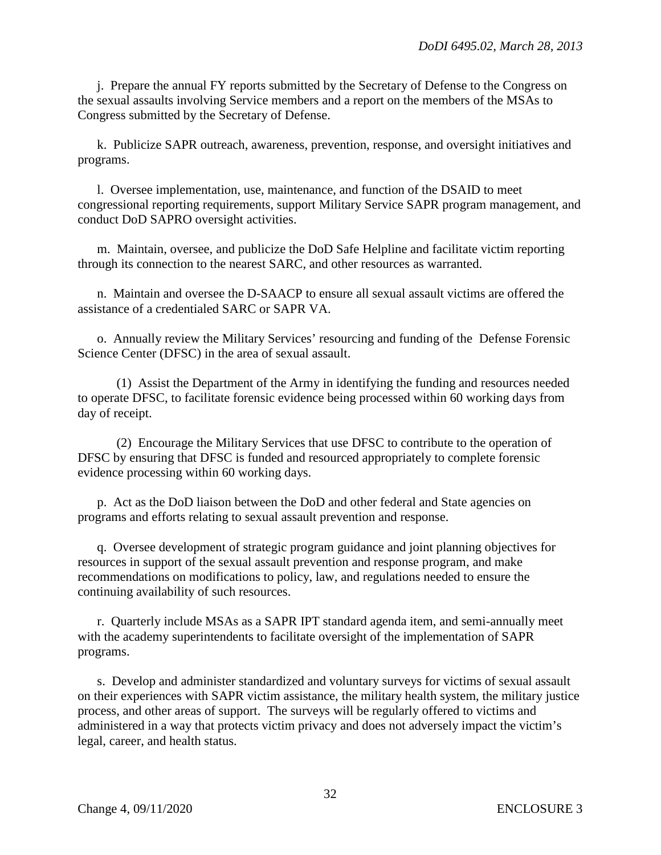j. Prepare the annual FY reports submitted by the Secretary of Defense to the Congress on the sexual assaults involving Service members and a report on the members of the MSAs to Congress submitted by the Secretary of Defense.

k. Publicize SAPR outreach, awareness, prevention, response, and oversight initiatives and programs.

l. Oversee implementation, use, maintenance, and function of the DSAID to meet congressional reporting requirements, support Military Service SAPR program management, and conduct DoD SAPRO oversight activities.

m. Maintain, oversee, and publicize the DoD Safe Helpline and facilitate victim reporting through its connection to the nearest SARC, and other resources as warranted.

n. Maintain and oversee the D-SAACP to ensure all sexual assault victims are offered the assistance of a credentialed SARC or SAPR VA.

o. Annually review the Military Services' resourcing and funding of the Defense Forensic Science Center (DFSC) in the area of sexual assault.

(1) Assist the Department of the Army in identifying the funding and resources needed to operate DFSC, to facilitate forensic evidence being processed within 60 working days from day of receipt.

(2) Encourage the Military Services that use DFSC to contribute to the operation of DFSC by ensuring that DFSC is funded and resourced appropriately to complete forensic evidence processing within 60 working days.

p. Act as the DoD liaison between the DoD and other federal and State agencies on programs and efforts relating to sexual assault prevention and response.

q. Oversee development of strategic program guidance and joint planning objectives for resources in support of the sexual assault prevention and response program, and make recommendations on modifications to policy, law, and regulations needed to ensure the continuing availability of such resources.

r. Quarterly include MSAs as a SAPR IPT standard agenda item, and semi-annually meet with the academy superintendents to facilitate oversight of the implementation of SAPR programs.

s. Develop and administer standardized and voluntary surveys for victims of sexual assault on their experiences with SAPR victim assistance, the military health system, the military justice process, and other areas of support. The surveys will be regularly offered to victims and administered in a way that protects victim privacy and does not adversely impact the victim's legal, career, and health status.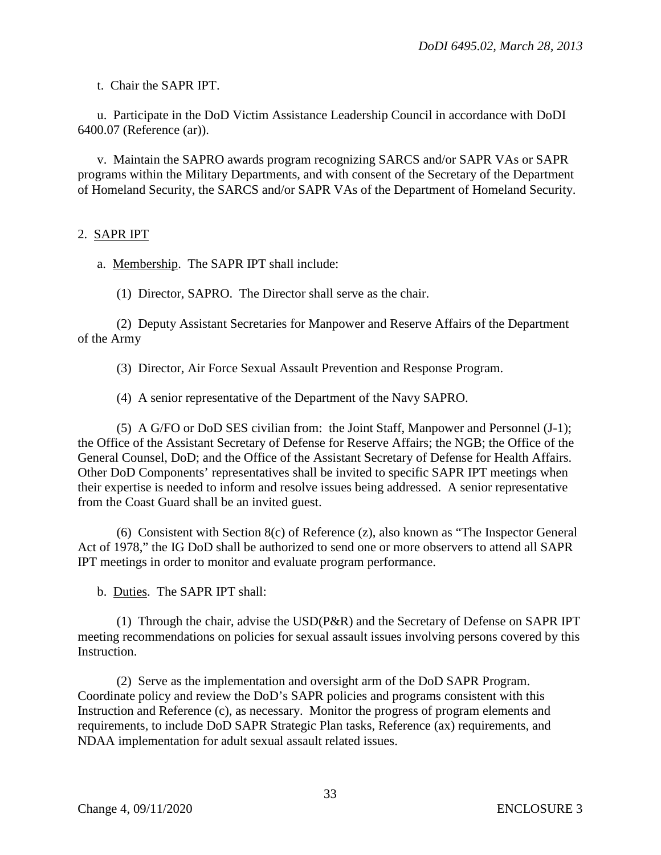t. Chair the SAPR IPT.

u. Participate in the DoD Victim Assistance Leadership Council in accordance with DoDI 6400.07 (Reference (ar)).

v. Maintain the SAPRO awards program recognizing SARCS and/or SAPR VAs or SAPR programs within the Military Departments, and with consent of the Secretary of the Department of Homeland Security, the SARCS and/or SAPR VAs of the Department of Homeland Security.

#### 2. SAPR IPT

a. Membership. The SAPR IPT shall include:

(1) Director, SAPRO. The Director shall serve as the chair.

(2) Deputy Assistant Secretaries for Manpower and Reserve Affairs of the Department of the Army

(3) Director, Air Force Sexual Assault Prevention and Response Program.

(4) A senior representative of the Department of the Navy SAPRO.

(5) A G/FO or DoD SES civilian from: the Joint Staff, Manpower and Personnel (J-1); the Office of the Assistant Secretary of Defense for Reserve Affairs; the NGB; the Office of the General Counsel, DoD; and the Office of the Assistant Secretary of Defense for Health Affairs. Other DoD Components' representatives shall be invited to specific SAPR IPT meetings when their expertise is needed to inform and resolve issues being addressed. A senior representative from the Coast Guard shall be an invited guest.

(6) Consistent with Section 8(c) of Reference (z), also known as "The Inspector General Act of 1978," the IG DoD shall be authorized to send one or more observers to attend all SAPR IPT meetings in order to monitor and evaluate program performance.

b. Duties. The SAPR IPT shall:

(1) Through the chair, advise the USD(P&R) and the Secretary of Defense on SAPR IPT meeting recommendations on policies for sexual assault issues involving persons covered by this Instruction.

(2) Serve as the implementation and oversight arm of the DoD SAPR Program. Coordinate policy and review the DoD's SAPR policies and programs consistent with this Instruction and Reference (c), as necessary. Monitor the progress of program elements and requirements, to include DoD SAPR Strategic Plan tasks, Reference (ax) requirements, and NDAA implementation for adult sexual assault related issues.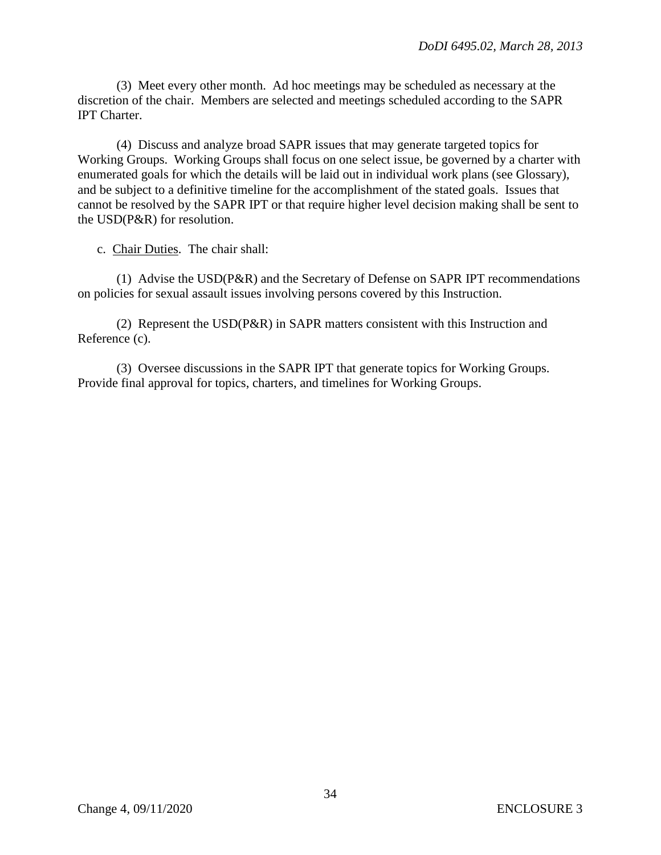(3) Meet every other month. Ad hoc meetings may be scheduled as necessary at the discretion of the chair. Members are selected and meetings scheduled according to the SAPR IPT Charter.

(4) Discuss and analyze broad SAPR issues that may generate targeted topics for Working Groups. Working Groups shall focus on one select issue, be governed by a charter with enumerated goals for which the details will be laid out in individual work plans (see Glossary), and be subject to a definitive timeline for the accomplishment of the stated goals. Issues that cannot be resolved by the SAPR IPT or that require higher level decision making shall be sent to the USD(P&R) for resolution.

c. Chair Duties. The chair shall:

(1) Advise the USD(P&R) and the Secretary of Defense on SAPR IPT recommendations on policies for sexual assault issues involving persons covered by this Instruction.

(2) Represent the USD(P&R) in SAPR matters consistent with this Instruction and Reference (c).

(3) Oversee discussions in the SAPR IPT that generate topics for Working Groups. Provide final approval for topics, charters, and timelines for Working Groups.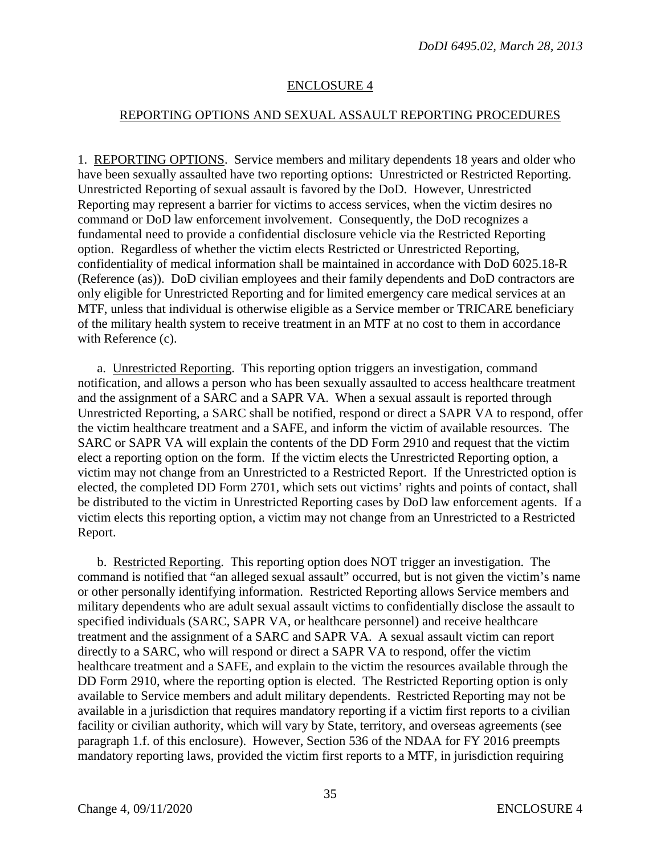# ENCLOSURE 4

#### REPORTING OPTIONS AND SEXUAL ASSAULT REPORTING PROCEDURES

1. REPORTING OPTIONS. Service members and military dependents 18 years and older who have been sexually assaulted have two reporting options: Unrestricted or Restricted Reporting. Unrestricted Reporting of sexual assault is favored by the DoD. However, Unrestricted Reporting may represent a barrier for victims to access services, when the victim desires no command or DoD law enforcement involvement. Consequently, the DoD recognizes a fundamental need to provide a confidential disclosure vehicle via the Restricted Reporting option. Regardless of whether the victim elects Restricted or Unrestricted Reporting, confidentiality of medical information shall be maintained in accordance with DoD 6025.18-R (Reference (as)). DoD civilian employees and their family dependents and DoD contractors are only eligible for Unrestricted Reporting and for limited emergency care medical services at an MTF, unless that individual is otherwise eligible as a Service member or TRICARE beneficiary of the military health system to receive treatment in an MTF at no cost to them in accordance with Reference (c).

a. Unrestricted Reporting. This reporting option triggers an investigation, command notification, and allows a person who has been sexually assaulted to access healthcare treatment and the assignment of a SARC and a SAPR VA. When a sexual assault is reported through Unrestricted Reporting, a SARC shall be notified, respond or direct a SAPR VA to respond, offer the victim healthcare treatment and a SAFE, and inform the victim of available resources. The SARC or SAPR VA will explain the contents of the DD Form 2910 and request that the victim elect a reporting option on the form. If the victim elects the Unrestricted Reporting option, a victim may not change from an Unrestricted to a Restricted Report. If the Unrestricted option is elected, the completed DD Form 2701, which sets out victims' rights and points of contact, shall be distributed to the victim in Unrestricted Reporting cases by DoD law enforcement agents. If a victim elects this reporting option, a victim may not change from an Unrestricted to a Restricted Report.

b. Restricted Reporting. This reporting option does NOT trigger an investigation. The command is notified that "an alleged sexual assault" occurred, but is not given the victim's name or other personally identifying information. Restricted Reporting allows Service members and military dependents who are adult sexual assault victims to confidentially disclose the assault to specified individuals (SARC, SAPR VA, or healthcare personnel) and receive healthcare treatment and the assignment of a SARC and SAPR VA. A sexual assault victim can report directly to a SARC, who will respond or direct a SAPR VA to respond, offer the victim healthcare treatment and a SAFE, and explain to the victim the resources available through the DD Form 2910, where the reporting option is elected. The Restricted Reporting option is only available to Service members and adult military dependents. Restricted Reporting may not be available in a jurisdiction that requires mandatory reporting if a victim first reports to a civilian facility or civilian authority, which will vary by State, territory, and overseas agreements (see paragraph 1.f. of this enclosure). However, Section 536 of the NDAA for FY 2016 preempts mandatory reporting laws, provided the victim first reports to a MTF, in jurisdiction requiring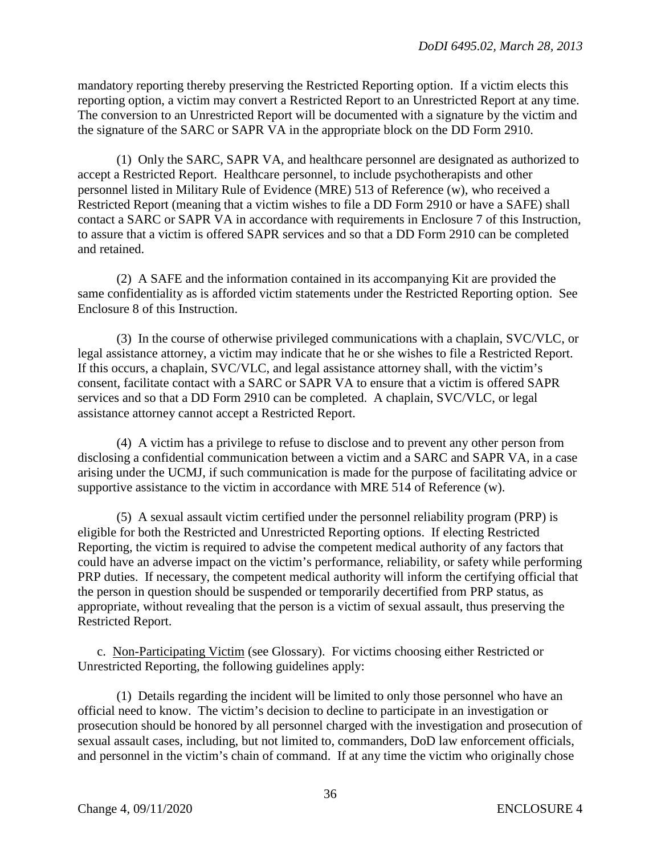mandatory reporting thereby preserving the Restricted Reporting option.If a victim elects this reporting option, a victim may convert a Restricted Report to an Unrestricted Report at any time. The conversion to an Unrestricted Report will be documented with a signature by the victim and the signature of the SARC or SAPR VA in the appropriate block on the DD Form 2910.

(1) Only the SARC, SAPR VA, and healthcare personnel are designated as authorized to accept a Restricted Report. Healthcare personnel, to include psychotherapists and other personnel listed in Military Rule of Evidence (MRE) 513 of Reference (w), who received a Restricted Report (meaning that a victim wishes to file a DD Form 2910 or have a SAFE) shall contact a SARC or SAPR VA in accordance with requirements in Enclosure 7 of this Instruction, to assure that a victim is offered SAPR services and so that a DD Form 2910 can be completed and retained.

(2) A SAFE and the information contained in its accompanying Kit are provided the same confidentiality as is afforded victim statements under the Restricted Reporting option. See Enclosure 8 of this Instruction.

(3) In the course of otherwise privileged communications with a chaplain, SVC/VLC, or legal assistance attorney, a victim may indicate that he or she wishes to file a Restricted Report. If this occurs, a chaplain, SVC/VLC, and legal assistance attorney shall, with the victim's consent, facilitate contact with a SARC or SAPR VA to ensure that a victim is offered SAPR services and so that a DD Form 2910 can be completed. A chaplain, SVC/VLC, or legal assistance attorney cannot accept a Restricted Report.

(4) A victim has a privilege to refuse to disclose and to prevent any other person from disclosing a confidential communication between a victim and a SARC and SAPR VA, in a case arising under the UCMJ, if such communication is made for the purpose of facilitating advice or supportive assistance to the victim in accordance with MRE 514 of Reference (w).

(5) A sexual assault victim certified under the personnel reliability program (PRP) is eligible for both the Restricted and Unrestricted Reporting options. If electing Restricted Reporting, the victim is required to advise the competent medical authority of any factors that could have an adverse impact on the victim's performance, reliability, or safety while performing PRP duties. If necessary, the competent medical authority will inform the certifying official that the person in question should be suspended or temporarily decertified from PRP status, as appropriate, without revealing that the person is a victim of sexual assault, thus preserving the Restricted Report.

c. Non-Participating Victim (see Glossary). For victims choosing either Restricted or Unrestricted Reporting, the following guidelines apply:

(1) Details regarding the incident will be limited to only those personnel who have an official need to know. The victim's decision to decline to participate in an investigation or prosecution should be honored by all personnel charged with the investigation and prosecution of sexual assault cases, including, but not limited to, commanders, DoD law enforcement officials, and personnel in the victim's chain of command. If at any time the victim who originally chose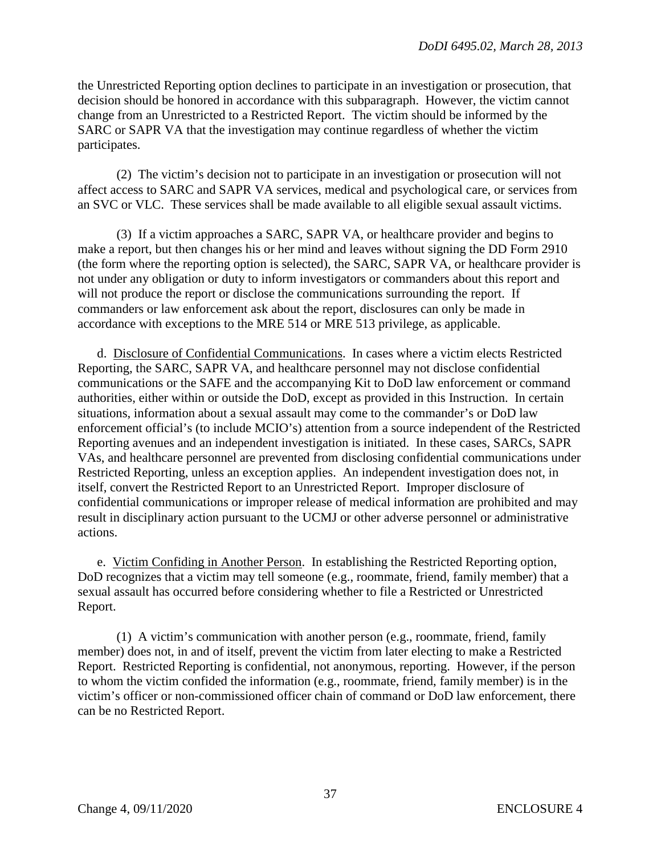the Unrestricted Reporting option declines to participate in an investigation or prosecution, that decision should be honored in accordance with this subparagraph. However, the victim cannot change from an Unrestricted to a Restricted Report. The victim should be informed by the SARC or SAPR VA that the investigation may continue regardless of whether the victim participates.

(2) The victim's decision not to participate in an investigation or prosecution will not affect access to SARC and SAPR VA services, medical and psychological care, or services from an SVC or VLC. These services shall be made available to all eligible sexual assault victims.

(3) If a victim approaches a SARC, SAPR VA, or healthcare provider and begins to make a report, but then changes his or her mind and leaves without signing the DD Form 2910 (the form where the reporting option is selected), the SARC*,* SAPR VA, or healthcare provider is not under any obligation or duty to inform investigators or commanders about this report and will not produce the report or disclose the communications surrounding the report. If commanders or law enforcement ask about the report, disclosures can only be made in accordance with exceptions to the MRE 514 or MRE 513 privilege, as applicable.

d. Disclosure of Confidential Communications. In cases where a victim elects Restricted Reporting, the SARC, SAPR VA, and healthcare personnel may not disclose confidential communications or the SAFE and the accompanying Kit to DoD law enforcement or command authorities, either within or outside the DoD, except as provided in this Instruction. In certain situations, information about a sexual assault may come to the commander's or DoD law enforcement official's (to include MCIO's) attention from a source independent of the Restricted Reporting avenues and an independent investigation is initiated. In these cases, SARCs, SAPR VAs, and healthcare personnel are prevented from disclosing confidential communications under Restricted Reporting, unless an exception applies. An independent investigation does not, in itself, convert the Restricted Report to an Unrestricted Report. Improper disclosure of confidential communications or improper release of medical information are prohibited and may result in disciplinary action pursuant to the UCMJ or other adverse personnel or administrative actions.

e. Victim Confiding in Another Person. In establishing the Restricted Reporting option, DoD recognizes that a victim may tell someone (e.g., roommate, friend, family member) that a sexual assault has occurred before considering whether to file a Restricted or Unrestricted Report.

(1) A victim's communication with another person (e.g., roommate, friend, family member) does not, in and of itself, prevent the victim from later electing to make a Restricted Report. Restricted Reporting is confidential, not anonymous, reporting. However, if the person to whom the victim confided the information (e.g., roommate, friend, family member) is in the victim's officer or non-commissioned officer chain of command or DoD law enforcement, there can be no Restricted Report.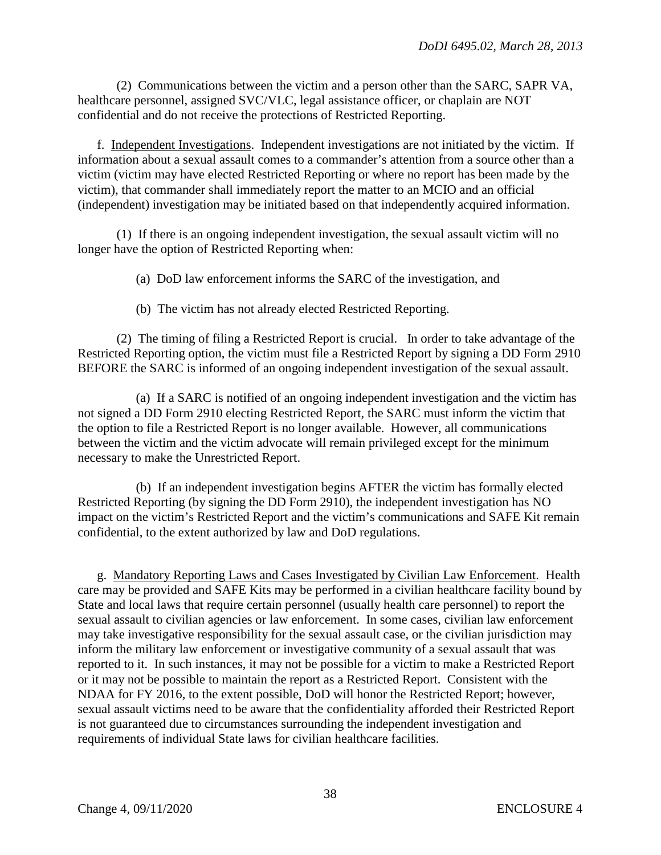(2) Communications between the victim and a person other than the SARC, SAPR VA, healthcare personnel, assigned SVC/VLC, legal assistance officer, or chaplain are NOT confidential and do not receive the protections of Restricted Reporting.

f. Independent Investigations. Independent investigations are not initiated by the victim. If information about a sexual assault comes to a commander's attention from a source other than a victim (victim may have elected Restricted Reporting or where no report has been made by the victim), that commander shall immediately report the matter to an MCIO and an official (independent) investigation may be initiated based on that independently acquired information.

(1) If there is an ongoing independent investigation, the sexual assault victim will no longer have the option of Restricted Reporting when:

(a) DoD law enforcement informs the SARC of the investigation, and

(b) The victim has not already elected Restricted Reporting.

 (2) The timing of filing a Restricted Report is crucial. In order to take advantage of the Restricted Reporting option, the victim must file a Restricted Report by signing a DD Form 2910 BEFORE the SARC is informed of an ongoing independent investigation of the sexual assault.

(a) If a SARC is notified of an ongoing independent investigation and the victim has not signed a DD Form 2910 electing Restricted Report, the SARC must inform the victim that the option to file a Restricted Report is no longer available. However, all communications between the victim and the victim advocate will remain privileged except for the minimum necessary to make the Unrestricted Report.

(b) If an independent investigation begins AFTER the victim has formally elected Restricted Reporting (by signing the DD Form 2910), the independent investigation has NO impact on the victim's Restricted Report and the victim's communications and SAFE Kit remain confidential, to the extent authorized by law and DoD regulations.

g. Mandatory Reporting Laws and Cases Investigated by Civilian Law Enforcement. Health care may be provided and SAFE Kits may be performed in a civilian healthcare facility bound by State and local laws that require certain personnel (usually health care personnel) to report the sexual assault to civilian agencies or law enforcement. In some cases, civilian law enforcement may take investigative responsibility for the sexual assault case, or the civilian jurisdiction may inform the military law enforcement or investigative community of a sexual assault that was reported to it. In such instances, it may not be possible for a victim to make a Restricted Report or it may not be possible to maintain the report as a Restricted Report. Consistent with the NDAA for FY 2016, to the extent possible, DoD will honor the Restricted Report; however, sexual assault victims need to be aware that the confidentiality afforded their Restricted Report is not guaranteed due to circumstances surrounding the independent investigation and requirements of individual State laws for civilian healthcare facilities.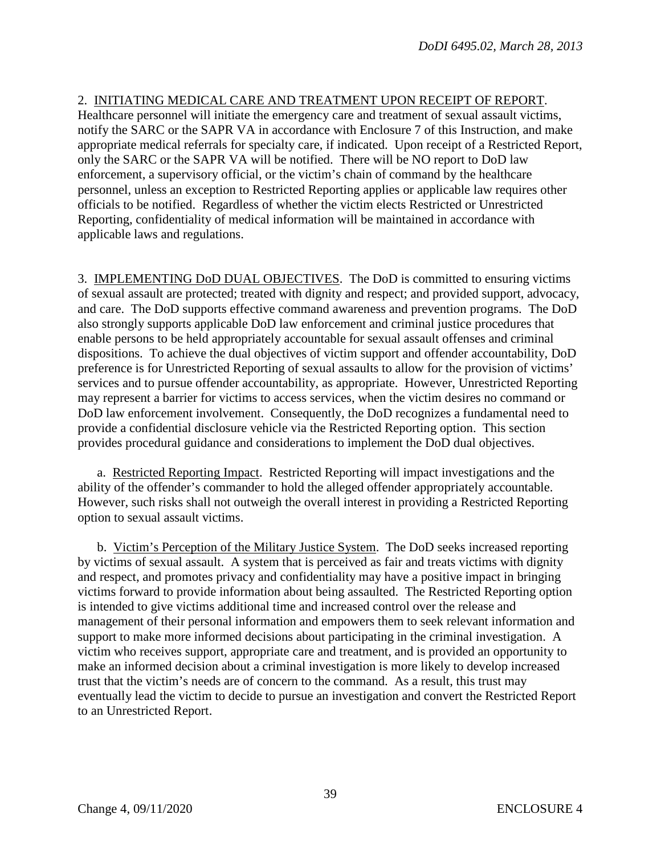## 2. INITIATING MEDICAL CARE AND TREATMENT UPON RECEIPT OF REPORT.

Healthcare personnel will initiate the emergency care and treatment of sexual assault victims, notify the SARC or the SAPR VA in accordance with Enclosure 7 of this Instruction, and make appropriate medical referrals for specialty care, if indicated. Upon receipt of a Restricted Report, only the SARC or the SAPR VA will be notified. There will be NO report to DoD law enforcement, a supervisory official, or the victim's chain of command by the healthcare personnel, unless an exception to Restricted Reporting applies or applicable law requires other officials to be notified. Regardless of whether the victim elects Restricted or Unrestricted Reporting, confidentiality of medical information will be maintained in accordance with applicable laws and regulations.

3. IMPLEMENTING DoD DUAL OBJECTIVES. The DoD is committed to ensuring victims of sexual assault are protected; treated with dignity and respect; and provided support, advocacy, and care. The DoD supports effective command awareness and prevention programs. The DoD also strongly supports applicable DoD law enforcement and criminal justice procedures that enable persons to be held appropriately accountable for sexual assault offenses and criminal dispositions. To achieve the dual objectives of victim support and offender accountability, DoD preference is for Unrestricted Reporting of sexual assaults to allow for the provision of victims' services and to pursue offender accountability, as appropriate. However, Unrestricted Reporting may represent a barrier for victims to access services, when the victim desires no command or DoD law enforcement involvement. Consequently, the DoD recognizes a fundamental need to provide a confidential disclosure vehicle via the Restricted Reporting option. This section provides procedural guidance and considerations to implement the DoD dual objectives.

a. Restricted Reporting Impact. Restricted Reporting will impact investigations and the ability of the offender's commander to hold the alleged offender appropriately accountable. However, such risks shall not outweigh the overall interest in providing a Restricted Reporting option to sexual assault victims.

b. Victim's Perception of the Military Justice System. The DoD seeks increased reporting by victims of sexual assault. A system that is perceived as fair and treats victims with dignity and respect, and promotes privacy and confidentiality may have a positive impact in bringing victims forward to provide information about being assaulted. The Restricted Reporting option is intended to give victims additional time and increased control over the release and management of their personal information and empowers them to seek relevant information and support to make more informed decisions about participating in the criminal investigation. A victim who receives support, appropriate care and treatment, and is provided an opportunity to make an informed decision about a criminal investigation is more likely to develop increased trust that the victim's needs are of concern to the command. As a result, this trust may eventually lead the victim to decide to pursue an investigation and convert the Restricted Report to an Unrestricted Report.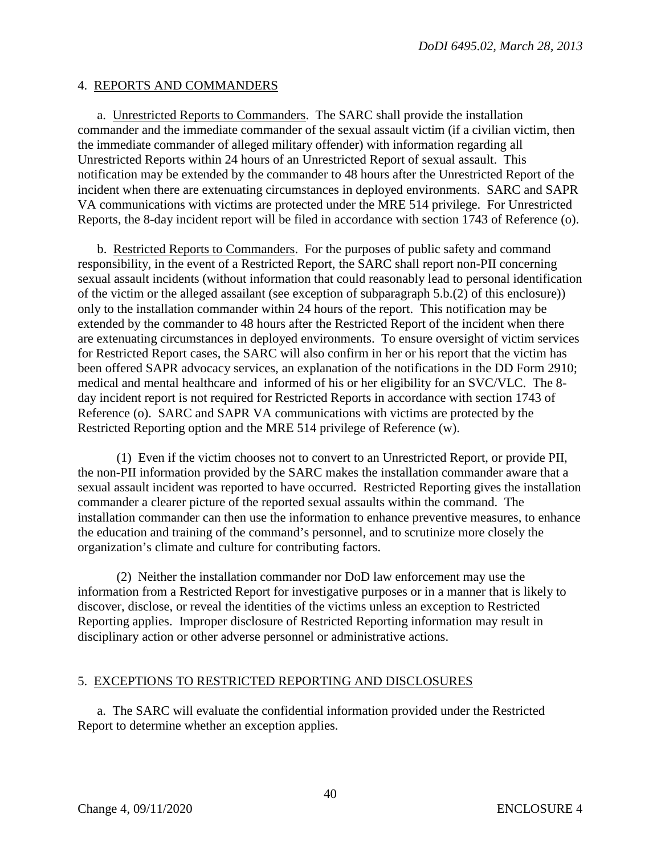### 4. REPORTS AND COMMANDERS

a. Unrestricted Reports to Commanders. The SARC shall provide the installation commander and the immediate commander of the sexual assault victim (if a civilian victim, then the immediate commander of alleged military offender) with information regarding all Unrestricted Reports within 24 hours of an Unrestricted Report of sexual assault. This notification may be extended by the commander to 48 hours after the Unrestricted Report of the incident when there are extenuating circumstances in deployed environments. SARC and SAPR VA communications with victims are protected under the MRE 514 privilege. For Unrestricted Reports, the 8-day incident report will be filed in accordance with section 1743 of Reference (o).

b. Restricted Reports to Commanders. For the purposes of public safety and command responsibility, in the event of a Restricted Report, the SARC shall report non-PII concerning sexual assault incidents (without information that could reasonably lead to personal identification of the victim or the alleged assailant (see exception of subparagraph 5.b.(2) of this enclosure)) only to the installation commander within 24 hours of the report. This notification may be extended by the commander to 48 hours after the Restricted Report of the incident when there are extenuating circumstances in deployed environments. To ensure oversight of victim services for Restricted Report cases, the SARC will also confirm in her or his report that the victim has been offered SAPR advocacy services, an explanation of the notifications in the DD Form 2910; medical and mental healthcare and informed of his or her eligibility for an SVC/VLC. The 8 day incident report is not required for Restricted Reports in accordance with section 1743 of Reference (o). SARC and SAPR VA communications with victims are protected by the Restricted Reporting option and the MRE 514 privilege of Reference (w).

(1) Even if the victim chooses not to convert to an Unrestricted Report, or provide PII, the non-PII information provided by the SARC makes the installation commander aware that a sexual assault incident was reported to have occurred. Restricted Reporting gives the installation commander a clearer picture of the reported sexual assaults within the command. The installation commander can then use the information to enhance preventive measures, to enhance the education and training of the command's personnel, and to scrutinize more closely the organization's climate and culture for contributing factors.

(2) Neither the installation commander nor DoD law enforcement may use the information from a Restricted Report for investigative purposes or in a manner that is likely to discover, disclose, or reveal the identities of the victims unless an exception to Restricted Reporting applies. Improper disclosure of Restricted Reporting information may result in disciplinary action or other adverse personnel or administrative actions.

## 5. EXCEPTIONS TO RESTRICTED REPORTING AND DISCLOSURES

a. The SARC will evaluate the confidential information provided under the Restricted Report to determine whether an exception applies.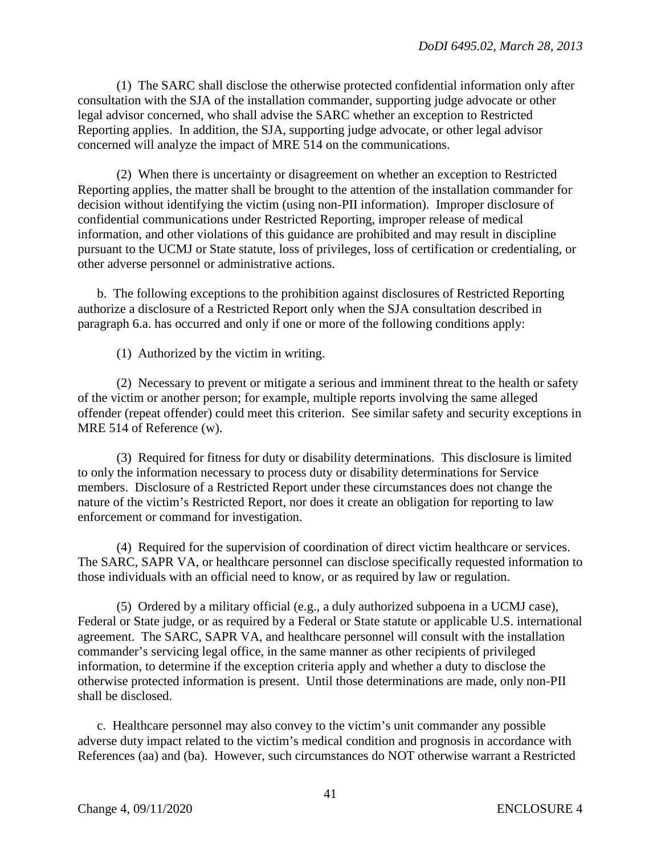(1) The SARC shall disclose the otherwise protected confidential information only after consultation with the SJA of the installation commander, supporting judge advocate or other legal advisor concerned, who shall advise the SARC whether an exception to Restricted Reporting applies. In addition, the SJA, supporting judge advocate, or other legal advisor concerned will analyze the impact of MRE 514 on the communications.

(2) When there is uncertainty or disagreement on whether an exception to Restricted Reporting applies, the matter shall be brought to the attention of the installation commander for decision without identifying the victim (using non-PII information). Improper disclosure of confidential communications under Restricted Reporting, improper release of medical information, and other violations of this guidance are prohibited and may result in discipline pursuant to the UCMJ or State statute, loss of privileges, loss of certification or credentialing, or other adverse personnel or administrative actions.

b. The following exceptions to the prohibition against disclosures of Restricted Reporting authorize a disclosure of a Restricted Report only when the SJA consultation described in paragraph 6.a. has occurred and only if one or more of the following conditions apply:

(1) Authorized by the victim in writing.

(2) Necessary to prevent or mitigate a serious and imminent threat to the health or safety of the victim or another person; for example, multiple reports involving the same alleged offender (repeat offender) could meet this criterion. See similar safety and security exceptions in MRE 514 of Reference (w).

(3) Required for fitness for duty or disability determinations. This disclosure is limited to only the information necessary to process duty or disability determinations for Service members. Disclosure of a Restricted Report under these circumstances does not change the nature of the victim's Restricted Report, nor does it create an obligation for reporting to law enforcement or command for investigation.

(4) Required for the supervision of coordination of direct victim healthcare or services. The SARC, SAPR VA, or healthcare personnel can disclose specifically requested information to those individuals with an official need to know, or as required by law or regulation.

(5) Ordered by a military official (e.g., a duly authorized subpoena in a UCMJ case), Federal or State judge, or as required by a Federal or State statute or applicable U.S. international agreement. The SARC, SAPR VA, and healthcare personnel will consult with the installation commander's servicing legal office, in the same manner as other recipients of privileged information, to determine if the exception criteria apply and whether a duty to disclose the otherwise protected information is present. Until those determinations are made, only non-PII shall be disclosed.

c. Healthcare personnel may also convey to the victim's unit commander any possible adverse duty impact related to the victim's medical condition and prognosis in accordance with References (aa) and (ba). However, such circumstances do NOT otherwise warrant a Restricted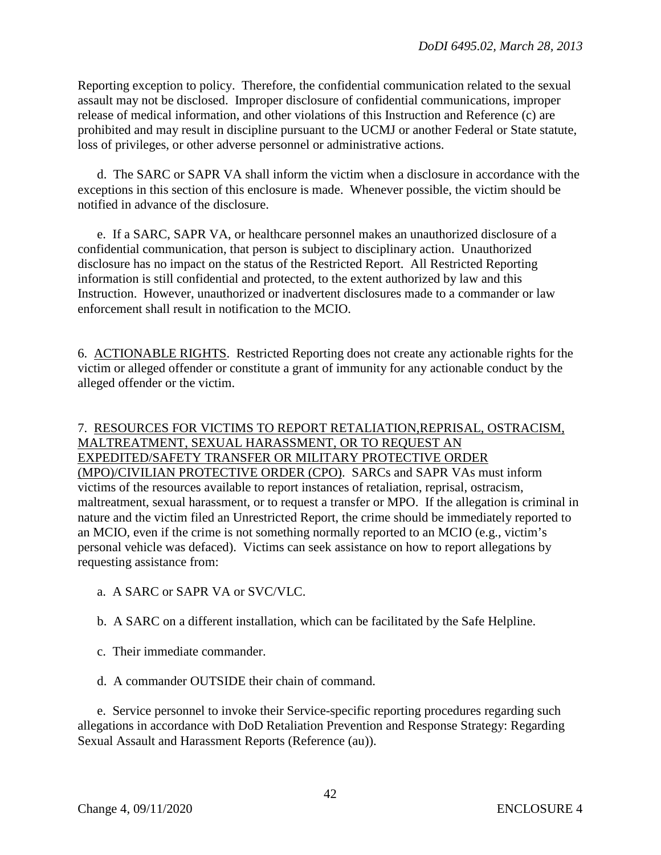Reporting exception to policy. Therefore, the confidential communication related to the sexual assault may not be disclosed. Improper disclosure of confidential communications, improper release of medical information, and other violations of this Instruction and Reference (c) are prohibited and may result in discipline pursuant to the UCMJ or another Federal or State statute, loss of privileges, or other adverse personnel or administrative actions.

d. The SARC or SAPR VA shall inform the victim when a disclosure in accordance with the exceptions in this section of this enclosure is made. Whenever possible, the victim should be notified in advance of the disclosure.

e. If a SARC, SAPR VA, or healthcare personnel makes an unauthorized disclosure of a confidential communication, that person is subject to disciplinary action. Unauthorized disclosure has no impact on the status of the Restricted Report. All Restricted Reporting information is still confidential and protected, to the extent authorized by law and this Instruction. However, unauthorized or inadvertent disclosures made to a commander or law enforcement shall result in notification to the MCIO.

6. ACTIONABLE RIGHTS. Restricted Reporting does not create any actionable rights for the victim or alleged offender or constitute a grant of immunity for any actionable conduct by the alleged offender or the victim.

## 7. RESOURCES FOR VICTIMS TO REPORT RETALIATION,REPRISAL, OSTRACISM, MALTREATMENT, SEXUAL HARASSMENT, OR TO REQUEST AN EXPEDITED/SAFETY TRANSFER OR MILITARY PROTECTIVE ORDER (MPO)/CIVILIAN PROTECTIVE ORDER (CPO). SARCs and SAPR VAs must inform victims of the resources available to report instances of retaliation, reprisal, ostracism, maltreatment, sexual harassment, or to request a transfer or MPO. If the allegation is criminal in nature and the victim filed an Unrestricted Report, the crime should be immediately reported to an MCIO, even if the crime is not something normally reported to an MCIO (e.g., victim's personal vehicle was defaced). Victims can seek assistance on how to report allegations by requesting assistance from:

- a. A SARC or SAPR VA or SVC/VLC.
- b. A SARC on a different installation, which can be facilitated by the Safe Helpline.
- c. Their immediate commander.
- d. A commander OUTSIDE their chain of command.

e. Service personnel to invoke their Service-specific reporting procedures regarding such allegations in accordance with DoD Retaliation Prevention and Response Strategy: Regarding Sexual Assault and Harassment Reports (Reference (au)).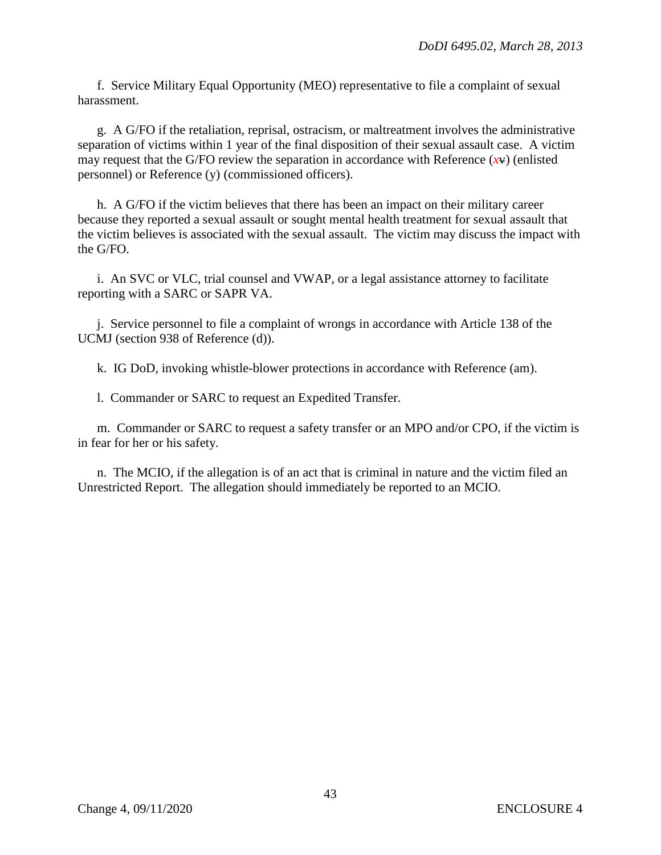f. Service Military Equal Opportunity (MEO) representative to file a complaint of sexual harassment.

g. A G/FO if the retaliation, reprisal, ostracism, or maltreatment involves the administrative separation of victims within 1 year of the final disposition of their sexual assault case. A victim may request that the G/FO review the separation in accordance with Reference  $(xv)$  (enlisted personnel) or Reference (y) (commissioned officers).

h. A G/FO if the victim believes that there has been an impact on their military career because they reported a sexual assault or sought mental health treatment for sexual assault that the victim believes is associated with the sexual assault. The victim may discuss the impact with the G/FO.

i. An SVC or VLC, trial counsel and VWAP, or a legal assistance attorney to facilitate reporting with a SARC or SAPR VA.

j. Service personnel to file a complaint of wrongs in accordance with Article 138 of the UCMJ (section 938 of Reference (d)).

k. IG DoD, invoking whistle-blower protections in accordance with Reference (am).

l. Commander or SARC to request an Expedited Transfer.

m. Commander or SARC to request a safety transfer or an MPO and/or CPO, if the victim is in fear for her or his safety.

n. The MCIO, if the allegation is of an act that is criminal in nature and the victim filed an Unrestricted Report. The allegation should immediately be reported to an MCIO.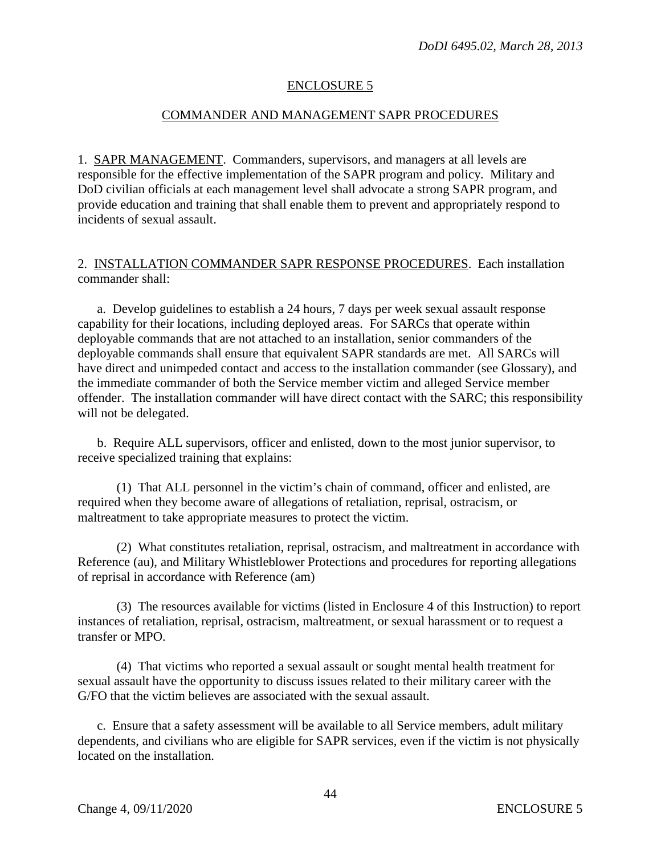### ENCLOSURE 5

### COMMANDER AND MANAGEMENT SAPR PROCEDURES

1. SAPR MANAGEMENT. Commanders, supervisors, and managers at all levels are responsible for the effective implementation of the SAPR program and policy. Military and DoD civilian officials at each management level shall advocate a strong SAPR program, and provide education and training that shall enable them to prevent and appropriately respond to incidents of sexual assault.

### 2. INSTALLATION COMMANDER SAPR RESPONSE PROCEDURES. Each installation commander shall:

a. Develop guidelines to establish a 24 hours, 7 days per week sexual assault response capability for their locations, including deployed areas. For SARCs that operate within deployable commands that are not attached to an installation, senior commanders of the deployable commands shall ensure that equivalent SAPR standards are met. All SARCs will have direct and unimpeded contact and access to the installation commander (see Glossary), and the immediate commander of both the Service member victim and alleged Service member offender. The installation commander will have direct contact with the SARC; this responsibility will not be delegated.

b. Require ALL supervisors, officer and enlisted, down to the most junior supervisor, to receive specialized training that explains:

(1) That ALL personnel in the victim's chain of command, officer and enlisted, are required when they become aware of allegations of retaliation, reprisal, ostracism, or maltreatment to take appropriate measures to protect the victim.

(2) What constitutes retaliation, reprisal, ostracism, and maltreatment in accordance with Reference (au), and Military Whistleblower Protections and procedures for reporting allegations of reprisal in accordance with Reference (am)

(3) The resources available for victims (listed in Enclosure 4 of this Instruction) to report instances of retaliation, reprisal, ostracism, maltreatment, or sexual harassment or to request a transfer or MPO.

(4) That victims who reported a sexual assault or sought mental health treatment for sexual assault have the opportunity to discuss issues related to their military career with the G/FO that the victim believes are associated with the sexual assault.

c. Ensure that a safety assessment will be available to all Service members, adult military dependents, and civilians who are eligible for SAPR services, even if the victim is not physically located on the installation.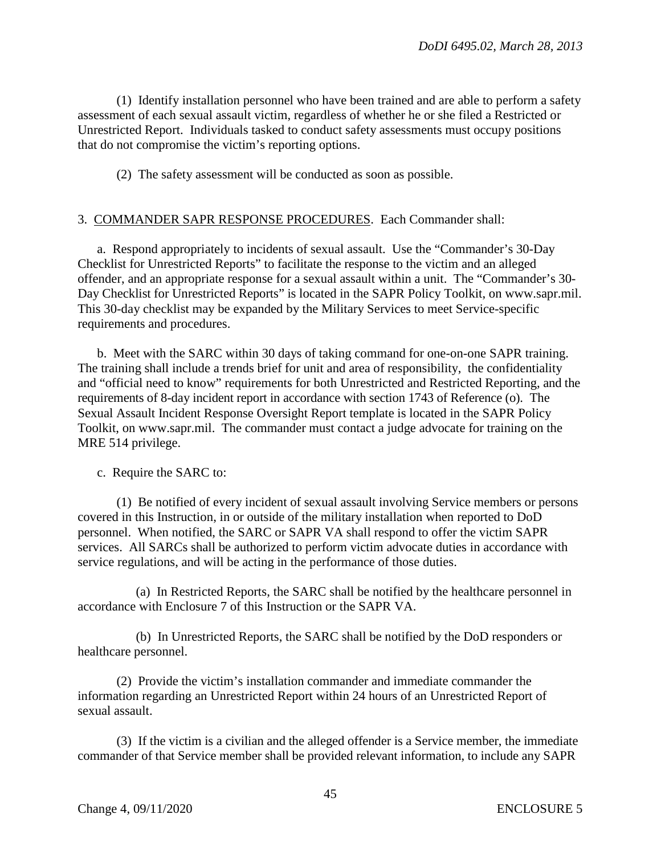(1) Identify installation personnel who have been trained and are able to perform a safety assessment of each sexual assault victim, regardless of whether he or she filed a Restricted or Unrestricted Report. Individuals tasked to conduct safety assessments must occupy positions that do not compromise the victim's reporting options.

(2) The safety assessment will be conducted as soon as possible.

## 3. COMMANDER SAPR RESPONSE PROCEDURES. Each Commander shall:

a. Respond appropriately to incidents of sexual assault. Use the "Commander's 30-Day Checklist for Unrestricted Reports" to facilitate the response to the victim and an alleged offender, and an appropriate response for a sexual assault within a unit. The "Commander's 30- Day Checklist for Unrestricted Reports" is located in the SAPR Policy Toolkit, on www.sapr.mil. This 30-day checklist may be expanded by the Military Services to meet Service-specific requirements and procedures.

b. Meet with the SARC within 30 days of taking command for one-on-one SAPR training. The training shall include a trends brief for unit and area of responsibility, the confidentiality and "official need to know" requirements for both Unrestricted and Restricted Reporting, and the requirements of 8-day incident report in accordance with section 1743 of Reference (o). The Sexual Assault Incident Response Oversight Report template is located in the SAPR Policy Toolkit, on www.sapr.mil. The commander must contact a judge advocate for training on the MRE 514 privilege.

c. Require the SARC to:

 (1) Be notified of every incident of sexual assault involving Service members or persons covered in this Instruction, in or outside of the military installation when reported to DoD personnel. When notified, the SARC or SAPR VA shall respond to offer the victim SAPR services. All SARCs shall be authorized to perform victim advocate duties in accordance with service regulations, and will be acting in the performance of those duties.

(a) In Restricted Reports, the SARC shall be notified by the healthcare personnel in accordance with Enclosure 7 of this Instruction or the SAPR VA.

(b) In Unrestricted Reports, the SARC shall be notified by the DoD responders or healthcare personnel.

 (2) Provide the victim's installation commander and immediate commander the information regarding an Unrestricted Report within 24 hours of an Unrestricted Report of sexual assault.

 (3) If the victim is a civilian and the alleged offender is a Service member, the immediate commander of that Service member shall be provided relevant information, to include any SAPR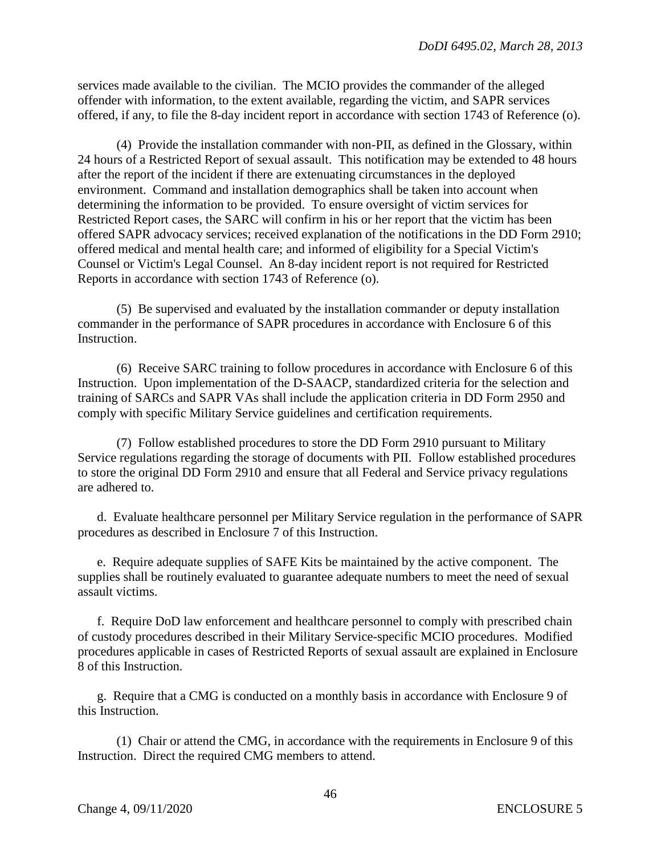services made available to the civilian. The MCIO provides the commander of the alleged offender with information, to the extent available, regarding the victim, and SAPR services offered, if any, to file the 8-day incident report in accordance with section 1743 of Reference (o).

 (4) Provide the installation commander with non-PII, as defined in the Glossary, within 24 hours of a Restricted Report of sexual assault. This notification may be extended to 48 hours after the report of the incident if there are extenuating circumstances in the deployed environment. Command and installation demographics shall be taken into account when determining the information to be provided. To ensure oversight of victim services for Restricted Report cases, the SARC will confirm in his or her report that the victim has been offered SAPR advocacy services; received explanation of the notifications in the DD Form 2910; offered medical and mental health care; and informed of eligibility for a Special Victim's Counsel or Victim's Legal Counsel. An 8-day incident report is not required for Restricted Reports in accordance with section 1743 of Reference (o).

 (5) Be supervised and evaluated by the installation commander or deputy installation commander in the performance of SAPR procedures in accordance with Enclosure 6 of this Instruction.

 (6) Receive SARC training to follow procedures in accordance with Enclosure 6 of this Instruction. Upon implementation of the D-SAACP, standardized criteria for the selection and training of SARCs and SAPR VAs shall include the application criteria in DD Form 2950 and comply with specific Military Service guidelines and certification requirements.

 (7) Follow established procedures to store the DD Form 2910 pursuant to Military Service regulations regarding the storage of documents with PII. Follow established procedures to store the original DD Form 2910 [and](file://ESCALADE.wso-ad.wso.whs.mil/SAPRO/1%20DIANA%20R/1%20%20WHS%20REISSUANCE/Instruction/and) ensure that all Federal and Service privacy regulations are adhered to.

d. Evaluate healthcare personnel per Military Service regulation in the performance of SAPR procedures as described in Enclosure 7 of this Instruction.

e. Require adequate supplies of SAFE Kits be maintained by the active component. The supplies shall be routinely evaluated to guarantee adequate numbers to meet the need of sexual assault victims.

f. Require DoD law enforcement and healthcare personnel to comply with prescribed chain of custody procedures described in their Military Service-specific MCIO procedures. Modified procedures applicable in cases of Restricted Reports of sexual assault are explained in Enclosure 8 of this Instruction.

g. Require that a CMG is conducted on a monthly basis in accordance with Enclosure 9 of this Instruction.

(1) Chair or attend the CMG, in accordance with the requirements in Enclosure 9 of this Instruction. Direct the required CMG members to attend.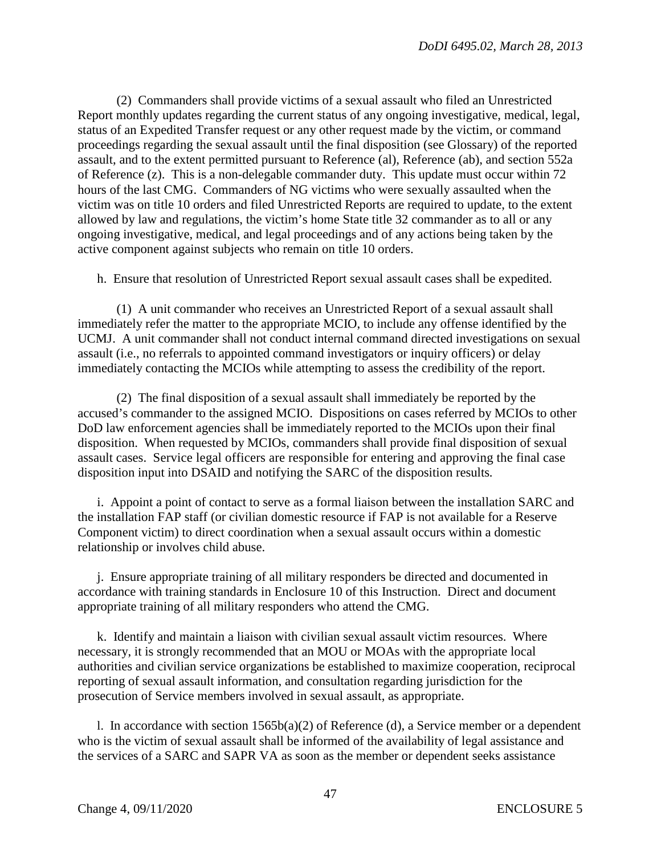(2) Commanders shall provide victims of a sexual assault who filed an Unrestricted Report monthly updates regarding the current status of any ongoing investigative, medical, legal, status of an Expedited Transfer request or any other request made by the victim, or command proceedings regarding the sexual assault until the final disposition (see Glossary) of the reported assault, and to the extent permitted pursuant to Reference (al), Reference (ab), and section 552a of Reference (z). This is a non-delegable commander duty. This update must occur within 72 hours of the last CMG. Commanders of NG victims who were sexually assaulted when the victim was on title 10 orders and filed Unrestricted Reports are required to update, to the extent allowed by law and regulations, the victim's home State title 32 commander as to all or any ongoing investigative, medical, and legal proceedings and of any actions being taken by the active component against subjects who remain on title 10 orders.

h. Ensure that resolution of Unrestricted Report sexual assault cases shall be expedited.

(1) A unit commander who receives an Unrestricted Report of a sexual assault shall immediately refer the matter to the appropriate MCIO, to include any offense identified by the UCMJ. A unit commander shall not conduct internal command directed investigations on sexual assault (i.e., no referrals to appointed command investigators or inquiry officers) or delay immediately contacting the MCIOs while attempting to assess the credibility of the report.

(2) The final disposition of a sexual assault shall immediately be reported by the accused's commander to the assigned MCIO. Dispositions on cases referred by MCIOs to other DoD law enforcement agencies shall be immediately reported to the MCIOs upon their final disposition. When requested by MCIOs, commanders shall provide final disposition of sexual assault cases. Service legal officers are responsible for entering and approving the final case disposition input into DSAID and notifying the SARC of the disposition results*.* 

i. Appoint a point of contact to serve as a formal liaison between the installation SARC and the installation FAP staff (or civilian domestic resource if FAP is not available for a Reserve Component victim) to direct coordination when a sexual assault occurs within a domestic relationship or involves child abuse.

j. Ensure appropriate training of all military responders be directed and documented in accordance with training standards in Enclosure 10 of this Instruction. Direct and document appropriate training of all military responders who attend the CMG.

k. Identify and maintain a liaison with civilian sexual assault victim resources. Where necessary, it is strongly recommended that an MOU or MOAs with the appropriate local authorities and civilian service organizations be established to maximize cooperation, reciprocal reporting of sexual assault information, and consultation regarding jurisdiction for the prosecution of Service members involved in sexual assault, as appropriate.

l. In accordance with section  $1565b(a)(2)$  of Reference (d), a Service member or a dependent who is the victim of sexual assault shall be informed of the availability of legal assistance and the services of a SARC and SAPR VA as soon as the member or dependent seeks assistance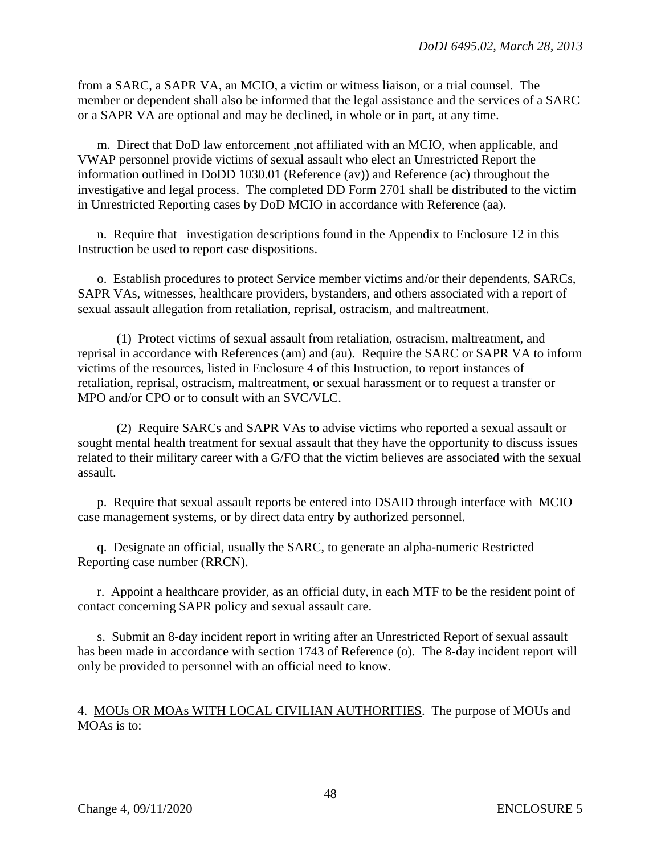from a SARC, a SAPR VA, an MCIO, a victim or witness liaison, or a trial counsel. The member or dependent shall also be informed that the legal assistance and the services of a SARC or a SAPR VA are optional and may be declined, in whole or in part, at any time.

m. Direct that DoD law enforcement ,not affiliated with an MCIO, when applicable, and VWAP personnel provide victims of sexual assault who elect an Unrestricted Report the information outlined in DoDD 1030.01 (Reference (av)) and Reference (ac) throughout the investigative and legal process. The completed DD Form 2701 shall be distributed to the victim in Unrestricted Reporting cases by DoD MCIO in accordance with Reference (aa).

n. Require that investigation descriptions found in the Appendix to Enclosure 12 in this Instruction be used to report case dispositions.

o. Establish procedures to protect Service member victims and/or their dependents, SARCs, SAPR VAs, witnesses, healthcare providers, bystanders, and others associated with a report of sexual assault allegation from retaliation, reprisal, ostracism, and maltreatment.

(1) Protect victims of sexual assault from retaliation, ostracism, maltreatment, and reprisal in accordance with References (am) and (au). Require the SARC or SAPR VA to inform victims of the resources, listed in Enclosure 4 of this Instruction, to report instances of retaliation, reprisal, ostracism, maltreatment, or sexual harassment or to request a transfer or MPO and/or CPO or to consult with an SVC/VLC.

(2) Require SARCs and SAPR VAs to advise victims who reported a sexual assault or sought mental health treatment for sexual assault that they have the opportunity to discuss issues related to their military career with a G/FO that the victim believes are associated with the sexual assault.

p. Require that sexual assault reports be entered into DSAID through interface with MCIO case management systems, or by direct data entry by authorized personnel.

q. Designate an official, usually the SARC, to generate an alpha-numeric Restricted Reporting case number (RRCN).

r. Appoint a healthcare provider, as an official duty, in each MTF to be the resident point of contact concerning SAPR policy and sexual assault care.

s. Submit an 8-day incident report in writing after an Unrestricted Report of sexual assault has been made in accordance with section 1743 of Reference (o). The 8-day incident report will only be provided to personnel with an official need to know.

## 4. MOUs OR MOAs WITH LOCAL CIVILIAN AUTHORITIES. The purpose of MOUs and MOAs is to: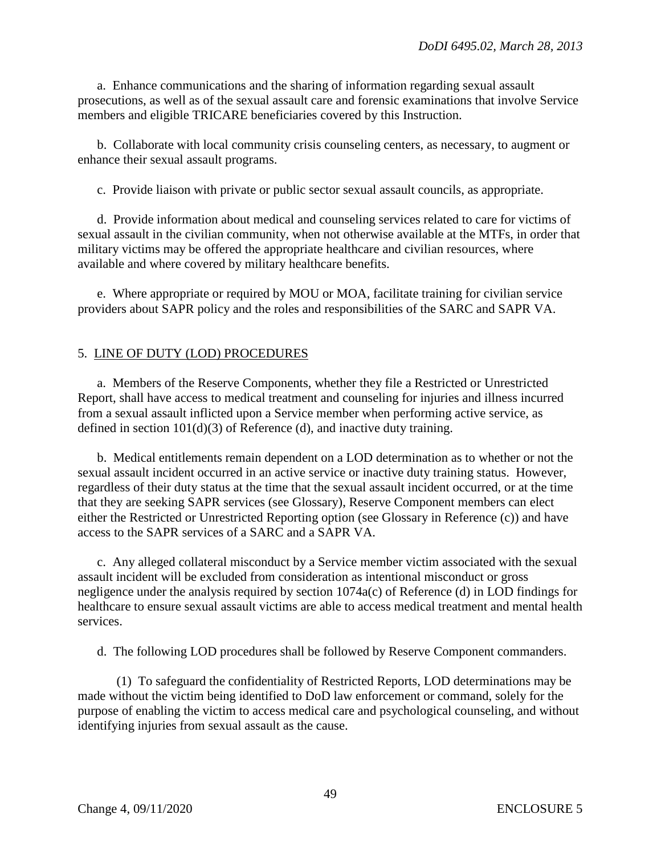a. Enhance communications and the sharing of information regarding sexual assault prosecutions, as well as of the sexual assault care and forensic examinations that involve Service members and eligible TRICARE beneficiaries covered by this Instruction.

b. Collaborate with local community crisis counseling centers, as necessary, to augment or enhance their sexual assault programs.

c. Provide liaison with private or public sector sexual assault councils, as appropriate.

d. Provide information about medical and counseling services related to care for victims of sexual assault in the civilian community, when not otherwise available at the MTFs, in order that military victims may be offered the appropriate healthcare and civilian resources, where available and where covered by military healthcare benefits.

e. Where appropriate or required by MOU or MOA, facilitate training for civilian service providers about SAPR policy and the roles and responsibilities of the SARC and SAPR VA.

### 5. LINE OF DUTY (LOD) PROCEDURES

a. Members of the Reserve Components, whether they file a Restricted or Unrestricted Report, shall have access to medical treatment and counseling for injuries and illness incurred from a sexual assault inflicted upon a Service member when performing active service, as defined in section 101(d)(3) of Reference (d), and inactive duty training.

b. Medical entitlements remain dependent on a LOD determination as to whether or not the sexual assault incident occurred in an active service or inactive duty training status. However, regardless of their duty status at the time that the sexual assault incident occurred, or at the time that they are seeking SAPR services (see Glossary), Reserve Component members can elect either the Restricted or Unrestricted Reporting option (see Glossary in Reference (c)) and have access to the SAPR services of a SARC and a SAPR VA.

c. Any alleged collateral misconduct by a Service member victim associated with the sexual assault incident will be excluded from consideration as intentional misconduct or gross negligence under the analysis required by section 1074a(c) of Reference (d) in LOD findings for healthcare to ensure sexual assault victims are able to access medical treatment and mental health services.

d. The following LOD procedures shall be followed by Reserve Component commanders.

(1) To safeguard the confidentiality of Restricted Reports, LOD determinations may be made without the victim being identified to DoD law enforcement or command, solely for the purpose of enabling the victim to access medical care and psychological counseling, and without identifying injuries from sexual assault as the cause.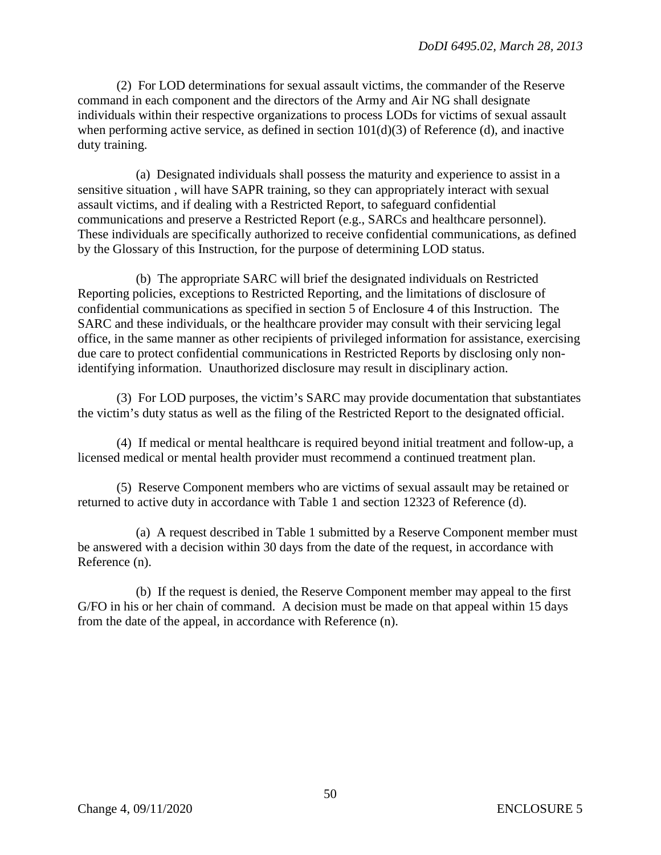(2) For LOD determinations for sexual assault victims, the commander of the Reserve command in each component and the directors of the Army and Air NG shall designate individuals within their respective organizations to process LODs for victims of sexual assault when performing active service, as defined in section  $101(d)(3)$  of Reference (d), and inactive duty training.

(a) Designated individuals shall possess the maturity and experience to assist in a sensitive situation , will have SAPR training, so they can appropriately interact with sexual assault victims, and if dealing with a Restricted Report, to safeguard confidential communications and preserve a Restricted Report (e.g., SARCs and healthcare personnel). These individuals are specifically authorized to receive confidential communications, as defined by the Glossary of this Instruction, for the purpose of determining LOD status.

(b) The appropriate SARC will brief the designated individuals on Restricted Reporting policies, exceptions to Restricted Reporting, and the limitations of disclosure of confidential communications as specified in section 5 of Enclosure 4 of this Instruction. The SARC and these individuals, or the healthcare provider may consult with their servicing legal office, in the same manner as other recipients of privileged information for assistance, exercising due care to protect confidential communications in Restricted Reports by disclosing only nonidentifying information. Unauthorized disclosure may result in disciplinary action.

(3) For LOD purposes, the victim's SARC may provide documentation that substantiates the victim's duty status as well as the filing of the Restricted Report to the designated official.

(4) If medical or mental healthcare is required beyond initial treatment and follow-up, a licensed medical or mental health provider must recommend a continued treatment plan.

(5) Reserve Component members who are victims of sexual assault may be retained or returned to active duty in accordance with Table 1 and section 12323 of Reference (d).

(a) A request described in Table 1 submitted by a Reserve Component member must be answered with a decision within 30 days from the date of the request, in accordance with Reference (n).

(b) If the request is denied, the Reserve Component member may appeal to the first G/FO in his or her chain of command. A decision must be made on that appeal within 15 days from the date of the appeal, in accordance with Reference (n).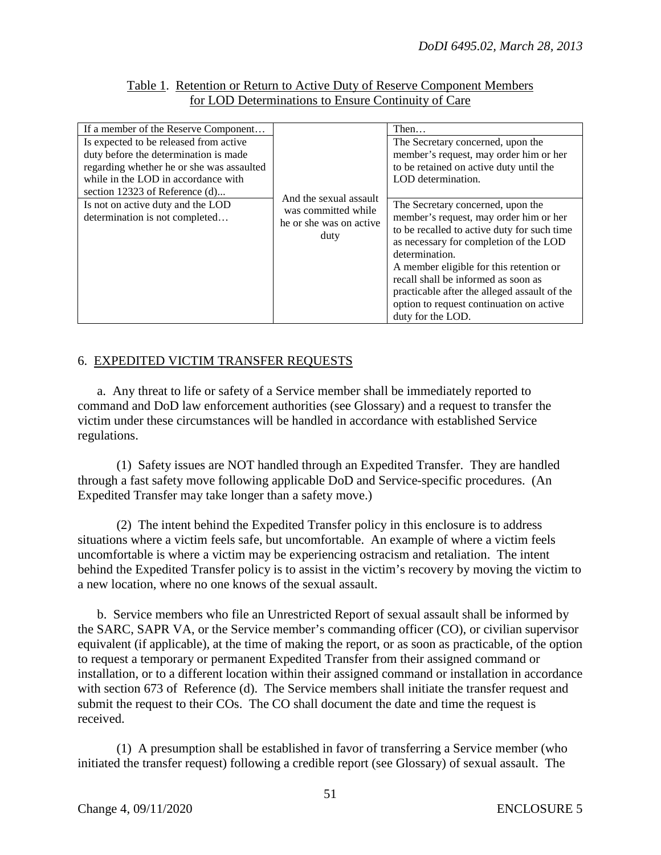### Table 1. Retention or Return to Active Duty of Reserve Component Members for LOD Determinations to Ensure Continuity of Care

| If a member of the Reserve Component                                                                                                                                                                                                                                           |                                                                                  | Then                                                                                                                                                                                                                                                                                                                                                                                                                                                                                                                                      |
|--------------------------------------------------------------------------------------------------------------------------------------------------------------------------------------------------------------------------------------------------------------------------------|----------------------------------------------------------------------------------|-------------------------------------------------------------------------------------------------------------------------------------------------------------------------------------------------------------------------------------------------------------------------------------------------------------------------------------------------------------------------------------------------------------------------------------------------------------------------------------------------------------------------------------------|
| Is expected to be released from active<br>duty before the determination is made<br>regarding whether he or she was assaulted<br>while in the LOD in accordance with<br>section 12323 of Reference $(d)$<br>Is not on active duty and the LOD<br>determination is not completed | And the sexual assault<br>was committed while<br>he or she was on active<br>duty | The Secretary concerned, upon the<br>member's request, may order him or her<br>to be retained on active duty until the<br>LOD determination.<br>The Secretary concerned, upon the<br>member's request, may order him or her<br>to be recalled to active duty for such time<br>as necessary for completion of the LOD<br>determination.<br>A member eligible for this retention or<br>recall shall be informed as soon as<br>practicable after the alleged assault of the<br>option to request continuation on active<br>duty for the LOD. |

## 6. EXPEDITED VICTIM TRANSFER REQUESTS

a. Any threat to life or safety of a Service member shall be immediately reported to command and DoD law enforcement authorities (see Glossary) and a request to transfer the victim under these circumstances will be handled in accordance with established Service regulations.

(1) Safety issues are NOT handled through an Expedited Transfer. They are handled through a fast safety move following applicable DoD and Service-specific procedures. (An Expedited Transfer may take longer than a safety move.)

(2) The intent behind the Expedited Transfer policy in this enclosure is to address situations where a victim feels safe, but uncomfortable. An example of where a victim feels uncomfortable is where a victim may be experiencing ostracism and retaliation. The intent behind the Expedited Transfer policy is to assist in the victim's recovery by moving the victim to a new location, where no one knows of the sexual assault.

b. Service members who file an Unrestricted Report of sexual assault shall be informed by the SARC, SAPR VA, or the Service member's commanding officer (CO), or civilian supervisor equivalent (if applicable), at the time of making the report, or as soon as practicable, of the option to request a temporary or permanent Expedited Transfer from their assigned command or installation, or to a different location within their assigned command or installation in accordance with section 673 of Reference (d). The Service members shall initiate the transfer request and submit the request to their COs. The CO shall document the date and time the request is received.

(1) A presumption shall be established in favor of transferring a Service member (who initiated the transfer request) following a credible report (see Glossary) of sexual assault. The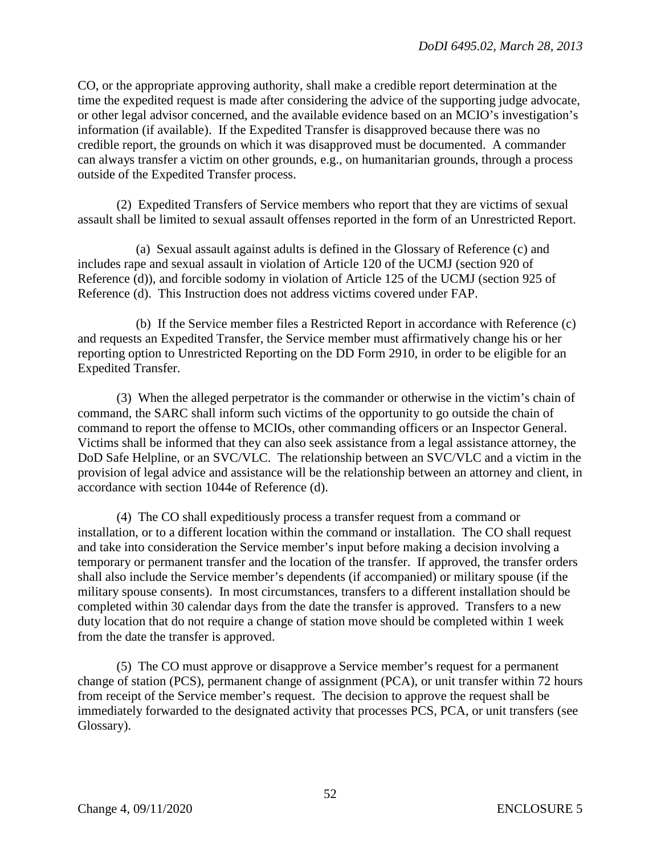CO, or the appropriate approving authority, shall make a credible report determination at the time the expedited request is made after considering the advice of the supporting judge advocate, or other legal advisor concerned, and the available evidence based on an MCIO's investigation's information (if available). If the Expedited Transfer is disapproved because there was no credible report, the grounds on which it was disapproved must be documented. A commander can always transfer a victim on other grounds, e.g., on humanitarian grounds, through a process outside of the Expedited Transfer process.

(2) Expedited Transfers of Service members who report that they are victims of sexual assault shall be limited to sexual assault offenses reported in the form of an Unrestricted Report.

(a) Sexual assault against adults is defined in the Glossary of Reference (c) and includes rape and sexual assault in violation of Article 120 of the UCMJ (section 920 of Reference (d)), and forcible sodomy in violation of Article 125 of the UCMJ (section 925 of Reference (d). This Instruction does not address victims covered under FAP.

(b) If the Service member files a Restricted Report in accordance with Reference (c) and requests an Expedited Transfer, the Service member must affirmatively change his or her reporting option to Unrestricted Reporting on the DD Form 2910, in order to be eligible for an Expedited Transfer.

(3) When the alleged perpetrator is the commander or otherwise in the victim's chain of command, the SARC shall inform such victims of the opportunity to go outside the chain of command to report the offense to MCIOs, other commanding officers or an Inspector General. Victims shall be informed that they can also seek assistance from a legal assistance attorney, the DoD Safe Helpline, or an SVC/VLC. The relationship between an SVC/VLC and a victim in the provision of legal advice and assistance will be the relationship between an attorney and client, in accordance with section 1044e of Reference (d).

(4) The CO shall expeditiously process a transfer request from a command or installation, or to a different location within the command or installation. The CO shall request and take into consideration the Service member's input before making a decision involving a temporary or permanent transfer and the location of the transfer. If approved, the transfer orders shall also include the Service member's dependents (if accompanied) or military spouse (if the military spouse consents). In most circumstances, transfers to a different installation should be completed within 30 calendar days from the date the transfer is approved. Transfers to a new duty location that do not require a change of station move should be completed within 1 week from the date the transfer is approved.

(5) The CO must approve or disapprove a Service member's request for a permanent change of station (PCS), permanent change of assignment (PCA), or unit transfer within 72 hours from receipt of the Service member's request. The decision to approve the request shall be immediately forwarded to the designated activity that processes PCS, PCA, or unit transfers (see Glossary).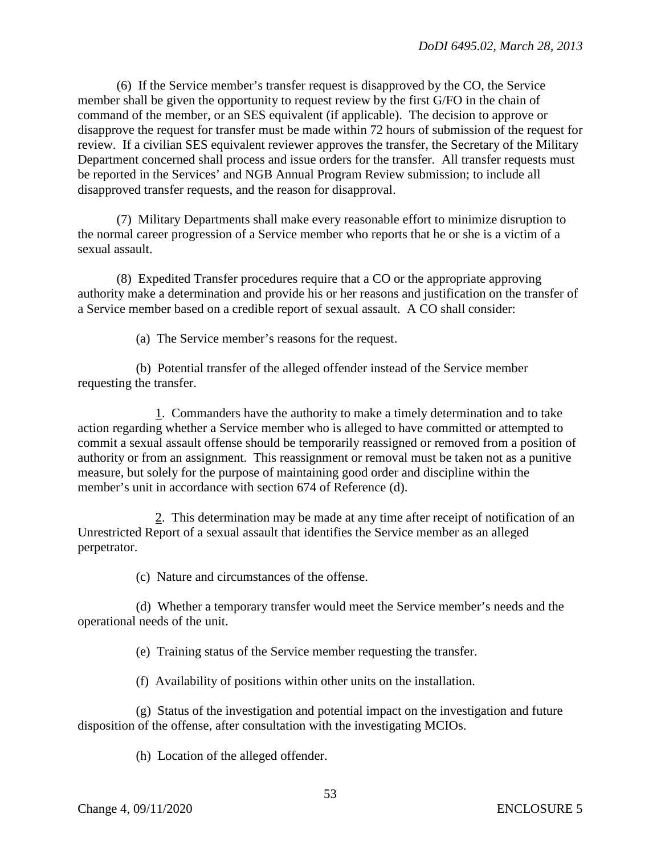(6) If the Service member's transfer request is disapproved by the CO, the Service member shall be given the opportunity to request review by the first G/FO in the chain of command of the member, or an SES equivalent (if applicable). The decision to approve or disapprove the request for transfer must be made within 72 hours of submission of the request for review. If a civilian SES equivalent reviewer approves the transfer, the Secretary of the Military Department concerned shall process and issue orders for the transfer. All transfer requests must be reported in the Services' and NGB Annual Program Review submission; to include all disapproved transfer requests, and the reason for disapproval.

(7) Military Departments shall make every reasonable effort to minimize disruption to the normal career progression of a Service member who reports that he or she is a victim of a sexual assault.

(8) Expedited Transfer procedures require that a CO or the appropriate approving authority make a determination and provide his or her reasons and justification on the transfer of a Service member based on a credible report of sexual assault. A CO shall consider:

(a) The Service member's reasons for the request.

(b) Potential transfer of the alleged offender instead of the Service member requesting the transfer.

1. Commanders have the authority to make a timely determination and to take action regarding whether a Service member who is alleged to have committed or attempted to commit a sexual assault offense should be temporarily reassigned or removed from a position of authority or from an assignment. This reassignment or removal must be taken not as a punitive measure, but solely for the purpose of maintaining good order and discipline within the member's unit in accordance with section 674 of Reference (d).

2. This determination may be made at any time after receipt of notification of an Unrestricted Report of a sexual assault that identifies the Service member as an alleged perpetrator.

(c) Nature and circumstances of the offense.

(d) Whether a temporary transfer would meet the Service member's needs and the operational needs of the unit.

(e) Training status of the Service member requesting the transfer.

(f) Availability of positions within other units on the installation.

(g) Status of the investigation and potential impact on the investigation and future disposition of the offense, after consultation with the investigating MCIOs.

(h) Location of the alleged offender.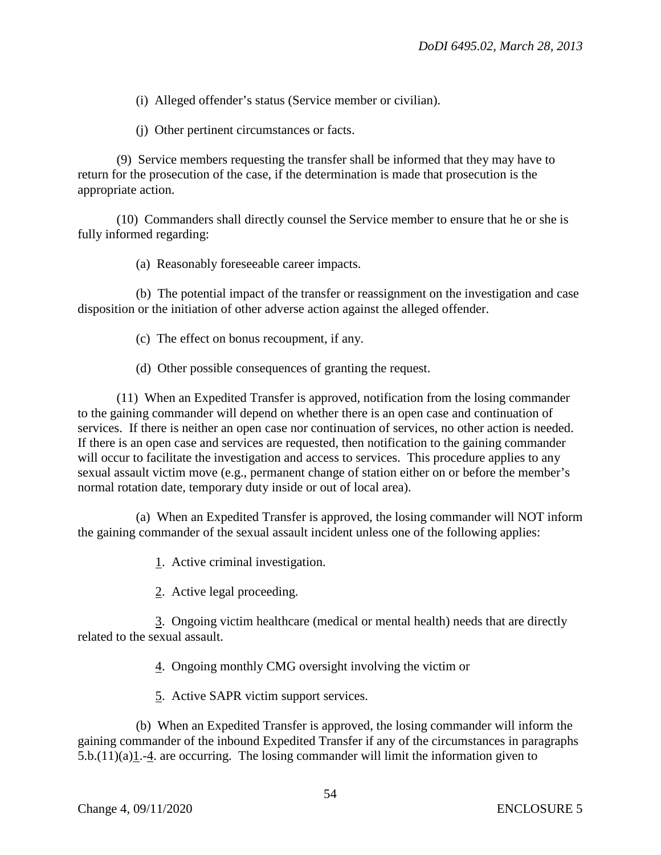(i) Alleged offender's status (Service member or civilian).

(j) Other pertinent circumstances or facts.

(9) Service members requesting the transfer shall be informed that they may have to return for the prosecution of the case, if the determination is made that prosecution is the appropriate action.

(10) Commanders shall directly counsel the Service member to ensure that he or she is fully informed regarding:

(a) Reasonably foreseeable career impacts.

(b) The potential impact of the transfer or reassignment on the investigation and case disposition or the initiation of other adverse action against the alleged offender.

(c) The effect on bonus recoupment, if any.

(d) Other possible consequences of granting the request.

(11) When an Expedited Transfer is approved, notification from the losing commander to the gaining commander will depend on whether there is an open case and continuation of services. If there is neither an open case nor continuation of services, no other action is needed. If there is an open case and services are requested, then notification to the gaining commander will occur to facilitate the investigation and access to services. This procedure applies to any sexual assault victim move (e.g., permanent change of station either on or before the member's normal rotation date, temporary duty inside or out of local area).

(a) When an Expedited Transfer is approved, the losing commander will NOT inform the gaining commander of the sexual assault incident unless one of the following applies:

1. Active criminal investigation.

2. Active legal proceeding.

 3. Ongoing victim healthcare (medical or mental health) needs that are directly related to the sexual assault.

4. Ongoing monthly CMG oversight involving the victim or

5. Active SAPR victim support services.

(b) When an Expedited Transfer is approved, the losing commander will inform the gaining commander of the inbound Expedited Transfer if any of the circumstances in paragraphs 5.b.(11)(a)1.-4. are occurring. The losing commander will limit the information given to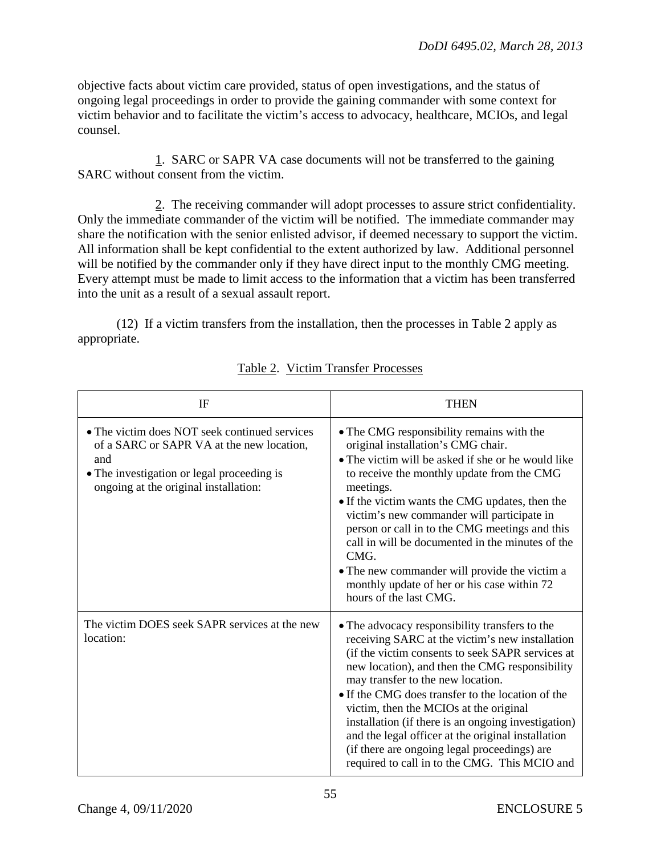objective facts about victim care provided, status of open investigations, and the status of ongoing legal proceedings in order to provide the gaining commander with some context for victim behavior and to facilitate the victim's access to advocacy, healthcare, MCIOs, and legal counsel.

1. SARC or SAPR VA case documents will not be transferred to the gaining SARC without consent from the victim.

2. The receiving commander will adopt processes to assure strict confidentiality. Only the immediate commander of the victim will be notified. The immediate commander may share the notification with the senior enlisted advisor, if deemed necessary to support the victim. All information shall be kept confidential to the extent authorized by law. Additional personnel will be notified by the commander only if they have direct input to the monthly CMG meeting. Every attempt must be made to limit access to the information that a victim has been transferred into the unit as a result of a sexual assault report.

(12) If a victim transfers from the installation, then the processes in Table 2 apply as appropriate.

| IF                                                                                                                                                                                       | <b>THEN</b>                                                                                                                                                                                                                                                                                                                                                                                                                                                                                                                                               |
|------------------------------------------------------------------------------------------------------------------------------------------------------------------------------------------|-----------------------------------------------------------------------------------------------------------------------------------------------------------------------------------------------------------------------------------------------------------------------------------------------------------------------------------------------------------------------------------------------------------------------------------------------------------------------------------------------------------------------------------------------------------|
| • The victim does NOT seek continued services<br>of a SARC or SAPR VA at the new location,<br>and<br>• The investigation or legal proceeding is<br>ongoing at the original installation: | • The CMG responsibility remains with the<br>original installation's CMG chair.<br>• The victim will be asked if she or he would like<br>to receive the monthly update from the CMG<br>meetings.<br>• If the victim wants the CMG updates, then the<br>victim's new commander will participate in<br>person or call in to the CMG meetings and this<br>call in will be documented in the minutes of the<br>CMG.<br>• The new commander will provide the victim a<br>monthly update of her or his case within 72<br>hours of the last CMG.                 |
| The victim DOES seek SAPR services at the new<br>location:                                                                                                                               | • The advocacy responsibility transfers to the<br>receiving SARC at the victim's new installation<br>(if the victim consents to seek SAPR services at<br>new location), and then the CMG responsibility<br>may transfer to the new location.<br>• If the CMG does transfer to the location of the<br>victim, then the MCIOs at the original<br>installation (if there is an ongoing investigation)<br>and the legal officer at the original installation<br>(if there are ongoing legal proceedings) are<br>required to call in to the CMG. This MCIO and |

# Table 2. Victim Transfer Processes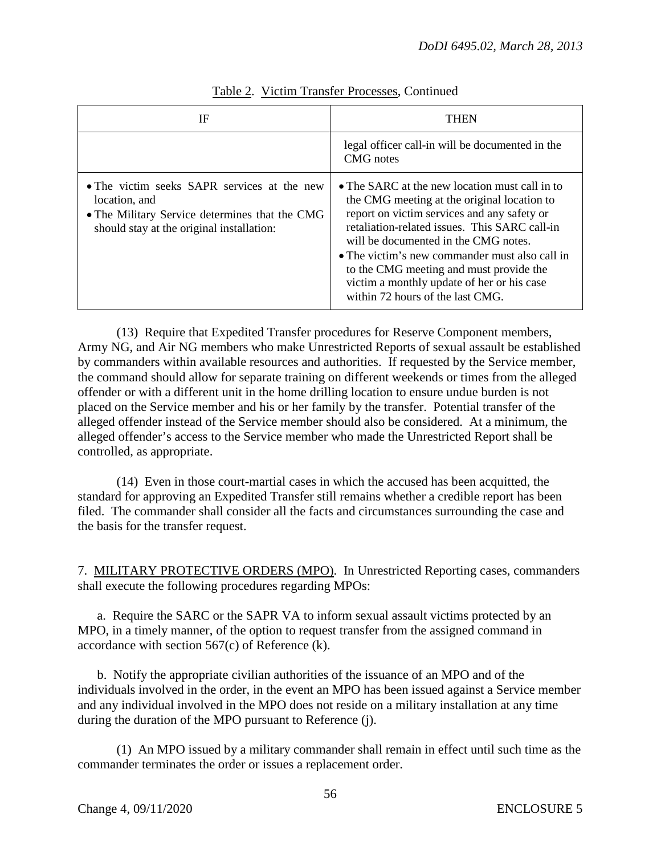| IF                                                                                                                                                          | THEN                                                                                                                                                                                                                                                                                                                                                                                                                 |
|-------------------------------------------------------------------------------------------------------------------------------------------------------------|----------------------------------------------------------------------------------------------------------------------------------------------------------------------------------------------------------------------------------------------------------------------------------------------------------------------------------------------------------------------------------------------------------------------|
|                                                                                                                                                             | legal officer call-in will be documented in the<br>CMG notes                                                                                                                                                                                                                                                                                                                                                         |
| • The victim seeks SAPR services at the new<br>location, and<br>• The Military Service determines that the CMG<br>should stay at the original installation: | • The SARC at the new location must call in to<br>the CMG meeting at the original location to<br>report on victim services and any safety or<br>retaliation-related issues. This SARC call-in<br>will be documented in the CMG notes.<br>• The victim's new commander must also call in<br>to the CMG meeting and must provide the<br>victim a monthly update of her or his case<br>within 72 hours of the last CMG. |

## Table 2. Victim Transfer Processes, Continued

 (13) Require that Expedited Transfer procedures for Reserve Component members, Army NG, and Air NG members who make Unrestricted Reports of sexual assault be established by commanders within available resources and authorities. If requested by the Service member, the command should allow for separate training on different weekends or times from the alleged offender or with a different unit in the home drilling location to ensure undue burden is not placed on the Service member and his or her family by the transfer. Potential transfer of the alleged offender instead of the Service member should also be considered. At a minimum, the alleged offender's access to the Service member who made the Unrestricted Report shall be controlled, as appropriate.

 (14) Even in those court-martial cases in which the accused has been acquitted, the standard for approving an Expedited Transfer still remains whether a credible report has been filed. The commander shall consider all the facts and circumstances surrounding the case and the basis for the transfer request.

7. MILITARY PROTECTIVE ORDERS (MPO). In Unrestricted Reporting cases, commanders shall execute the following procedures regarding MPOs:

a. Require the SARC or the SAPR VA to inform sexual assault victims protected by an MPO, in a timely manner, of the option to request transfer from the assigned command in accordance with section 567(c) of Reference (k).

b. Notify the appropriate civilian authorities of the issuance of an MPO and of the individuals involved in the order, in the event an MPO has been issued against a Service member and any individual involved in the MPO does not reside on a military installation at any time during the duration of the MPO pursuant to Reference (j).

(1) An MPO issued by a military commander shall remain in effect until such time as the commander terminates the order or issues a replacement order.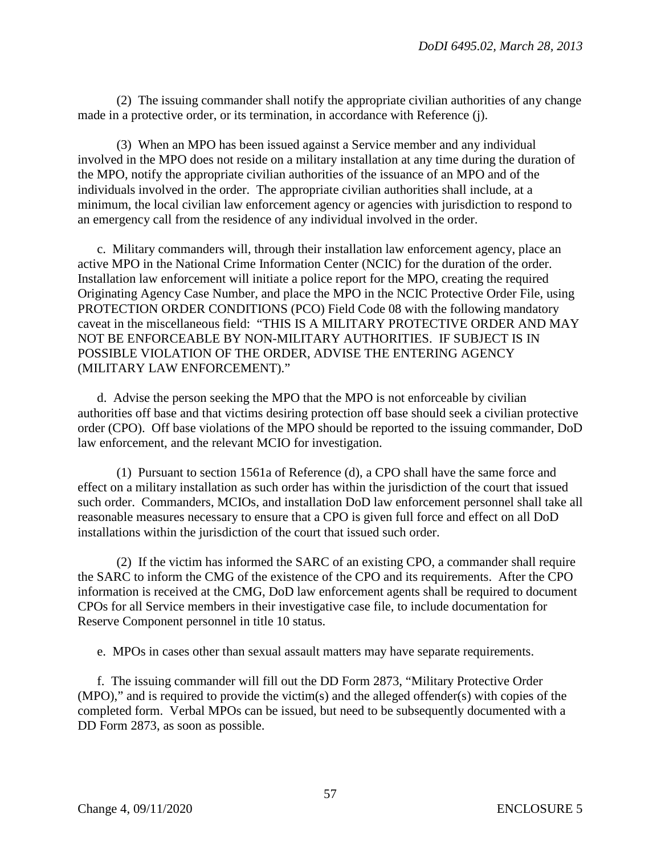(2) The issuing commander shall notify the appropriate civilian authorities of any change made in a protective order, or its termination, in accordance with Reference (j).

(3) When an MPO has been issued against a Service member and any individual involved in the MPO does not reside on a military installation at any time during the duration of the MPO, notify the appropriate civilian authorities of the issuance of an MPO and of the individuals involved in the order. The appropriate civilian authorities shall include, at a minimum, the local civilian law enforcement agency or agencies with jurisdiction to respond to an emergency call from the residence of any individual involved in the order.

c. Military commanders will, through their installation law enforcement agency, place an active MPO in the National Crime Information Center (NCIC) for the duration of the order. Installation law enforcement will initiate a police report for the MPO, creating the required Originating Agency Case Number, and place the MPO in the NCIC Protective Order File, using PROTECTION ORDER CONDITIONS (PCO) Field Code 08 with the following mandatory caveat in the miscellaneous field: "THIS IS A MILITARY PROTECTIVE ORDER AND MAY NOT BE ENFORCEABLE BY NON-MILITARY AUTHORITIES. IF SUBJECT IS IN POSSIBLE VIOLATION OF THE ORDER, ADVISE THE ENTERING AGENCY (MILITARY LAW ENFORCEMENT)."

d. Advise the person seeking the MPO that the MPO is not enforceable by civilian authorities off base and that victims desiring protection off base should seek a civilian protective order (CPO). Off base violations of the MPO should be reported to the issuing commander, DoD law enforcement, and the relevant MCIO for investigation.

(1) Pursuant to section 1561a of Reference (d), a CPO shall have the same force and effect on a military installation as such order has within the jurisdiction of the court that issued such order. Commanders, MCIOs, and installation DoD law enforcement personnel shall take all reasonable measures necessary to ensure that a CPO is given full force and effect on all DoD installations within the jurisdiction of the court that issued such order.

(2) If the victim has informed the SARC of an existing CPO, a commander shall require the SARC to inform the CMG of the existence of the CPO and its requirements. After the CPO information is received at the CMG, DoD law enforcement agents shall be required to document CPOs for all Service members in their investigative case file, to include documentation for Reserve Component personnel in title 10 status.

e. MPOs in cases other than sexual assault matters may have separate requirements.

f. The issuing commander will fill out the DD Form 2873, "Military Protective Order (MPO)," and is required to provide the victim(s) and the alleged offender(s) with copies of the completed form. Verbal MPOs can be issued, but need to be subsequently documented with a DD Form 2873, as soon as possible.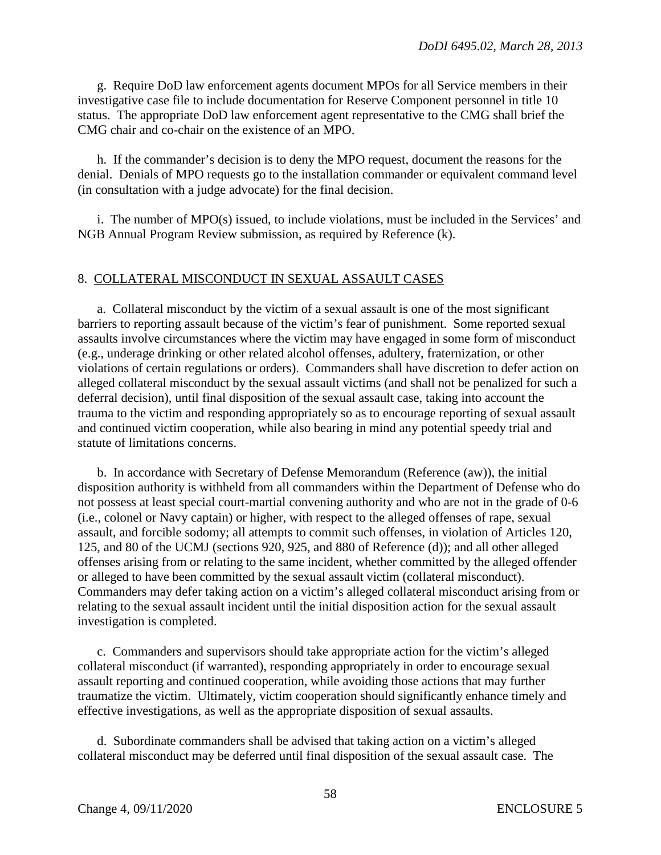g. Require DoD law enforcement agents document MPOs for all Service members in their investigative case file to include documentation for Reserve Component personnel in title 10 status. The appropriate DoD law enforcement agent representative to the CMG shall brief the CMG chair and co-chair on the existence of an MPO.

h. If the commander's decision is to deny the MPO request, document the reasons for the denial. Denials of MPO requests go to the installation commander or equivalent command level (in consultation with a judge advocate) for the final decision.

i. The number of MPO(s) issued, to include violations, must be included in the Services' and NGB Annual Program Review submission, as required by Reference (k).

### 8. COLLATERAL MISCONDUCT IN SEXUAL ASSAULT CASES

a. Collateral misconduct by the victim of a sexual assault is one of the most significant barriers to reporting assault because of the victim's fear of punishment. Some reported sexual assaults involve circumstances where the victim may have engaged in some form of misconduct (e.g., underage drinking or other related alcohol offenses, adultery, fraternization, or other violations of certain regulations or orders). Commanders shall have discretion to defer action on alleged collateral misconduct by the sexual assault victims (and shall not be penalized for such a deferral decision), until final disposition of the sexual assault case, taking into account the trauma to the victim and responding appropriately so as to encourage reporting of sexual assault and continued victim cooperation, while also bearing in mind any potential speedy trial and statute of limitations concerns.

b. In accordance with Secretary of Defense Memorandum (Reference (aw)), the initial disposition authority is withheld from all commanders within the Department of Defense who do not possess at least special court-martial convening authority and who are not in the grade of 0-6 (i.e., colonel or Navy captain) or higher, with respect to the alleged offenses of rape, sexual assault, and forcible sodomy; all attempts to commit such offenses, in violation of Articles 120, 125, and 80 of the UCMJ (sections 920, 925, and 880 of Reference (d)); and all other alleged offenses arising from or relating to the same incident, whether committed by the alleged offender or alleged to have been committed by the sexual assault victim (collateral misconduct). Commanders may defer taking action on a victim's alleged collateral misconduct arising from or relating to the sexual assault incident until the initial disposition action for the sexual assault investigation is completed.

c. Commanders and supervisors should take appropriate action for the victim's alleged collateral misconduct (if warranted), responding appropriately in order to encourage sexual assault reporting and continued cooperation, while avoiding those actions that may further traumatize the victim. Ultimately, victim cooperation should significantly enhance timely and effective investigations, as well as the appropriate disposition of sexual assaults.

d. Subordinate commanders shall be advised that taking action on a victim's alleged collateral misconduct may be deferred until final disposition of the sexual assault case. The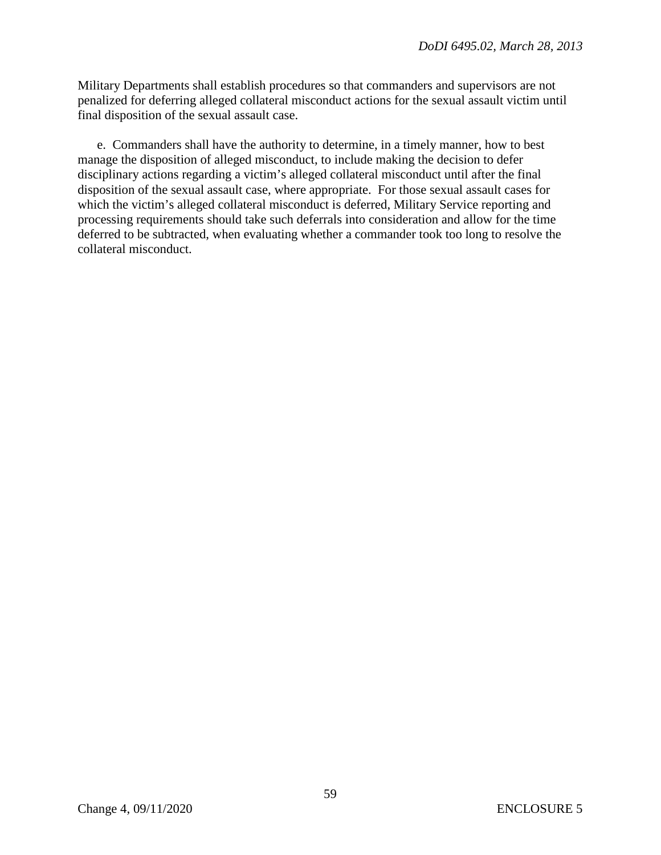Military Departments shall establish procedures so that commanders and supervisors are not penalized for deferring alleged collateral misconduct actions for the sexual assault victim until final disposition of the sexual assault case.

e. Commanders shall have the authority to determine, in a timely manner, how to best manage the disposition of alleged misconduct, to include making the decision to defer disciplinary actions regarding a victim's alleged collateral misconduct until after the final disposition of the sexual assault case, where appropriate. For those sexual assault cases for which the victim's alleged collateral misconduct is deferred, Military Service reporting and processing requirements should take such deferrals into consideration and allow for the time deferred to be subtracted, when evaluating whether a commander took too long to resolve the collateral misconduct.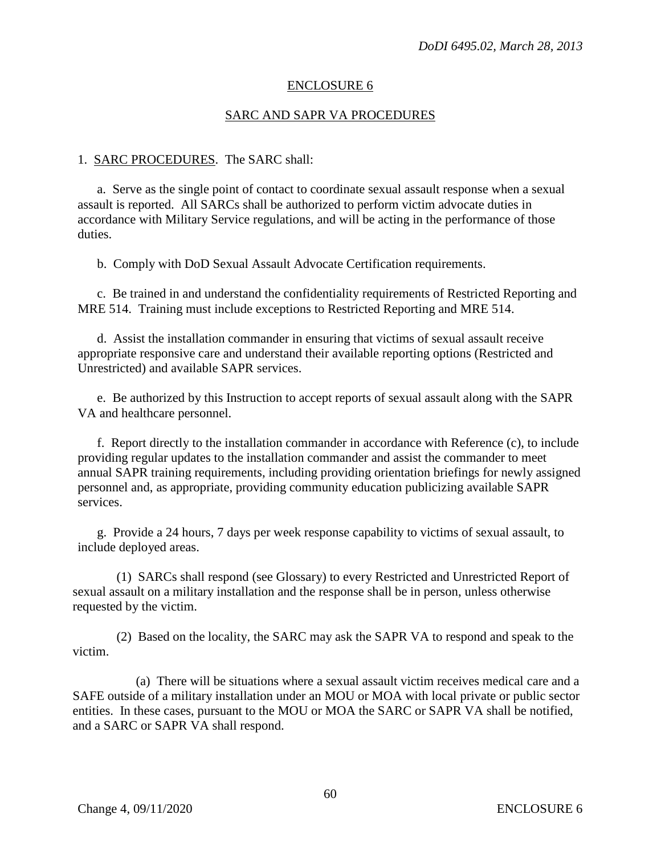### ENCLOSURE 6

### SARC AND SAPR VA PROCEDURES

#### 1. SARC PROCEDURES. The SARC shall:

a. Serve as the single point of contact to coordinate sexual assault response when a sexual assault is reported. All SARCs shall be authorized to perform victim advocate duties in accordance with Military Service regulations, and will be acting in the performance of those duties.

b. Comply with DoD Sexual Assault Advocate Certification requirements.

c. Be trained in and understand the confidentiality requirements of Restricted Reporting and MRE 514. Training must include exceptions to Restricted Reporting and MRE 514.

d. Assist the installation commander in ensuring that victims of sexual assault receive appropriate responsive care and understand their available reporting options (Restricted and Unrestricted) and available SAPR services.

e. Be authorized by this Instruction to accept reports of sexual assault along with the SAPR VA and healthcare personnel.

f. Report directly to the installation commander in accordance with Reference (c), to include providing regular updates to the installation commander and assist the commander to meet annual SAPR training requirements, including providing orientation briefings for newly assigned personnel and, as appropriate, providing community education publicizing available SAPR services.

g. Provide a 24 hours, 7 days per week response capability to victims of sexual assault, to include deployed areas.

(1) SARCs shall respond (see Glossary) to every Restricted and Unrestricted Report of sexual assault on a military installation and the response shall be in person, unless otherwise requested by the victim.

(2) Based on the locality, the SARC may ask the SAPR VA to respond and speak to the victim.

(a) There will be situations where a sexual assault victim receives medical care and a SAFE outside of a military installation under an MOU or MOA with local private or public sector entities. In these cases, pursuant to the MOU or MOA the SARC or SAPR VA shall be notified, and a SARC or SAPR VA shall respond.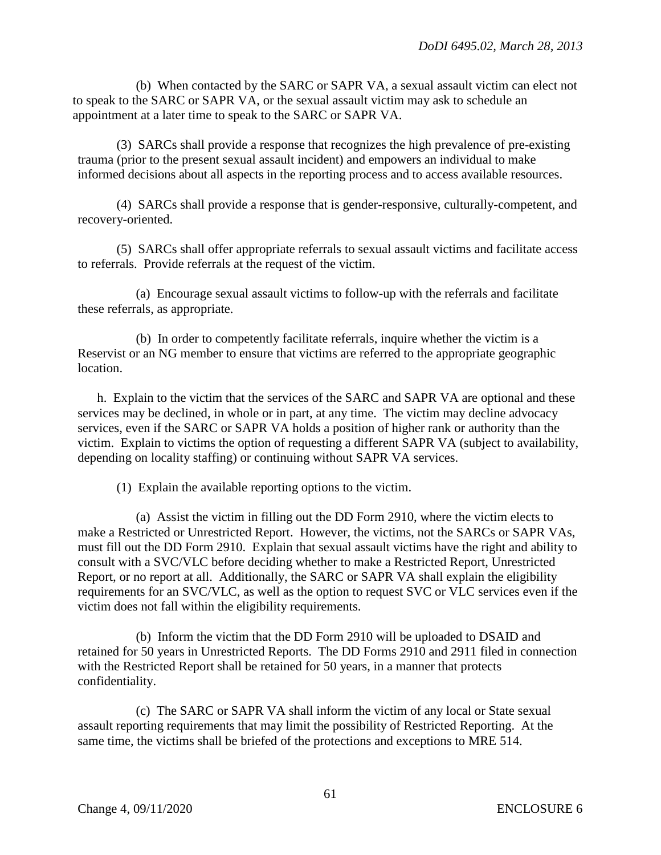(b) When contacted by the SARC or SAPR VA, a sexual assault victim can elect not to speak to the SARC or SAPR VA, or the sexual assault victim may ask to schedule an appointment at a later time to speak to the SARC or SAPR VA.

(3) SARCs shall provide a response that recognizes the high prevalence of pre-existing trauma (prior to the present sexual assault incident) and empowers an individual to make informed decisions about all aspects in the reporting process and to access available resources.

(4) SARCs shall provide a response that is gender-responsive, culturally-competent, and recovery-oriented.

(5) SARCs shall offer appropriate referrals to sexual assault victims and facilitate access to referrals. Provide referrals at the request of the victim.

(a) Encourage sexual assault victims to follow-up with the referrals and facilitate these referrals, as appropriate.

(b) In order to competently facilitate referrals, inquire whether the victim is a Reservist or an NG member to ensure that victims are referred to the appropriate geographic location.

h. Explain to the victim that the services of the SARC and SAPR VA are optional and these services may be declined, in whole or in part, at any time. The victim may decline advocacy services, even if the SARC or SAPR VA holds a position of higher rank or authority than the victim. Explain to victims the option of requesting a different SAPR VA (subject to availability, depending on locality staffing) or continuing without SAPR VA services.

(1) Explain the available reporting options to the victim.

(a) Assist the victim in filling out the DD Form 2910, where the victim elects to make a Restricted or Unrestricted Report. However, the victims, not the SARCs or SAPR VAs, must fill out the DD Form 2910. Explain that sexual assault victims have the right and ability to consult with a SVC/VLC before deciding whether to make a Restricted Report, Unrestricted Report, or no report at all. Additionally, the SARC or SAPR VA shall explain the eligibility requirements for an SVC/VLC, as well as the option to request SVC or VLC services even if the victim does not fall within the eligibility requirements.

(b) Inform the victim that the DD Form 2910 will be uploaded to DSAID and retained for 50 years in Unrestricted Reports. The DD Forms 2910 and 2911 filed in connection with the Restricted Report shall be retained for 50 years, in a manner that protects confidentiality.

(c) The SARC or SAPR VA shall inform the victim of any local or State sexual assault reporting requirements that may limit the possibility of Restricted Reporting. At the same time, the victims shall be briefed of the protections and exceptions to MRE 514.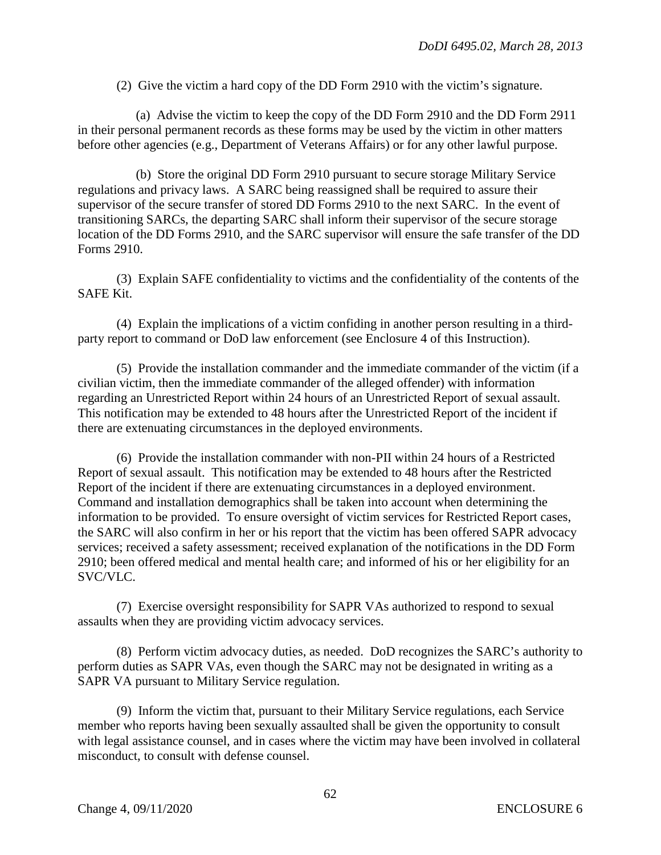(2) Give the victim a hard copy of the DD Form 2910 with the victim's signature.

(a) Advise the victim to keep the copy of the DD Form 2910 and the DD Form 2911 in their personal permanent records as these forms may be used by the victim in other matters before other agencies (e.g., Department of Veterans Affairs) or for any other lawful purpose.

(b) Store the original DD Form 2910 pursuant to secure storage Military Service regulations and privacy laws. A SARC being reassigned shall be required to assure their supervisor of the secure transfer of stored DD Forms 2910 to the next SARC. In the event of transitioning SARCs, the departing SARC shall inform their supervisor of the secure storage location of the DD Forms 2910, and the SARC supervisor will ensure the safe transfer of the DD Forms 2910.

(3) Explain SAFE confidentiality to victims and the confidentiality of the contents of the SAFE Kit.

(4) Explain the implications of a victim confiding in another person resulting in a thirdparty report to command or DoD law enforcement (see Enclosure 4 of this Instruction).

(5) Provide the installation commander and the immediate commander of the victim (if a civilian victim, then the immediate commander of the alleged offender) with information regarding an Unrestricted Report within 24 hours of an Unrestricted Report of sexual assault. This notification may be extended to 48 hours after the Unrestricted Report of the incident if there are extenuating circumstances in the deployed environments.

(6) Provide the installation commander with non-PII within 24 hours of a Restricted Report of sexual assault. This notification may be extended to 48 hours after the Restricted Report of the incident if there are extenuating circumstances in a deployed environment. Command and installation demographics shall be taken into account when determining the information to be provided. To ensure oversight of victim services for Restricted Report cases, the SARC will also confirm in her or his report that the victim has been offered SAPR advocacy services; received a safety assessment; received explanation of the notifications in the DD Form 2910; been offered medical and mental health care; and informed of his or her eligibility for an SVC/VLC.

(7) Exercise oversight responsibility for SAPR VAs authorized to respond to sexual assaults when they are providing victim advocacy services.

(8) Perform victim advocacy duties, as needed. DoD recognizes the SARC's authority to perform duties as SAPR VAs, even though the SARC may not be designated in writing as a SAPR VA pursuant to Military Service regulation.

(9) Inform the victim that, pursuant to their Military Service regulations, each Service member who reports having been sexually assaulted shall be given the opportunity to consult with legal assistance counsel, and in cases where the victim may have been involved in collateral misconduct, to consult with defense counsel.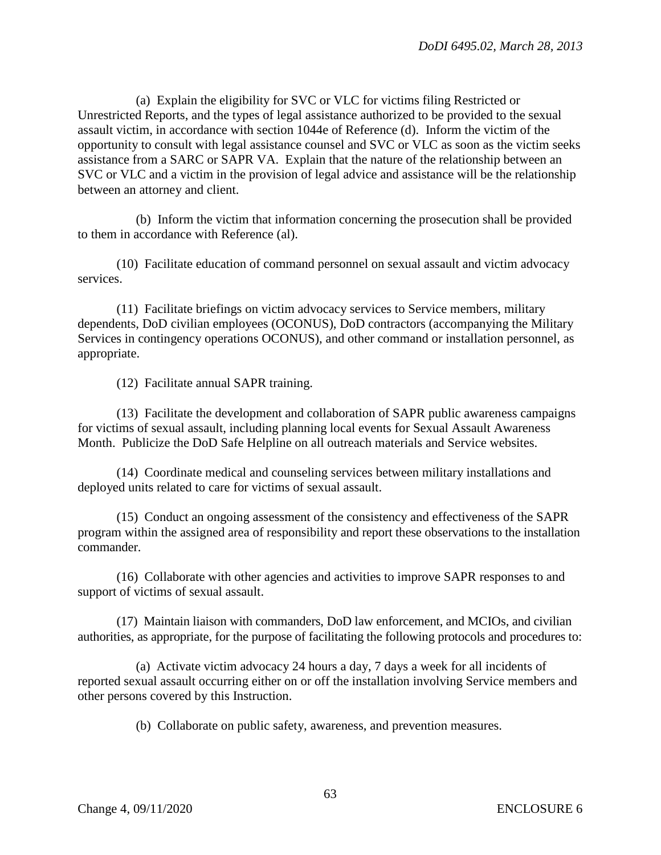(a) Explain the eligibility for SVC or VLC for victims filing Restricted or Unrestricted Reports, and the types of legal assistance authorized to be provided to the sexual assault victim, in accordance with section 1044e of Reference (d). Inform the victim of the opportunity to consult with legal assistance counsel and SVC or VLC as soon as the victim seeks assistance from a SARC or SAPR VA. Explain that the nature of the relationship between an SVC or VLC and a victim in the provision of legal advice and assistance will be the relationship between an attorney and client.

(b) Inform the victim that information concerning the prosecution shall be provided to them in accordance with Reference (al).

(10) Facilitate education of command personnel on sexual assault and victim advocacy services.

(11) Facilitate briefings on victim advocacy services to Service members, military dependents, DoD civilian employees (OCONUS), DoD contractors (accompanying the Military Services in contingency operations OCONUS), and other command or installation personnel, as appropriate.

(12) Facilitate annual SAPR training.

(13) Facilitate the development and collaboration of SAPR public awareness campaigns for victims of sexual assault, including planning local events for Sexual Assault Awareness Month. Publicize the DoD Safe Helpline on all outreach materials and Service websites.

(14) Coordinate medical and counseling services between military installations and deployed units related to care for victims of sexual assault.

(15) Conduct an ongoing assessment of the consistency and effectiveness of the SAPR program within the assigned area of responsibility and report these observations to the installation commander.

(16) Collaborate with other agencies and activities to improve SAPR responses to and support of victims of sexual assault.

(17) Maintain liaison with commanders, DoD law enforcement, and MCIOs, and civilian authorities, as appropriate, for the purpose of facilitating the following protocols and procedures to:

(a) Activate victim advocacy 24 hours a day, 7 days a week for all incidents of reported sexual assault occurring either on or off the installation involving Service members and other persons covered by this Instruction.

(b) Collaborate on public safety, awareness, and prevention measures.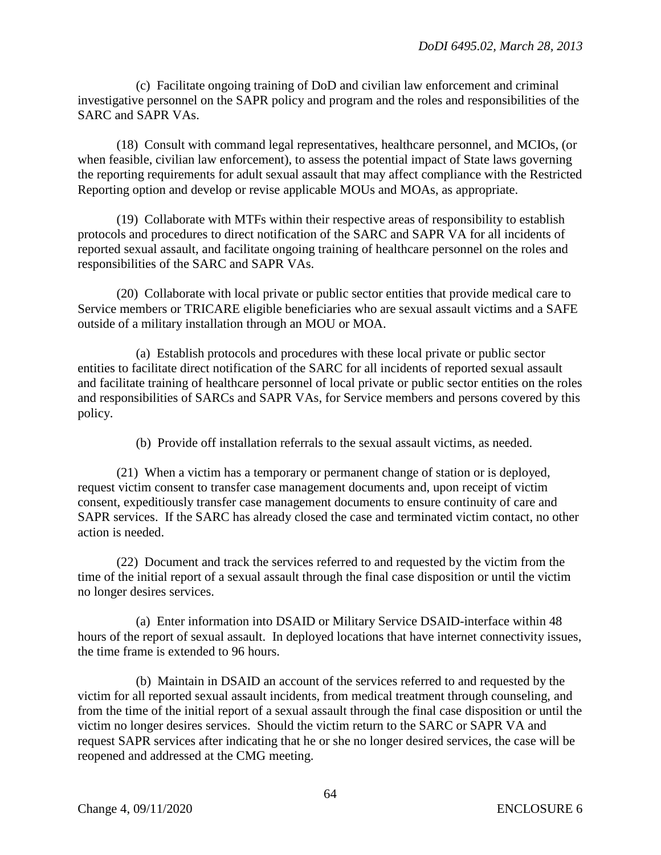(c) Facilitate ongoing training of DoD and civilian law enforcement and criminal investigative personnel on the SAPR policy and program and the roles and responsibilities of the SARC and SAPR VAs.

(18) Consult with command legal representatives, healthcare personnel, and MCIOs, (or when feasible, civilian law enforcement), to assess the potential impact of State laws governing the reporting requirements for adult sexual assault that may affect compliance with the Restricted Reporting option and develop or revise applicable MOUs and MOAs, as appropriate.

(19) Collaborate with MTFs within their respective areas of responsibility to establish protocols and procedures to direct notification of the SARC and SAPR VA for all incidents of reported sexual assault, and facilitate ongoing training of healthcare personnel on the roles and responsibilities of the SARC and SAPR VAs.

(20) Collaborate with local private or public sector entities that provide medical care to Service members or TRICARE eligible beneficiaries who are sexual assault victims and a SAFE outside of a military installation through an MOU or MOA.

(a) Establish protocols and procedures with these local private or public sector entities to facilitate direct notification of the SARC for all incidents of reported sexual assault and facilitate training of healthcare personnel of local private or public sector entities on the roles and responsibilities of SARCs and SAPR VAs, for Service members and persons covered by this policy.

(b) Provide off installation referrals to the sexual assault victims, as needed.

(21) When a victim has a temporary or permanent change of station or is deployed, request victim consent to transfer case management documents and, upon receipt of victim consent, expeditiously transfer case management documents to ensure continuity of care and SAPR services. If the SARC has already closed the case and terminated victim contact, no other action is needed.

(22) Document and track the services referred to and requested by the victim from the time of the initial report of a sexual assault through the final case disposition or until the victim no longer desires services.

(a) Enter information into DSAID or Military Service DSAID-interface within 48 hours of the report of sexual assault. In deployed locations that have internet connectivity issues, the time frame is extended to 96 hours.

(b) Maintain in DSAID an account of the services referred to and requested by the victim for all reported sexual assault incidents, from medical treatment through counseling, and from the time of the initial report of a sexual assault through the final case disposition or until the victim no longer desires services. Should the victim return to the SARC or SAPR VA and request SAPR services after indicating that he or she no longer desired services, the case will be reopened and addressed at the CMG meeting.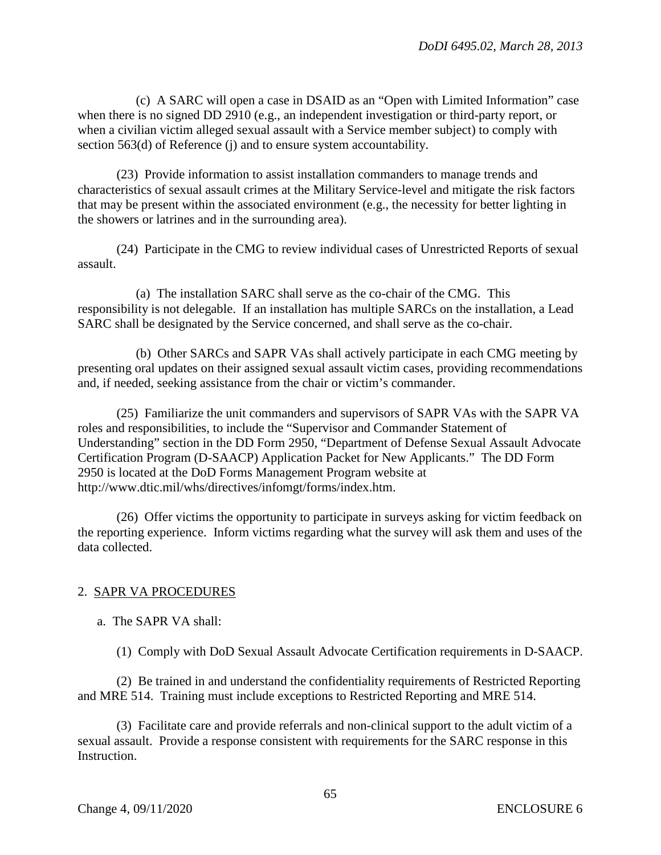(c) A SARC will open a case in DSAID as an "Open with Limited Information" case when there is no signed DD 2910 (e.g., an independent investigation or third-party report, or when a civilian victim alleged sexual assault with a Service member subject) to comply with section 563(d) of Reference (j) and to ensure system accountability.

(23) Provide information to assist installation commanders to manage trends and characteristics of sexual assault crimes at the Military Service-level and mitigate the risk factors that may be present within the associated environment (e.g., the necessity for better lighting in the showers or latrines and in the surrounding area).

(24) Participate in the CMG to review individual cases of Unrestricted Reports of sexual assault.

(a) The installation SARC shall serve as the co-chair of the CMG. This responsibility is not delegable. If an installation has multiple SARCs on the installation, a Lead SARC shall be designated by the Service concerned, and shall serve as the co-chair.

(b) Other SARCs and SAPR VAs shall actively participate in each CMG meeting by presenting oral updates on their assigned sexual assault victim cases, providing recommendations and, if needed, seeking assistance from the chair or victim's commander.

(25) Familiarize the unit commanders and supervisors of SAPR VAs with the SAPR VA roles and responsibilities, to include the "Supervisor and Commander Statement of Understanding" section in the DD Form 2950, "Department of Defense Sexual Assault Advocate Certification Program (D-SAACP) Application Packet for New Applicants." The DD Form 2950 is located at the DoD Forms Management Program website at http://www.dtic.mil/whs/directives/infomgt/forms/index.htm.

(26) Offer victims the opportunity to participate in surveys asking for victim feedback on the reporting experience. Inform victims regarding what the survey will ask them and uses of the data collected.

## 2. SAPR VA PROCEDURES

a. The SAPR VA shall:

(1) Comply with DoD Sexual Assault Advocate Certification requirements in D-SAACP.

(2) Be trained in and understand the confidentiality requirements of Restricted Reporting and MRE 514. Training must include exceptions to Restricted Reporting and MRE 514.

(3) Facilitate care and provide referrals and non-clinical support to the adult victim of a sexual assault. Provide a response consistent with requirements for the SARC response in this Instruction.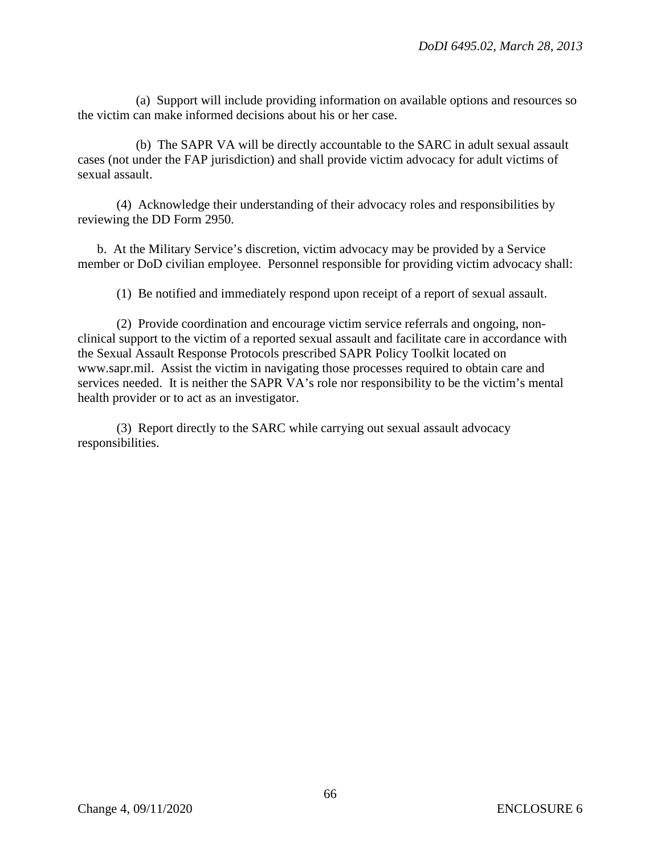(a) Support will include providing information on available options and resources so the victim can make informed decisions about his or her case.

(b) The SAPR VA will be directly accountable to the SARC in adult sexual assault cases (not under the FAP jurisdiction) and shall provide victim advocacy for adult victims of sexual assault.

(4) Acknowledge their understanding of their advocacy roles and responsibilities by reviewing the DD Form 2950.

b. At the Military Service's discretion, victim advocacy may be provided by a Service member or DoD civilian employee. Personnel responsible for providing victim advocacy shall:

(1) Be notified and immediately respond upon receipt of a report of sexual assault.

(2) Provide coordination and encourage victim service referrals and ongoing, nonclinical support to the victim of a reported sexual assault and facilitate care in accordance with the Sexual Assault Response Protocols prescribed SAPR Policy Toolkit located on www.sapr.mil. Assist the victim in navigating those processes required to obtain care and services needed. It is neither the SAPR VA's role nor responsibility to be the victim's mental health provider or to act as an investigator.

(3) Report directly to the SARC while carrying out sexual assault advocacy responsibilities.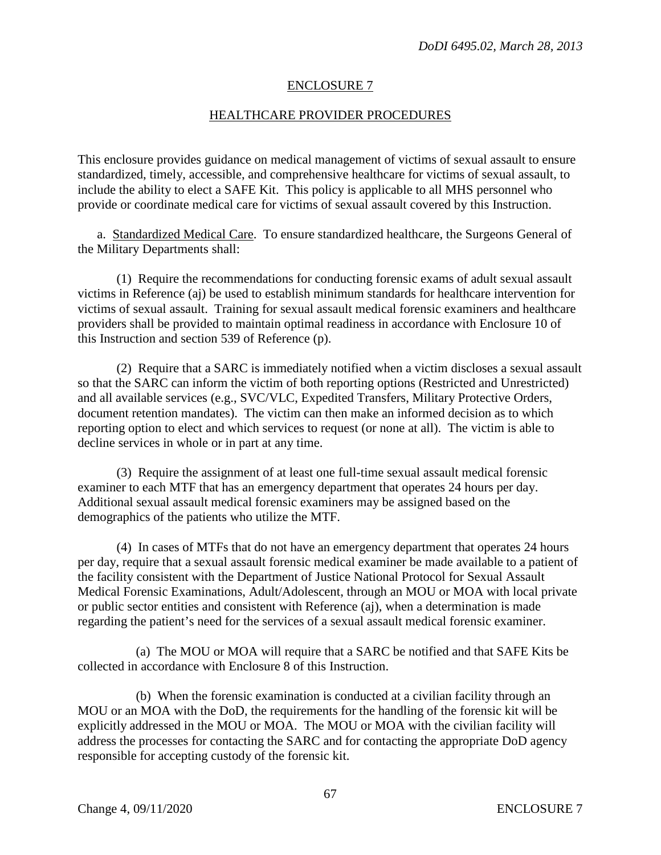### ENCLOSURE 7

### HEALTHCARE PROVIDER PROCEDURES

This enclosure provides guidance on medical management of victims of sexual assault to ensure standardized, timely, accessible, and comprehensive healthcare for victims of sexual assault, to include the ability to elect a SAFE Kit. This policy is applicable to all MHS personnel who provide or coordinate medical care for victims of sexual assault covered by this Instruction.

a. Standardized Medical Care. To ensure standardized healthcare, the Surgeons General of the Military Departments shall:

(1) Require the recommendations for conducting forensic exams of adult sexual assault victims in Reference (aj) be used to establish minimum standards for healthcare intervention for victims of sexual assault. Training for sexual assault medical forensic examiners and healthcare providers shall be provided to maintain optimal readiness in accordance with Enclosure 10 of this Instruction and section 539 of Reference (p).

(2) Require that a SARC is immediately notified when a victim discloses a sexual assault so that the SARC can inform the victim of both reporting options (Restricted and Unrestricted) and all available services (e.g., SVC/VLC, Expedited Transfers, Military Protective Orders, document retention mandates). The victim can then make an informed decision as to which reporting option to elect and which services to request (or none at all). The victim is able to decline services in whole or in part at any time.

(3) Require the assignment of at least one full-time sexual assault medical forensic examiner to each MTF that has an emergency department that operates 24 hours per day. Additional sexual assault medical forensic examiners may be assigned based on the demographics of the patients who utilize the MTF.

(4) In cases of MTFs that do not have an emergency department that operates 24 hours per day, require that a sexual assault forensic medical examiner be made available to a patient of the facility consistent with the Department of Justice National Protocol for Sexual Assault Medical Forensic Examinations, Adult/Adolescent, through an MOU or MOA with local private or public sector entities and consistent with Reference (aj), when a determination is made regarding the patient's need for the services of a sexual assault medical forensic examiner.

(a) The MOU or MOA will require that a SARC be notified and that SAFE Kits be collected in accordance with Enclosure 8 of this Instruction.

(b) When the forensic examination is conducted at a civilian facility through an MOU or an MOA with the DoD, the requirements for the handling of the forensic kit will be explicitly addressed in the MOU or MOA. The MOU or MOA with the civilian facility will address the processes for contacting the SARC and for contacting the appropriate DoD agency responsible for accepting custody of the forensic kit.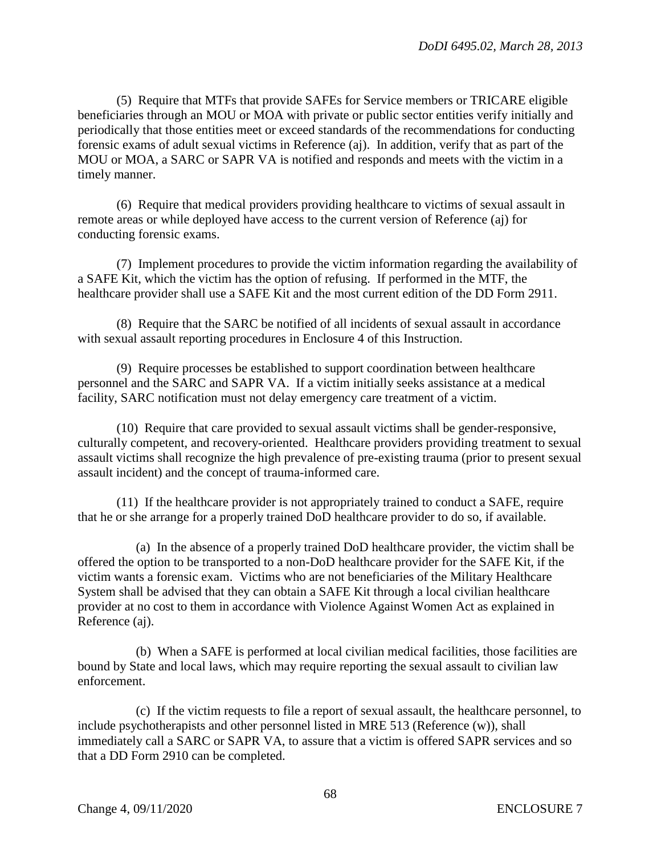(5) Require that MTFs that provide SAFEs for Service members or TRICARE eligible beneficiaries through an MOU or MOA with private or public sector entities verify initially and periodically that those entities meet or exceed standards of the recommendations for conducting forensic exams of adult sexual victims in Reference (aj). In addition, verify that as part of the MOU or MOA, a SARC or SAPR VA is notified and responds and meets with the victim in a timely manner.

(6) Require that medical providers providing healthcare to victims of sexual assault in remote areas or while deployed have access to the current version of Reference (aj) for conducting forensic exams.

(7) Implement procedures to provide the victim information regarding the availability of a SAFE Kit, which the victim has the option of refusing. If performed in the MTF, the healthcare provider shall use a SAFE Kit and the most current edition of the DD Form 2911.

(8) Require that the SARC be notified of all incidents of sexual assault in accordance with sexual assault reporting procedures in Enclosure 4 of this Instruction.

(9) Require processes be established to support coordination between healthcare personnel and the SARC and SAPR VA. If a victim initially seeks assistance at a medical facility, SARC notification must not delay emergency care treatment of a victim.

(10) Require that care provided to sexual assault victims shall be gender-responsive, culturally competent, and recovery-oriented. Healthcare providers providing treatment to sexual assault victims shall recognize the high prevalence of pre-existing trauma (prior to present sexual assault incident) and the concept of trauma-informed care.

(11) If the healthcare provider is not appropriately trained to conduct a SAFE, require that he or she arrange for a properly trained DoD healthcare provider to do so, if available.

(a) In the absence of a properly trained DoD healthcare provider, the victim shall be offered the option to be transported to a non-DoD healthcare provider for the SAFE Kit, if the victim wants a forensic exam. Victims who are not beneficiaries of the Military Healthcare System shall be advised that they can obtain a SAFE Kit through a local civilian healthcare provider at no cost to them in accordance with Violence Against Women Act as explained in Reference (aj).

(b) When a SAFE is performed at local civilian medical facilities, those facilities are bound by State and local laws, which may require reporting the sexual assault to civilian law enforcement.

(c) If the victim requests to file a report of sexual assault, the healthcare personnel, to include psychotherapists and other personnel listed in MRE 513 (Reference (w)), shall immediately call a SARC or SAPR VA, to assure that a victim is offered SAPR services and so that a DD Form 2910 can be completed.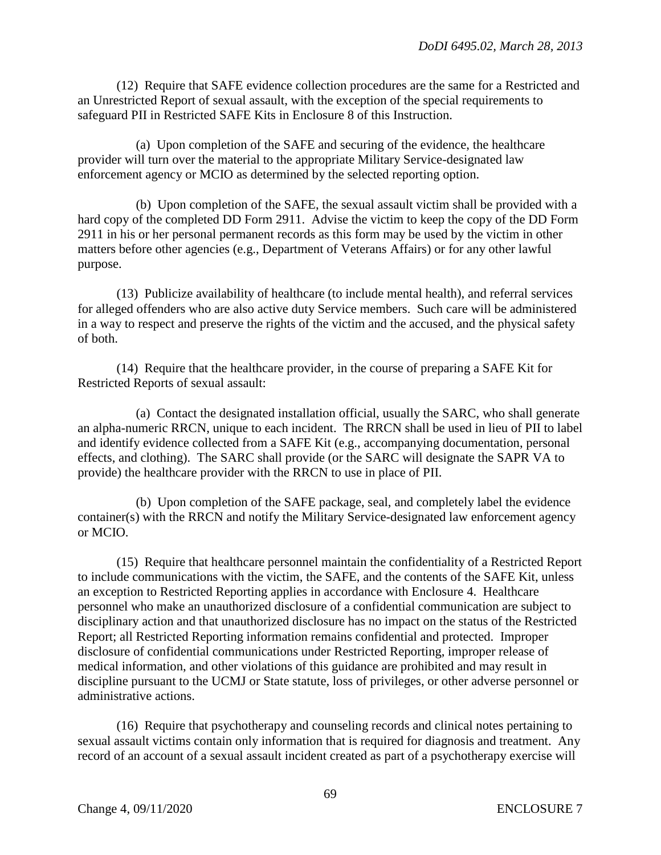(12) Require that SAFE evidence collection procedures are the same for a Restricted and an Unrestricted Report of sexual assault, with the exception of the special requirements to safeguard PII in Restricted SAFE Kits in Enclosure 8 of this Instruction.

(a) Upon completion of the SAFE and securing of the evidence, the healthcare provider will turn over the material to the appropriate Military Service-designated law enforcement agency or MCIO as determined by the selected reporting option.

(b) Upon completion of the SAFE, the sexual assault victim shall be provided with a hard copy of the completed DD Form 2911. Advise the victim to keep the copy of the DD Form 2911 in his or her personal permanent records as this form may be used by the victim in other matters before other agencies (e.g., Department of Veterans Affairs) or for any other lawful purpose.

(13) Publicize availability of healthcare (to include mental health), and referral services for alleged offenders who are also active duty Service members. Such care will be administered in a way to respect and preserve the rights of the victim and the accused, and the physical safety of both.

(14) Require that the healthcare provider, in the course of preparing a SAFE Kit for Restricted Reports of sexual assault:

(a) Contact the designated installation official, usually the SARC, who shall generate an alpha-numeric RRCN, unique to each incident. The RRCN shall be used in lieu of PII to label and identify evidence collected from a SAFE Kit (e.g., accompanying documentation, personal effects, and clothing). The SARC shall provide (or the SARC will designate the SAPR VA to provide) the healthcare provider with the RRCN to use in place of PII.

(b) Upon completion of the SAFE package, seal, and completely label the evidence container(s) with the RRCN and notify the Military Service-designated law enforcement agency or MCIO.

(15) Require that healthcare personnel maintain the confidentiality of a Restricted Report to include communications with the victim, the SAFE, and the contents of the SAFE Kit, unless an exception to Restricted Reporting applies in accordance with Enclosure 4. Healthcare personnel who make an unauthorized disclosure of a confidential communication are subject to disciplinary action and that unauthorized disclosure has no impact on the status of the Restricted Report; all Restricted Reporting information remains confidential and protected. Improper disclosure of confidential communications under Restricted Reporting, improper release of medical information, and other violations of this guidance are prohibited and may result in discipline pursuant to the UCMJ or State statute, loss of privileges, or other adverse personnel or administrative actions.

(16) Require that psychotherapy and counseling records and clinical notes pertaining to sexual assault victims contain only information that is required for diagnosis and treatment. Any record of an account of a sexual assault incident created as part of a psychotherapy exercise will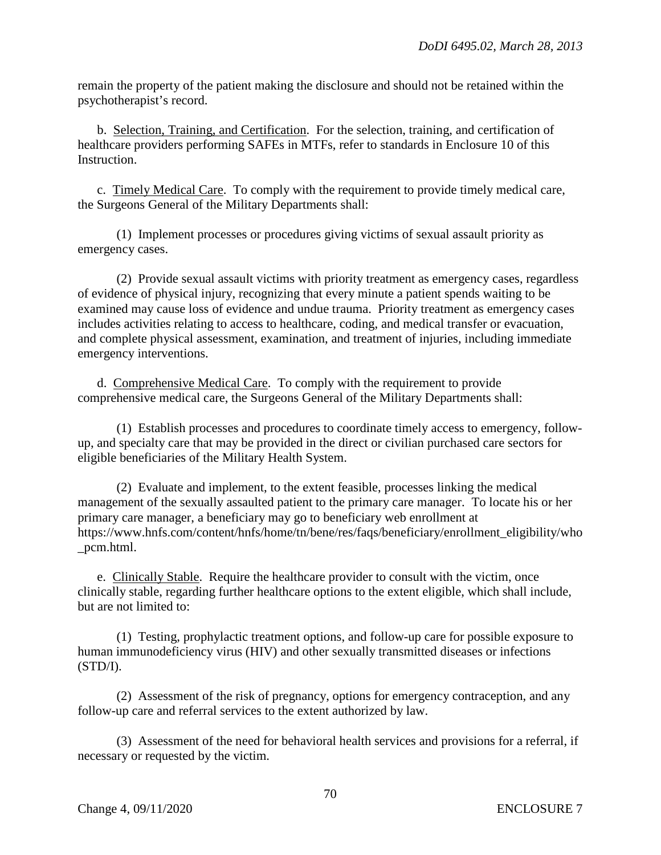remain the property of the patient making the disclosure and should not be retained within the psychotherapist's record.

b. Selection, Training, and Certification. For the selection, training, and certification of healthcare providers performing SAFEs in MTFs, refer to standards in Enclosure 10 of this Instruction.

c. Timely Medical Care. To comply with the requirement to provide timely medical care, the Surgeons General of the Military Departments shall:

(1) Implement processes or procedures giving victims of sexual assault priority as emergency cases.

(2) Provide sexual assault victims with priority treatment as emergency cases, regardless of evidence of physical injury, recognizing that every minute a patient spends waiting to be examined may cause loss of evidence and undue trauma. Priority treatment as emergency cases includes activities relating to access to healthcare, coding, and medical transfer or evacuation, and complete physical assessment, examination, and treatment of injuries, including immediate emergency interventions.

d. Comprehensive Medical Care. To comply with the requirement to provide comprehensive medical care, the Surgeons General of the Military Departments shall:

(1) Establish processes and procedures to coordinate timely access to emergency, followup, and specialty care that may be provided in the direct or civilian purchased care sectors for eligible beneficiaries of the Military Health System.

(2) Evaluate and implement, to the extent feasible, processes linking the medical management of the sexually assaulted patient to the primary care manager. To locate his or her primary care manager, a beneficiary may go to beneficiary web enrollment at https://www.hnfs.com/content/hnfs/home/tn/bene/res/faqs/beneficiary/enrollment\_eligibility/who \_pcm.html.

e. Clinically Stable. Require the healthcare provider to consult with the victim, once clinically stable, regarding further healthcare options to the extent eligible, which shall include, but are not limited to:

(1) Testing, prophylactic treatment options, and follow-up care for possible exposure to human immunodeficiency virus (HIV) and other sexually transmitted diseases or infections (STD/I).

(2) Assessment of the risk of pregnancy, options for emergency contraception, and any follow-up care and referral services to the extent authorized by law.

(3) Assessment of the need for behavioral health services and provisions for a referral, if necessary or requested by the victim.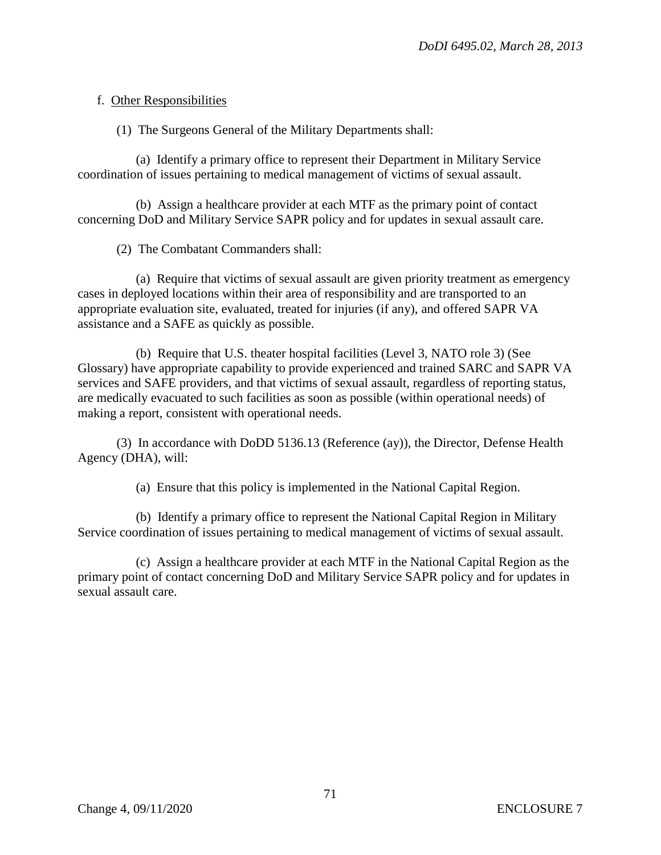## f. Other Responsibilities

(1) The Surgeons General of the Military Departments shall:

(a) Identify a primary office to represent their Department in Military Service coordination of issues pertaining to medical management of victims of sexual assault.

(b) Assign a healthcare provider at each MTF as the primary point of contact concerning DoD and Military Service SAPR policy and for updates in sexual assault care.

(2) The Combatant Commanders shall:

(a) Require that victims of sexual assault are given priority treatment as emergency cases in deployed locations within their area of responsibility and are transported to an appropriate evaluation site, evaluated, treated for injuries (if any), and offered SAPR VA assistance and a SAFE as quickly as possible.

(b) Require that U.S. theater hospital facilities (Level 3, NATO role 3) (See Glossary) have appropriate capability to provide experienced and trained SARC and SAPR VA services and SAFE providers, and that victims of sexual assault, regardless of reporting status, are medically evacuated to such facilities as soon as possible (within operational needs) of making a report, consistent with operational needs.

(3) In accordance with DoDD 5136.13 (Reference (ay)), the Director, Defense Health Agency (DHA), will:

(a) Ensure that this policy is implemented in the National Capital Region.

(b) Identify a primary office to represent the National Capital Region in Military Service coordination of issues pertaining to medical management of victims of sexual assault.

(c) Assign a healthcare provider at each MTF in the National Capital Region as the primary point of contact concerning DoD and Military Service SAPR policy and for updates in sexual assault care.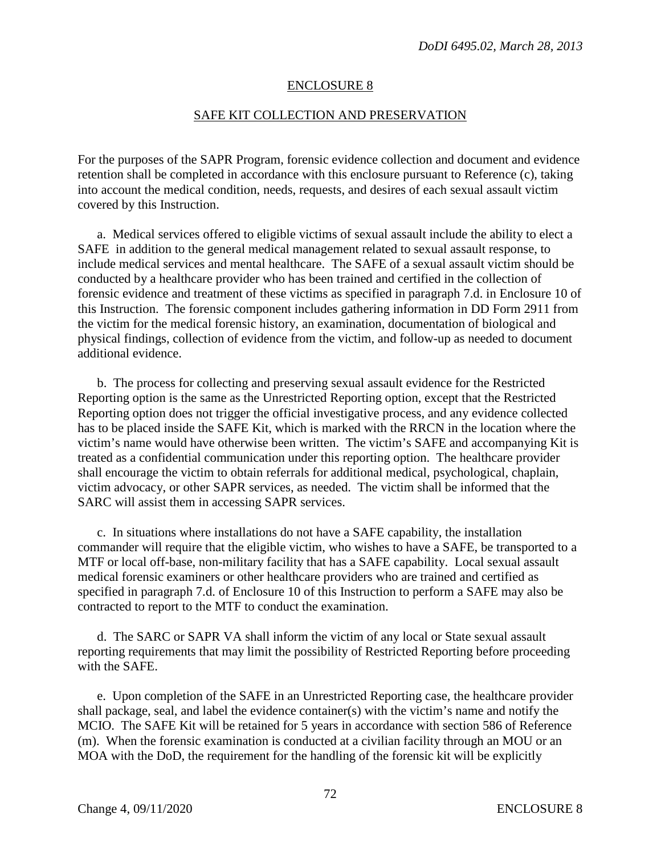#### ENCLOSURE 8

#### SAFE KIT COLLECTION AND PRESERVATION

For the purposes of the SAPR Program, forensic evidence collection and document and evidence retention shall be completed in accordance with this enclosure pursuant to Reference (c), taking into account the medical condition, needs, requests, and desires of each sexual assault victim covered by this Instruction.

a. Medical services offered to eligible victims of sexual assault include the ability to elect a SAFE in addition to the general medical management related to sexual assault response, to include medical services and mental healthcare. The SAFE of a sexual assault victim should be conducted by a healthcare provider who has been trained and certified in the collection of forensic evidence and treatment of these victims as specified in paragraph 7.d. in Enclosure 10 of this Instruction. The forensic component includes gathering information in DD Form 2911 from the victim for the medical forensic history, an examination, documentation of biological and physical findings, collection of evidence from the victim, and follow-up as needed to document additional evidence.

b. The process for collecting and preserving sexual assault evidence for the Restricted Reporting option is the same as the Unrestricted Reporting option, except that the Restricted Reporting option does not trigger the official investigative process, and any evidence collected has to be placed inside the SAFE Kit, which is marked with the RRCN in the location where the victim's name would have otherwise been written. The victim's SAFE and accompanying Kit is treated as a confidential communication under this reporting option. The healthcare provider shall encourage the victim to obtain referrals for additional medical, psychological, chaplain, victim advocacy, or other SAPR services, as needed. The victim shall be informed that the SARC will assist them in accessing SAPR services.

c. In situations where installations do not have a SAFE capability, the installation commander will require that the eligible victim, who wishes to have a SAFE, be transported to a MTF or local off-base, non-military facility that has a SAFE capability. Local sexual assault medical forensic examiners or other healthcare providers who are trained and certified as specified in paragraph 7.d. of Enclosure 10 of this Instruction to perform a SAFE may also be contracted to report to the MTF to conduct the examination.

d. The SARC or SAPR VA shall inform the victim of any local or State sexual assault reporting requirements that may limit the possibility of Restricted Reporting before proceeding with the SAFE.

e. Upon completion of the SAFE in an Unrestricted Reporting case, the healthcare provider shall package, seal, and label the evidence container(s) with the victim's name and notify the MCIO. The SAFE Kit will be retained for 5 years in accordance with section 586 of Reference (m). When the forensic examination is conducted at a civilian facility through an MOU or an MOA with the DoD, the requirement for the handling of the forensic kit will be explicitly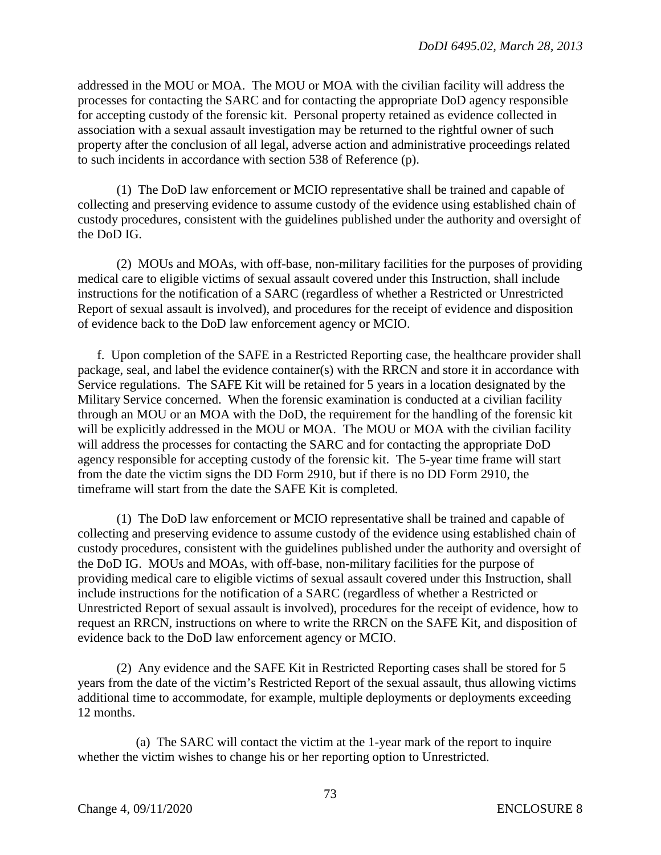addressed in the MOU or MOA. The MOU or MOA with the civilian facility will address the processes for contacting the SARC and for contacting the appropriate DoD agency responsible for accepting custody of the forensic kit. Personal property retained as evidence collected in association with a sexual assault investigation may be returned to the rightful owner of such property after the conclusion of all legal, adverse action and administrative proceedings related to such incidents in accordance with section 538 of Reference (p).

(1) The DoD law enforcement or MCIO representative shall be trained and capable of collecting and preserving evidence to assume custody of the evidence using established chain of custody procedures, consistent with the guidelines published under the authority and oversight of the DoD IG.

(2) MOUs and MOAs, with off-base, non-military facilities for the purposes of providing medical care to eligible victims of sexual assault covered under this Instruction, shall include instructions for the notification of a SARC (regardless of whether a Restricted or Unrestricted Report of sexual assault is involved), and procedures for the receipt of evidence and disposition of evidence back to the DoD law enforcement agency or MCIO.

f. Upon completion of the SAFE in a Restricted Reporting case, the healthcare provider shall package, seal, and label the evidence container(s) with the RRCN and store it in accordance with Service regulations. The SAFE Kit will be retained for 5 years in a location designated by the Military Service concerned. When the forensic examination is conducted at a civilian facility through an MOU or an MOA with the DoD, the requirement for the handling of the forensic kit will be explicitly addressed in the MOU or MOA. The MOU or MOA with the civilian facility will address the processes for contacting the SARC and for contacting the appropriate DoD agency responsible for accepting custody of the forensic kit. The 5-year time frame will start from the date the victim signs the DD Form 2910, but if there is no DD Form 2910, the timeframe will start from the date the SAFE Kit is completed.

(1) The DoD law enforcement or MCIO representative shall be trained and capable of collecting and preserving evidence to assume custody of the evidence using established chain of custody procedures, consistent with the guidelines published under the authority and oversight of the DoD IG. MOUs and MOAs, with off-base, non-military facilities for the purpose of providing medical care to eligible victims of sexual assault covered under this Instruction, shall include instructions for the notification of a SARC (regardless of whether a Restricted or Unrestricted Report of sexual assault is involved), procedures for the receipt of evidence, how to request an RRCN, instructions on where to write the RRCN on the SAFE Kit, and disposition of evidence back to the DoD law enforcement agency or MCIO.

(2) Any evidence and the SAFE Kit in Restricted Reporting cases shall be stored for 5 years from the date of the victim's Restricted Report of the sexual assault, thus allowing victims additional time to accommodate, for example, multiple deployments or deployments exceeding 12 months.

(a) The SARC will contact the victim at the 1-year mark of the report to inquire whether the victim wishes to change his or her reporting option to Unrestricted.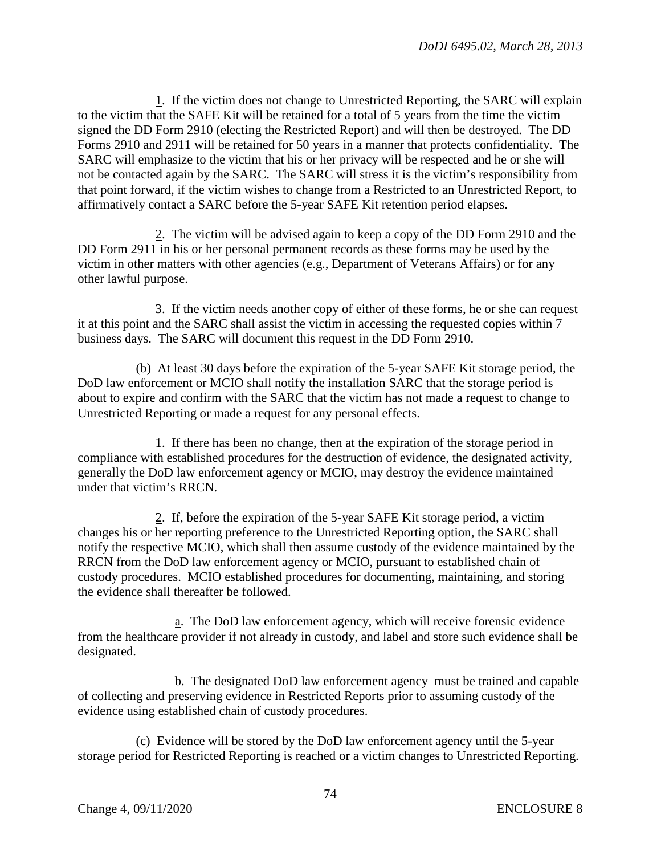1. If the victim does not change to Unrestricted Reporting, the SARC will explain to the victim that the SAFE Kit will be retained for a total of 5 years from the time the victim signed the DD Form 2910 (electing the Restricted Report) and will then be destroyed. The DD Forms 2910 and 2911 will be retained for 50 years in a manner that protects confidentiality. The SARC will emphasize to the victim that his or her privacy will be respected and he or she will not be contacted again by the SARC. The SARC will stress it is the victim's responsibility from that point forward, if the victim wishes to change from a Restricted to an Unrestricted Report, to affirmatively contact a SARC before the 5-year SAFE Kit retention period elapses.

2. The victim will be advised again to keep a copy of the DD Form 2910 and the DD Form 2911 in his or her personal permanent records as these forms may be used by the victim in other matters with other agencies (e.g., Department of Veterans Affairs) or for any other lawful purpose.

3. If the victim needs another copy of either of these forms, he or she can request it at this point and the SARC shall assist the victim in accessing the requested copies within 7 business days. The SARC will document this request in the DD Form 2910.

(b) At least 30 days before the expiration of the 5-year SAFE Kit storage period, the DoD law enforcement or MCIO shall notify the installation SARC that the storage period is about to expire and confirm with the SARC that the victim has not made a request to change to Unrestricted Reporting or made a request for any personal effects.

1. If there has been no change, then at the expiration of the storage period in compliance with established procedures for the destruction of evidence, the designated activity, generally the DoD law enforcement agency or MCIO, may destroy the evidence maintained under that victim's RRCN.

2. If, before the expiration of the 5-year SAFE Kit storage period, a victim changes his or her reporting preference to the Unrestricted Reporting option, the SARC shall notify the respective MCIO, which shall then assume custody of the evidence maintained by the RRCN from the DoD law enforcement agency or MCIO, pursuant to established chain of custody procedures. MCIO established procedures for documenting, maintaining, and storing the evidence shall thereafter be followed.

a. The DoD law enforcement agency, which will receive forensic evidence from the healthcare provider if not already in custody, and label and store such evidence shall be designated.

b. The designated DoD law enforcement agency must be trained and capable of collecting and preserving evidence in Restricted Reports prior to assuming custody of the evidence using established chain of custody procedures.

(c) Evidence will be stored by the DoD law enforcement agency until the 5-year storage period for Restricted Reporting is reached or a victim changes to Unrestricted Reporting.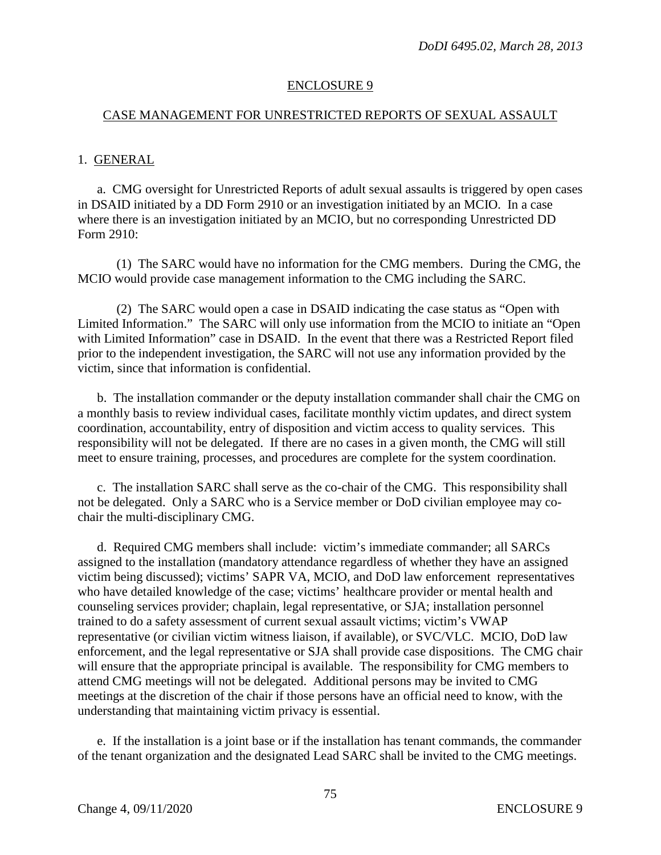## ENCLOSURE 9

## CASE MANAGEMENT FOR UNRESTRICTED REPORTS OF SEXUAL ASSAULT

## 1. GENERAL

a. CMG oversight for Unrestricted Reports of adult sexual assaults is triggered by open cases in DSAID initiated by a DD Form 2910 or an investigation initiated by an MCIO. In a case where there is an investigation initiated by an MCIO, but no corresponding Unrestricted DD Form 2910:

(1) The SARC would have no information for the CMG members. During the CMG, the MCIO would provide case management information to the CMG including the SARC.

(2) The SARC would open a case in DSAID indicating the case status as "Open with Limited Information." The SARC will only use information from the MCIO to initiate an "Open with Limited Information" case in DSAID. In the event that there was a Restricted Report filed prior to the independent investigation, the SARC will not use any information provided by the victim, since that information is confidential.

b. The installation commander or the deputy installation commander shall chair the CMG on a monthly basis to review individual cases, facilitate monthly victim updates, and direct system coordination, accountability, entry of disposition and victim access to quality services. This responsibility will not be delegated. If there are no cases in a given month, the CMG will still meet to ensure training, processes, and procedures are complete for the system coordination.

c. The installation SARC shall serve as the co-chair of the CMG. This responsibility shall not be delegated. Only a SARC who is a Service member or DoD civilian employee may cochair the multi-disciplinary CMG.

d. Required CMG members shall include: victim's immediate commander; all SARCs assigned to the installation (mandatory attendance regardless of whether they have an assigned victim being discussed); victims' SAPR VA, MCIO, and DoD law enforcement representatives who have detailed knowledge of the case; victims' healthcare provider or mental health and counseling services provider; chaplain, legal representative, or SJA; installation personnel trained to do a safety assessment of current sexual assault victims; victim's VWAP representative (or civilian victim witness liaison, if available), or SVC/VLC. MCIO, DoD law enforcement, and the legal representative or SJA shall provide case dispositions. The CMG chair will ensure that the appropriate principal is available. The responsibility for CMG members to attend CMG meetings will not be delegated. Additional persons may be invited to CMG meetings at the discretion of the chair if those persons have an official need to know, with the understanding that maintaining victim privacy is essential.

e. If the installation is a joint base or if the installation has tenant commands, the commander of the tenant organization and the designated Lead SARC shall be invited to the CMG meetings.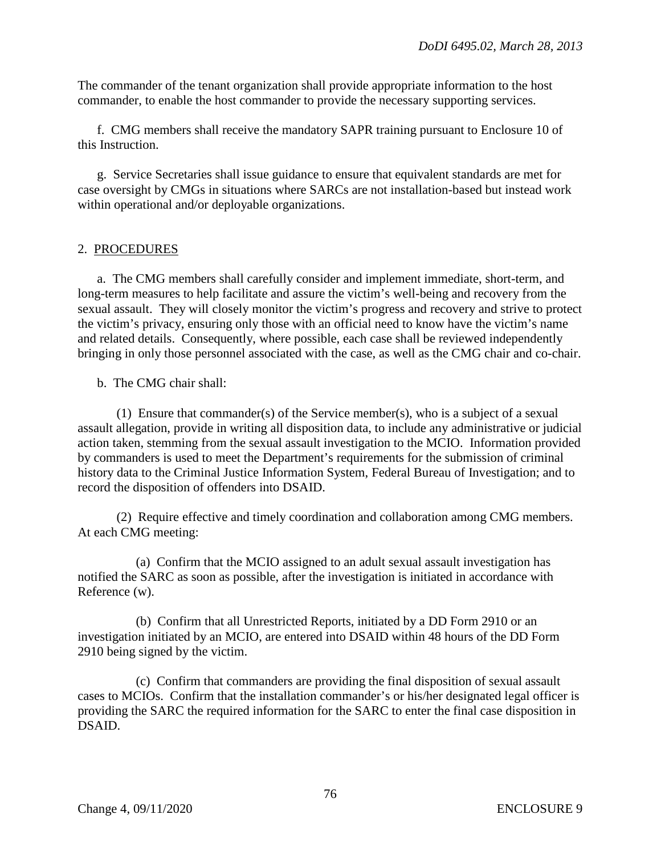The commander of the tenant organization shall provide appropriate information to the host commander, to enable the host commander to provide the necessary supporting services.

f. CMG members shall receive the mandatory SAPR training pursuant to Enclosure 10 of this Instruction.

g. Service Secretaries shall issue guidance to ensure that equivalent standards are met for case oversight by CMGs in situations where SARCs are not installation-based but instead work within operational and/or deployable organizations.

# 2. PROCEDURES

a. The CMG members shall carefully consider and implement immediate, short-term, and long-term measures to help facilitate and assure the victim's well-being and recovery from the sexual assault. They will closely monitor the victim's progress and recovery and strive to protect the victim's privacy, ensuring only those with an official need to know have the victim's name and related details. Consequently, where possible, each case shall be reviewed independently bringing in only those personnel associated with the case, as well as the CMG chair and co-chair.

b. The CMG chair shall:

(1) Ensure that commander(s) of the Service member(s), who is a subject of a sexual assault allegation, provide in writing all disposition data, to include any administrative or judicial action taken, stemming from the sexual assault investigation to the MCIO. Information provided by commanders is used to meet the Department's requirements for the submission of criminal history data to the Criminal Justice Information System, Federal Bureau of Investigation; and to record the disposition of offenders into DSAID.

(2) Require effective and timely coordination and collaboration among CMG members. At each CMG meeting:

(a) Confirm that the MCIO assigned to an adult sexual assault investigation has notified the SARC as soon as possible, after the investigation is initiated in accordance with Reference (w).

(b) Confirm that all Unrestricted Reports, initiated by a DD Form 2910 or an investigation initiated by an MCIO, are entered into DSAID within 48 hours of the DD Form 2910 being signed by the victim.

(c) Confirm that commanders are providing the final disposition of sexual assault cases to MCIOs. Confirm that the installation commander's or his/her designated legal officer is providing the SARC the required information for the SARC to enter the final case disposition in DSAID.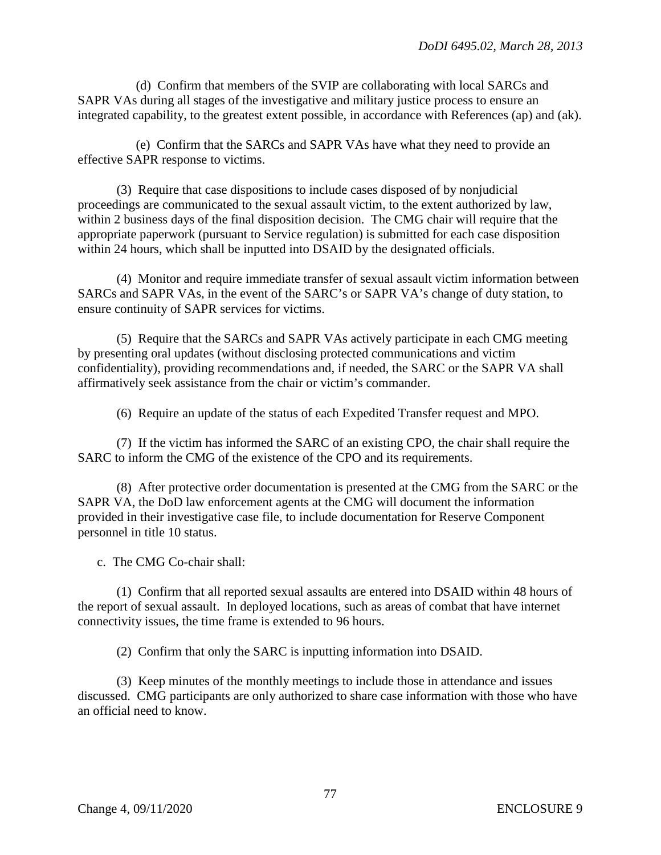(d) Confirm that members of the SVIP are collaborating with local SARCs and SAPR VAs during all stages of the investigative and military justice process to ensure an integrated capability, to the greatest extent possible, in accordance with References (ap) and (ak).

(e) Confirm that the SARCs and SAPR VAs have what they need to provide an effective SAPR response to victims.

 (3) Require that case dispositions to include cases disposed of by nonjudicial proceedings are communicated to the sexual assault victim, to the extent authorized by law, within 2 business days of the final disposition decision. The CMG chair will require that the appropriate paperwork (pursuant to Service regulation) is submitted for each case disposition within 24 hours, which shall be inputted into DSAID by the designated officials.

 (4) Monitor and require immediate transfer of sexual assault victim information between SARCs and SAPR VAs, in the event of the SARC's or SAPR VA's change of duty station, to ensure continuity of SAPR services for victims.

 (5) Require that the SARCs and SAPR VAs actively participate in each CMG meeting by presenting oral updates (without disclosing protected communications and victim confidentiality), providing recommendations and, if needed, the SARC or the SAPR VA shall affirmatively seek assistance from the chair or victim's commander.

(6) Require an update of the status of each Expedited Transfer request and MPO.

 (7) If the victim has informed the SARC of an existing CPO, the chair shall require the SARC to inform the CMG of the existence of the CPO and its requirements.

 (8) After protective order documentation is presented at the CMG from the SARC or the SAPR VA, the DoD law enforcement agents at the CMG will document the information provided in their investigative case file, to include documentation for Reserve Component personnel in title 10 status.

c. The CMG Co-chair shall:

(1) Confirm that all reported sexual assaults are entered into DSAID within 48 hours of the report of sexual assault. In deployed locations, such as areas of combat that have internet connectivity issues, the time frame is extended to 96 hours.

(2) Confirm that only the SARC is inputting information into DSAID.

(3) Keep minutes of the monthly meetings to include those in attendance and issues discussed. CMG participants are only authorized to share case information with those who have an official need to know.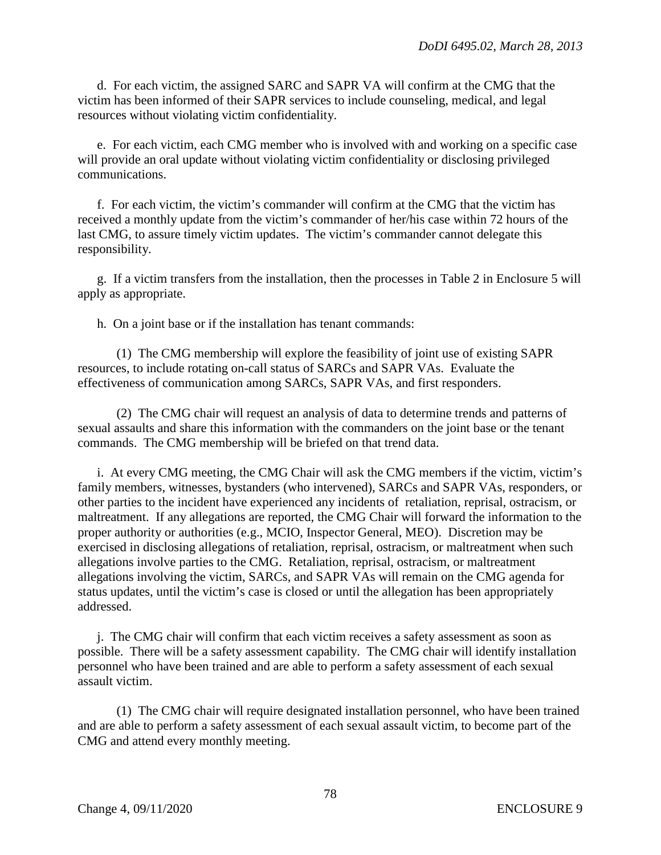d. For each victim, the assigned SARC and SAPR VA will confirm at the CMG that the victim has been informed of their SAPR services to include counseling, medical, and legal resources without violating victim confidentiality.

e. For each victim, each CMG member who is involved with and working on a specific case will provide an oral update without violating victim confidentiality or disclosing privileged communications.

f. For each victim, the victim's commander will confirm at the CMG that the victim has received a monthly update from the victim's commander of her/his case within 72 hours of the last CMG, to assure timely victim updates. The victim's commander cannot delegate this responsibility.

g. If a victim transfers from the installation, then the processes in Table 2 in Enclosure 5 will apply as appropriate.

h. On a joint base or if the installation has tenant commands:

(1) The CMG membership will explore the feasibility of joint use of existing SAPR resources, to include rotating on-call status of SARCs and SAPR VAs. Evaluate the effectiveness of communication among SARCs, SAPR VAs, and first responders.

(2) The CMG chair will request an analysis of data to determine trends and patterns of sexual assaults and share this information with the commanders on the joint base or the tenant commands. The CMG membership will be briefed on that trend data.

i. At every CMG meeting, the CMG Chair will ask the CMG members if the victim, victim's family members, witnesses, bystanders (who intervened), SARCs and SAPR VAs, responders, or other parties to the incident have experienced any incidents of retaliation, reprisal, ostracism, or maltreatment. If any allegations are reported, the CMG Chair will forward the information to the proper authority or authorities (e.g., MCIO, Inspector General, MEO). Discretion may be exercised in disclosing allegations of retaliation, reprisal, ostracism, or maltreatment when such allegations involve parties to the CMG. Retaliation, reprisal, ostracism, or maltreatment allegations involving the victim, SARCs, and SAPR VAs will remain on the CMG agenda for status updates, until the victim's case is closed or until the allegation has been appropriately addressed.

j. The CMG chair will confirm that each victim receives a safety assessment as soon as possible. There will be a safety assessment capability. The CMG chair will identify installation personnel who have been trained and are able to perform a safety assessment of each sexual assault victim.

(1) The CMG chair will require designated installation personnel, who have been trained and are able to perform a safety assessment of each sexual assault victim, to become part of the CMG and attend every monthly meeting.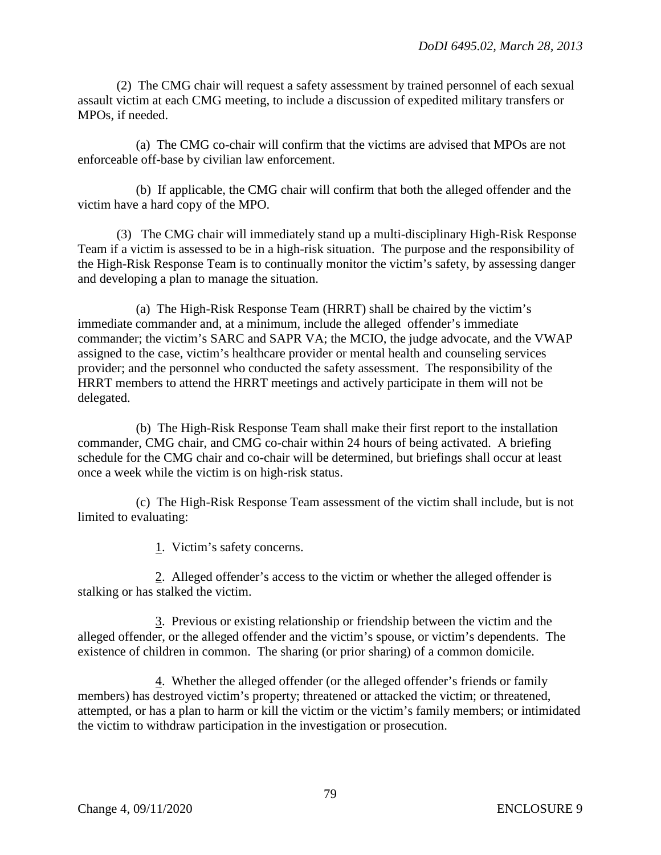(2) The CMG chair will request a safety assessment by trained personnel of each sexual assault victim at each CMG meeting, to include a discussion of expedited military transfers or MPOs, if needed.

(a) The CMG co-chair will confirm that the victims are advised that MPOs are not enforceable off-base by civilian law enforcement.

(b) If applicable, the CMG chair will confirm that both the alleged offender and the victim have a hard copy of the MPO.

(3) The CMG chair will immediately stand up a multi-disciplinary High-Risk Response Team if a victim is assessed to be in a high-risk situation. The purpose and the responsibility of the High-Risk Response Team is to continually monitor the victim's safety, by assessing danger and developing a plan to manage the situation.

(a) The High-Risk Response Team (HRRT) shall be chaired by the victim's immediate commander and, at a minimum, include the alleged offender's immediate commander; the victim's SARC and SAPR VA; the MCIO, the judge advocate, and the VWAP assigned to the case, victim's healthcare provider or mental health and counseling services provider; and the personnel who conducted the safety assessment. The responsibility of the HRRT members to attend the HRRT meetings and actively participate in them will not be delegated.

(b) The High-Risk Response Team shall make their first report to the installation commander, CMG chair, and CMG co-chair within 24 hours of being activated. A briefing schedule for the CMG chair and co-chair will be determined, but briefings shall occur at least once a week while the victim is on high-risk status.

(c) The High-Risk Response Team assessment of the victim shall include, but is not limited to evaluating:

1. Victim's safety concerns.

2. Alleged offender's access to the victim or whether the alleged offender is stalking or has stalked the victim.

3. Previous or existing relationship or friendship between the victim and the alleged offender, or the alleged offender and the victim's spouse, or victim's dependents. The existence of children in common. The sharing (or prior sharing) of a common domicile.

4. Whether the alleged offender (or the alleged offender's friends or family members) has destroyed victim's property; threatened or attacked the victim; or threatened, attempted, or has a plan to harm or kill the victim or the victim's family members; or intimidated the victim to withdraw participation in the investigation or prosecution.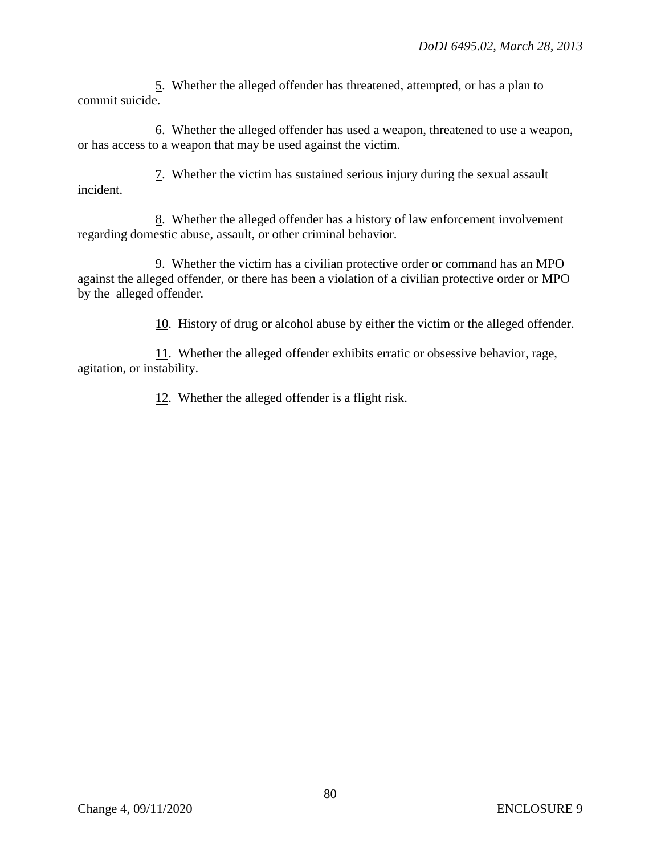5. Whether the alleged offender has threatened, attempted, or has a plan to commit suicide.

6. Whether the alleged offender has used a weapon, threatened to use a weapon, or has access to a weapon that may be used against the victim.

7. Whether the victim has sustained serious injury during the sexual assault incident.

8. Whether the alleged offender has a history of law enforcement involvement regarding domestic abuse, assault, or other criminal behavior.

9. Whether the victim has a civilian protective order or command has an MPO against the alleged offender, or there has been a violation of a civilian protective order or MPO by the alleged offender*.* 

10. History of drug or alcohol abuse by either the victim or the alleged offender.

11. Whether the alleged offender exhibits erratic or obsessive behavior, rage, agitation, or instability.

12. Whether the alleged offender is a flight risk.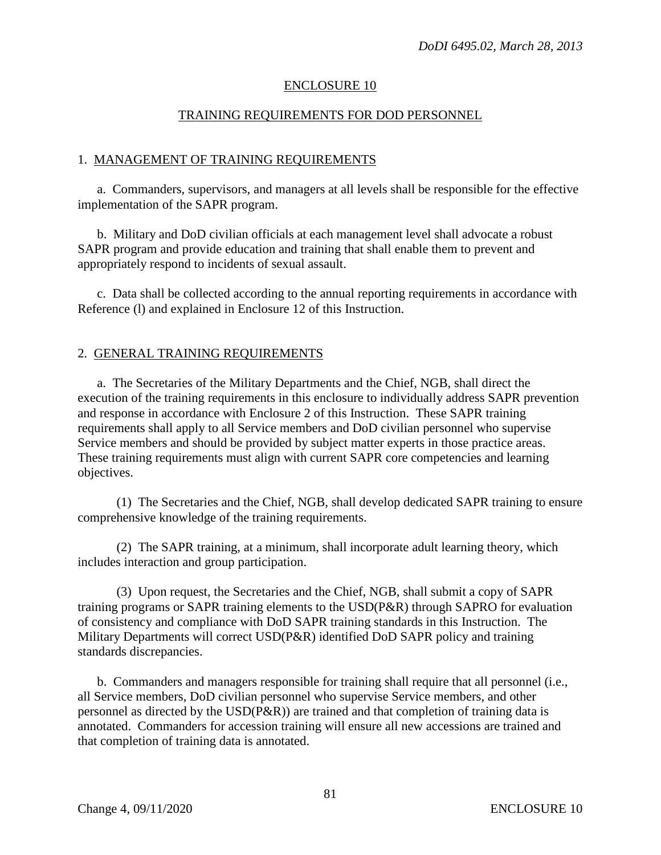## ENCLOSURE 10

### TRAINING REQUIREMENTS FOR DOD PERSONNEL

### 1. MANAGEMENT OF TRAINING REQUIREMENTS

a. Commanders, supervisors, and managers at all levels shall be responsible for the effective implementation of the SAPR program.

b. Military and DoD civilian officials at each management level shall advocate a robust SAPR program and provide education and training that shall enable them to prevent and appropriately respond to incidents of sexual assault.

 c. Data shall be collected according to the annual reporting requirements in accordance with Reference (l) and explained in Enclosure 12 of this Instruction.

#### 2. GENERAL TRAINING REQUIREMENTS

a. The Secretaries of the Military Departments and the Chief, NGB, shall direct the execution of the training requirements in this enclosure to individually address SAPR prevention and response in accordance with Enclosure 2 of this Instruction. These SAPR training requirements shall apply to all Service members and DoD civilian personnel who supervise Service members and should be provided by subject matter experts in those practice areas. These training requirements must align with current SAPR core competencies and learning objectives.

(1) The Secretaries and the Chief, NGB, shall develop dedicated SAPR training to ensure comprehensive knowledge of the training requirements.

(2) The SAPR training, at a minimum, shall incorporate adult learning theory, which includes interaction and group participation.

(3) Upon request, the Secretaries and the Chief, NGB, shall submit a copy of SAPR training programs or SAPR training elements to the USD(P&R) through SAPRO for evaluation of consistency and compliance with DoD SAPR training standards in this Instruction. The Military Departments will correct USD(P&R) identified DoD SAPR policy and training standards discrepancies.

b. Commanders and managers responsible for training shall require that all personnel (i.e., all Service members, DoD civilian personnel who supervise Service members, and other personnel as directed by the USD(P&R)) are trained and that completion of training data is annotated. Commanders for accession training will ensure all new accessions are trained and that completion of training data is annotated.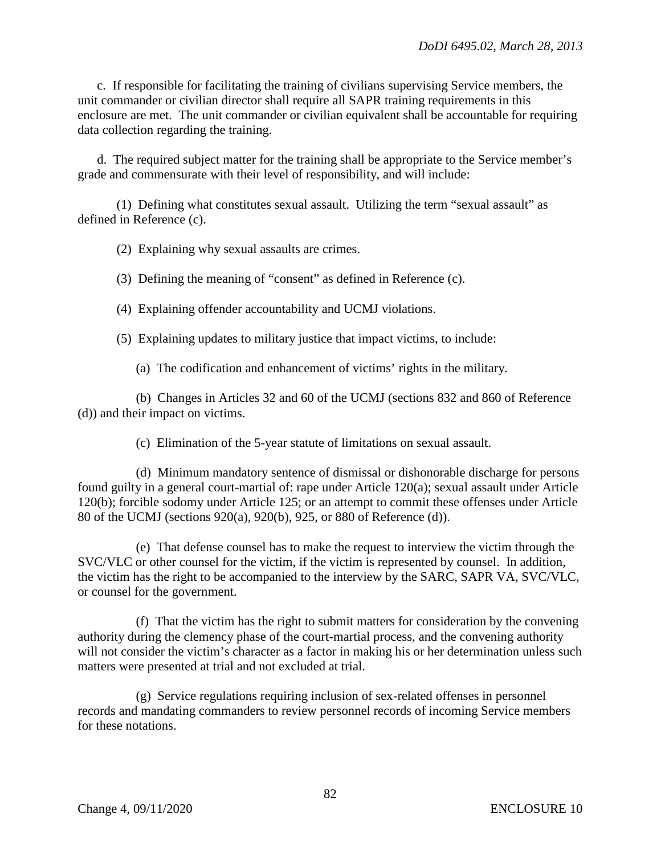c. If responsible for facilitating the training of civilians supervising Service members, the unit commander or civilian director shall require all SAPR training requirements in this enclosure are met. The unit commander or civilian equivalent shall be accountable for requiring data collection regarding the training.

d. The required subject matter for the training shall be appropriate to the Service member's grade and commensurate with their level of responsibility, and will include:

(1) Defining what constitutes sexual assault. Utilizing the term "sexual assault" as defined in Reference (c).

(2) Explaining why sexual assaults are crimes.

(3) Defining the meaning of "consent" as defined in Reference (c).

(4) Explaining offender accountability and UCMJ violations.

(5) Explaining updates to military justice that impact victims, to include:

(a) The codification and enhancement of victims' rights in the military.

(b) Changes in Articles 32 and 60 of the UCMJ (sections 832 and 860 of Reference (d)) and their impact on victims.

(c) Elimination of the 5-year statute of limitations on sexual assault.

(d) Minimum mandatory sentence of dismissal or dishonorable discharge for persons found guilty in a general court-martial of: rape under Article 120(a); sexual assault under Article 120(b); forcible sodomy under Article 125; or an attempt to commit these offenses under Article 80 of the UCMJ (sections 920(a), 920(b), 925, or 880 of Reference (d)).

(e) That defense counsel has to make the request to interview the victim through the SVC/VLC or other counsel for the victim, if the victim is represented by counsel. In addition, the victim has the right to be accompanied to the interview by the SARC, SAPR VA, SVC/VLC, or counsel for the government.

(f) That the victim has the right to submit matters for consideration by the convening authority during the clemency phase of the court-martial process, and the convening authority will not consider the victim's character as a factor in making his or her determination unless such matters were presented at trial and not excluded at trial.

(g) Service regulations requiring inclusion of sex-related offenses in personnel records and mandating commanders to review personnel records of incoming Service members for these notations.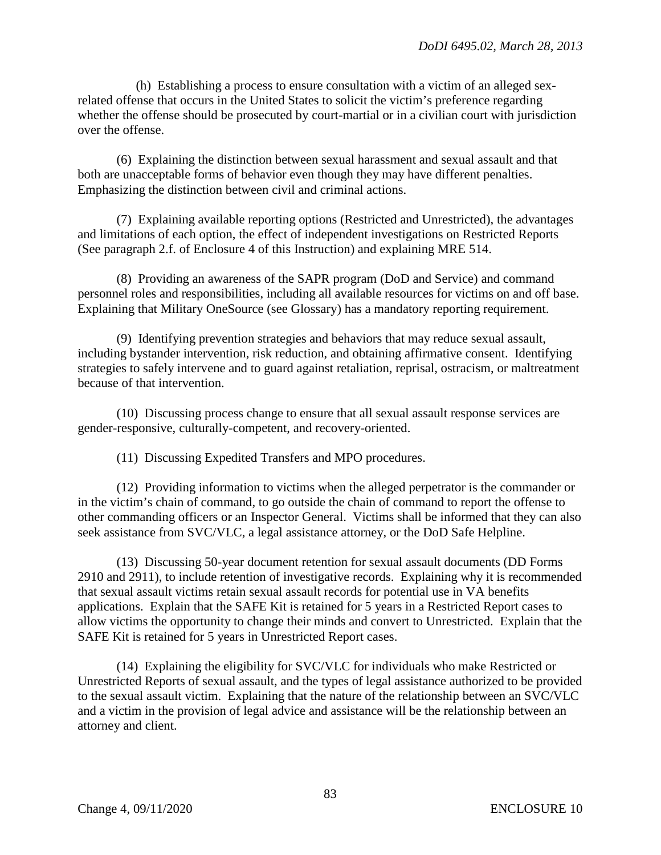(h) Establishing a process to ensure consultation with a victim of an alleged sexrelated offense that occurs in the United States to solicit the victim's preference regarding whether the offense should be prosecuted by court-martial or in a civilian court with jurisdiction over the offense.

(6) Explaining the distinction between sexual harassment and sexual assault and that both are unacceptable forms of behavior even though they may have different penalties. Emphasizing the distinction between civil and criminal actions.

(7) Explaining available reporting options (Restricted and Unrestricted), the advantages and limitations of each option, the effect of independent investigations on Restricted Reports (See paragraph 2.f. of Enclosure 4 of this Instruction) and explaining MRE 514.

(8) Providing an awareness of the SAPR program (DoD and Service) and command personnel roles and responsibilities, including all available resources for victims on and off base. Explaining that Military OneSource (see Glossary) has a mandatory reporting requirement.

(9) Identifying prevention strategies and behaviors that may reduce sexual assault, including bystander intervention, risk reduction, and obtaining affirmative consent. Identifying strategies to safely intervene and to guard against retaliation, reprisal, ostracism, or maltreatment because of that intervention.

(10) Discussing process change to ensure that all sexual assault response services are gender-responsive, culturally-competent, and recovery-oriented.

(11) Discussing Expedited Transfers and MPO procedures.

(12) Providing information to victims when the alleged perpetrator is the commander or in the victim's chain of command, to go outside the chain of command to report the offense to other commanding officers or an Inspector General. Victims shall be informed that they can also seek assistance from SVC/VLC, a legal assistance attorney, or the DoD Safe Helpline.

(13) Discussing 50-year document retention for sexual assault documents (DD Forms 2910 and 2911), to include retention of investigative records. Explaining why it is recommended that sexual assault victims retain sexual assault records for potential use in VA benefits applications. Explain that the SAFE Kit is retained for 5 years in a Restricted Report cases to allow victims the opportunity to change their minds and convert to Unrestricted. Explain that the SAFE Kit is retained for 5 years in Unrestricted Report cases.

(14) Explaining the eligibility for SVC/VLC for individuals who make Restricted or Unrestricted Reports of sexual assault, and the types of legal assistance authorized to be provided to the sexual assault victim. Explaining that the nature of the relationship between an SVC/VLC and a victim in the provision of legal advice and assistance will be the relationship between an attorney and client.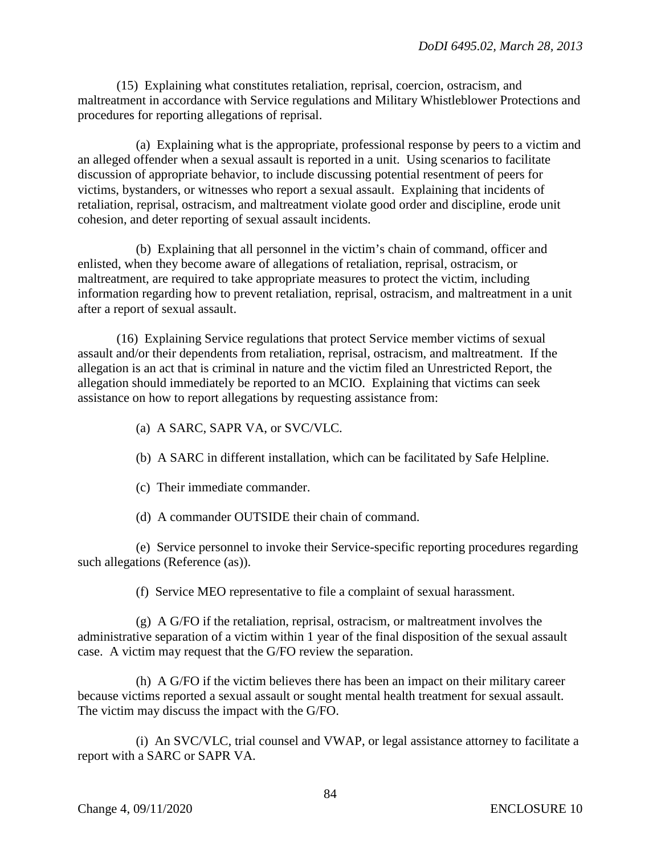(15) Explaining what constitutes retaliation, reprisal, coercion, ostracism, and maltreatment in accordance with Service regulations and Military Whistleblower Protections and procedures for reporting allegations of reprisal.

(a) Explaining what is the appropriate, professional response by peers to a victim and an alleged offender when a sexual assault is reported in a unit. Using scenarios to facilitate discussion of appropriate behavior, to include discussing potential resentment of peers for victims, bystanders, or witnesses who report a sexual assault. Explaining that incidents of retaliation, reprisal, ostracism, and maltreatment violate good order and discipline, erode unit cohesion, and deter reporting of sexual assault incidents.

(b) Explaining that all personnel in the victim's chain of command, officer and enlisted, when they become aware of allegations of retaliation, reprisal, ostracism, or maltreatment, are required to take appropriate measures to protect the victim, including information regarding how to prevent retaliation, reprisal, ostracism, and maltreatment in a unit after a report of sexual assault.

(16) Explaining Service regulations that protect Service member victims of sexual assault and/or their dependents from retaliation, reprisal, ostracism, and maltreatment. If the allegation is an act that is criminal in nature and the victim filed an Unrestricted Report, the allegation should immediately be reported to an MCIO. Explaining that victims can seek assistance on how to report allegations by requesting assistance from:

- (a) A SARC, SAPR VA, or SVC/VLC.
- (b) A SARC in different installation, which can be facilitated by Safe Helpline.
- (c) Their immediate commander.
- (d) A commander OUTSIDE their chain of command.

(e) Service personnel to invoke their Service-specific reporting procedures regarding such allegations (Reference (as)).

(f) Service MEO representative to file a complaint of sexual harassment.

(g) A G/FO if the retaliation, reprisal, ostracism, or maltreatment involves the administrative separation of a victim within 1 year of the final disposition of the sexual assault case. A victim may request that the G/FO review the separation.

(h) A G/FO if the victim believes there has been an impact on their military career because victims reported a sexual assault or sought mental health treatment for sexual assault. The victim may discuss the impact with the G/FO.

(i) An SVC/VLC, trial counsel and VWAP, or legal assistance attorney to facilitate a report with a SARC or SAPR VA.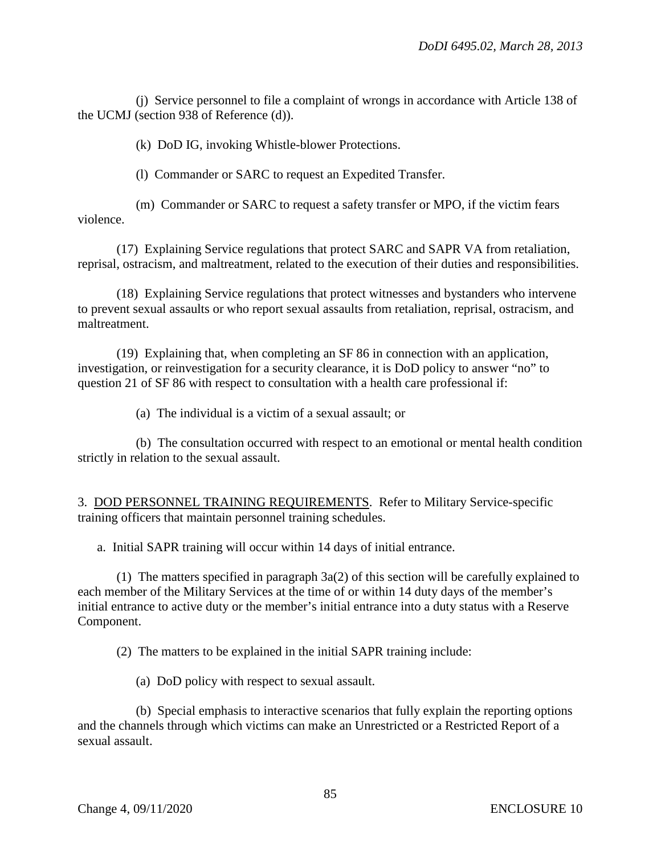(j) Service personnel to file a complaint of wrongs in accordance with Article 138 of the UCMJ (section 938 of Reference (d)).

(k) DoD IG, invoking Whistle-blower Protections.

(l) Commander or SARC to request an Expedited Transfer.

(m) Commander or SARC to request a safety transfer or MPO, if the victim fears violence.

(17) Explaining Service regulations that protect SARC and SAPR VA from retaliation, reprisal, ostracism, and maltreatment, related to the execution of their duties and responsibilities.

(18) Explaining Service regulations that protect witnesses and bystanders who intervene to prevent sexual assaults or who report sexual assaults from retaliation, reprisal, ostracism, and maltreatment.

(19) Explaining that, when completing an SF 86 in connection with an application, investigation, or reinvestigation for a security clearance, it is DoD policy to answer "no" to question 21 of SF 86 with respect to consultation with a health care professional if:

(a) The individual is a victim of a sexual assault; or

(b) The consultation occurred with respect to an emotional or mental health condition strictly in relation to the sexual assault.

3. DOD PERSONNEL TRAINING REQUIREMENTS. Refer to Military Service-specific training officers that maintain personnel training schedules.

a. Initial SAPR training will occur within 14 days of initial entrance.

(1) The matters specified in paragraph 3a(2) of this section will be carefully explained to each member of the Military Services at the time of or within 14 duty days of the member's initial entrance to active duty or the member's initial entrance into a duty status with a Reserve Component.

(2) The matters to be explained in the initial SAPR training include:

(a) DoD policy with respect to sexual assault.

(b) Special emphasis to interactive scenarios that fully explain the reporting options and the channels through which victims can make an Unrestricted or a Restricted Report of a sexual assault.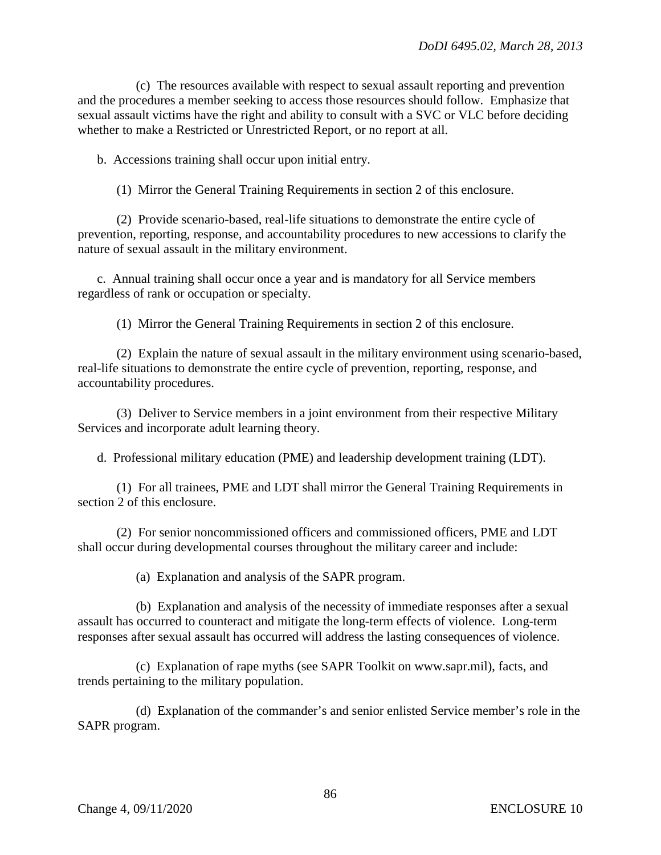(c) The resources available with respect to sexual assault reporting and prevention and the procedures a member seeking to access those resources should follow. Emphasize that sexual assault victims have the right and ability to consult with a SVC or VLC before deciding whether to make a Restricted or Unrestricted Report, or no report at all.

b. Accessions training shall occur upon initial entry.

(1) Mirror the General Training Requirements in section 2 of this enclosure.

(2) Provide scenario-based, real-life situations to demonstrate the entire cycle of prevention, reporting, response, and accountability procedures to new accessions to clarify the nature of sexual assault in the military environment.

c. Annual training shall occur once a year and is mandatory for all Service members regardless of rank or occupation or specialty.

(1) Mirror the General Training Requirements in section 2 of this enclosure.

(2) Explain the nature of sexual assault in the military environment using scenario-based, real-life situations to demonstrate the entire cycle of prevention, reporting, response, and accountability procedures.

(3) Deliver to Service members in a joint environment from their respective Military Services and incorporate adult learning theory.

d. Professional military education (PME) and leadership development training (LDT).

(1) For all trainees, PME and LDT shall mirror the General Training Requirements in section 2 of this enclosure.

(2) For senior noncommissioned officers and commissioned officers, PME and LDT shall occur during developmental courses throughout the military career and include:

(a) Explanation and analysis of the SAPR program.

(b) Explanation and analysis of the necessity of immediate responses after a sexual assault has occurred to counteract and mitigate the long-term effects of violence. Long-term responses after sexual assault has occurred will address the lasting consequences of violence.

(c) Explanation of rape myths (see SAPR Toolkit on www.sapr.mil), facts, and trends pertaining to the military population.

(d) Explanation of the commander's and senior enlisted Service member's role in the SAPR program.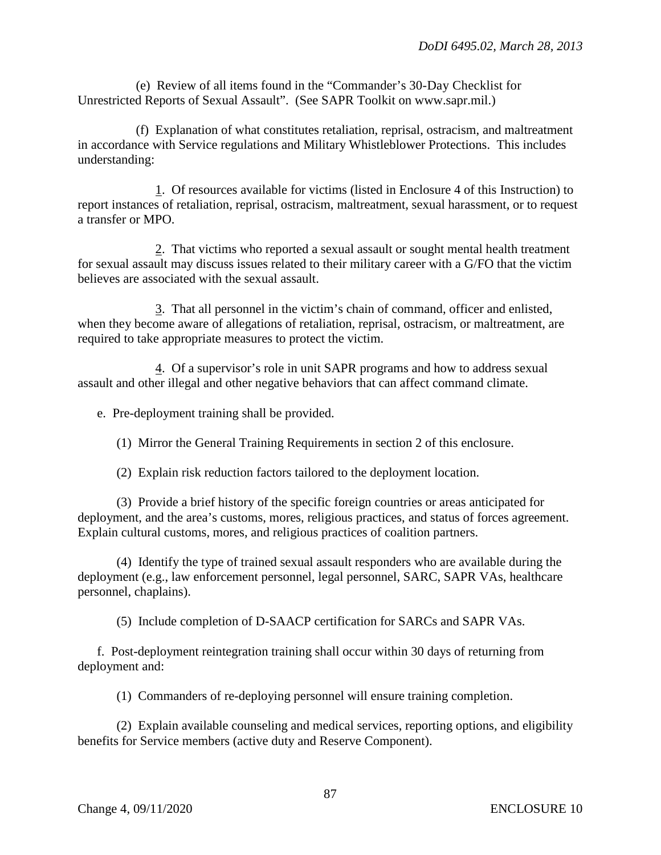(e) Review of all items found in the "Commander's 30-Day Checklist for Unrestricted Reports of Sexual Assault". (See SAPR Toolkit on www.sapr.mil.)

(f) Explanation of what constitutes retaliation, reprisal, ostracism, and maltreatment in accordance with Service regulations and Military Whistleblower Protections. This includes understanding:

1. Of resources available for victims (listed in Enclosure 4 of this Instruction) to report instances of retaliation, reprisal, ostracism, maltreatment, sexual harassment, or to request a transfer or MPO.

2. That victims who reported a sexual assault or sought mental health treatment for sexual assault may discuss issues related to their military career with a G/FO that the victim believes are associated with the sexual assault.

3. That all personnel in the victim's chain of command, officer and enlisted, when they become aware of allegations of retaliation, reprisal, ostracism, or maltreatment, are required to take appropriate measures to protect the victim.

4. Of a supervisor's role in unit SAPR programs and how to address sexual assault and other illegal and other negative behaviors that can affect command climate.

e. Pre-deployment training shall be provided.

(1) Mirror the General Training Requirements in section 2 of this enclosure.

(2) Explain risk reduction factors tailored to the deployment location.

(3) Provide a brief history of the specific foreign countries or areas anticipated for deployment, and the area's customs, mores, religious practices, and status of forces agreement. Explain cultural customs, mores, and religious practices of coalition partners.

(4) Identify the type of trained sexual assault responders who are available during the deployment (e.g., law enforcement personnel, legal personnel, SARC, SAPR VAs, healthcare personnel, chaplains).

(5) Include completion of D-SAACP certification for SARCs and SAPR VAs.

f. Post-deployment reintegration training shall occur within 30 days of returning from deployment and:

(1) Commanders of re-deploying personnel will ensure training completion.

(2) Explain available counseling and medical services, reporting options, and eligibility benefits for Service members (active duty and Reserve Component).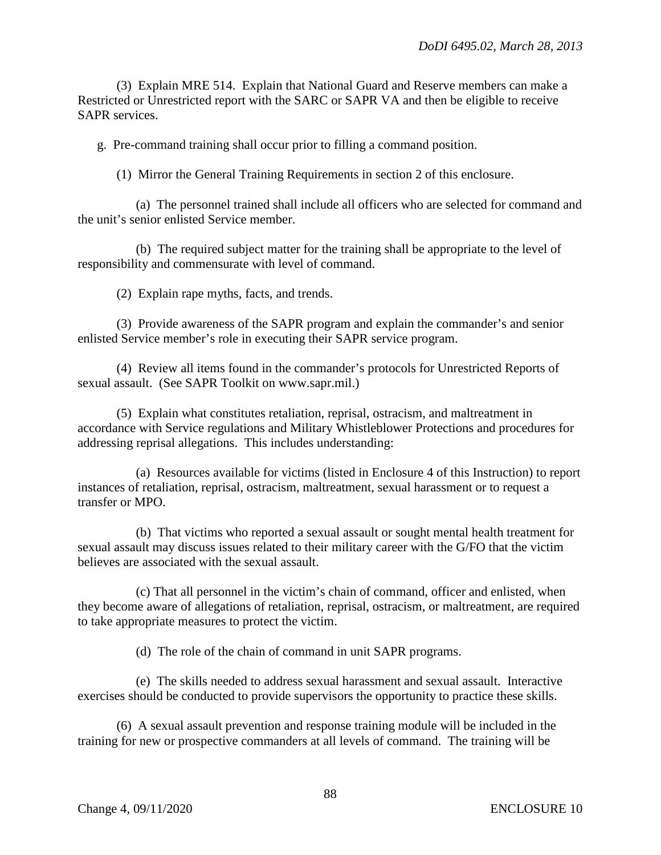(3) Explain MRE 514. Explain that National Guard and Reserve members can make a Restricted or Unrestricted report with the SARC or SAPR VA and then be eligible to receive SAPR services.

g. Pre-command training shall occur prior to filling a command position.

(1) Mirror the General Training Requirements in section 2 of this enclosure.

(a) The personnel trained shall include all officers who are selected for command and the unit's senior enlisted Service member.

(b) The required subject matter for the training shall be appropriate to the level of responsibility and commensurate with level of command.

(2) Explain rape myths, facts, and trends.

(3) Provide awareness of the SAPR program and explain the commander's and senior enlisted Service member's role in executing their SAPR service program.

(4) Review all items found in the commander's protocols for Unrestricted Reports of sexual assault. (See SAPR Toolkit on www.sapr.mil.)

(5) Explain what constitutes retaliation, reprisal, ostracism, and maltreatment in accordance with Service regulations and Military Whistleblower Protections and procedures for addressing reprisal allegations. This includes understanding:

(a) Resources available for victims (listed in Enclosure 4 of this Instruction) to report instances of retaliation, reprisal, ostracism, maltreatment, sexual harassment or to request a transfer or MPO.

(b) That victims who reported a sexual assault or sought mental health treatment for sexual assault may discuss issues related to their military career with the G/FO that the victim believes are associated with the sexual assault.

(c) That all personnel in the victim's chain of command, officer and enlisted, when they become aware of allegations of retaliation, reprisal, ostracism, or maltreatment, are required to take appropriate measures to protect the victim.

(d) The role of the chain of command in unit SAPR programs.

(e) The skills needed to address sexual harassment and sexual assault. Interactive exercises should be conducted to provide supervisors the opportunity to practice these skills.

(6) A sexual assault prevention and response training module will be included in the training for new or prospective commanders at all levels of command. The training will be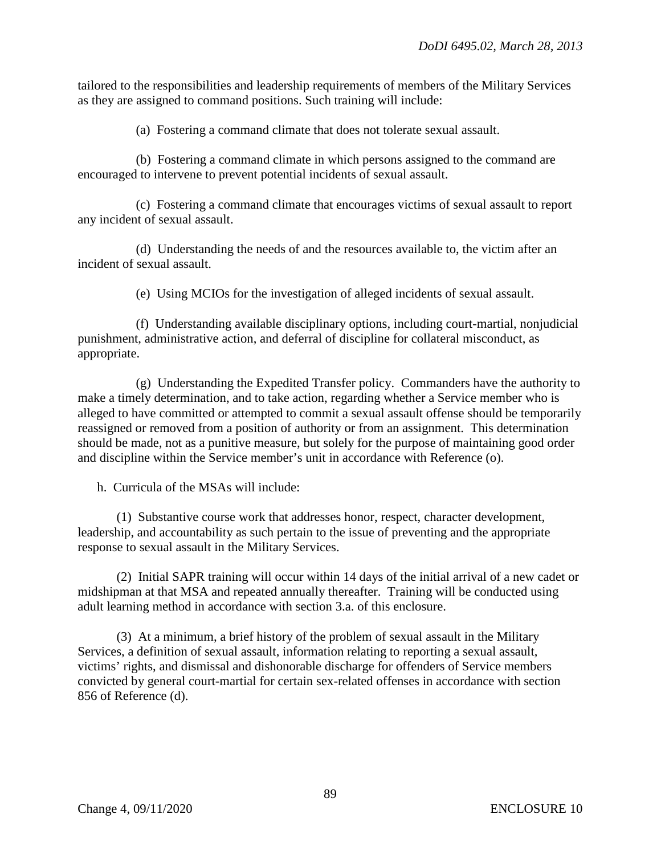tailored to the responsibilities and leadership requirements of members of the Military Services as they are assigned to command positions. Such training will include:

(a) Fostering a command climate that does not tolerate sexual assault.

(b) Fostering a command climate in which persons assigned to the command are encouraged to intervene to prevent potential incidents of sexual assault.

(c) Fostering a command climate that encourages victims of sexual assault to report any incident of sexual assault.

(d) Understanding the needs of and the resources available to, the victim after an incident of sexual assault.

(e) Using MCIOs for the investigation of alleged incidents of sexual assault.

(f) Understanding available disciplinary options, including court-martial, nonjudicial punishment, administrative action, and deferral of discipline for collateral misconduct, as appropriate.

(g) Understanding the Expedited Transfer policy. Commanders have the authority to make a timely determination, and to take action, regarding whether a Service member who is alleged to have committed or attempted to commit a sexual assault offense should be temporarily reassigned or removed from a position of authority or from an assignment. This determination should be made, not as a punitive measure, but solely for the purpose of maintaining good order and discipline within the Service member's unit in accordance with Reference (o).

h. Curricula of the MSAs will include:

(1) Substantive course work that addresses honor, respect, character development, leadership, and accountability as such pertain to the issue of preventing and the appropriate response to sexual assault in the Military Services.

(2) Initial SAPR training will occur within 14 days of the initial arrival of a new cadet or midshipman at that MSA and repeated annually thereafter. Training will be conducted using adult learning method in accordance with section 3.a. of this enclosure.

(3) At a minimum, a brief history of the problem of sexual assault in the Military Services, a definition of sexual assault, information relating to reporting a sexual assault, victims' rights, and dismissal and dishonorable discharge for offenders of Service members convicted by general court-martial for certain sex-related offenses in accordance with section 856 of Reference (d).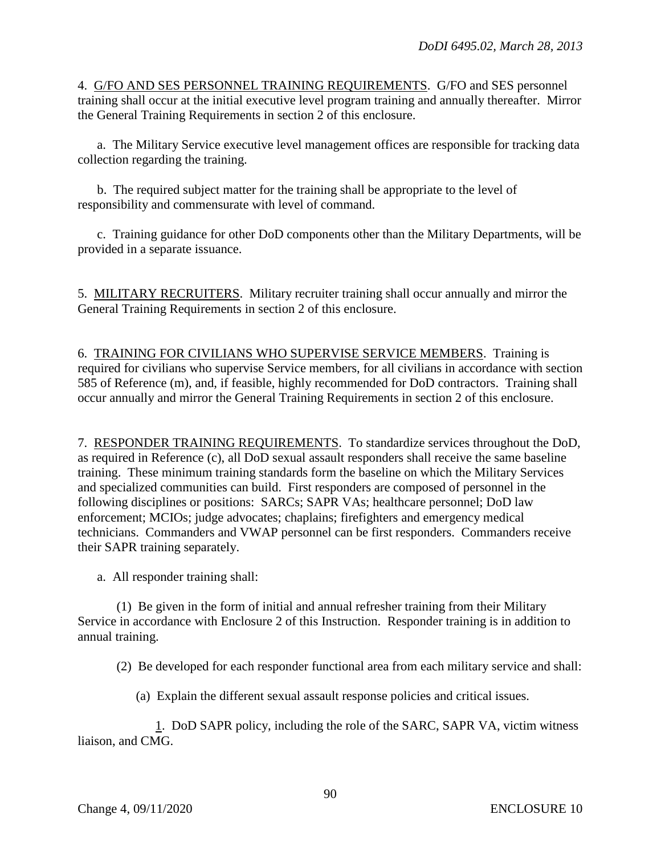4. G/FO AND SES PERSONNEL TRAINING REQUIREMENTS. G/FO and SES personnel training shall occur at the initial executive level program training and annually thereafter. Mirror the General Training Requirements in section 2 of this enclosure.

a. The Military Service executive level management offices are responsible for tracking data collection regarding the training.

b. The required subject matter for the training shall be appropriate to the level of responsibility and commensurate with level of command.

c. Training guidance for other DoD components other than the Military Departments, will be provided in a separate issuance.

5. MILITARY RECRUITERS. Military recruiter training shall occur annually and mirror the General Training Requirements in section 2 of this enclosure.

6. TRAINING FOR CIVILIANS WHO SUPERVISE SERVICE MEMBERS. Training is required for civilians who supervise Service members, for all civilians in accordance with section 585 of Reference (m), and, if feasible, highly recommended for DoD contractors. Training shall occur annually and mirror the General Training Requirements in section 2 of this enclosure.

7. RESPONDER TRAINING REQUIREMENTS. To standardize services throughout the DoD, as required in Reference (c), all DoD sexual assault responders shall receive the same baseline training. These minimum training standards form the baseline on which the Military Services and specialized communities can build. First responders are composed of personnel in the following disciplines or positions: SARCs; SAPR VAs; healthcare personnel; DoD law enforcement; MCIOs; judge advocates; chaplains; firefighters and emergency medical technicians. Commanders and VWAP personnel can be first responders. Commanders receive their SAPR training separately.

a. All responder training shall:

(1) Be given in the form of initial and annual refresher training from their Military Service in accordance with Enclosure 2 of this Instruction. Responder training is in addition to annual training.

(2) Be developed for each responder functional area from each military service and shall:

(a) Explain the different sexual assault response policies and critical issues.

1. DoD SAPR policy, including the role of the SARC, SAPR VA, victim witness liaison, and CMG.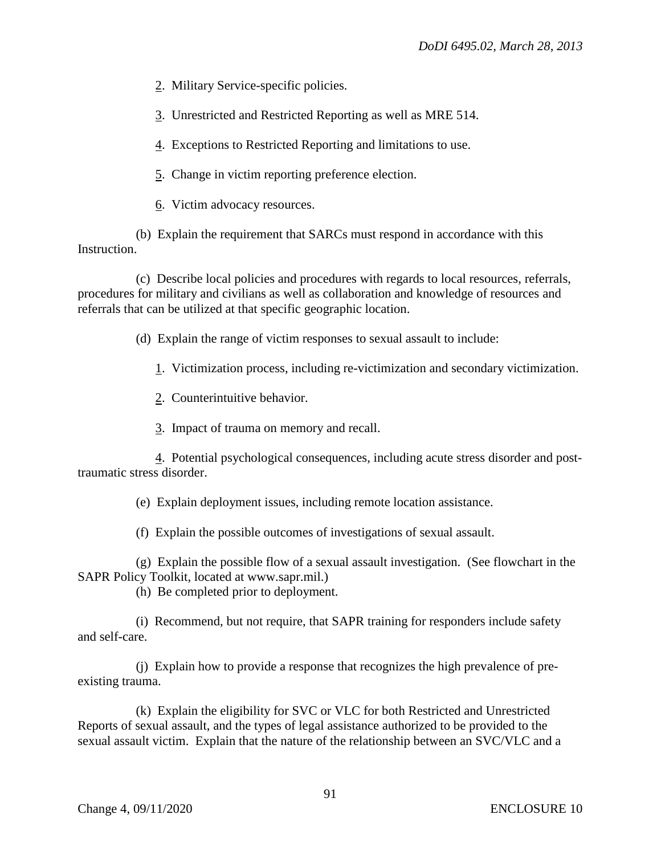2. Military Service-specific policies.

3. Unrestricted and Restricted Reporting as well as MRE 514.

4. Exceptions to Restricted Reporting and limitations to use.

5. Change in victim reporting preference election.

6. Victim advocacy resources.

(b) Explain the requirement that SARCs must respond in accordance with this Instruction.

(c) Describe local policies and procedures with regards to local resources, referrals, procedures for military and civilians as well as collaboration and knowledge of resources and referrals that can be utilized at that specific geographic location.

(d) Explain the range of victim responses to sexual assault to include:

1. Victimization process, including re-victimization and secondary victimization.

2. Counterintuitive behavior.

3. Impact of trauma on memory and recall.

4. Potential psychological consequences, including acute stress disorder and posttraumatic stress disorder.

(e) Explain deployment issues, including remote location assistance.

(f) Explain the possible outcomes of investigations of sexual assault.

(g) Explain the possible flow of a sexual assault investigation. (See flowchart in the SAPR Policy Toolkit, located at www.sapr.mil.)

(h) Be completed prior to deployment.

(i) Recommend, but not require, that SAPR training for responders include safety and self-care.

(j) Explain how to provide a response that recognizes the high prevalence of preexisting trauma.

(k) Explain the eligibility for SVC or VLC for both Restricted and Unrestricted Reports of sexual assault, and the types of legal assistance authorized to be provided to the sexual assault victim. Explain that the nature of the relationship between an SVC/VLC and a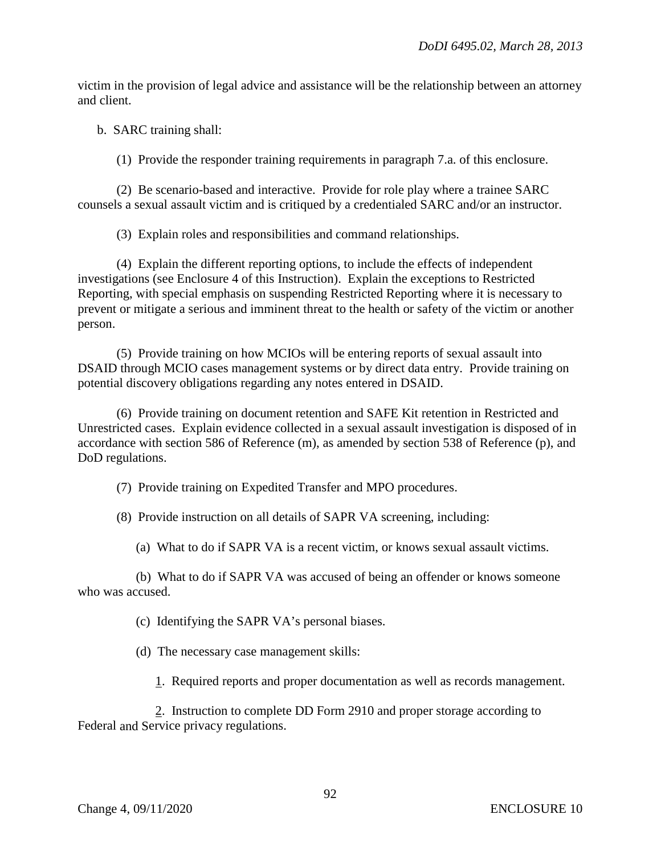victim in the provision of legal advice and assistance will be the relationship between an attorney and client.

b. SARC training shall:

(1) Provide the responder training requirements in paragraph 7.a. of this enclosure.

(2) Be scenario-based and interactive. Provide for role play where a trainee SARC counsels a sexual assault victim and is critiqued by a credentialed SARC and/or an instructor.

(3) Explain roles and responsibilities and command relationships.

(4) Explain the different reporting options, to include the effects of independent investigations (see Enclosure 4 of this Instruction). Explain the exceptions to Restricted Reporting, with special emphasis on suspending Restricted Reporting where it is necessary to prevent or mitigate a serious and imminent threat to the health or safety of the victim or another person.

(5) Provide training on how MCIOs will be entering reports of sexual assault into DSAID through MCIO cases management systems or by direct data entry. Provide training on potential discovery obligations regarding any notes entered in DSAID.

(6) Provide training on document retention and SAFE Kit retention in Restricted and Unrestricted cases. Explain evidence collected in a sexual assault investigation is disposed of in accordance with section 586 of Reference (m), as amended by section 538 of Reference (p), and DoD regulations.

(7) Provide training on Expedited Transfer and MPO procedures.

(8) Provide instruction on all details of SAPR VA screening, including:

(a) What to do if SAPR VA is a recent victim, or knows sexual assault victims.

(b) What to do if SAPR VA was accused of being an offender or knows someone who was accused.

(c) Identifying the SAPR VA's personal biases.

(d) The necessary case management skills:

1. Required reports and proper documentation as well as records management.

2. Instruction to complete DD Form 2910 and proper storage according to Federal and Service privacy regulations.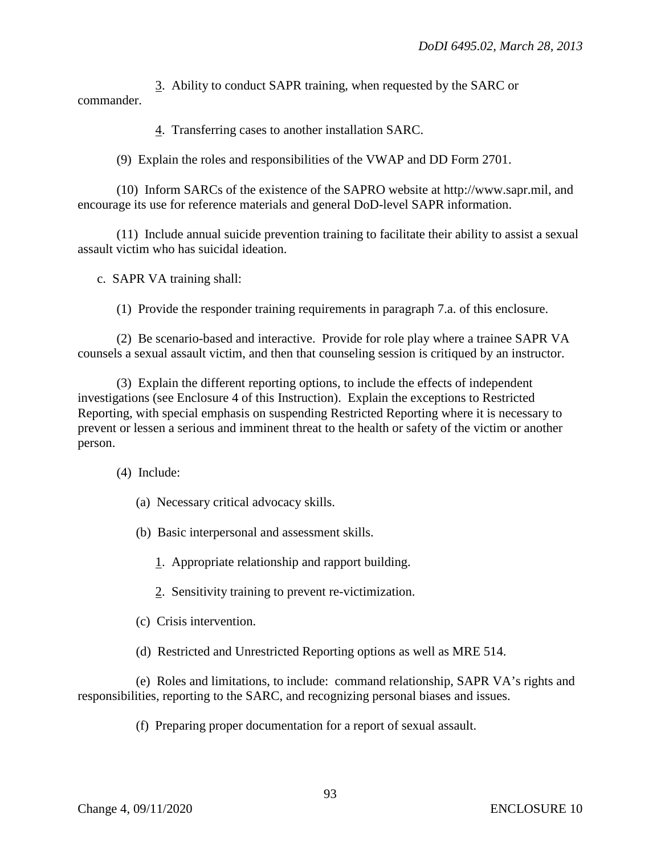3. Ability to conduct SAPR training, when requested by the SARC or commander.

4. Transferring cases to another installation SARC.

(9) Explain the roles and responsibilities of the VWAP and DD Form 2701.

(10) Inform SARCs of the existence of the SAPRO website at http://www.sapr.mil, and encourage its use for reference materials and general DoD-level SAPR information.

(11) Include annual suicide prevention training to facilitate their ability to assist a sexual assault victim who has suicidal ideation.

c. SAPR VA training shall:

(1) Provide the responder training requirements in paragraph 7.a. of this enclosure.

(2) Be scenario-based and interactive. Provide for role play where a trainee SAPR VA counsels a sexual assault victim, and then that counseling session is critiqued by an instructor.

(3) Explain the different reporting options, to include the effects of independent investigations (see Enclosure 4 of this Instruction). Explain the exceptions to Restricted Reporting, with special emphasis on suspending Restricted Reporting where it is necessary to prevent or lessen a serious and imminent threat to the health or safety of the victim or another person.

(4) Include:

- (a) Necessary critical advocacy skills.
- (b) Basic interpersonal and assessment skills.
	- 1. Appropriate relationship and rapport building.
	- 2. Sensitivity training to prevent re-victimization.
- (c) Crisis intervention.
- (d) Restricted and Unrestricted Reporting options as well as MRE 514.

(e) Roles and limitations, to include: command relationship, SAPR VA's rights and responsibilities, reporting to the SARC, and recognizing personal biases and issues.

(f) Preparing proper documentation for a report of sexual assault.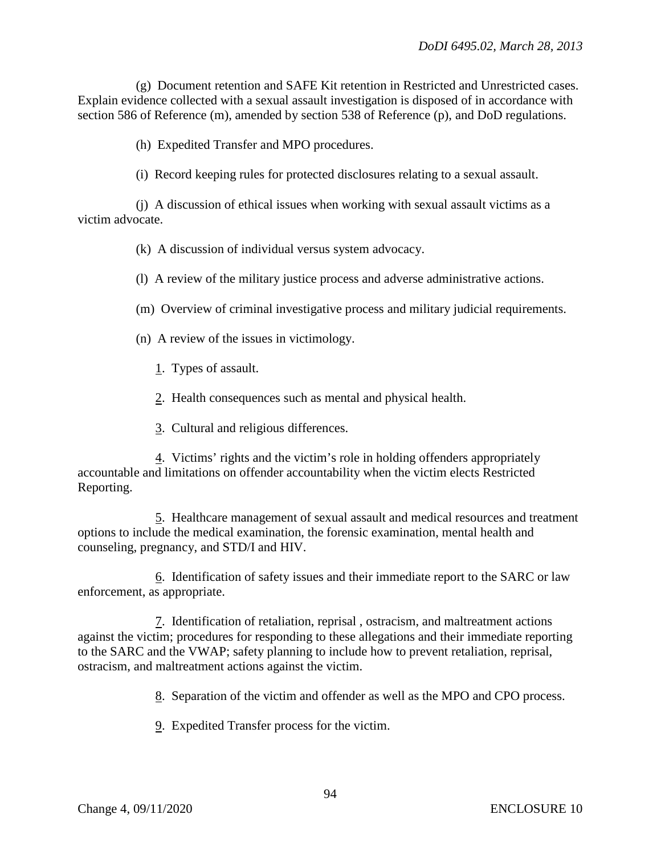(g) Document retention and SAFE Kit retention in Restricted and Unrestricted cases. Explain evidence collected with a sexual assault investigation is disposed of in accordance with section 586 of Reference (m), amended by section 538 of Reference (p), and DoD regulations.

(h) Expedited Transfer and MPO procedures.

(i) Record keeping rules for protected disclosures relating to a sexual assault.

(j) A discussion of ethical issues when working with sexual assault victims as a victim advocate.

(k) A discussion of individual versus system advocacy.

(l) A review of the military justice process and adverse administrative actions.

(m) Overview of criminal investigative process and military judicial requirements.

(n) A review of the issues in victimology.

1. Types of assault.

2. Health consequences such as mental and physical health.

3. Cultural and religious differences.

4. Victims' rights and the victim's role in holding offenders appropriately accountable and limitations on offender accountability when the victim elects Restricted Reporting.

5. Healthcare management of sexual assault and medical resources and treatment options to include the medical examination, the forensic examination, mental health and counseling, pregnancy, and STD/I and HIV.

6. Identification of safety issues and their immediate report to the SARC or law enforcement, as appropriate.

7. Identification of retaliation, reprisal , ostracism, and maltreatment actions against the victim; procedures for responding to these allegations and their immediate reporting to the SARC and the VWAP; safety planning to include how to prevent retaliation, reprisal, ostracism, and maltreatment actions against the victim.

8. Separation of the victim and offender as well as the MPO and CPO process.

9. Expedited Transfer process for the victim.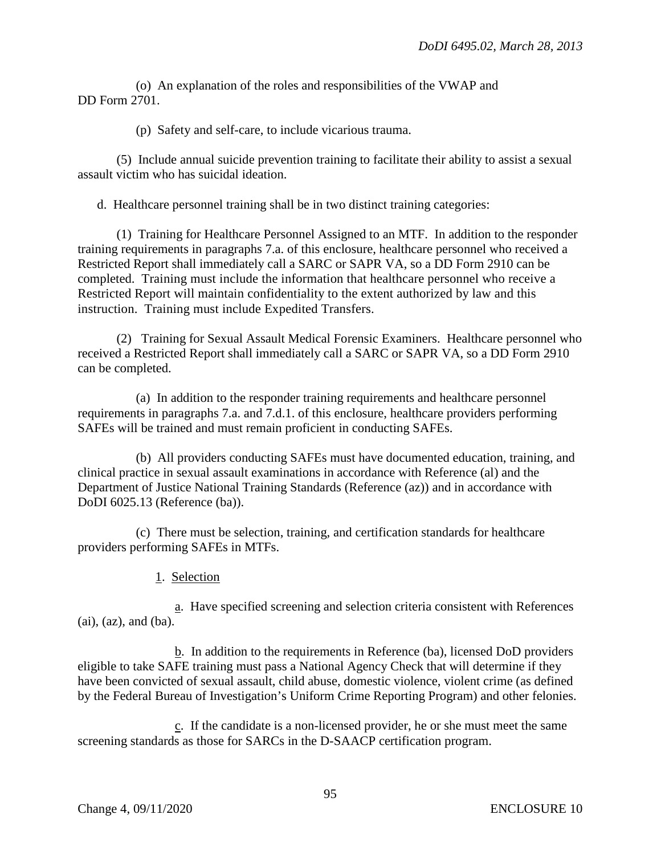(o) An explanation of the roles and responsibilities of the VWAP and DD Form 2701.

(p) Safety and self-care, to include vicarious trauma.

(5) Include annual suicide prevention training to facilitate their ability to assist a sexual assault victim who has suicidal ideation.

d. Healthcare personnel training shall be in two distinct training categories:

(1) Training for Healthcare Personnel Assigned to an MTF. In addition to the responder training requirements in paragraphs 7.a. of this enclosure, healthcare personnel who received a Restricted Report shall immediately call a SARC or SAPR VA, so a DD Form 2910 can be completed. Training must include the information that healthcare personnel who receive a Restricted Report will maintain confidentiality to the extent authorized by law and this instruction. Training must include Expedited Transfers.

(2) Training for Sexual Assault Medical Forensic Examiners. Healthcare personnel who received a Restricted Report shall immediately call a SARC or SAPR VA, so a DD Form 2910 can be completed.

(a) In addition to the responder training requirements and healthcare personnel requirements in paragraphs 7.a. and 7.d.1. of this enclosure, healthcare providers performing SAFEs will be trained and must remain proficient in conducting SAFEs.

(b) All providers conducting SAFEs must have documented education, training, and clinical practice in sexual assault examinations in accordance with Reference (al) and the Department of Justice National Training Standards (Reference (az)) and in accordance with DoDI 6025.13 (Reference (ba)).

(c) There must be selection, training, and certification standards for healthcare providers performing SAFEs in MTFs.

1. Selection

a. Have specified screening and selection criteria consistent with References (ai), (az), and (ba).

b. In addition to the requirements in Reference (ba), licensed DoD providers eligible to take SAFE training must pass a National Agency Check that will determine if they have been convicted of sexual assault, child abuse, domestic violence, violent crime (as defined by the Federal Bureau of Investigation's Uniform Crime Reporting Program) and other felonies.

c. If the candidate is a non-licensed provider, he or she must meet the same screening standards as those for SARCs in the D-SAACP certification program.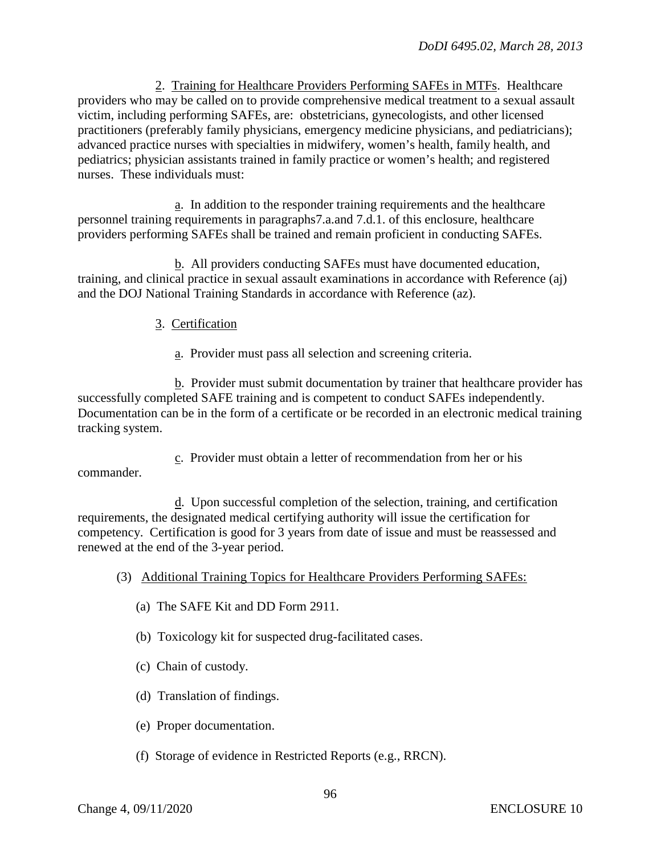2. Training for Healthcare Providers Performing SAFEs in MTFs. Healthcare providers who may be called on to provide comprehensive medical treatment to a sexual assault victim, including performing SAFEs, are: obstetricians, gynecologists, and other licensed practitioners (preferably family physicians, emergency medicine physicians, and pediatricians); advanced practice nurses with specialties in midwifery, women's health, family health, and pediatrics; physician assistants trained in family practice or women's health; and registered nurses. These individuals must:

a. In addition to the responder training requirements and the healthcare personnel training requirements in paragraphs7.a.and 7.d.1. of this enclosure, healthcare providers performing SAFEs shall be trained and remain proficient in conducting SAFEs.

b. All providers conducting SAFEs must have documented education, training, and clinical practice in sexual assault examinations in accordance with Reference (aj) and the DOJ National Training Standards in accordance with Reference (az).

## 3. Certification

a. Provider must pass all selection and screening criteria.

b. Provider must submit documentation by trainer that healthcare provider has successfully completed SAFE training and is competent to conduct SAFEs independently. Documentation can be in the form of a certificate or be recorded in an electronic medical training tracking system.

c. Provider must obtain a letter of recommendation from her or his commander.

d. Upon successful completion of the selection, training, and certification requirements, the designated medical certifying authority will issue the certification for competency. Certification is good for 3 years from date of issue and must be reassessed and renewed at the end of the 3-year period.

- (3) Additional Training Topics for Healthcare Providers Performing SAFEs:
	- (a) The SAFE Kit and DD Form 2911.
	- (b) Toxicology kit for suspected drug-facilitated cases.
	- (c) Chain of custody.
	- (d) Translation of findings.
	- (e) Proper documentation.
	- (f) Storage of evidence in Restricted Reports (e.g., RRCN).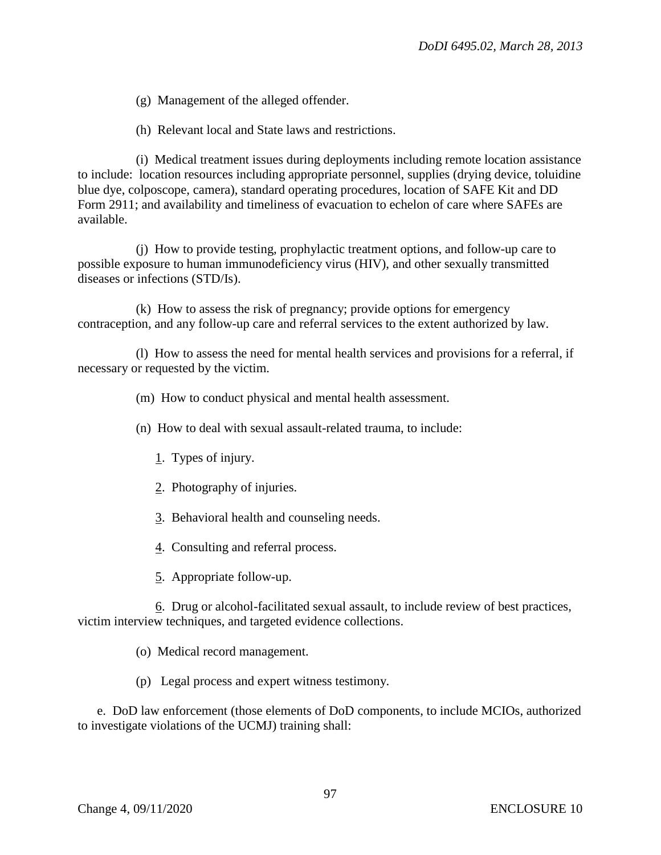(g) Management of the alleged offender.

(h) Relevant local and State laws and restrictions.

(i) Medical treatment issues during deployments including remote location assistance to include: location resources including appropriate personnel, supplies (drying device, toluidine blue dye, colposcope, camera), standard operating procedures, location of SAFE Kit and DD Form 2911; and availability and timeliness of evacuation to echelon of care where SAFEs are available.

(j) How to provide testing, prophylactic treatment options, and follow-up care to possible exposure to human immunodeficiency virus (HIV), and other sexually transmitted diseases or infections (STD/Is).

(k) How to assess the risk of pregnancy; provide options for emergency contraception, and any follow-up care and referral services to the extent authorized by law.

(l) How to assess the need for mental health services and provisions for a referral, if necessary or requested by the victim.

(m) How to conduct physical and mental health assessment.

(n) How to deal with sexual assault-related trauma, to include:

- 1. Types of injury.
- 2. Photography of injuries.
- 3. Behavioral health and counseling needs.
- 4. Consulting and referral process.
- 5. Appropriate follow-up.

6. Drug or alcohol-facilitated sexual assault, to include review of best practices, victim interview techniques, and targeted evidence collections.

(o) Medical record management.

(p) Legal process and expert witness testimony.

e. DoD law enforcement (those elements of DoD components, to include MCIOs, authorized to investigate violations of the UCMJ) training shall: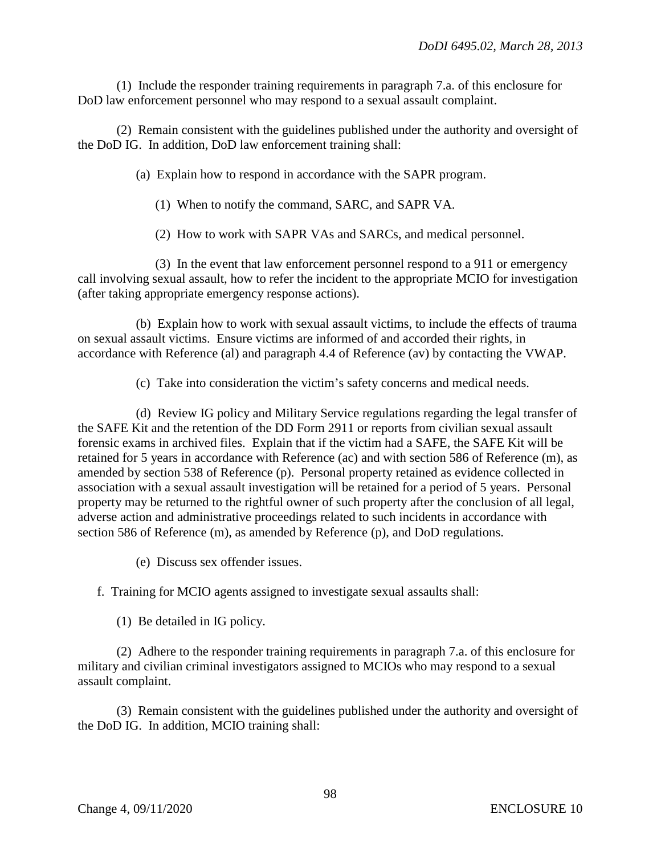(1) Include the responder training requirements in paragraph 7.a. of this enclosure for DoD law enforcement personnel who may respond to a sexual assault complaint.

(2) Remain consistent with the guidelines published under the authority and oversight of the DoD IG. In addition, DoD law enforcement training shall:

(a) Explain how to respond in accordance with the SAPR program.

(1) When to notify the command, SARC, and SAPR VA.

(2) How to work with SAPR VAs and SARCs, and medical personnel.

(3) In the event that law enforcement personnel respond to a 911 or emergency call involving sexual assault, how to refer the incident to the appropriate MCIO for investigation (after taking appropriate emergency response actions).

(b) Explain how to work with sexual assault victims, to include the effects of trauma on sexual assault victims. Ensure victims are informed of and accorded their rights, in accordance with Reference (al) and paragraph 4.4 of Reference (av) by contacting the VWAP.

(c) Take into consideration the victim's safety concerns and medical needs.

(d) Review IG policy and Military Service regulations regarding the legal transfer of the SAFE Kit and the retention of the DD Form 2911 or reports from civilian sexual assault forensic exams in archived files. Explain that if the victim had a SAFE, the SAFE Kit will be retained for 5 years in accordance with Reference (ac) and with section 586 of Reference (m), as amended by section 538 of Reference (p). Personal property retained as evidence collected in association with a sexual assault investigation will be retained for a period of 5 years. Personal property may be returned to the rightful owner of such property after the conclusion of all legal, adverse action and administrative proceedings related to such incidents in accordance with section 586 of Reference (m), as amended by Reference (p), and DoD regulations.

(e) Discuss sex offender issues.

f. Training for MCIO agents assigned to investigate sexual assaults shall:

(1) Be detailed in IG policy.

(2) Adhere to the responder training requirements in paragraph 7.a. of this enclosure for military and civilian criminal investigators assigned to MCIOs who may respond to a sexual assault complaint.

(3) Remain consistent with the guidelines published under the authority and oversight of the DoD IG. In addition, MCIO training shall: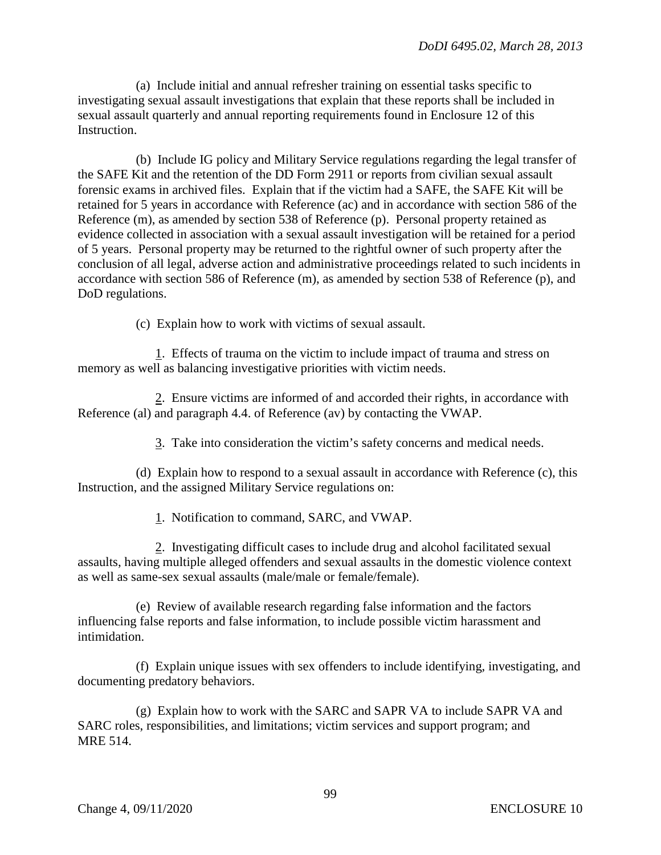(a) Include initial and annual refresher training on essential tasks specific to investigating sexual assault investigations that explain that these reports shall be included in sexual assault quarterly and annual reporting requirements found in Enclosure 12 of this Instruction.

(b) Include IG policy and Military Service regulations regarding the legal transfer of the SAFE Kit and the retention of the DD Form 2911 or reports from civilian sexual assault forensic exams in archived files. Explain that if the victim had a SAFE, the SAFE Kit will be retained for 5 years in accordance with Reference (ac) and in accordance with section 586 of the Reference (m), as amended by section 538 of Reference (p). Personal property retained as evidence collected in association with a sexual assault investigation will be retained for a period of 5 years. Personal property may be returned to the rightful owner of such property after the conclusion of all legal, adverse action and administrative proceedings related to such incidents in accordance with section 586 of Reference (m), as amended by section 538 of Reference (p), and DoD regulations.

(c) Explain how to work with victims of sexual assault.

1. Effects of trauma on the victim to include impact of trauma and stress on memory as well as balancing investigative priorities with victim needs.

2. Ensure victims are informed of and accorded their rights, in accordance with Reference (al) and paragraph 4.4. of Reference (av) by contacting the VWAP.

3. Take into consideration the victim's safety concerns and medical needs.

(d) Explain how to respond to a sexual assault in accordance with Reference (c), this Instruction, and the assigned Military Service regulations on:

1. Notification to command, SARC, and VWAP.

2. Investigating difficult cases to include drug and alcohol facilitated sexual assaults, having multiple alleged offenders and sexual assaults in the domestic violence context as well as same-sex sexual assaults (male/male or female/female).

(e) Review of available research regarding false information and the factors influencing false reports and false information, to include possible victim harassment and intimidation.

(f) Explain unique issues with sex offenders to include identifying, investigating, and documenting predatory behaviors.

(g) Explain how to work with the SARC and SAPR VA to include SAPR VA and SARC roles, responsibilities, and limitations; victim services and support program; and MRE 514.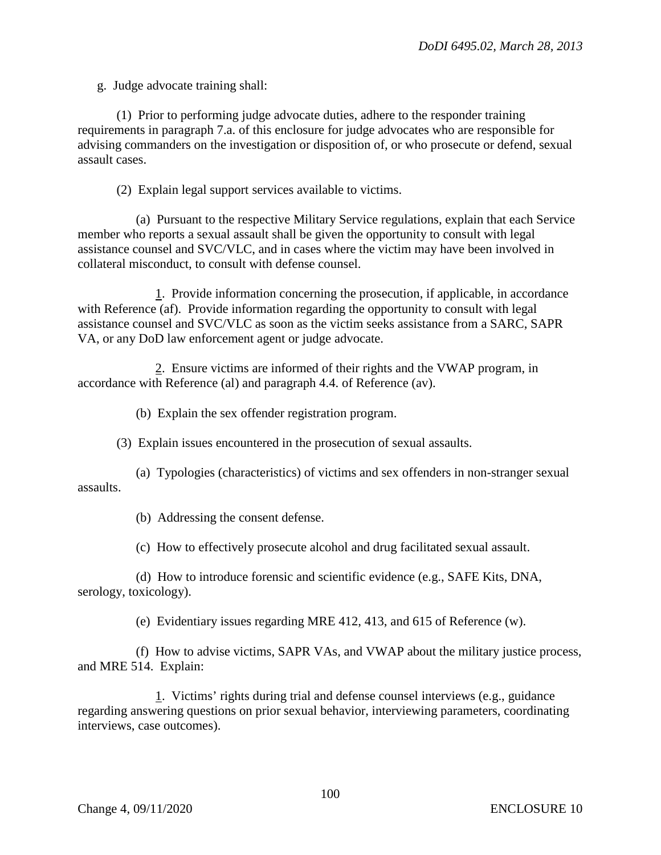g. Judge advocate training shall:

(1) Prior to performing judge advocate duties, adhere to the responder training requirements in paragraph 7.a. of this enclosure for judge advocates who are responsible for advising commanders on the investigation or disposition of, or who prosecute or defend, sexual assault cases.

(2) Explain legal support services available to victims.

(a) Pursuant to the respective Military Service regulations, explain that each Service member who reports a sexual assault shall be given the opportunity to consult with legal assistance counsel and SVC/VLC, and in cases where the victim may have been involved in collateral misconduct, to consult with defense counsel.

1. Provide information concerning the prosecution, if applicable, in accordance with Reference (af). Provide information regarding the opportunity to consult with legal assistance counsel and SVC/VLC as soon as the victim seeks assistance from a SARC, SAPR VA, or any DoD law enforcement agent or judge advocate.

2. Ensure victims are informed of their rights and the VWAP program, in accordance with Reference (al) and paragraph 4.4. of Reference (av).

(b) Explain the sex offender registration program.

(3) Explain issues encountered in the prosecution of sexual assaults.

(a) Typologies (characteristics) of victims and sex offenders in non-stranger sexual assaults.

(b) Addressing the consent defense.

(c) How to effectively prosecute alcohol and drug facilitated sexual assault.

(d) How to introduce forensic and scientific evidence (e.g., SAFE Kits, DNA, serology, toxicology).

(e) Evidentiary issues regarding MRE 412, 413, and 615 of Reference (w).

(f) How to advise victims, SAPR VAs, and VWAP about the military justice process, and MRE 514. Explain:

1. Victims' rights during trial and defense counsel interviews (e.g., guidance regarding answering questions on prior sexual behavior, interviewing parameters, coordinating interviews, case outcomes).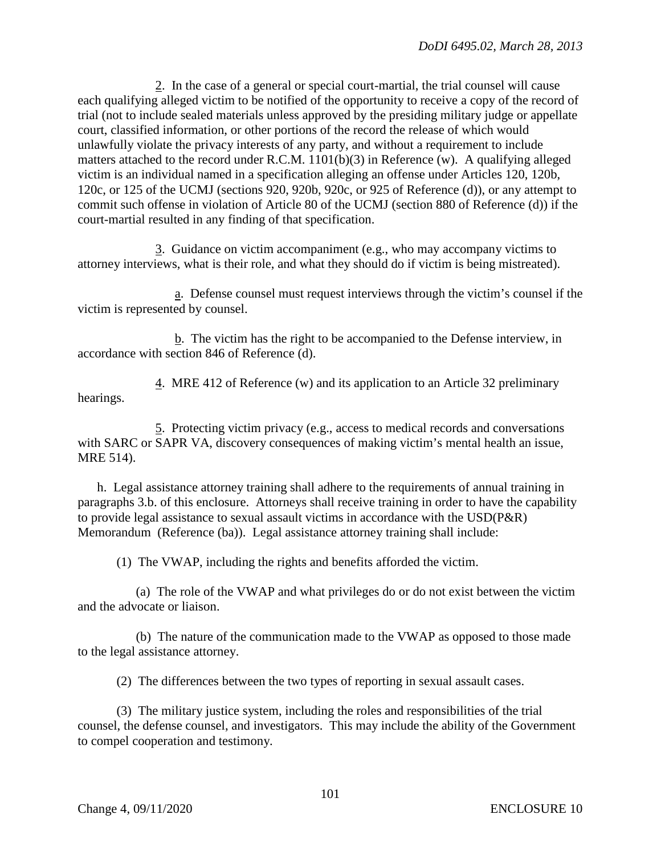2. In the case of a general or special court-martial, the trial counsel will cause each qualifying alleged victim to be notified of the opportunity to receive a copy of the record of trial (not to include sealed materials unless approved by the presiding military judge or appellate court, classified information, or other portions of the record the release of which would unlawfully violate the privacy interests of any party, and without a requirement to include matters attached to the record under R.C.M. 1101(b)(3) in Reference (w). A qualifying alleged victim is an individual named in a specification alleging an offense under Articles 120, 120b, 120c, or 125 of the UCMJ (sections 920, 920b, 920c, or 925 of Reference (d)), or any attempt to commit such offense in violation of Article 80 of the UCMJ (section 880 of Reference (d)) if the court-martial resulted in any finding of that specification.

3. Guidance on victim accompaniment (e.g., who may accompany victims to attorney interviews, what is their role, and what they should do if victim is being mistreated).

a. Defense counsel must request interviews through the victim's counsel if the victim is represented by counsel.

b. The victim has the right to be accompanied to the Defense interview, in accordance with section 846 of Reference (d).

4. MRE 412 of Reference (w) and its application to an Article 32 preliminary hearings.

5. Protecting victim privacy (e.g., access to medical records and conversations with SARC or SAPR VA, discovery consequences of making victim's mental health an issue, MRE 514).

h. Legal assistance attorney training shall adhere to the requirements of annual training in paragraphs 3.b. of this enclosure. Attorneys shall receive training in order to have the capability to provide legal assistance to sexual assault victims in accordance with the USD(P&R) Memorandum (Reference (ba)). Legal assistance attorney training shall include:

(1) The VWAP, including the rights and benefits afforded the victim.

(a) The role of the VWAP and what privileges do or do not exist between the victim and the advocate or liaison.

(b) The nature of the communication made to the VWAP as opposed to those made to the legal assistance attorney.

(2) The differences between the two types of reporting in sexual assault cases.

(3) The military justice system, including the roles and responsibilities of the trial counsel, the defense counsel, and investigators. This may include the ability of the Government to compel cooperation and testimony.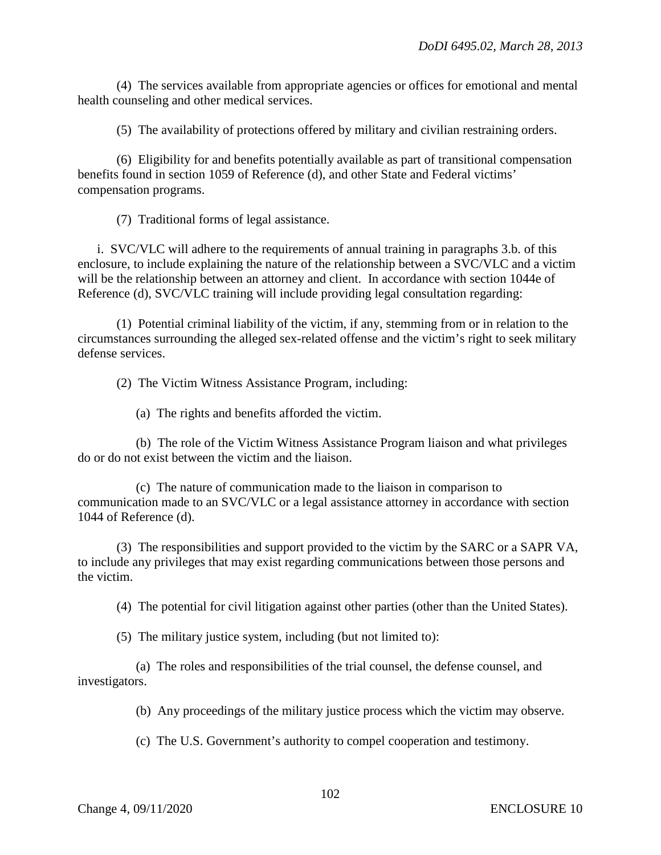(4) The services available from appropriate agencies or offices for emotional and mental health counseling and other medical services.

(5) The availability of protections offered by military and civilian restraining orders.

(6) Eligibility for and benefits potentially available as part of transitional compensation benefits found in section 1059 of Reference (d), and other State and Federal victims' compensation programs.

(7) Traditional forms of legal assistance.

i. SVC/VLC will adhere to the requirements of annual training in paragraphs 3.b. of this enclosure, to include explaining the nature of the relationship between a SVC/VLC and a victim will be the relationship between an attorney and client. In accordance with section 1044e of Reference (d), SVC/VLC training will include providing legal consultation regarding:

(1) Potential criminal liability of the victim, if any, stemming from or in relation to the circumstances surrounding the alleged sex-related offense and the victim's right to seek military defense services.

(2) The Victim Witness Assistance Program, including:

(a) The rights and benefits afforded the victim.

(b) The role of the Victim Witness Assistance Program liaison and what privileges do or do not exist between the victim and the liaison.

(c) The nature of communication made to the liaison in comparison to communication made to an SVC/VLC or a legal assistance attorney in accordance with section 1044 of Reference (d).

(3) The responsibilities and support provided to the victim by the SARC or a SAPR VA, to include any privileges that may exist regarding communications between those persons and the victim.

(4) The potential for civil litigation against other parties (other than the United States).

(5) The military justice system, including (but not limited to):

(a) The roles and responsibilities of the trial counsel, the defense counsel, and investigators.

(b) Any proceedings of the military justice process which the victim may observe.

(c) The U.S. Government's authority to compel cooperation and testimony.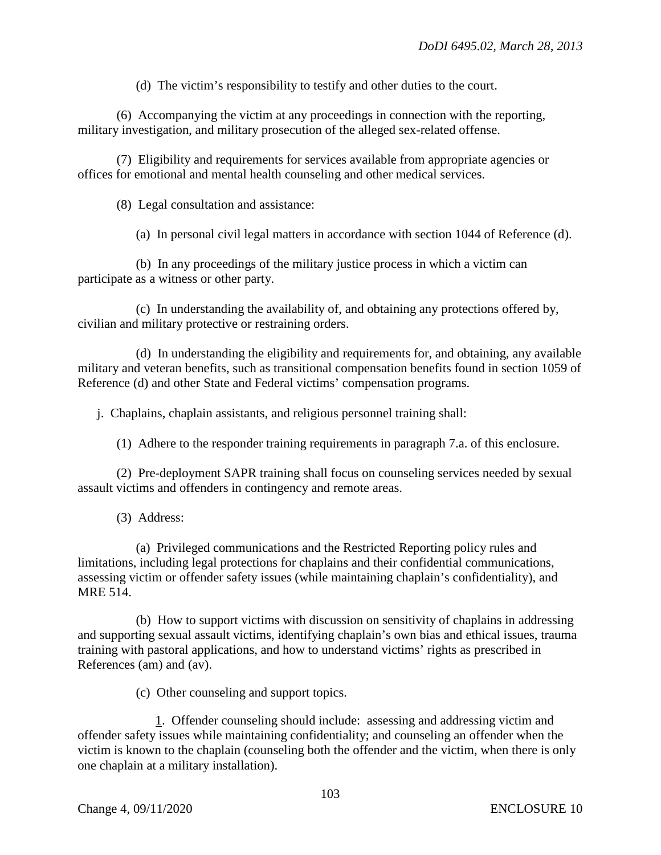(d) The victim's responsibility to testify and other duties to the court.

(6) Accompanying the victim at any proceedings in connection with the reporting, military investigation, and military prosecution of the alleged sex-related offense.

(7) Eligibility and requirements for services available from appropriate agencies or offices for emotional and mental health counseling and other medical services.

(8) Legal consultation and assistance:

(a) In personal civil legal matters in accordance with section 1044 of Reference (d).

(b) In any proceedings of the military justice process in which a victim can participate as a witness or other party.

(c) In understanding the availability of, and obtaining any protections offered by, civilian and military protective or restraining orders.

(d) In understanding the eligibility and requirements for, and obtaining, any available military and veteran benefits, such as transitional compensation benefits found in section 1059 of Reference (d) and other State and Federal victims' compensation programs.

j. Chaplains, chaplain assistants, and religious personnel training shall:

(1) Adhere to the responder training requirements in paragraph 7.a. of this enclosure.

(2) Pre-deployment SAPR training shall focus on counseling services needed by sexual assault victims and offenders in contingency and remote areas.

(3) Address:

(a) Privileged communications and the Restricted Reporting policy rules and limitations, including legal protections for chaplains and their confidential communications, assessing victim or offender safety issues (while maintaining chaplain's confidentiality), and MRE 514.

(b) How to support victims with discussion on sensitivity of chaplains in addressing and supporting sexual assault victims, identifying chaplain's own bias and ethical issues, trauma training with pastoral applications, and how to understand victims' rights as prescribed in References (am) and (av).

(c) Other counseling and support topics.

1. Offender counseling should include: assessing and addressing victim and offender safety issues while maintaining confidentiality; and counseling an offender when the victim is known to the chaplain (counseling both the offender and the victim, when there is only one chaplain at a military installation).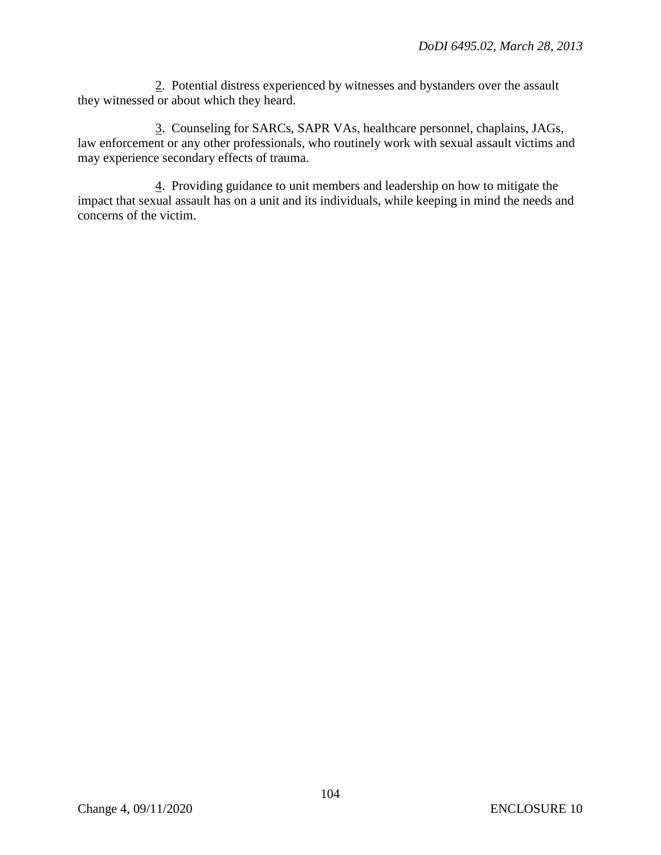2. Potential distress experienced by witnesses and bystanders over the assault they witnessed or about which they heard.

3. Counseling for SARCs, SAPR VAs, healthcare personnel, chaplains, JAGs, law enforcement or any other professionals, who routinely work with sexual assault victims and may experience secondary effects of trauma.

4. Providing guidance to unit members and leadership on how to mitigate the impact that sexual assault has on a unit and its individuals, while keeping in mind the needs and concerns of the victim.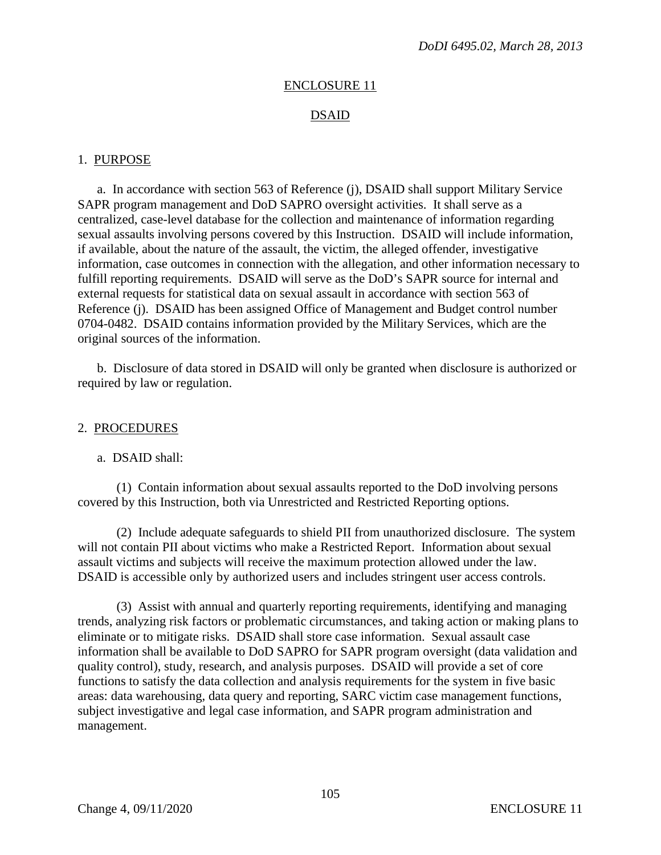### ENCLOSURE 11

## DSAID

#### 1. PURPOSE

a. In accordance with section 563 of Reference (j), DSAID shall support Military Service SAPR program management and DoD SAPRO oversight activities. It shall serve as a centralized, case-level database for the collection and maintenance of information regarding sexual assaults involving persons covered by this Instruction. DSAID will include information, if available, about the nature of the assault, the victim, the alleged offender, investigative information, case outcomes in connection with the allegation, and other information necessary to fulfill reporting requirements. DSAID will serve as the DoD's SAPR source for internal and external requests for statistical data on sexual assault in accordance with section 563 of Reference (j). DSAID has been assigned Office of Management and Budget control number 0704-0482. DSAID contains information provided by the Military Services, which are the original sources of the information.

b. Disclosure of data stored in DSAID will only be granted when disclosure is authorized or required by law or regulation.

#### 2. PROCEDURES

a. DSAID shall:

(1) Contain information about sexual assaults reported to the DoD involving persons covered by this Instruction, both via Unrestricted and Restricted Reporting options.

(2) Include adequate safeguards to shield PII from unauthorized disclosure. The system will not contain PII about victims who make a Restricted Report. Information about sexual assault victims and subjects will receive the maximum protection allowed under the law. DSAID is accessible only by authorized users and includes stringent user access controls.

(3) Assist with annual and quarterly reporting requirements, identifying and managing trends, analyzing risk factors or problematic circumstances, and taking action or making plans to eliminate or to mitigate risks. DSAID shall store case information. Sexual assault case information shall be available to DoD SAPRO for SAPR program oversight (data validation and quality control), study, research, and analysis purposes. DSAID will provide a set of core functions to satisfy the data collection and analysis requirements for the system in five basic areas: data warehousing, data query and reporting, SARC victim case management functions, subject investigative and legal case information, and SAPR program administration and management.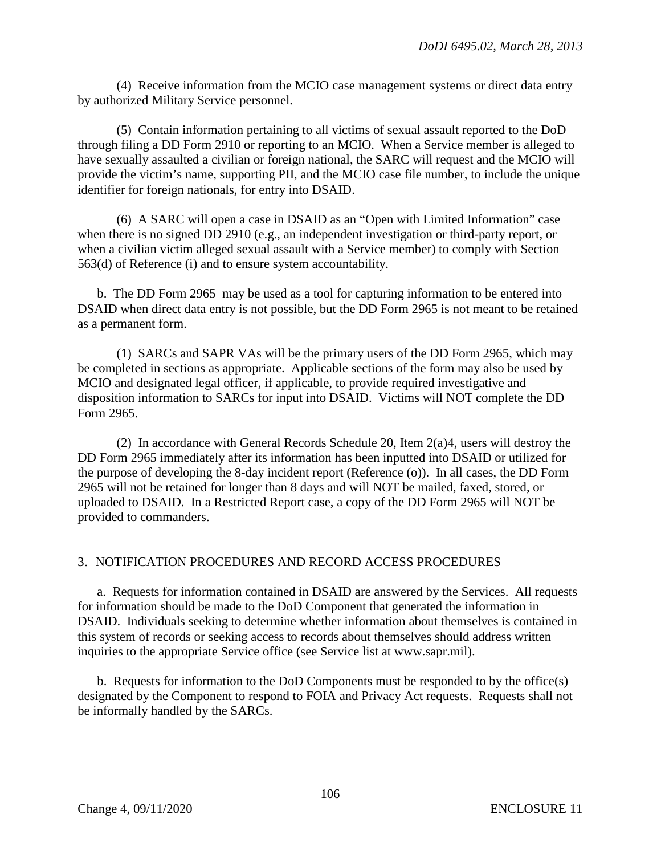(4) Receive information from the MCIO case management systems or direct data entry by authorized Military Service personnel.

(5) Contain information pertaining to all victims of sexual assault reported to the DoD through filing a DD Form 2910 or reporting to an MCIO. When a Service member is alleged to have sexually assaulted a civilian or foreign national, the SARC will request and the MCIO will provide the victim's name, supporting PII, and the MCIO case file number, to include the unique identifier for foreign nationals, for entry into DSAID.

(6) A SARC will open a case in DSAID as an "Open with Limited Information" case when there is no signed DD 2910 (e.g., an independent investigation or third-party report, or when a civilian victim alleged sexual assault with a Service member) to comply with Section 563(d) of Reference (i) and to ensure system accountability.

b. The DD Form 2965 may be used as a tool for capturing information to be entered into DSAID when direct data entry is not possible, but the DD Form 2965 is not meant to be retained as a permanent form.

(1) SARCs and SAPR VAs will be the primary users of the DD Form 2965, which may be completed in sections as appropriate. Applicable sections of the form may also be used by MCIO and designated legal officer, if applicable, to provide required investigative and disposition information to SARCs for input into DSAID. Victims will NOT complete the DD Form 2965.

(2) In accordance with General Records Schedule 20, Item 2(a)4, users will destroy the DD Form 2965 immediately after its information has been inputted into DSAID or utilized for the purpose of developing the 8-day incident report (Reference (o)). In all cases, the DD Form 2965 will not be retained for longer than 8 days and will NOT be mailed, faxed, stored, or uploaded to DSAID. In a Restricted Report case, a copy of the DD Form 2965 will NOT be provided to commanders.

# 3. NOTIFICATION PROCEDURES AND RECORD ACCESS PROCEDURES

a. Requests for information contained in DSAID are answered by the Services. All requests for information should be made to the DoD Component that generated the information in DSAID. Individuals seeking to determine whether information about themselves is contained in this system of records or seeking access to records about themselves should address written inquiries to the appropriate Service office (see Service list at www.sapr.mil).

b. Requests for information to the DoD Components must be responded to by the office(s) designated by the Component to respond to FOIA and Privacy Act requests. Requests shall not be informally handled by the SARCs.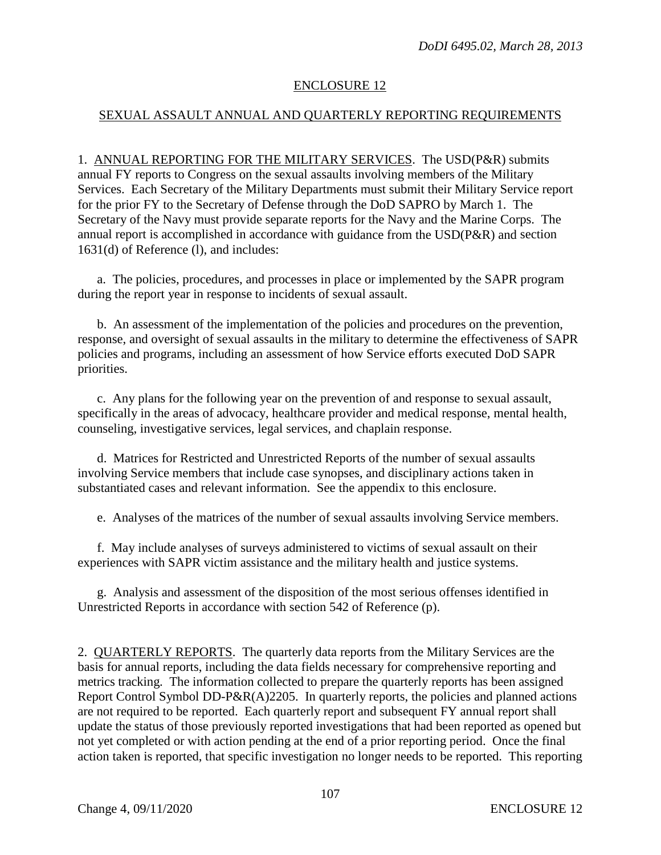## ENCLOSURE 12

## SEXUAL ASSAULT ANNUAL AND QUARTERLY REPORTING REQUIREMENTS

1. ANNUAL REPORTING FOR THE MILITARY SERVICES. The USD(P&R) submits annual FY reports to Congress on the sexual assaults involving members of the Military Services. Each Secretary of the Military Departments must submit their Military Service report for the prior FY to the Secretary of Defense through the DoD SAPRO by March 1. The Secretary of the Navy must provide separate reports for the Navy and the Marine Corps. The annual report is accomplished in accordance with guidance from the USD(P&R) and section 1631(d) of Reference (l), and includes:

a. The policies, procedures, and processes in place or implemented by the SAPR program during the report year in response to incidents of sexual assault.

b. An assessment of the implementation of the policies and procedures on the prevention, response, and oversight of sexual assaults in the military to determine the effectiveness of SAPR policies and programs, including an assessment of how Service efforts executed DoD SAPR priorities.

c. Any plans for the following year on the prevention of and response to sexual assault, specifically in the areas of advocacy, healthcare provider and medical response, mental health, counseling, investigative services, legal services, and chaplain response.

d. Matrices for Restricted and Unrestricted Reports of the number of sexual assaults involving Service members that include case synopses, and disciplinary actions taken in substantiated cases and relevant information. See the appendix to this enclosure.

e. Analyses of the matrices of the number of sexual assaults involving Service members.

f. May include analyses of surveys administered to victims of sexual assault on their experiences with SAPR victim assistance and the military health and justice systems.

g. Analysis and assessment of the disposition of the most serious offenses identified in Unrestricted Reports in accordance with section 542 of Reference (p).

2. QUARTERLY REPORTS. The quarterly data reports from the Military Services are the basis for annual reports, including the data fields necessary for comprehensive reporting and metrics tracking. The information collected to prepare the quarterly reports has been assigned Report Control Symbol DD-P&R(A)2205. In quarterly reports, the policies and planned actions are not required to be reported. Each quarterly report and subsequent FY annual report shall update the status of those previously reported investigations that had been reported as opened but not yet completed or with action pending at the end of a prior reporting period. Once the final action taken is reported, that specific investigation no longer needs to be reported. This reporting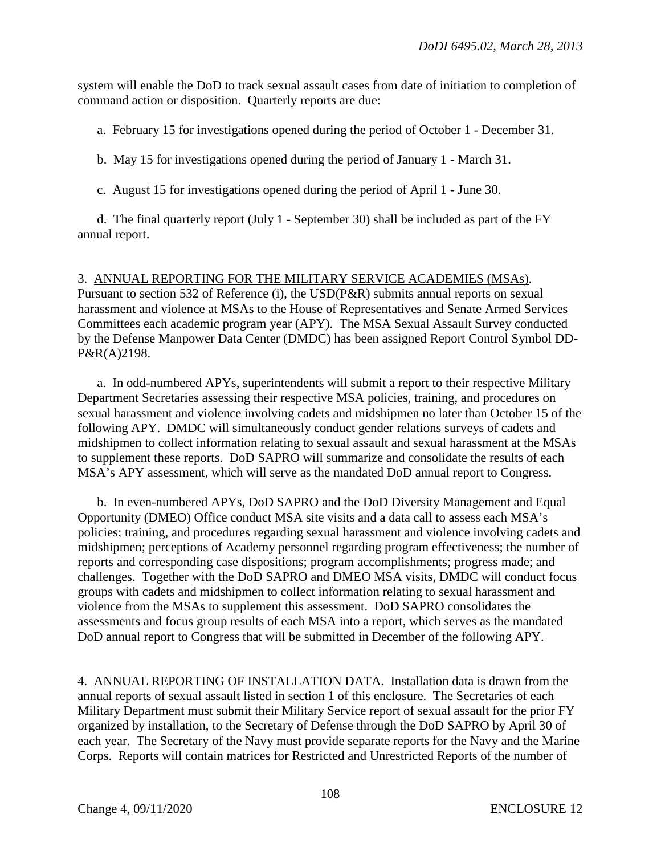system will enable the DoD to track sexual assault cases from date of initiation to completion of command action or disposition. Quarterly reports are due:

a. February 15 for investigations opened during the period of October 1 - December 31.

b. May 15 for investigations opened during the period of January 1 - March 31.

c. August 15 for investigations opened during the period of April 1 - June 30.

d. The final quarterly report (July 1 - September 30) shall be included as part of the FY annual report.

3. ANNUAL REPORTING FOR THE MILITARY SERVICE ACADEMIES (MSAs). Pursuant to section 532 of Reference (i), the USD(P&R) submits annual reports on sexual harassment and violence at MSAs to the House of Representatives and Senate Armed Services Committees each academic program year (APY). The MSA Sexual Assault Survey conducted by the Defense Manpower Data Center (DMDC) has been assigned Report Control Symbol DD-P&R(A)2198.

a. In odd-numbered APYs, superintendents will submit a report to their respective Military Department Secretaries assessing their respective MSA policies, training, and procedures on sexual harassment and violence involving cadets and midshipmen no later than October 15 of the following APY. DMDC will simultaneously conduct gender relations surveys of cadets and midshipmen to collect information relating to sexual assault and sexual harassment at the MSAs to supplement these reports. DoD SAPRO will summarize and consolidate the results of each MSA's APY assessment, which will serve as the mandated DoD annual report to Congress.

b. In even-numbered APYs, DoD SAPRO and the DoD Diversity Management and Equal Opportunity (DMEO) Office conduct MSA site visits and a data call to assess each MSA's policies; training, and procedures regarding sexual harassment and violence involving cadets and midshipmen; perceptions of Academy personnel regarding program effectiveness; the number of reports and corresponding case dispositions; program accomplishments; progress made; and challenges. Together with the DoD SAPRO and DMEO MSA visits, DMDC will conduct focus groups with cadets and midshipmen to collect information relating to sexual harassment and violence from the MSAs to supplement this assessment. DoD SAPRO consolidates the assessments and focus group results of each MSA into a report, which serves as the mandated DoD annual report to Congress that will be submitted in December of the following APY.

4. ANNUAL REPORTING OF INSTALLATION DATA. Installation data is drawn from the annual reports of sexual assault listed in section 1 of this enclosure. The Secretaries of each Military Department must submit their Military Service report of sexual assault for the prior FY organized by installation, to the Secretary of Defense through the DoD SAPRO by April 30 of each year. The Secretary of the Navy must provide separate reports for the Navy and the Marine Corps. Reports will contain matrices for Restricted and Unrestricted Reports of the number of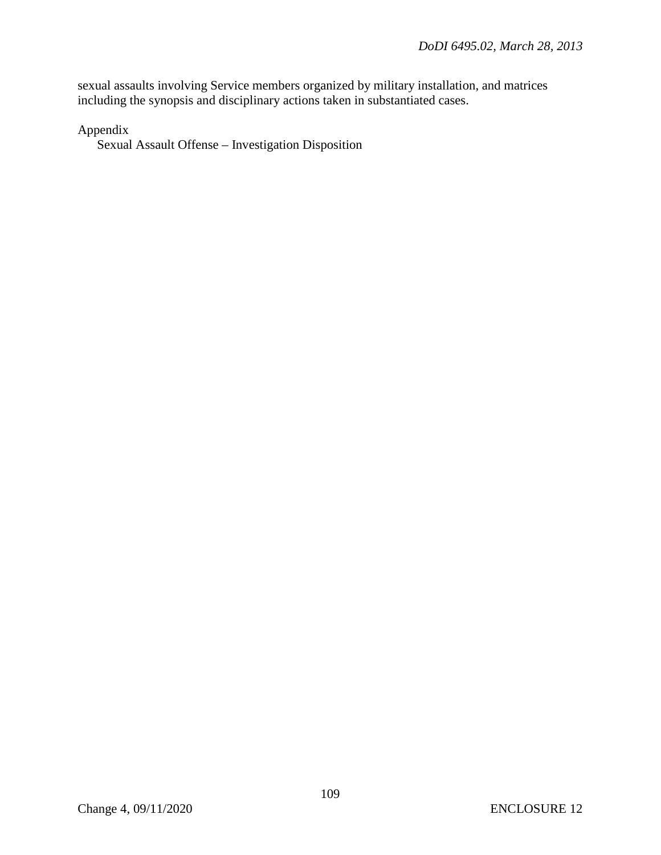sexual assaults involving Service members organized by military installation, and matrices including the synopsis and disciplinary actions taken in substantiated cases.

Appendix

Sexual Assault Offense – Investigation Disposition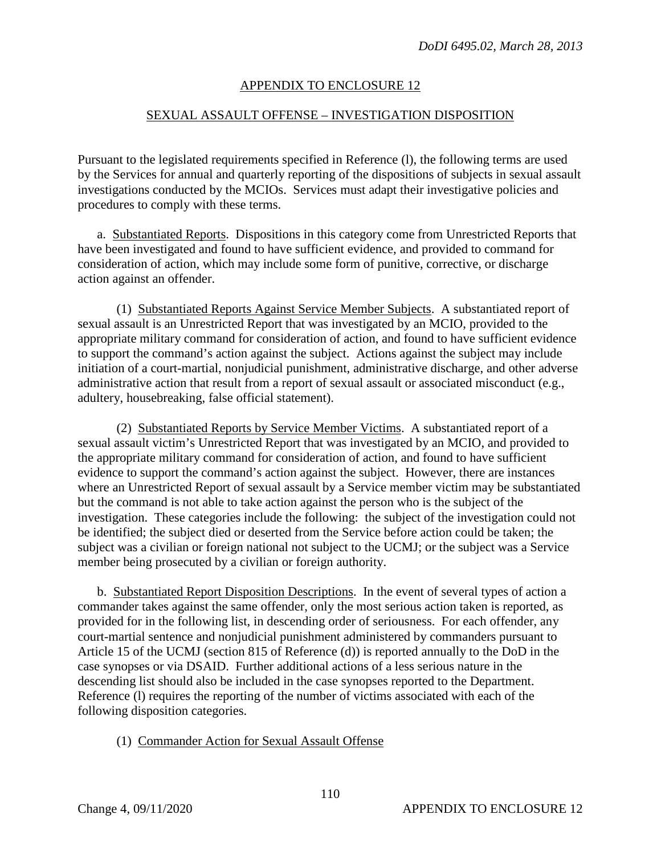### APPENDIX TO ENCLOSURE 12

#### SEXUAL ASSAULT OFFENSE – INVESTIGATION DISPOSITION

Pursuant to the legislated requirements specified in Reference (l), the following terms are used by the Services for annual and quarterly reporting of the dispositions of subjects in sexual assault investigations conducted by the MCIOs. Services must adapt their investigative policies and procedures to comply with these terms.

a. Substantiated Reports. Dispositions in this category come from Unrestricted Reports that have been investigated and found to have sufficient evidence, and provided to command for consideration of action, which may include some form of punitive, corrective, or discharge action against an offender.

(1) Substantiated Reports Against Service Member Subjects. A substantiated report of sexual assault is an Unrestricted Report that was investigated by an MCIO, provided to the appropriate military command for consideration of action, and found to have sufficient evidence to support the command's action against the subject. Actions against the subject may include initiation of a court-martial, nonjudicial punishment, administrative discharge, and other adverse administrative action that result from a report of sexual assault or associated misconduct (e.g., adultery, housebreaking, false official statement).

(2) Substantiated Reports by Service Member Victims. A substantiated report of a sexual assault victim's Unrestricted Report that was investigated by an MCIO, and provided to the appropriate military command for consideration of action, and found to have sufficient evidence to support the command's action against the subject. However, there are instances where an Unrestricted Report of sexual assault by a Service member victim may be substantiated but the command is not able to take action against the person who is the subject of the investigation. These categories include the following: the subject of the investigation could not be identified; the subject died or deserted from the Service before action could be taken; the subject was a civilian or foreign national not subject to the UCMJ; or the subject was a Service member being prosecuted by a civilian or foreign authority.

b. Substantiated Report Disposition Descriptions. In the event of several types of action a commander takes against the same offender, only the most serious action taken is reported, as provided for in the following list, in descending order of seriousness. For each offender, any court-martial sentence and nonjudicial punishment administered by commanders pursuant to Article 15 of the UCMJ (section 815 of Reference (d)) is reported annually to the DoD in the case synopses or via DSAID. Further additional actions of a less serious nature in the descending list should also be included in the case synopses reported to the Department. Reference (l) requires the reporting of the number of victims associated with each of the following disposition categories.

#### (1) Commander Action for Sexual Assault Offense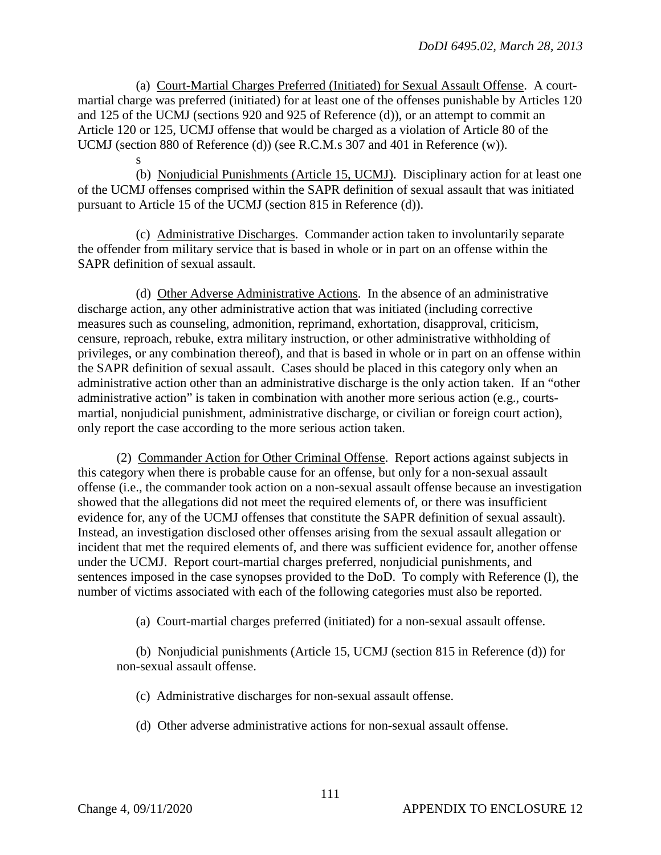(a) Court-Martial Charges Preferred (Initiated) for Sexual Assault Offense. A courtmartial charge was preferred (initiated) for at least one of the offenses punishable by Articles 120 and 125 of the UCMJ (sections 920 and 925 of Reference (d)), or an attempt to commit an Article 120 or 125, UCMJ offense that would be charged as a violation of Article 80 of the UCMJ (section 880 of Reference (d)) (see R.C.M.s 307 and 401 in Reference (w)).

s (b) Nonjudicial Punishments (Article 15, UCMJ). Disciplinary action for at least one of the UCMJ offenses comprised within the SAPR definition of sexual assault that was initiated pursuant to Article 15 of the UCMJ (section 815 in Reference (d)).

(c) Administrative Discharges. Commander action taken to involuntarily separate the offender from military service that is based in whole or in part on an offense within the SAPR definition of sexual assault.

(d) Other Adverse Administrative Actions. In the absence of an administrative discharge action, any other administrative action that was initiated (including corrective measures such as counseling, admonition, reprimand, exhortation, disapproval, criticism, censure, reproach, rebuke, extra military instruction, or other administrative withholding of privileges, or any combination thereof), and that is based in whole or in part on an offense within the SAPR definition of sexual assault. Cases should be placed in this category only when an administrative action other than an administrative discharge is the only action taken. If an "other administrative action" is taken in combination with another more serious action (e.g., courtsmartial, nonjudicial punishment, administrative discharge, or civilian or foreign court action), only report the case according to the more serious action taken.

(2) Commander Action for Other Criminal Offense. Report actions against subjects in this category when there is probable cause for an offense, but only for a non-sexual assault offense (i.e., the commander took action on a non-sexual assault offense because an investigation showed that the allegations did not meet the required elements of, or there was insufficient evidence for, any of the UCMJ offenses that constitute the SAPR definition of sexual assault). Instead, an investigation disclosed other offenses arising from the sexual assault allegation or incident that met the required elements of, and there was sufficient evidence for, another offense under the UCMJ. Report court-martial charges preferred, nonjudicial punishments, and sentences imposed in the case synopses provided to the DoD. To comply with Reference (l), the number of victims associated with each of the following categories must also be reported.

(a) Court-martial charges preferred (initiated) for a non-sexual assault offense.

(b) Nonjudicial punishments (Article 15, UCMJ (section 815 in Reference (d)) for non-sexual assault offense.

(c) Administrative discharges for non-sexual assault offense.

(d) Other adverse administrative actions for non-sexual assault offense.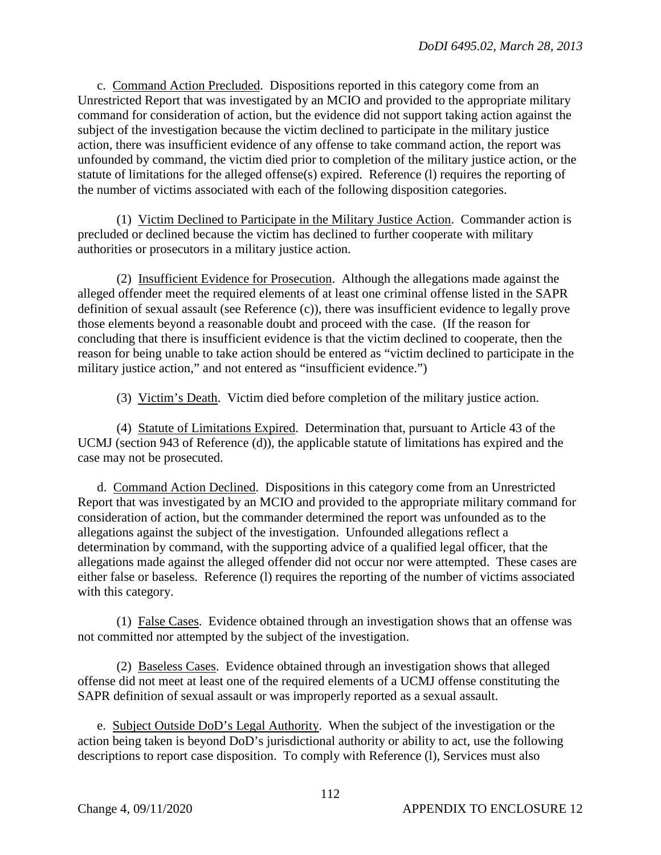c. Command Action Precluded. Dispositions reported in this category come from an Unrestricted Report that was investigated by an MCIO and provided to the appropriate military command for consideration of action, but the evidence did not support taking action against the subject of the investigation because the victim declined to participate in the military justice action, there was insufficient evidence of any offense to take command action, the report was unfounded by command, the victim died prior to completion of the military justice action, or the statute of limitations for the alleged offense(s) expired. Reference (l) requires the reporting of the number of victims associated with each of the following disposition categories.

(1) Victim Declined to Participate in the Military Justice Action. Commander action is precluded or declined because the victim has declined to further cooperate with military authorities or prosecutors in a military justice action.

(2) Insufficient Evidence for Prosecution. Although the allegations made against the alleged offender meet the required elements of at least one criminal offense listed in the SAPR definition of sexual assault (see Reference (c)), there was insufficient evidence to legally prove those elements beyond a reasonable doubt and proceed with the case. (If the reason for concluding that there is insufficient evidence is that the victim declined to cooperate, then the reason for being unable to take action should be entered as "victim declined to participate in the military justice action," and not entered as "insufficient evidence.")

(3) Victim's Death. Victim died before completion of the military justice action.

(4) Statute of Limitations Expired. Determination that, pursuant to Article 43 of the UCMJ (section 943 of Reference (d)), the applicable statute of limitations has expired and the case may not be prosecuted.

d. Command Action Declined. Dispositions in this category come from an Unrestricted Report that was investigated by an MCIO and provided to the appropriate military command for consideration of action, but the commander determined the report was unfounded as to the allegations against the subject of the investigation. Unfounded allegations reflect a determination by command, with the supporting advice of a qualified legal officer, that the allegations made against the alleged offender did not occur nor were attempted. These cases are either false or baseless. Reference (l) requires the reporting of the number of victims associated with this category.

(1) False Cases. Evidence obtained through an investigation shows that an offense was not committed nor attempted by the subject of the investigation.

(2) Baseless Cases. Evidence obtained through an investigation shows that alleged offense did not meet at least one of the required elements of a UCMJ offense constituting the SAPR definition of sexual assault or was improperly reported as a sexual assault.

e. Subject Outside DoD's Legal Authority. When the subject of the investigation or the action being taken is beyond DoD's jurisdictional authority or ability to act, use the following descriptions to report case disposition. To comply with Reference (1), Services must also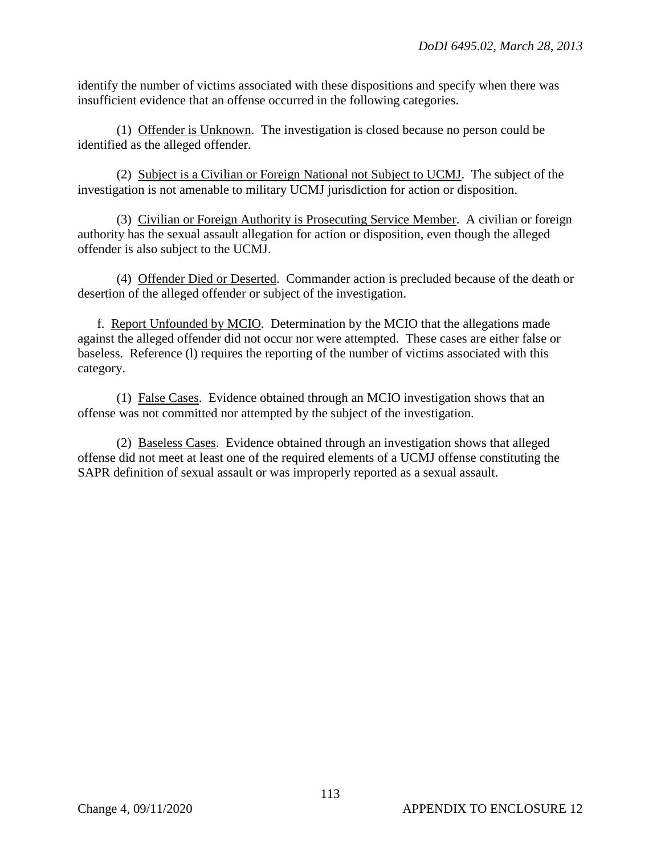identify the number of victims associated with these dispositions and specify when there was insufficient evidence that an offense occurred in the following categories.

(1) Offender is Unknown. The investigation is closed because no person could be identified as the alleged offender.

(2) Subject is a Civilian or Foreign National not Subject to UCMJ. The subject of the investigation is not amenable to military UCMJ jurisdiction for action or disposition.

(3) Civilian or Foreign Authority is Prosecuting Service Member. A civilian or foreign authority has the sexual assault allegation for action or disposition, even though the alleged offender is also subject to the UCMJ.

(4) Offender Died or Deserted. Commander action is precluded because of the death or desertion of the alleged offender or subject of the investigation.

f. Report Unfounded by MCIO. Determination by the MCIO that the allegations made against the alleged offender did not occur nor were attempted. These cases are either false or baseless. Reference (l) requires the reporting of the number of victims associated with this category.

(1) False Cases. Evidence obtained through an MCIO investigation shows that an offense was not committed nor attempted by the subject of the investigation.

(2) Baseless Cases. Evidence obtained through an investigation shows that alleged offense did not meet at least one of the required elements of a UCMJ offense constituting the SAPR definition of sexual assault or was improperly reported as a sexual assault.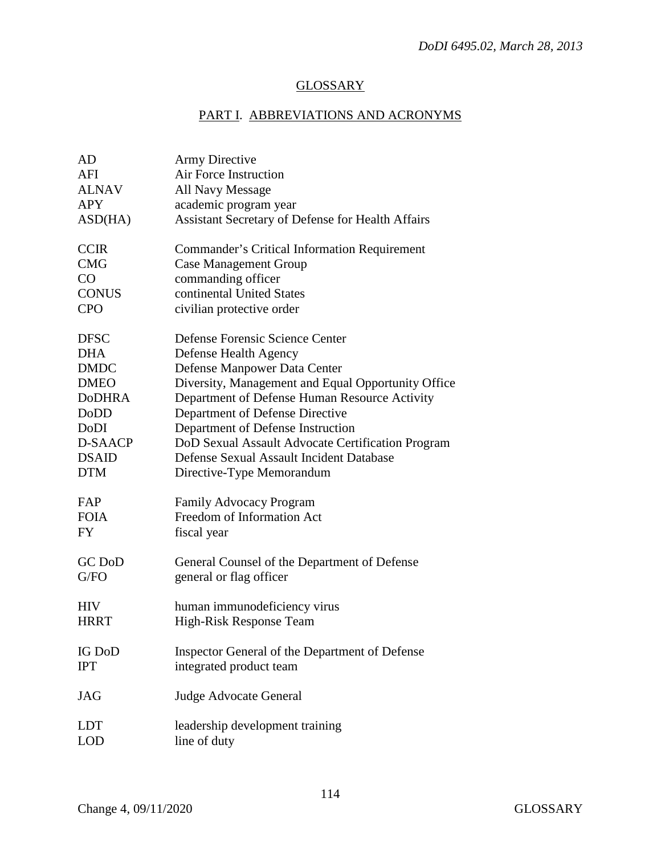## **GLOSSARY**

# PART I. ABBREVIATIONS AND ACRONYMS

| AD            | <b>Army Directive</b>                               |
|---------------|-----------------------------------------------------|
| AFI           | Air Force Instruction                               |
| <b>ALNAV</b>  | <b>All Navy Message</b>                             |
| <b>APY</b>    | academic program year                               |
| ASD(HA)       | Assistant Secretary of Defense for Health Affairs   |
| <b>CCIR</b>   | <b>Commander's Critical Information Requirement</b> |
| <b>CMG</b>    | <b>Case Management Group</b>                        |
| CO            | commanding officer                                  |
| <b>CONUS</b>  | continental United States                           |
| <b>CPO</b>    | civilian protective order                           |
| <b>DFSC</b>   | Defense Forensic Science Center                     |
| <b>DHA</b>    | Defense Health Agency                               |
| <b>DMDC</b>   | Defense Manpower Data Center                        |
| <b>DMEO</b>   | Diversity, Management and Equal Opportunity Office  |
| <b>DoDHRA</b> | Department of Defense Human Resource Activity       |
| DoDD          | Department of Defense Directive                     |
| DoDI          | Department of Defense Instruction                   |
| D-SAACP       | DoD Sexual Assault Advocate Certification Program   |
| <b>DSAID</b>  | Defense Sexual Assault Incident Database            |
| <b>DTM</b>    | Directive-Type Memorandum                           |
| FAP           | <b>Family Advocacy Program</b>                      |
| <b>FOIA</b>   | Freedom of Information Act                          |
| FY            | fiscal year                                         |
| GC DoD        | General Counsel of the Department of Defense        |
| G/FO          | general or flag officer                             |
| <b>HIV</b>    | human immunodeficiency virus                        |
| <b>HRRT</b>   | High-Risk Response Team                             |
| <b>IG DoD</b> | Inspector General of the Department of Defense      |
| <b>IPT</b>    | integrated product team                             |
| <b>JAG</b>    | <b>Judge Advocate General</b>                       |
| LDT           | leadership development training                     |
| <b>LOD</b>    | line of duty                                        |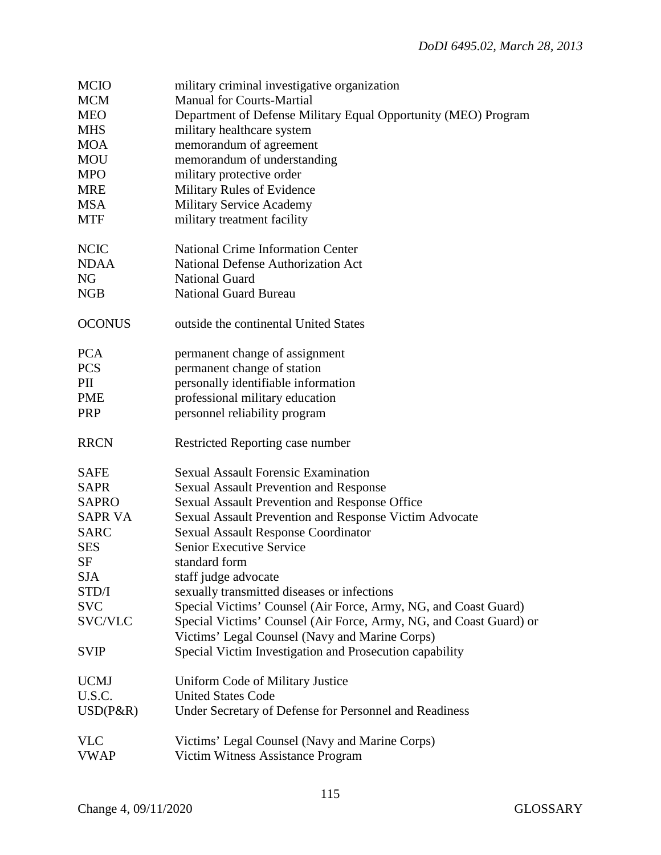| <b>MCIO</b>    | military criminal investigative organization                       |
|----------------|--------------------------------------------------------------------|
| <b>MCM</b>     | <b>Manual for Courts-Martial</b>                                   |
| <b>MEO</b>     | Department of Defense Military Equal Opportunity (MEO) Program     |
| <b>MHS</b>     | military healthcare system                                         |
| <b>MOA</b>     | memorandum of agreement                                            |
| <b>MOU</b>     | memorandum of understanding                                        |
| <b>MPO</b>     | military protective order                                          |
| <b>MRE</b>     | Military Rules of Evidence                                         |
| <b>MSA</b>     | <b>Military Service Academy</b>                                    |
| <b>MTF</b>     | military treatment facility                                        |
|                |                                                                    |
| <b>NCIC</b>    | <b>National Crime Information Center</b>                           |
| <b>NDAA</b>    | <b>National Defense Authorization Act</b>                          |
| NG             | <b>National Guard</b>                                              |
| <b>NGB</b>     | <b>National Guard Bureau</b>                                       |
|                |                                                                    |
| <b>OCONUS</b>  | outside the continental United States                              |
|                |                                                                    |
| <b>PCA</b>     | permanent change of assignment                                     |
| <b>PCS</b>     | permanent change of station                                        |
| PII            | personally identifiable information                                |
| <b>PME</b>     | professional military education                                    |
| PRP            | personnel reliability program                                      |
|                |                                                                    |
| <b>RRCN</b>    | Restricted Reporting case number                                   |
|                | <b>Sexual Assault Forensic Examination</b>                         |
| <b>SAFE</b>    |                                                                    |
| <b>SAPR</b>    | <b>Sexual Assault Prevention and Response</b>                      |
| <b>SAPRO</b>   | Sexual Assault Prevention and Response Office                      |
| <b>SAPR VA</b> | Sexual Assault Prevention and Response Victim Advocate             |
| <b>SARC</b>    | <b>Sexual Assault Response Coordinator</b>                         |
| <b>SES</b>     | <b>Senior Executive Service</b>                                    |
| SF             | standard form                                                      |
| <b>SJA</b>     | staff judge advocate                                               |
| STD/I          | sexually transmitted diseases or infections                        |
| <b>SVC</b>     | Special Victims' Counsel (Air Force, Army, NG, and Coast Guard)    |
| SVC/VLC        | Special Victims' Counsel (Air Force, Army, NG, and Coast Guard) or |
|                | Victims' Legal Counsel (Navy and Marine Corps)                     |
| <b>SVIP</b>    | Special Victim Investigation and Prosecution capability            |
| <b>UCMJ</b>    | Uniform Code of Military Justice                                   |
| U.S.C.         | <b>United States Code</b>                                          |
| $USD(P\&R)$    | Under Secretary of Defense for Personnel and Readiness             |
|                |                                                                    |
| <b>VLC</b>     | Victims' Legal Counsel (Navy and Marine Corps)                     |
| <b>VWAP</b>    | Victim Witness Assistance Program                                  |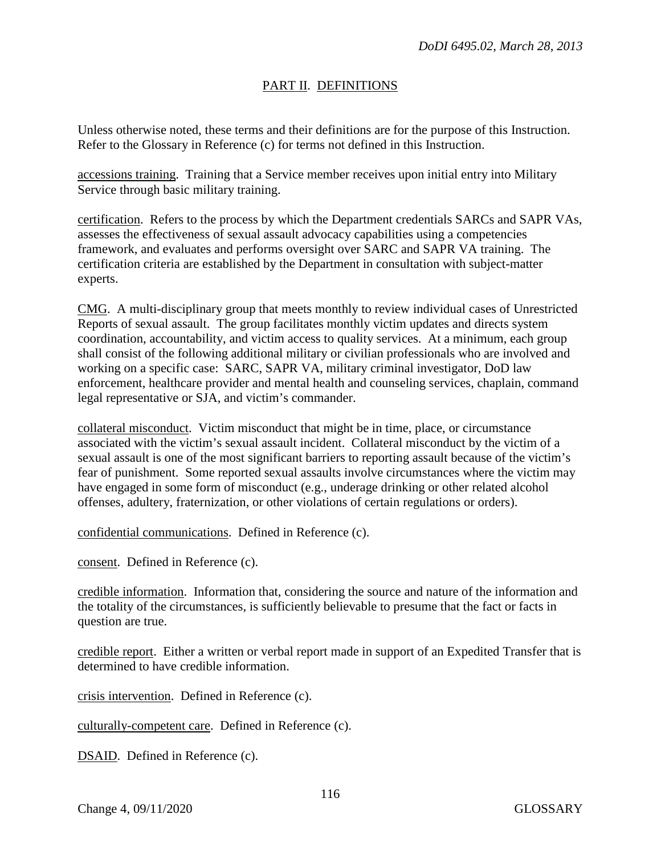### PART II. DEFINITIONS

Unless otherwise noted, these terms and their definitions are for the purpose of this Instruction. Refer to the Glossary in Reference (c) for terms not defined in this Instruction.

accessions training. Training that a Service member receives upon initial entry into Military Service through basic military training.

certification. Refers to the process by which the Department credentials SARCs and SAPR VAs, assesses the effectiveness of sexual assault advocacy capabilities using a competencies framework, and evaluates and performs oversight over SARC and SAPR VA training. The certification criteria are established by the Department in consultation with subject-matter experts.

CMG. A multi-disciplinary group that meets monthly to review individual cases of Unrestricted Reports of sexual assault. The group facilitates monthly victim updates and directs system coordination, accountability, and victim access to quality services. At a minimum, each group shall consist of the following additional military or civilian professionals who are involved and working on a specific case: SARC, SAPR VA, military criminal investigator, DoD law enforcement, healthcare provider and mental health and counseling services, chaplain, command legal representative or SJA, and victim's commander.

collateral misconduct. Victim misconduct that might be in time, place, or circumstance associated with the victim's sexual assault incident. Collateral misconduct by the victim of a sexual assault is one of the most significant barriers to reporting assault because of the victim's fear of punishment. Some reported sexual assaults involve circumstances where the victim may have engaged in some form of misconduct (e.g., underage drinking or other related alcohol offenses, adultery, fraternization, or other violations of certain regulations or orders).

confidential communications. Defined in Reference (c).

consent. Defined in Reference (c).

credible information. Information that, considering the source and nature of the information and the totality of the circumstances, is sufficiently believable to presume that the fact or facts in question are true.

credible report. Either a written or verbal report made in support of an Expedited Transfer that is determined to have credible information.

crisis intervention. Defined in Reference (c).

culturally-competent care. Defined in Reference (c).

DSAID. Defined in Reference (c).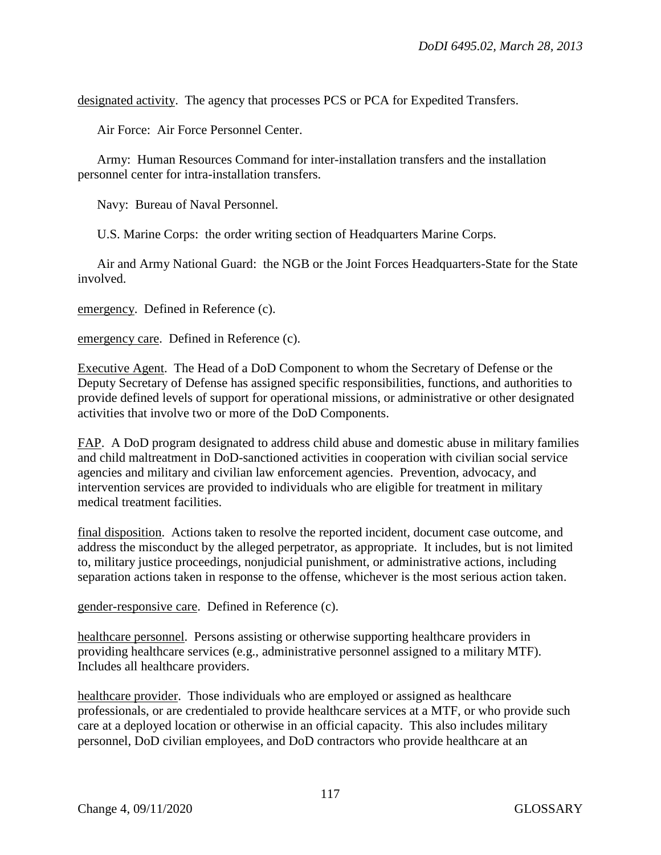designated activity. The agency that processes PCS or PCA for Expedited Transfers.

Air Force: Air Force Personnel Center.

Army: Human Resources Command for inter-installation transfers and the installation personnel center for intra-installation transfers.

Navy: Bureau of Naval Personnel.

U.S. Marine Corps: the order writing section of Headquarters Marine Corps.

Air and Army National Guard: the NGB or the Joint Forces Headquarters-State for the State involved.

emergency. Defined in Reference (c).

emergency care. Defined in Reference (c).

Executive Agent. The Head of a DoD Component to whom the Secretary of Defense or the Deputy Secretary of Defense has assigned specific responsibilities, functions, and authorities to provide defined levels of support for operational missions, or administrative or other designated activities that involve two or more of the DoD Components.

FAP. A DoD program designated to address child abuse and domestic abuse in military families and child maltreatment in DoD-sanctioned activities in cooperation with civilian social service agencies and military and civilian law enforcement agencies. Prevention, advocacy, and intervention services are provided to individuals who are eligible for treatment in military medical treatment facilities.

final disposition. Actions taken to resolve the reported incident, document case outcome, and address the misconduct by the alleged perpetrator, as appropriate. It includes, but is not limited to, military justice proceedings, nonjudicial punishment, or administrative actions, including separation actions taken in response to the offense, whichever is the most serious action taken.

gender-responsive care. Defined in Reference (c).

healthcare personnel. Persons assisting or otherwise supporting healthcare providers in providing healthcare services (e.g., administrative personnel assigned to a military MTF). Includes all healthcare providers.

healthcare provider. Those individuals who are employed or assigned as healthcare professionals, or are credentialed to provide healthcare services at a MTF, or who provide such care at a deployed location or otherwise in an official capacity. This also includes military personnel, DoD civilian employees, and DoD contractors who provide healthcare at an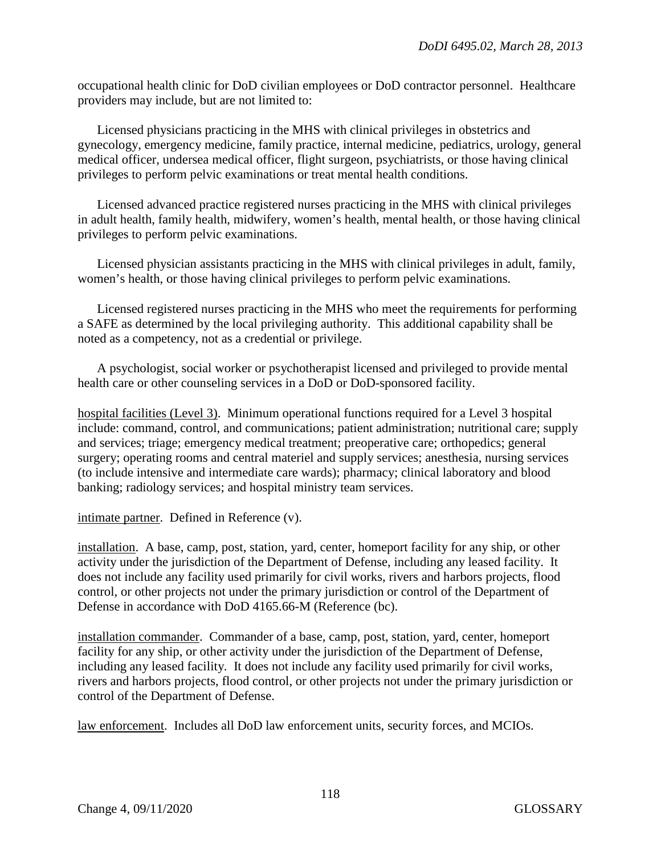occupational health clinic for DoD civilian employees or DoD contractor personnel. Healthcare providers may include, but are not limited to:

Licensed physicians practicing in the MHS with clinical privileges in obstetrics and gynecology, emergency medicine, family practice, internal medicine, pediatrics, urology, general medical officer, undersea medical officer, flight surgeon, psychiatrists, or those having clinical privileges to perform pelvic examinations or treat mental health conditions.

Licensed advanced practice registered nurses practicing in the MHS with clinical privileges in adult health, family health, midwifery, women's health, mental health, or those having clinical privileges to perform pelvic examinations.

Licensed physician assistants practicing in the MHS with clinical privileges in adult, family, women's health, or those having clinical privileges to perform pelvic examinations.

Licensed registered nurses practicing in the MHS who meet the requirements for performing a SAFE as determined by the local privileging authority. This additional capability shall be noted as a competency, not as a credential or privilege.

A psychologist, social worker or psychotherapist licensed and privileged to provide mental health care or other counseling services in a DoD or DoD-sponsored facility.

hospital facilities (Level 3). Minimum operational functions required for a Level 3 hospital include: command, control, and communications; patient administration; nutritional care; supply and services; triage; emergency medical treatment; preoperative care; orthopedics; general surgery; operating rooms and central materiel and supply services; anesthesia, nursing services (to include intensive and intermediate care wards); pharmacy; clinical laboratory and blood banking; radiology services; and hospital ministry team services.

intimate partner. Defined in Reference (v).

installation. A base, camp, post, station, yard, center, homeport facility for any ship, or other activity under the jurisdiction of the Department of Defense, including any leased facility. It does not include any facility used primarily for civil works, rivers and harbors projects, flood control, or other projects not under the primary jurisdiction or control of the Department of Defense in accordance with DoD 4165.66-M (Reference (bc).

installation commander. Commander of a base, camp, post, station, yard, center, homeport facility for any ship, or other activity under the jurisdiction of the Department of Defense, including any leased facility. It does not include any facility used primarily for civil works, rivers and harbors projects, flood control, or other projects not under the primary jurisdiction or control of the Department of Defense.

law enforcement. Includes all DoD law enforcement units, security forces, and MCIOs.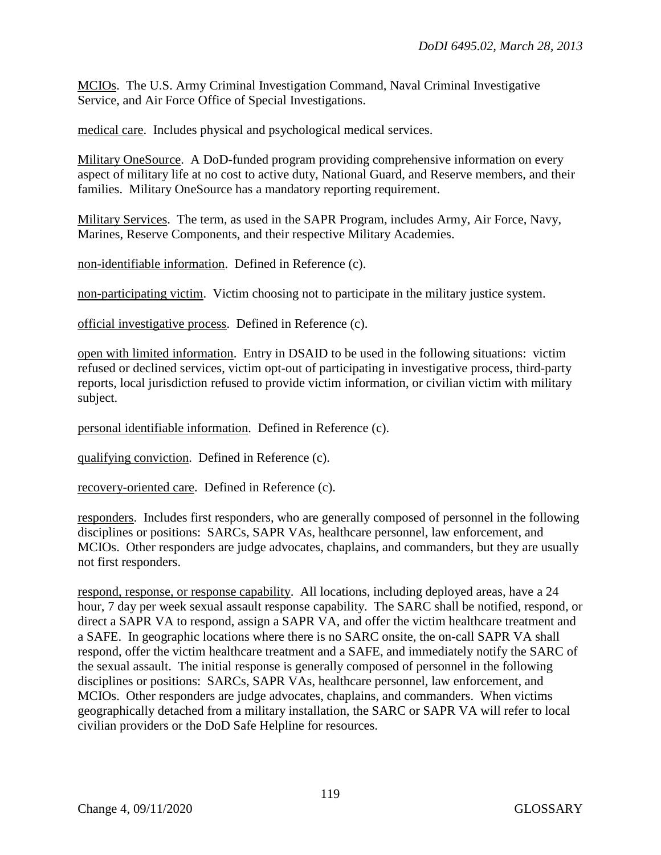MCIOs. The U.S. Army Criminal Investigation Command, Naval Criminal Investigative Service, and Air Force Office of Special Investigations.

medical care. Includes physical and psychological medical services.

Military OneSource. A DoD-funded program providing comprehensive information on every aspect of military life at no cost to active duty, National Guard, and Reserve members, and their families. Military OneSource has a mandatory reporting requirement.

Military Services. The term, as used in the SAPR Program, includes Army, Air Force, Navy, Marines, Reserve Components, and their respective Military Academies.

non-identifiable information. Defined in Reference (c).

non-participating victim. Victim choosing not to participate in the military justice system.

official investigative process. Defined in Reference (c).

open with limited information. Entry in DSAID to be used in the following situations: victim refused or declined services, victim opt-out of participating in investigative process, third-party reports, local jurisdiction refused to provide victim information, or civilian victim with military subject.

personal identifiable information. Defined in Reference (c).

qualifying conviction. Defined in Reference (c).

recovery-oriented care. Defined in Reference (c).

responders. Includes first responders, who are generally composed of personnel in the following disciplines or positions: SARCs, SAPR VAs, healthcare personnel, law enforcement, and MCIOs. Other responders are judge advocates, chaplains, and commanders, but they are usually not first responders.

respond, response, or response capability. All locations, including deployed areas, have a 24 hour, 7 day per week sexual assault response capability. The SARC shall be notified, respond, or direct a SAPR VA to respond, assign a SAPR VA, and offer the victim healthcare treatment and a SAFE. In geographic locations where there is no SARC onsite, the on-call SAPR VA shall respond, offer the victim healthcare treatment and a SAFE, and immediately notify the SARC of the sexual assault. The initial response is generally composed of personnel in the following disciplines or positions: SARCs, SAPR VAs, healthcare personnel, law enforcement, and MCIOs. Other responders are judge advocates, chaplains, and commanders. When victims geographically detached from a military installation, the SARC or SAPR VA will refer to local civilian providers or the DoD Safe Helpline for resources.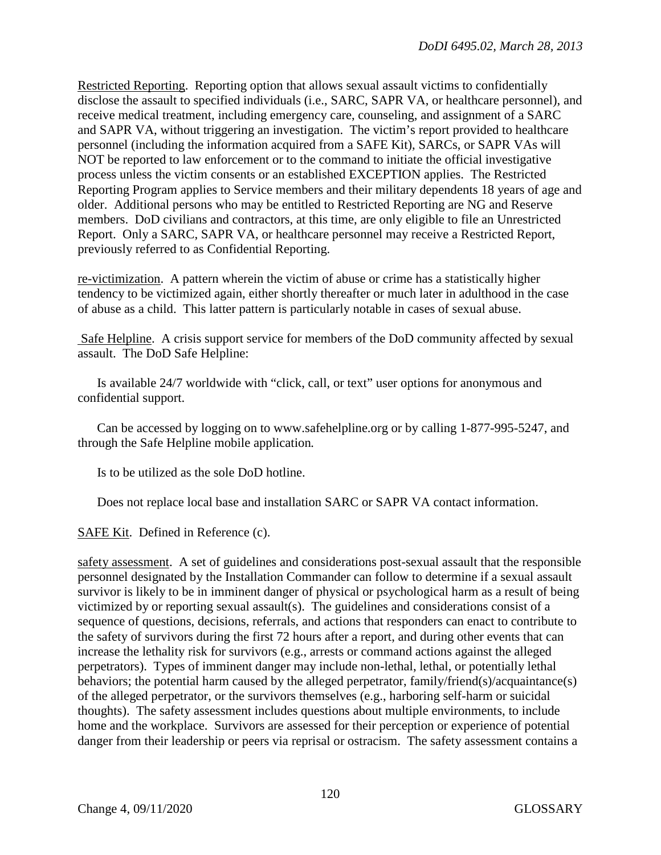Restricted Reporting. Reporting option that allows sexual assault victims to confidentially disclose the assault to specified individuals (i.e., SARC, SAPR VA, or healthcare personnel), and receive medical treatment, including emergency care, counseling, and assignment of a SARC and SAPR VA, without triggering an investigation. The victim's report provided to healthcare personnel (including the information acquired from a SAFE Kit), SARCs, or SAPR VAs will NOT be reported to law enforcement or to the command to initiate the official investigative process unless the victim consents or an established EXCEPTION applies. The Restricted Reporting Program applies to Service members and their military dependents 18 years of age and older. Additional persons who may be entitled to Restricted Reporting are NG and Reserve members. DoD civilians and contractors, at this time, are only eligible to file an Unrestricted Report. Only a SARC, SAPR VA, or healthcare personnel may receive a Restricted Report, previously referred to as Confidential Reporting.

re-victimization. A pattern wherein the victim of abuse or crime has a statistically higher tendency to be victimized again, either shortly thereafter or much later in adulthood in the case of abuse as a child. This latter pattern is particularly notable in cases of sexual abuse.

Safe Helpline. A crisis support service for members of the DoD community affected by sexual assault. The DoD Safe Helpline:

Is available 24/7 worldwide with "click, call, or text" user options for anonymous and confidential support.

Can be accessed by logging on to www.safehelpline.org or by calling 1-877-995-5247, and through the Safe Helpline mobile application*.*

Is to be utilized as the sole DoD hotline.

Does not replace local base and installation SARC or SAPR VA contact information.

SAFE Kit. Defined in Reference (c).

safety assessment. A set of guidelines and considerations post-sexual assault that the responsible personnel designated by the Installation Commander can follow to determine if a sexual assault survivor is likely to be in imminent danger of physical or psychological harm as a result of being victimized by or reporting sexual assault(s). The guidelines and considerations consist of a sequence of questions, decisions, referrals, and actions that responders can enact to contribute to the safety of survivors during the first 72 hours after a report, and during other events that can increase the lethality risk for survivors (e.g., arrests or command actions against the alleged perpetrators). Types of imminent danger may include non-lethal, lethal, or potentially lethal behaviors; the potential harm caused by the alleged perpetrator, family/friend(s)/acquaintance(s) of the alleged perpetrator, or the survivors themselves (e.g., harboring self-harm or suicidal thoughts). The safety assessment includes questions about multiple environments, to include home and the workplace. Survivors are assessed for their perception or experience of potential danger from their leadership or peers via reprisal or ostracism. The safety assessment contains a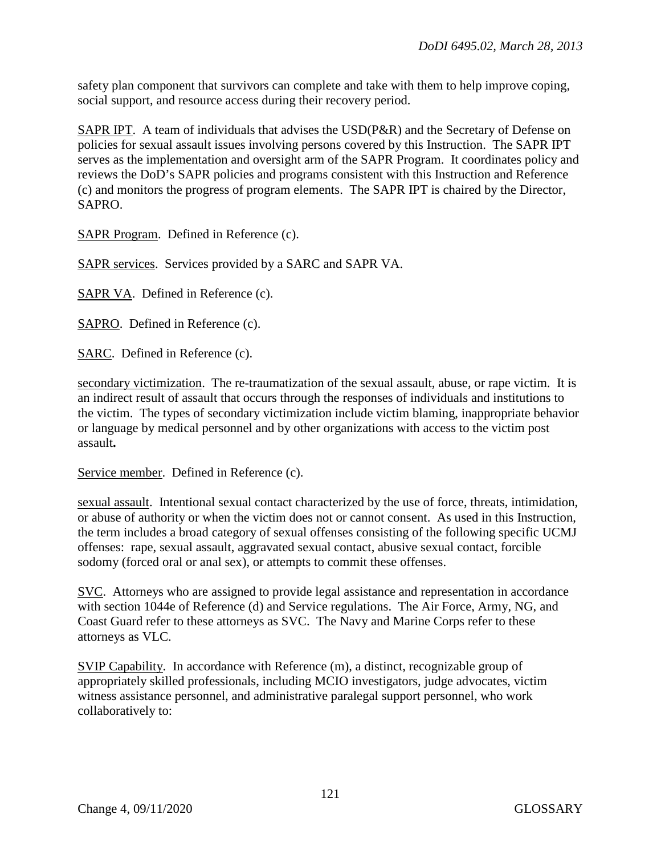safety plan component that survivors can complete and take with them to help improve coping, social support, and resource access during their recovery period.

SAPR IPT. A team of individuals that advises the USD(P&R) and the Secretary of Defense on policies for sexual assault issues involving persons covered by this Instruction. The SAPR IPT serves as the implementation and oversight arm of the SAPR Program. It coordinates policy and reviews the DoD's SAPR policies and programs consistent with this Instruction and Reference (c) and monitors the progress of program elements. The SAPR IPT is chaired by the Director, SAPRO.

SAPR Program. Defined in Reference (c).

SAPR services. Services provided by a SARC and SAPR VA.

SAPR VA. Defined in Reference (c).

SAPRO. Defined in Reference (c).

SARC. Defined in Reference (c).

secondary victimization. The re-traumatization of the sexual assault, abuse, or rape victim. It is an indirect result of assault that occurs through the responses of individuals and institutions to the victim. The types of secondary victimization include victim blaming, inappropriate behavior or language by medical personnel and by other organizations with access to the victim post assault**.** 

Service member. Defined in Reference (c).

sexual assault. Intentional sexual contact characterized by the use of force, threats, intimidation, or abuse of authority or when the victim does not or cannot consent. As used in this Instruction, the term includes a broad category of sexual offenses consisting of the following specific UCMJ offenses: rape, sexual assault, aggravated sexual contact, abusive sexual contact, forcible sodomy (forced oral or anal sex), or attempts to commit these offenses.

SVC. Attorneys who are assigned to provide legal assistance and representation in accordance with section 1044e of Reference (d) and Service regulations. The Air Force, Army, NG, and Coast Guard refer to these attorneys as SVC. The Navy and Marine Corps refer to these attorneys as VLC.

SVIP Capability. In accordance with Reference (m), a distinct, recognizable group of appropriately skilled professionals, including MCIO investigators, judge advocates, victim witness assistance personnel, and administrative paralegal support personnel, who work collaboratively to: